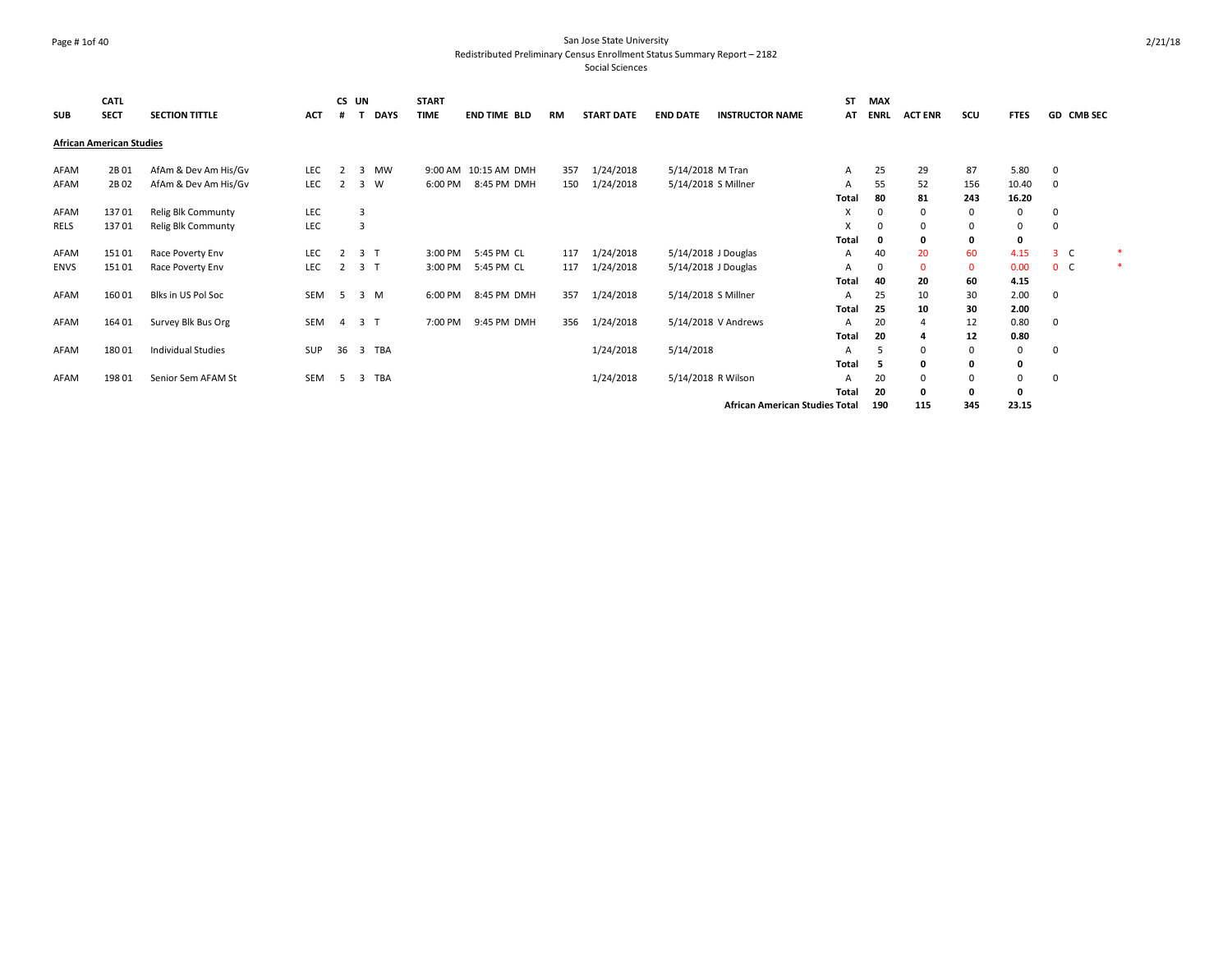### Page # 1of 40 San Jose State University Redistributed Preliminary Census Enrollment Status Summary Report – 2182

| <b>SUB</b>  | <b>CATL</b><br><b>SECT</b>      | <b>SECTION TITTLE</b>     | <b>ACT</b> | CS UN<br>#     |                         | <b>DAYS</b> | <b>START</b><br><b>TIME</b> | <b>END TIME BLD</b> | RM  | <b>START DATE</b> | <b>END DATE</b>  | <b>INSTRUCTOR NAME</b>                | <b>ST</b><br>AT | <b>MAX</b><br><b>ENRL</b> | <b>ACT ENR</b> | scu         | <b>FTES</b> |                | GD CMB SEC |   |
|-------------|---------------------------------|---------------------------|------------|----------------|-------------------------|-------------|-----------------------------|---------------------|-----|-------------------|------------------|---------------------------------------|-----------------|---------------------------|----------------|-------------|-------------|----------------|------------|---|
|             | <b>African American Studies</b> |                           |            |                |                         |             |                             |                     |     |                   |                  |                                       |                 |                           |                |             |             |                |            |   |
| AFAM        | 2B01                            | AfAm & Dev Am His/Gv      | LEC        |                | 3                       | <b>MW</b>   | 9:00 AM                     | 10:15 AM DMH        | 357 | 1/24/2018         | 5/14/2018 M Tran |                                       | Α               | 25                        | 29             | 87          | 5.80        | $\mathbf 0$    |            |   |
| AFAM        | 2B02                            | AfAm & Dev Am His/Gv      | LEC        | 2              | 3                       | W           | 6:00 PM                     | 8:45 PM DMH         | 150 | 1/24/2018         |                  | 5/14/2018 S Millner                   | A               | 55                        | 52             | 156         | 10.40       | $\Omega$       |            |   |
|             |                                 |                           |            |                |                         |             |                             |                     |     |                   |                  |                                       | Total           | 80                        | 81             | 243         | 16.20       |                |            |   |
| AFAM        | 13701                           | Relig Blk Communty        | LEC        |                | $\overline{3}$          |             |                             |                     |     |                   |                  |                                       | X               | $\Omega$                  | 0              | 0           | $\Omega$    | 0              |            |   |
| RELS        | 13701                           | Relig Blk Communty        | LEC        |                | $\overline{3}$          |             |                             |                     |     |                   |                  |                                       | X               | $\Omega$                  | 0              | 0           | 0           | $\mathbf 0$    |            |   |
|             |                                 |                           |            |                |                         |             |                             |                     |     |                   |                  |                                       | <b>Total</b>    | n                         | $\mathbf{0}$   | 0           | 0           |                |            |   |
| AFAM        | 15101                           | Race Poverty Env          | LEC        | 2              | 3 <sub>1</sub>          |             | 3:00 PM                     | 5:45 PM CL          | 117 | 1/24/2018         |                  | 5/14/2018 J Douglas                   | Α               | 40                        | 20             | 60          | 4.15        | 3 <sup>C</sup> |            | 未 |
| <b>ENVS</b> | 15101                           | Race Poverty Env          | LEC        | 2              | 3 <sub>1</sub>          |             | 3:00 PM                     | 5:45 PM CL          | 117 | 1/24/2018         |                  | 5/14/2018 J Douglas                   | А               | 0                         | $\mathbf{0}$   | $\mathbf 0$ | 0.00        | 0 <sup>o</sup> |            | * |
|             |                                 |                           |            |                |                         |             |                             |                     |     |                   |                  |                                       | Total           | 40                        | 20             | 60          | 4.15        |                |            |   |
| AFAM        | 160 01                          | Blks in US Pol Soc        | SEM        | 5              |                         | 3 M         | 6:00 PM                     | 8:45 PM DMH         | 357 | 1/24/2018         |                  | 5/14/2018 S Millner                   | A               | 25                        | 10             | 30          | 2.00        | $\mathbf 0$    |            |   |
|             |                                 |                           |            |                |                         |             |                             |                     |     |                   |                  |                                       | Total           | 25                        | 10             | 30          | 2.00        |                |            |   |
| AFAM        | 164 01                          | Survey Blk Bus Org        | SEM        | $\overline{4}$ | 3 <sub>1</sub>          |             | 7:00 PM                     | 9:45 PM DMH         | 356 | 1/24/2018         |                  | 5/14/2018 V Andrews                   | A               | 20                        | 4              | 12          | 0.80        | $\mathbf 0$    |            |   |
|             |                                 |                           |            |                |                         |             |                             |                     |     |                   |                  |                                       | Total           | 20                        |                | 12          | 0.80        |                |            |   |
| AFAM        | 18001                           | <b>Individual Studies</b> | <b>SUP</b> | 36             | $\overline{\mathbf{3}}$ | TBA         |                             |                     |     | 1/24/2018         | 5/14/2018        |                                       | A               | .5                        | 0              | 0           | 0           | 0              |            |   |
|             |                                 |                           |            |                |                         |             |                             |                     |     |                   |                  |                                       | <b>Total</b>    | -5                        | 0              | 0           | 0           |                |            |   |
| AFAM        | 198 01                          | Senior Sem AFAM St        | SEM        | 5              | 3                       | TBA         |                             |                     |     | 1/24/2018         |                  | 5/14/2018 R Wilson                    | A               | 20                        | 0              | 0           | 0           | 0              |            |   |
|             |                                 |                           |            |                |                         |             |                             |                     |     |                   |                  |                                       | <b>Total</b>    | 20                        | $\mathbf{0}$   | 0           | 0           |                |            |   |
|             |                                 |                           |            |                |                         |             |                             |                     |     |                   |                  | <b>African American Studies Total</b> |                 | 190                       | 115            | 345         | 23.15       |                |            |   |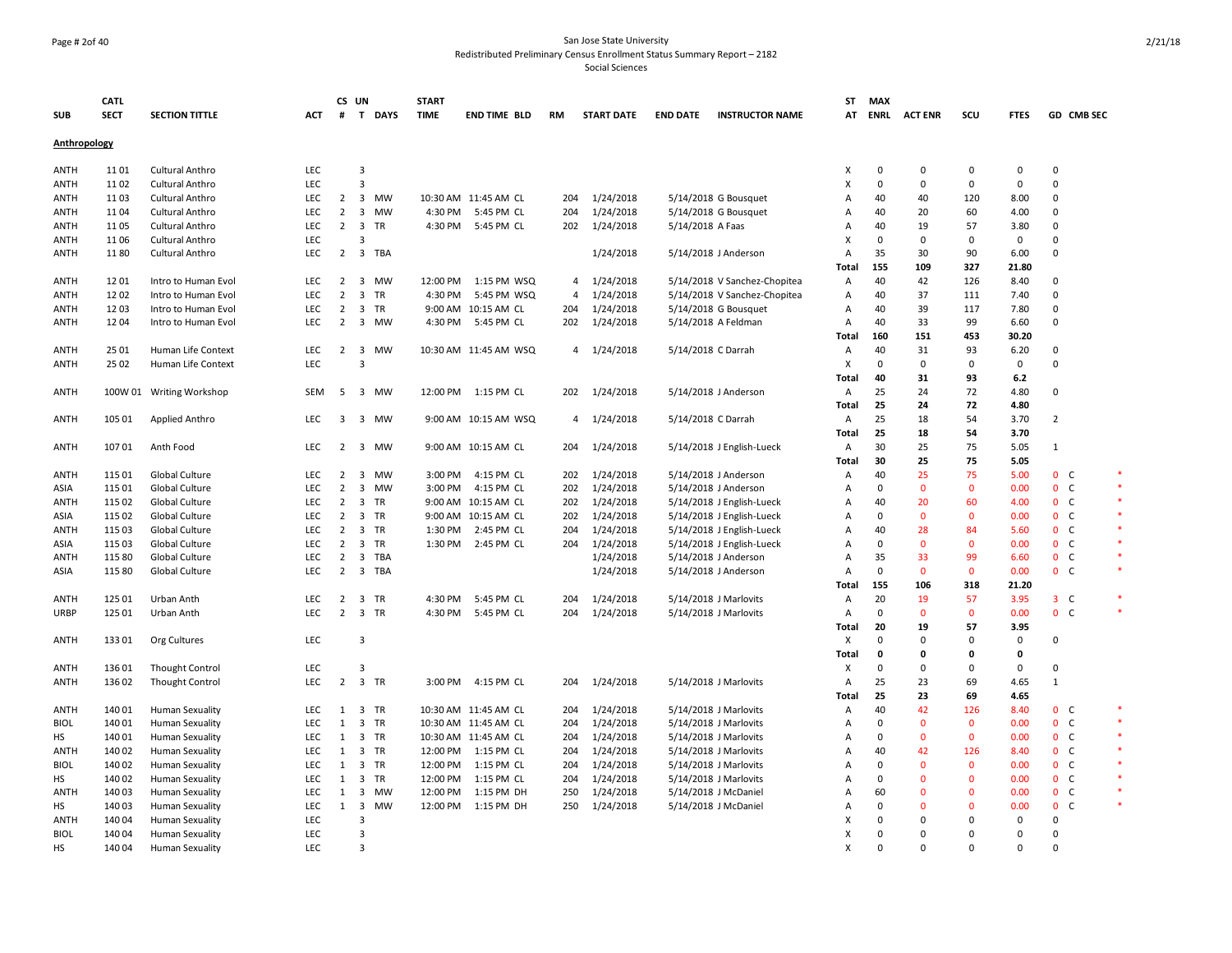#### Page # 2of 40 San Jose State University Redistributed Preliminary Census Enrollment Status Summary Report – 2182

|              | <b>CATL</b> |                          |            | CS UN               |                                      | <b>START</b> |                       |                |                   |                    |                              | <b>ST</b>    | <b>MAX</b>        |                    |              |              |                |         |
|--------------|-------------|--------------------------|------------|---------------------|--------------------------------------|--------------|-----------------------|----------------|-------------------|--------------------|------------------------------|--------------|-------------------|--------------------|--------------|--------------|----------------|---------|
| <b>SUB</b>   | <b>SECT</b> | <b>SECTION TITTLE</b>    | <b>ACT</b> | #                   | T DAYS                               | <b>TIME</b>  | <b>END TIME BLD</b>   | RM             | <b>START DATE</b> | <b>END DATE</b>    | <b>INSTRUCTOR NAME</b>       | AT           |                   | <b>ENRL ACTENR</b> | scu          | <b>FTES</b>  | GD CMB SEC     |         |
| Anthropology |             |                          |            |                     |                                      |              |                       |                |                   |                    |                              |              |                   |                    |              |              |                |         |
|              |             |                          |            |                     |                                      |              |                       |                |                   |                    |                              |              |                   |                    |              |              |                |         |
| ANTH         | 1101        | Cultural Anthro          | LEC        |                     | 3                                    |              |                       |                |                   |                    |                              | X            | 0                 | 0                  | 0            | 0            | $\mathbf 0$    |         |
| ANTH         | 1102        | Cultural Anthro          | LEC        |                     | 3                                    |              |                       |                |                   |                    |                              | X            | $\mathbf 0$       | $\mathbf 0$        | $\mathbf 0$  | $\mathbf 0$  | $\mathbf 0$    |         |
| ANTH         | 1103        | <b>Cultural Anthro</b>   | LEC        | $\overline{2}$      | $\overline{\mathbf{3}}$<br><b>MW</b> |              | 10:30 AM 11:45 AM CL  | 204            | 1/24/2018         |                    | 5/14/2018 G Bousquet         | Α            | 40                | 40                 | 120          | 8.00         | $\mathbf 0$    |         |
| ANTH         | 1104        | <b>Cultural Anthro</b>   | LEC        | $2^{\circ}$         | 3<br><b>MW</b>                       | 4:30 PM      | 5:45 PM CL            | 204            | 1/24/2018         |                    | 5/14/2018 G Bousquet         | Α            | 40                | 20                 | 60           | 4.00         | $\mathbf{0}$   |         |
| ANTH         | 1105        | <b>Cultural Anthro</b>   | <b>LEC</b> | $\overline{2}$      | $\overline{\mathbf{3}}$<br>TR        |              | 4:30 PM 5:45 PM CL    | 202            | 1/24/2018         | 5/14/2018 A Faas   |                              | A            | 40                | 19                 | 57           | 3.80         | $\mathbf 0$    |         |
| <b>ANTH</b>  | 1106        | Cultural Anthro          | LEC        |                     | $\overline{3}$                       |              |                       |                |                   |                    |                              | x            | $\mathbf 0$       | $\mathbf 0$        | $\mathbf 0$  | $\mathbf 0$  | $\Omega$       |         |
| ANTH         | 1180        | Cultural Anthro          | <b>LEC</b> | $\overline{2}$      | $\overline{\mathbf{3}}$<br>TBA       |              |                       |                | 1/24/2018         |                    | 5/14/2018 J Anderson         | A            | 35                | 30                 | 90           | 6.00         | $\mathbf{0}$   |         |
|              |             |                          |            |                     |                                      |              |                       |                |                   |                    |                              | Total        | 155               | 109                | 327          | 21.80        |                |         |
| <b>ANTH</b>  | 1201        | Intro to Human Evol      | <b>LEC</b> | $\overline{2}$      | $\overline{\mathbf{3}}$<br><b>MW</b> | 12:00 PM     | 1:15 PM WSQ           | 4              | 1/24/2018         |                    | 5/14/2018 V Sanchez-Chopitea | Α            | 40                | 42                 | 126          | 8.40         | $\mathbf 0$    |         |
| <b>ANTH</b>  | 1202        | Intro to Human Evol      | LEC        | $\overline{2}$      | $\overline{\mathbf{3}}$<br><b>TR</b> | 4:30 PM      | 5:45 PM WSQ           | $\overline{4}$ | 1/24/2018         |                    | 5/14/2018 V Sanchez-Chopitea | Α            | 40                | 37                 | 111          | 7.40         | $\mathbf 0$    |         |
| ANTH         | 1203        | Intro to Human Evol      | <b>LEC</b> | 2                   | $\overline{\mathbf{3}}$<br><b>TR</b> |              | 9:00 AM 10:15 AM CL   | 204            | 1/24/2018         |                    | 5/14/2018 G Bousquet         | A            | 40                | 39                 | 117          | 7.80         | $\Omega$       |         |
| <b>ANTH</b>  | 1204        | Intro to Human Evol      | <b>LEC</b> | $\overline{2}$      | $\overline{\mathbf{3}}$<br>MW        | 4:30 PM      | 5:45 PM CL            | 202            | 1/24/2018         |                    | 5/14/2018 A Feldman          | Α            | 40                | 33                 | 99           | 6.60         | $\mathbf 0$    |         |
|              |             |                          |            |                     |                                      |              |                       |                |                   |                    |                              | <b>Total</b> | 160               | 151                | 453          | 30.20        |                |         |
| <b>ANTH</b>  | 25 01       | Human Life Context       | <b>LEC</b> | $\overline{2}$      | $\overline{\mathbf{3}}$<br>MW        |              | 10:30 AM 11:45 AM WSQ |                | 4 1/24/2018       | 5/14/2018 C Darrah |                              | Α            | 40                | 31                 | 93           | 6.20         | $\mathbf 0$    |         |
| ANTH         | 25 02       | Human Life Context       | LEC        |                     | $\overline{3}$                       |              |                       |                |                   |                    |                              | х            | $\mathbf 0$       | $\mathsf 0$        | 0            | $\mathbf 0$  | $\mathbf 0$    |         |
|              |             |                          |            |                     |                                      |              |                       |                |                   |                    |                              | Total        | 40                | 31                 | 93           | 6.2          |                |         |
| ANTH         |             | 100W 01 Writing Workshop | SEM        | - 5                 | 3 MW                                 |              | 12:00 PM 1:15 PM CL   |                | 202 1/24/2018     |                    | 5/14/2018 J Anderson         | Α            | 25                | 24                 | 72           | 4.80         | $\mathbf 0$    |         |
|              |             |                          |            |                     |                                      |              |                       |                |                   |                    |                              | Total        | 25                | 24                 | 72           | 4.80         |                |         |
| ANTH         | 105 01      | Applied Anthro           | LEC        | 3                   | 3 MW                                 |              | 9:00 AM 10:15 AM WSQ  | 4              | 1/24/2018         | 5/14/2018 C Darrah |                              | Α            | 25                | 18                 | 54           | 3.70         | $\overline{2}$ |         |
|              |             |                          |            |                     |                                      |              |                       |                |                   |                    |                              | Total        | 25                | 18                 | 54           | 3.70         |                |         |
| ANTH         | 10701       | Anth Food                | <b>LEC</b> | $\overline{2}$      | $\overline{\mathbf{3}}$<br><b>MW</b> |              | 9:00 AM 10:15 AM CL   | 204            | 1/24/2018         |                    | 5/14/2018 J English-Lueck    | Α            | 30                | 25                 | 75           | 5.05         | 1              |         |
|              |             |                          |            |                     |                                      |              |                       |                |                   |                    |                              | Total        | 30                | 25                 | 75           | 5.05         |                |         |
| ANTH         | 115 01      | Global Culture           | <b>LEC</b> | $\overline{2}$      | 3<br><b>MW</b>                       | 3:00 PM      | 4:15 PM CL            | 202            | 1/24/2018         |                    | 5/14/2018 J Anderson         | Α            | 40                | 25                 | 75           | 5.00         | 0 <sup>o</sup> |         |
| ASIA         | 115 01      | Global Culture           | LEC        | $\overline{2}$      | 3<br><b>MW</b>                       | 3:00 PM      | 4:15 PM CL            | 202            | 1/24/2018         |                    | 5/14/2018 J Anderson         | A            | $\mathbf 0$       | $\mathbf 0$        | $\mathbf{0}$ | 0.00         | 0 <sup>o</sup> |         |
| ANTH         | 115 02      | Global Culture           | LEC        | $\overline{2}$      | $\overline{\mathbf{3}}$<br>TR        |              | 9:00 AM 10:15 AM CL   | 202            | 1/24/2018         |                    | 5/14/2018 J English-Lueck    | Α            | 40                | 20                 | 60           | 4.00         | 0 <sup>o</sup> |         |
| ASIA         | 115 02      | Global Culture           | LEC        | $\overline{2}$      | $\overline{\mathbf{3}}$<br>TR        |              | 9:00 AM 10:15 AM CL   | 202            | 1/24/2018         |                    | 5/14/2018 J English-Lueck    | A            | $\mathbf 0$       | $\mathbf{0}$       | $\mathbf{0}$ | 0.00         | 0 <sup>o</sup> | $\star$ |
| ANTH         | 115 03      | Global Culture           | LEC        | $\overline{2}$      | $\overline{\mathbf{3}}$<br>TR        | 1:30 PM      | 2:45 PM CL            | 204            | 1/24/2018         |                    | 5/14/2018 J English-Lueck    | A            | 40                | 28                 | 84           | 5.60         | 0 <sup>o</sup> |         |
|              | 115 03      |                          | <b>LEC</b> |                     | $2 \quad 3$<br><b>TR</b>             |              | 1:30 PM 2:45 PM CL    | 204            |                   |                    |                              | A            | $\mathbf 0$       | $\mathbf{0}$       | $\mathbf{0}$ | 0.00         | 0 <sup>o</sup> | $\ast$  |
| ASIA         |             | Global Culture           |            |                     |                                      |              |                       |                | 1/24/2018         |                    | 5/14/2018 J English-Lueck    |              |                   |                    |              |              |                | $\ast$  |
| ANTH         | 115 80      | Global Culture           | LEC        | $\overline{2}$<br>2 | 3<br><b>TBA</b><br>3 TBA             |              |                       |                | 1/24/2018         |                    | 5/14/2018 J Anderson         | A            | 35<br>$\mathbf 0$ | 33<br>$\mathbf{0}$ | 99           | 6.60         | 0 <sup>o</sup> |         |
| ASIA         | 115 80      | Global Culture           | LEC        |                     |                                      |              |                       |                | 1/24/2018         |                    | 5/14/2018 J Anderson         | Α            |                   |                    | $\mathbf{0}$ | 0.00         | 0 <sub>c</sub> |         |
|              |             |                          |            |                     |                                      |              |                       |                |                   |                    |                              | Total        | 155               | 106                | 318          | 21.20        |                |         |
| ANTH         | 125 01      | Urban Anth               | LEC        | 2                   | 3<br>TR                              | 4:30 PM      | 5:45 PM CL            | 204            | 1/24/2018         |                    | 5/14/2018 J Marlovits        | A            | 20                | 19                 | 57           | 3.95         | $3-$           |         |
| URBP         | 125 01      | Urban Anth               | <b>LEC</b> | $\overline{2}$      | 3 TR                                 | 4:30 PM      | 5:45 PM CL            | 204            | 1/24/2018         |                    | 5/14/2018 J Marlovits        | Α            | $\mathbf 0$       | $\mathbf{0}$       | $\mathbf{0}$ | 0.00         | 0 <sup>o</sup> |         |
|              |             |                          |            |                     |                                      |              |                       |                |                   |                    |                              | Total        | 20                | 19                 | 57           | 3.95         |                |         |
| ANTH         | 13301       | Org Cultures             | LEC        |                     | $\overline{\mathbf{3}}$              |              |                       |                |                   |                    |                              | X            | $\Omega$          | $\mathbf 0$        | $\Omega$     | $\mathbf 0$  | $\Omega$       |         |
|              |             |                          |            |                     |                                      |              |                       |                |                   |                    |                              | Total        | 0                 | 0                  | $\mathbf{0}$ | $\mathbf{0}$ |                |         |
| ANTH         | 136 01      | <b>Thought Control</b>   | LEC        |                     | $\overline{\mathbf{3}}$              |              |                       |                |                   |                    |                              | X            | $\mathbf 0$       | $\mathbf 0$        | $\Omega$     | $\mathbf 0$  | $\Omega$       |         |
| ANTH         | 136 02      | <b>Thought Control</b>   | LEC        | $\overline{2}$      | 3 TR                                 | 3:00 PM      | 4:15 PM CL            | 204            | 1/24/2018         |                    | 5/14/2018 J Marlovits        | А            | 25                | 23                 | 69           | 4.65         | $\mathbf{1}$   |         |
|              |             |                          |            |                     |                                      |              |                       |                |                   |                    |                              | Total        | 25                | 23                 | 69           | 4.65         |                |         |
| ANTH         | 140 01      | <b>Human Sexuality</b>   | <b>LEC</b> | 1                   | 3 TR                                 |              | 10:30 AM 11:45 AM CL  | 204            | 1/24/2018         |                    | 5/14/2018 J Marlovits        | Α            | 40                | 42                 | 126          | 8.40         | 0 <sub>c</sub> |         |
| <b>BIOL</b>  | 140 01      | <b>Human Sexuality</b>   | LEC        | $\mathbf{1}$        | 3 TR                                 |              | 10:30 AM 11:45 AM CL  | 204            | 1/24/2018         |                    | 5/14/2018 J Marlovits        | Α            | $\mathbf 0$       | $\mathbf 0$        | $\mathbf 0$  | 0.00         | 0 <sub>c</sub> |         |
| нs           | 140 01      | <b>Human Sexuality</b>   | <b>LEC</b> | 1                   | 3 TR                                 |              | 10:30 AM 11:45 AM CL  | 204            | 1/24/2018         |                    | 5/14/2018 J Marlovits        | A            | 0                 | $\mathbf 0$        | $\mathbf 0$  | 0.00         | 0 <sup>o</sup> |         |
| ANTH         | 140 02      | <b>Human Sexuality</b>   | <b>LEC</b> | 1                   | $\overline{\mathbf{3}}$<br>TR        | 12:00 PM     | 1:15 PM CL            | 204            | 1/24/2018         |                    | 5/14/2018 J Marlovits        | Α            | 40                | 42                 | 126          | 8.40         | 0 <sub>c</sub> | $\ast$  |
| <b>BIOL</b>  | 140 02      | Human Sexuality          | <b>LEC</b> | 1                   | $\overline{\mathbf{3}}$<br>TR        | 12:00 PM     | 1:15 PM CL            | 204            | 1/24/2018         |                    | 5/14/2018 J Marlovits        | A            | 0                 | $\mathbf 0$        | $\mathbf{0}$ | 0.00         | 0 <sub>c</sub> |         |
| НS           | 140 02      | <b>Human Sexuality</b>   | LEC        | 1                   | $\overline{\mathbf{3}}$<br><b>TR</b> | 12:00 PM     | 1:15 PM CL            | 204            | 1/24/2018         |                    | 5/14/2018 J Marlovits        | A            | $\mathbf 0$       | $\mathbf{0}$       | $\mathbf{0}$ | 0.00         | 0 <sup>o</sup> |         |
| <b>ANTH</b>  | 140 03      | Human Sexuality          | <b>LEC</b> | 1                   | $\overline{\mathbf{3}}$<br>MW        | 12:00 PM     | 1:15 PM DH            | 250            | 1/24/2018         |                    | 5/14/2018 J McDaniel         | Α            | 60                | $\mathbf 0$        | $\mathbf{0}$ | 0.00         | 0 <sup>o</sup> | $\ast$  |
| нs           | 140 03      | <b>Human Sexuality</b>   | LEC        | 1                   | $\overline{\mathbf{3}}$<br>MW        | 12:00 PM     | 1:15 PM DH            | 250            | 1/24/2018         |                    | 5/14/2018 J McDaniel         | A            | $\Omega$          | 0                  | $\mathbf{0}$ | 0.00         | 0 <sub>c</sub> | $\ast$  |
| ANTH         | 140 04      | <b>Human Sexuality</b>   | LEC        |                     | 3                                    |              |                       |                |                   |                    |                              | x            | $\Omega$          | $\mathbf 0$        | $\Omega$     | $\mathbf 0$  | $\Omega$       |         |
| <b>BIOL</b>  | 140 04      | Human Sexuality          | LEC        |                     | 3                                    |              |                       |                |                   |                    |                              | X            | 0                 | 0                  | $\Omega$     | 0            | $\mathbf 0$    |         |
| <b>HS</b>    | 140 04      | <b>Human Sexuality</b>   | LEC        |                     | $\overline{3}$                       |              |                       |                |                   |                    |                              | X            | $\Omega$          | $\Omega$           | $\Omega$     | $\Omega$     | $\Omega$       |         |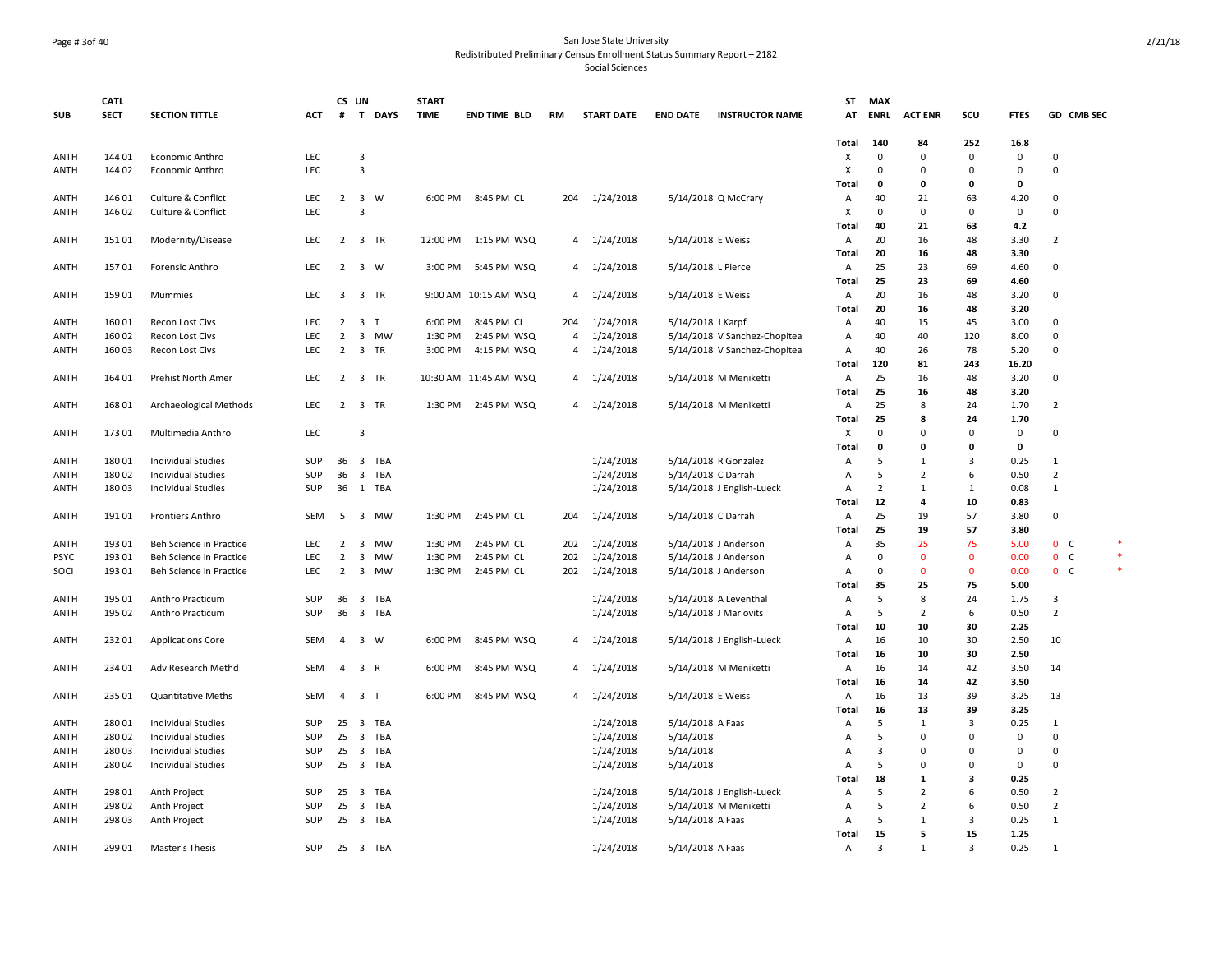#### Page # 3of 40 San Jose State University Redistributed Preliminary Census Enrollment Status Summary Report – 2182

|             | <b>CATL</b> |                                    |            | CS UN           |                         |            | <b>START</b> |                       |                |                   |                    |                                                              | SΤ                | <b>MAX</b>     |                   |              |              |                |  |
|-------------|-------------|------------------------------------|------------|-----------------|-------------------------|------------|--------------|-----------------------|----------------|-------------------|--------------------|--------------------------------------------------------------|-------------------|----------------|-------------------|--------------|--------------|----------------|--|
| <b>SUB</b>  | <b>SECT</b> | <b>SECTION TITTLE</b>              | ACT        | #               |                         | T DAYS     | <b>TIME</b>  | <b>END TIME BLD</b>   | RM             | <b>START DATE</b> | <b>END DATE</b>    | <b>INSTRUCTOR NAME</b>                                       | AT                | <b>ENRL</b>    | <b>ACT ENR</b>    | scu          | <b>FTES</b>  | GD CMB SEC     |  |
|             |             |                                    |            |                 |                         |            |              |                       |                |                   |                    |                                                              |                   |                |                   |              |              |                |  |
|             |             |                                    |            |                 |                         |            |              |                       |                |                   |                    |                                                              | Total             | 140            | 84                | 252          | 16.8         |                |  |
| <b>ANTH</b> | 144 01      | Economic Anthro                    | LEC        |                 | 3                       |            |              |                       |                |                   |                    |                                                              | Χ                 | $\Omega$       | $\Omega$          | $\Omega$     | $\mathbf 0$  | $\Omega$       |  |
| <b>ANTH</b> | 144 02      | Economic Anthro                    | LEC        |                 | 3                       |            |              |                       |                |                   |                    |                                                              | X                 | $\mathbf 0$    | $\mathbf 0$       | $\Omega$     | $\mathbf 0$  | $\mathbf 0$    |  |
|             |             |                                    |            |                 |                         |            |              |                       |                |                   |                    |                                                              | Total             | 0              | 0                 | 0            | 0            |                |  |
| ANTH        | 146 01      | Culture & Conflict                 | <b>LEC</b> |                 | 2 3 W                   |            |              | 6:00 PM 8:45 PM CL    | 204            | 1/24/2018         |                    | 5/14/2018 Q McCrary                                          | A                 | 40             | 21                | 63           | 4.20         | $\mathbf 0$    |  |
| ANTH        | 146 02      | Culture & Conflict                 | LEC        |                 | 3                       |            |              |                       |                |                   |                    |                                                              | Χ                 | 0              | $\mathbf 0$       | $\Omega$     | $\mathbf 0$  | $\mathbf 0$    |  |
|             |             |                                    |            |                 |                         |            |              |                       |                |                   |                    |                                                              | Total             | 40             | 21                | 63           | 4.2          |                |  |
| <b>ANTH</b> | 151 01      | Modernity/Disease                  | <b>LEC</b> |                 | 2 3 TR                  |            | 12:00 PM     | 1:15 PM WSQ           |                | 4 1/24/2018       | 5/14/2018 E Weiss  |                                                              | Α                 | 20             | 16                | 48           | 3.30         | $\overline{2}$ |  |
|             |             |                                    |            |                 |                         |            |              |                       |                |                   |                    |                                                              | <b>Total</b>      | 20<br>25       | 16                | 48           | 3.30         |                |  |
| ANTH        | 15701       | Forensic Anthro                    | <b>LEC</b> | $\overline{2}$  | 3 W                     |            | 3:00 PM      | 5:45 PM WSQ           | 4              | 1/24/2018         | 5/14/2018 L Pierce |                                                              | A                 |                | 23                | 69           | 4.60         | 0              |  |
|             |             |                                    |            |                 |                         |            |              |                       |                |                   |                    |                                                              | Total             | 25             | 23                | 69           | 4.60         |                |  |
| ANTH        | 15901       | Mummies                            | <b>LEC</b> | 3               | $\overline{\mathbf{3}}$ | TR         | 9:00 AM      | 10:15 AM WSQ          | 4              | 1/24/2018         | 5/14/2018 E Weiss  |                                                              | A<br><b>Total</b> | 20<br>20       | 16                | 48<br>48     | 3.20<br>3.20 | 0              |  |
| <b>ANTH</b> | 160 01      | Recon Lost Civs                    | LEC        |                 | $2 \quad 3 \quad T$     |            | 6:00 PM      | 8:45 PM CL            | 204            | 1/24/2018         |                    |                                                              | Α                 | 40             | 16<br>15          | 45           | 3.00         | $\mathbf 0$    |  |
| <b>ANTH</b> | 160 02      |                                    | LEC        | $\overline{2}$  | 3                       | <b>MW</b>  | 1:30 PM      | 2:45 PM WSQ           | $\overline{4}$ | 1/24/2018         | 5/14/2018 J Karpf  |                                                              | A                 | 40             | 40                | 120          | 8.00         | 0              |  |
| <b>ANTH</b> | 160 03      | Recon Lost Civs<br>Recon Lost Civs | LEC        | $\overline{2}$  | 3 TR                    |            | 3:00 PM      | 4:15 PM WSQ           | $\overline{4}$ | 1/24/2018         |                    | 5/14/2018 V Sanchez-Chopitea<br>5/14/2018 V Sanchez-Chopitea | A                 | 40             | 26                | 78           | 5.20         | 0              |  |
|             |             |                                    |            |                 |                         |            |              |                       |                |                   |                    |                                                              | Total             | 120            | 81                | 243          | 16.20        |                |  |
| ANTH        | 164 01      | Prehist North Amer                 | LEC        | $\overline{2}$  | $\overline{\mathbf{3}}$ | TR         |              | 10:30 AM 11:45 AM WSQ | 4              | 1/24/2018         |                    | 5/14/2018 M Meniketti                                        | $\overline{A}$    | 25             | 16                | 48           | 3.20         | $\mathbf 0$    |  |
|             |             |                                    |            |                 |                         |            |              |                       |                |                   |                    |                                                              | <b>Total</b>      | 25             | 16                | 48           | 3.20         |                |  |
| ANTH        | 168 01      | Archaeological Methods             | <b>LEC</b> |                 | 2 3 TR                  |            | 1:30 PM      | 2:45 PM WSQ           | 4              | 1/24/2018         |                    | 5/14/2018 M Meniketti                                        | A                 | 25             | 8                 | 24           | 1.70         | $\overline{2}$ |  |
|             |             |                                    |            |                 |                         |            |              |                       |                |                   |                    |                                                              | <b>Total</b>      | 25             | 8                 | 24           | 1.70         |                |  |
| <b>ANTH</b> | 173 01      | Multimedia Anthro                  | LEC        |                 | 3                       |            |              |                       |                |                   |                    |                                                              | X                 | $\Omega$       | $\Omega$          | $\Omega$     | $\mathsf 0$  | $\mathbf 0$    |  |
|             |             |                                    |            |                 |                         |            |              |                       |                |                   |                    |                                                              | Total             | 0              | 0                 | 0            | $\mathbf 0$  |                |  |
| ANTH        | 18001       | <b>Individual Studies</b>          | SUP        | 36 <sub>3</sub> |                         | <b>TBA</b> |              |                       |                | 1/24/2018         |                    | 5/14/2018 R Gonzalez                                         | Α                 | 5              | 1                 | 3            | 0.25         | 1              |  |
| ANTH        | 180 02      | <b>Individual Studies</b>          | <b>SUP</b> | 36              | $\overline{\mathbf{3}}$ | <b>TBA</b> |              |                       |                | 1/24/2018         | 5/14/2018 C Darrah |                                                              | Α                 | 5              | $\overline{2}$    | 6            | 0.50         | $\overline{2}$ |  |
| ANTH        | 18003       | <b>Individual Studies</b>          | SUP        |                 | 36 1 TBA                |            |              |                       |                | 1/24/2018         |                    | 5/14/2018 J English-Lueck                                    | $\overline{A}$    | $\overline{2}$ | 1                 | 1            | 0.08         | 1              |  |
|             |             |                                    |            |                 |                         |            |              |                       |                |                   |                    |                                                              | Total             | 12             | 4                 | 10           | 0.83         |                |  |
| <b>ANTH</b> | 19101       | Frontiers Anthro                   | SEM        | 5               | 3 MW                    |            | 1:30 PM      | 2:45 PM CL            | 204            | 1/24/2018         | 5/14/2018 C Darrah |                                                              | A                 | 25             | 19                | 57           | 3.80         | 0              |  |
|             |             |                                    |            |                 |                         |            |              |                       |                |                   |                    |                                                              | <b>Total</b>      | 25             | 19                | 57           | 3.80         |                |  |
| ANTH        | 193 01      | Beh Science in Practice            | <b>LEC</b> | $\overline{2}$  | 3                       | MW         | 1:30 PM      | 2:45 PM CL            | 202            | 1/24/2018         |                    | 5/14/2018 J Anderson                                         | A                 | 35             | 25                | 75           | 5.00         | 0 <sup>o</sup> |  |
| <b>PSYC</b> | 193 01      | Beh Science in Practice            | LEC        | $\overline{2}$  | $\overline{\mathbf{3}}$ | <b>MW</b>  | 1:30 PM      | 2:45 PM CL            | 202            | 1/24/2018         |                    | 5/14/2018 J Anderson                                         | $\overline{A}$    | $\Omega$       | $\mathbf{0}$      | $\mathbf{0}$ | 0.00         | 0 <sup>o</sup> |  |
| SOCI        | 193 01      | Beh Science in Practice            | LEC        | $\overline{2}$  | 3                       | <b>MW</b>  | 1:30 PM      | 2:45 PM CL            | 202            | 1/24/2018         |                    | 5/14/2018 J Anderson                                         | A                 | $\mathbf 0$    | $\mathbf{0}$      | $\mathbf{0}$ | 0.00         | 0 <sup>o</sup> |  |
|             |             |                                    |            |                 |                         |            |              |                       |                |                   |                    |                                                              | Total             | 35             | 25                | 75           | 5.00         |                |  |
| <b>ANTH</b> | 195 01      | Anthro Practicum                   | SUP        | 36 <sup>3</sup> |                         | TBA        |              |                       |                | 1/24/2018         |                    | 5/14/2018 A Leventhal                                        | $\overline{A}$    | 5              | 8                 | 24           | 1.75         | 3              |  |
| <b>ANTH</b> | 195 02      | Anthro Practicum                   | SUP        | 36              | $\overline{\mathbf{3}}$ | TBA        |              |                       |                | 1/24/2018         |                    | 5/14/2018 J Marlovits                                        | A                 | 5              | $\overline{2}$    | 6            | 0.50         | $\overline{2}$ |  |
|             |             |                                    |            |                 |                         |            |              |                       |                |                   |                    |                                                              | Total             | 10             | 10                | 30           | 2.25         |                |  |
| ANTH        | 232 01      | <b>Applications Core</b>           | SEM        | 4               | 3 W                     |            | 6:00 PM      | 8:45 PM WSQ           | $\overline{4}$ | 1/24/2018         |                    | 5/14/2018 J English-Lueck                                    | A                 | 16             | 10                | 30           | 2.50         | 10             |  |
|             |             |                                    |            |                 |                         |            |              |                       |                |                   |                    |                                                              | Total             | 16             | 10                | 30           | 2.50         |                |  |
| <b>ANTH</b> | 234 01      | Adv Research Methd                 | SEM        | $\overline{4}$  | 3 R                     |            | 6:00 PM      | 8:45 PM WSQ           | $\overline{4}$ | 1/24/2018         |                    | 5/14/2018 M Meniketti                                        | A                 | 16             | 14                | 42           | 3.50         | 14             |  |
|             |             |                                    |            |                 |                         |            |              |                       |                |                   |                    |                                                              | Total             | 16             | 14                | 42           | 3.50         |                |  |
| ANTH        | 235 01      | <b>Quantitative Meths</b>          | SEM        | $\overline{4}$  | 3 <sub>T</sub>          |            | 6:00 PM      | 8:45 PM WSQ           |                | 4 1/24/2018       | 5/14/2018 E Weiss  |                                                              | A                 | 16             | 13                | 39           | 3.25         | 13             |  |
|             |             |                                    |            |                 |                         |            |              |                       |                |                   |                    |                                                              | <b>Total</b>      | 16             | 13                | 39           | 3.25         |                |  |
| ANTH        | 280 01      | <b>Individual Studies</b>          | <b>SUP</b> |                 | 25 3 TBA                |            |              |                       |                | 1/24/2018         | 5/14/2018 A Faas   |                                                              | A                 | 5              | 1                 | 3            | 0.25         | 1              |  |
| ANTH        | 280 02      | <b>Individual Studies</b>          | SUP        | 25              | $\overline{\mathbf{3}}$ | <b>TBA</b> |              |                       |                | 1/24/2018         | 5/14/2018          |                                                              | $\overline{A}$    | 5              | $\Omega$          | $\Omega$     | $\mathbf 0$  | $\Omega$       |  |
| ANTH        | 28003       | <b>Individual Studies</b>          | SUP        | $25 \quad 3$    |                         | <b>TBA</b> |              |                       |                | 1/24/2018         | 5/14/2018          |                                                              | Α                 | 3              | 0                 | $\Omega$     | $\mathbf 0$  | $\mathbf 0$    |  |
| ANTH        | 280 04      | <b>Individual Studies</b>          | SUP        |                 | 25 3 TBA                |            |              |                       |                | 1/24/2018         | 5/14/2018          |                                                              | $\overline{A}$    | 5              | $\Omega$          | $\Omega$     | $\mathbf 0$  | $\mathbf 0$    |  |
|             |             |                                    |            |                 |                         |            |              |                       |                |                   |                    |                                                              | <b>Total</b>      | 18             | $\mathbf{1}$      | 3            | 0.25         |                |  |
| <b>ANTH</b> | 298 01      | Anth Project                       | SUP        | $25 \quad 3$    |                         | TBA        |              |                       |                | 1/24/2018         |                    | 5/14/2018 J English-Lueck                                    | Α                 | 5              | $\overline{2}$    | 6            | 0.50         | $\overline{2}$ |  |
| ANTH        | 298 02      | Anth Project                       | <b>SUP</b> | 25              | $\overline{\mathbf{3}}$ | TBA        |              |                       |                | 1/24/2018         |                    | 5/14/2018 M Meniketti                                        | Α                 | 5              | 2                 | 6            | 0.50         | $\overline{2}$ |  |
| ANTH        | 298 03      | Anth Project                       | SUP        |                 | 25 3 TBA                |            |              |                       |                | 1/24/2018         | 5/14/2018 A Faas   |                                                              | A                 | 5              | 1                 | 3            | 0.25         | $\mathbf{1}$   |  |
| ANTH        | 299 01      | Master's Thesis                    | SUP        |                 | 25 3 TBA                |            |              |                       |                |                   | 5/14/2018 A Faas   |                                                              | Total             | 15<br>3        | 5<br>$\mathbf{1}$ | 15<br>3      | 1.25<br>0.25 | 1              |  |
|             |             |                                    |            |                 |                         |            |              |                       |                | 1/24/2018         |                    |                                                              | Α                 |                |                   |              |              |                |  |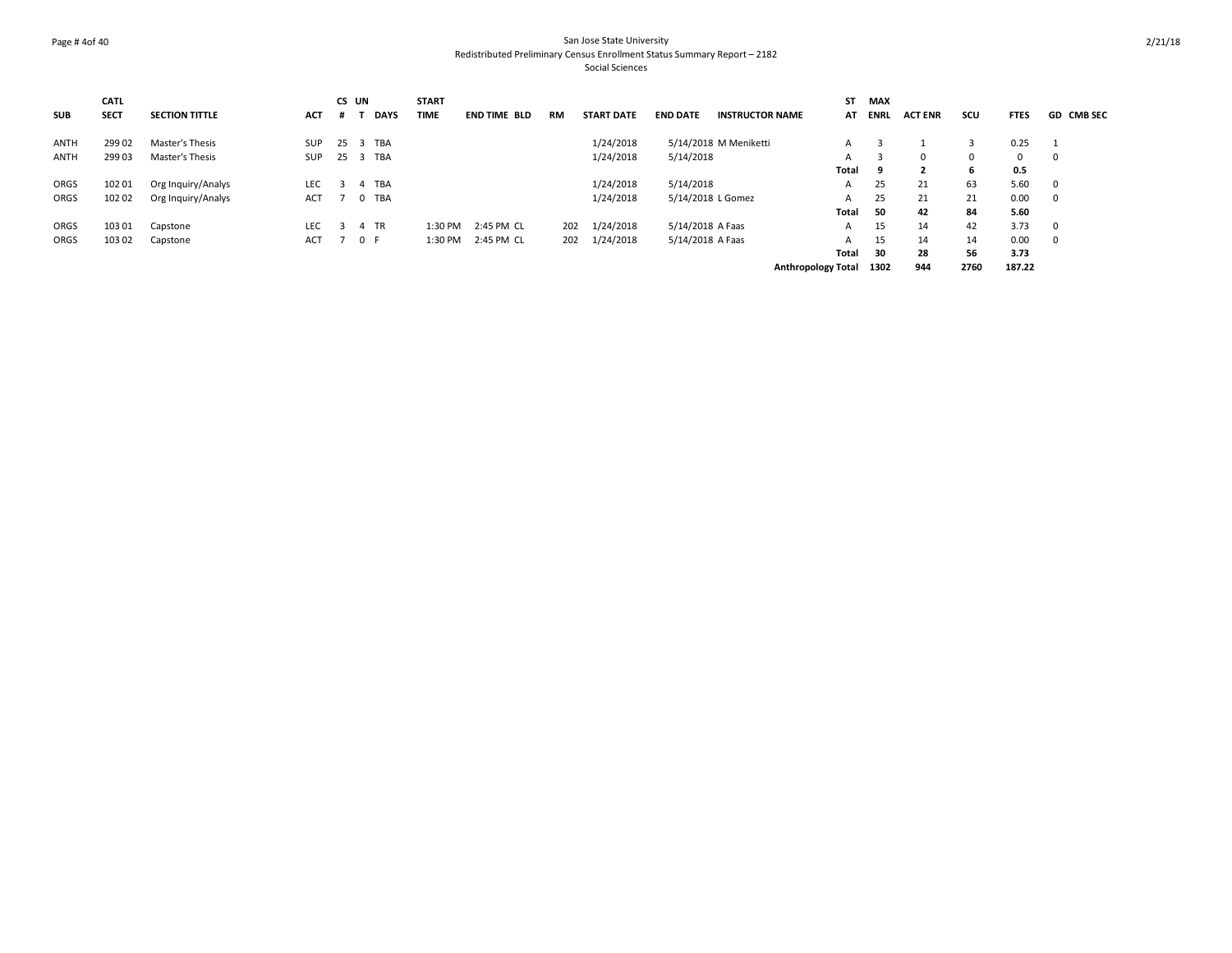#### Page # 4of 40 San Jose State University Redistributed Preliminary Census Enrollment Status Summary Report – 2182 Social Sciences

|             | <b>CATL</b> |                       |            |                         | CS UN       | <b>START</b> |                     |     |                   |                   |                        | ST                        | MAX         |                |      |             |                   |
|-------------|-------------|-----------------------|------------|-------------------------|-------------|--------------|---------------------|-----|-------------------|-------------------|------------------------|---------------------------|-------------|----------------|------|-------------|-------------------|
| <b>SUB</b>  | <b>SECT</b> | <b>SECTION TITTLE</b> | <b>ACT</b> |                         | <b>DAYS</b> | <b>TIME</b>  | <b>END TIME BLD</b> | RM  | <b>START DATE</b> | <b>END DATE</b>   | <b>INSTRUCTOR NAME</b> | AT                        | <b>ENRL</b> | <b>ACT ENR</b> | scu  | <b>FTES</b> | <b>GD CMB SEC</b> |
| <b>ANTH</b> | 299 02      | Master's Thesis       | <b>SUP</b> | 25                      | TBA<br>-3   |              |                     |     | 1/24/2018         |                   | 5/14/2018 M Meniketti  | A                         |             |                |      | 0.25        |                   |
| <b>ANTH</b> | 299 03      | Master's Thesis       | <b>SUP</b> | 25                      | 3 TBA       |              |                     |     | 1/24/2018         | 5/14/2018         |                        | A                         |             | $\Omega$       | 0    | 0           |                   |
|             |             |                       |            |                         |             |              |                     |     |                   |                   |                        | Total                     | 9           |                | 6    | 0.5         |                   |
| ORGS        | 102 01      | Org Inquiry/Analys    | <b>LEC</b> | $\overline{3}$          | 4 TBA       |              |                     |     | 1/24/2018         | 5/14/2018         |                        | A                         | 25          | 21             | 63   | 5.60        | - 0               |
| ORGS        | 102 02      | Org Inquiry/Analys    | ACT        |                         | 0 TBA       |              |                     |     | 1/24/2018         | 5/14/2018 L Gomez |                        | A                         | 25          | 21             | 21   | 0.00        | - 0               |
|             |             |                       |            |                         |             |              |                     |     |                   |                   |                        | Total                     | 50          | 42             | 84   | 5.60        |                   |
| ORGS        | 103 01      | Capstone              | <b>LEC</b> | $\overline{\mathbf{3}}$ | 4 TR        | 1:30 PM      | 2:45 PM CL          | 202 | 1/24/2018         | 5/14/2018 A Faas  |                        | A                         | 15          | 14             | 42   | 3.73        | - 0               |
| ORGS        | 103 02      | Capstone              | ACT        |                         | 0 F         | 1:30 PM      | 2:45 PM CL          | 202 | 1/24/2018         | 5/14/2018 A Faas  |                        | A                         | 15          | 14             | 14   | 0.00        | - 0               |
|             |             |                       |            |                         |             |              |                     |     |                   |                   |                        | Total                     | 30          | 28             | 56   | 3.73        |                   |
|             |             |                       |            |                         |             |              |                     |     |                   |                   |                        | <b>Anthropology Total</b> | 1302        | 944            | 2760 | 187.22      |                   |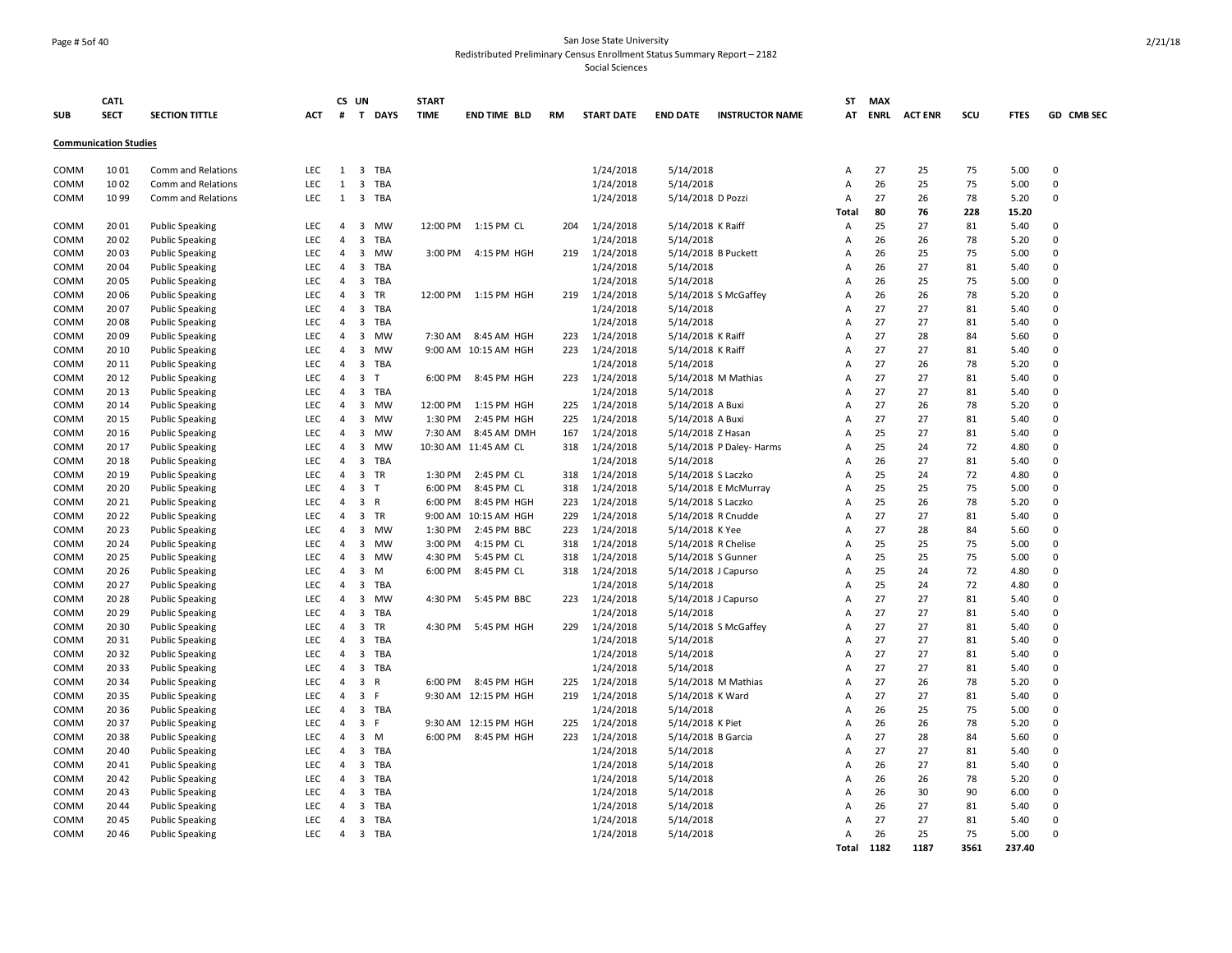#### Page # 5of 40 San Jose State University Redistributed Preliminary Census Enrollment Status Summary Report – 2182

|            | <b>CATL</b>                  |                           |            |                | CS UN                   |              | <b>START</b> |                      |           |                   |                     |                          | ST             | <b>MAX</b> |                |      |             |             |
|------------|------------------------------|---------------------------|------------|----------------|-------------------------|--------------|--------------|----------------------|-----------|-------------------|---------------------|--------------------------|----------------|------------|----------------|------|-------------|-------------|
| <b>SUB</b> | <b>SECT</b>                  | <b>SECTION TITTLE</b>     | ACT        | #              |                         | T DAYS       | <b>TIME</b>  | <b>END TIME BLD</b>  | <b>RM</b> | <b>START DATE</b> | <b>END DATE</b>     | <b>INSTRUCTOR NAME</b>   |                | AT ENRL    | <b>ACT ENR</b> | SCU  | <b>FTES</b> | GD CMB SEC  |
|            | <b>Communication Studies</b> |                           |            |                |                         |              |              |                      |           |                   |                     |                          |                |            |                |      |             |             |
| COMM       | 1001                         | Comm and Relations        | <b>LEC</b> | 1              | $\overline{\mathbf{3}}$ | <b>TBA</b>   |              |                      |           | 1/24/2018         | 5/14/2018           |                          | A              | 27         | 25             | 75   | 5.00        | $\pmb{0}$   |
| COMM       | 1002                         | <b>Comm and Relations</b> | LEC        | $\mathbf{1}$   | $\overline{\mathbf{3}}$ | <b>TBA</b>   |              |                      |           | 1/24/2018         | 5/14/2018           |                          | A              | 26         | 25             | 75   | 5.00        | $\mathbf 0$ |
| COMM       | 1099                         | Comm and Relations        | <b>LEC</b> | $\mathbf{1}$   | $\overline{\mathbf{3}}$ | <b>TBA</b>   |              |                      |           | 1/24/2018         | 5/14/2018 D Pozzi   |                          | A              | 27         | 26             | 78   | 5.20        | $\mathbf 0$ |
|            |                              |                           |            |                |                         |              |              |                      |           |                   |                     |                          | Total          | 80         | 76             | 228  | 15.20       |             |
| COMM       | 2001                         | <b>Public Speaking</b>    | <b>LEC</b> | $\overline{4}$ | $\overline{\mathbf{3}}$ | <b>MW</b>    | 12:00 PM     | 1:15 PM CL           | 204       | 1/24/2018         | 5/14/2018 K Raiff   |                          | A              | 25         | 27             | 81   | 5.40        | $\Omega$    |
| COMM       | 2002                         | <b>Public Speaking</b>    | LEC        | $\overline{4}$ | $\overline{3}$          | <b>TBA</b>   |              |                      |           | 1/24/2018         | 5/14/2018           |                          | A              | 26         | 26             | 78   | 5.20        | $\mathbf 0$ |
| COMM       | 2003                         | <b>Public Speaking</b>    | LEC        | $\overline{4}$ | 3                       | <b>MW</b>    | 3:00 PM      | 4:15 PM HGH          | 219       | 1/24/2018         |                     | 5/14/2018 B Puckett      | A              | 26         | 25             | 75   | 5.00        | $\Omega$    |
| COMM       | 2004                         | <b>Public Speaking</b>    | LEC        | $\overline{4}$ | $\overline{3}$          | <b>TBA</b>   |              |                      |           | 1/24/2018         | 5/14/2018           |                          | A              | 26         | 27             | 81   | 5.40        | $\mathbf 0$ |
| COMM       | 2005                         | <b>Public Speaking</b>    | LEC        | $\overline{4}$ | $\overline{3}$          | TBA          |              |                      |           | 1/24/2018         | 5/14/2018           |                          | A              | 26         | 25             | 75   | 5.00        | $\Omega$    |
| COMM       | 2006                         | <b>Public Speaking</b>    | LEC        | 4              | $\overline{3}$          | <b>TR</b>    | 12:00 PM     | 1:15 PM HGH          | 219       | 1/24/2018         |                     | 5/14/2018 S McGaffey     | A              | 26         | 26             | 78   | 5.20        | $\mathbf 0$ |
| COMM       | 2007                         | <b>Public Speaking</b>    | LEC        | 4              | $\overline{3}$          | <b>TBA</b>   |              |                      |           | 1/24/2018         | 5/14/2018           |                          | A              | 27         | 27             | 81   | 5.40        | $\Omega$    |
| COMM       | 2008                         | <b>Public Speaking</b>    | LEC        | 4              | $\overline{\mathbf{3}}$ | TBA          |              |                      |           | 1/24/2018         | 5/14/2018           |                          | A              | 27         | 27             | 81   | 5.40        | $\mathbf 0$ |
| COMM       | 2009                         | <b>Public Speaking</b>    | LEC        | 4              | $\overline{3}$          | <b>MW</b>    | 7:30 AM      | 8:45 AM HGH          | 223       | 1/24/2018         | 5/14/2018 K Raiff   |                          | $\overline{A}$ | 27         | 28             | 84   | 5.60        | $\mathbf 0$ |
| COMM       | 20 10                        | <b>Public Speaking</b>    | <b>LEC</b> | $\overline{4}$ | $\overline{\mathbf{3}}$ | <b>MW</b>    |              | 9:00 AM 10:15 AM HGH | 223       | 1/24/2018         | 5/14/2018 K Raiff   |                          | A              | 27         | 27             | 81   | 5.40        | $\Omega$    |
| COMM       | 20 11                        | <b>Public Speaking</b>    | LEC        | 4              | $\overline{\mathbf{3}}$ | TBA          |              |                      |           | 1/24/2018         | 5/14/2018           |                          | A              | 27         | 26             | 78   | 5.20        | 0           |
| COMM       | 20 12                        | <b>Public Speaking</b>    | LEC        | $\overline{4}$ | $\overline{\mathbf{3}}$ | T            | 6:00 PM      | 8:45 PM HGH          | 223       | 1/24/2018         |                     | 5/14/2018 M Mathias      | A              | 27         | 27             | 81   | 5.40        | $\Omega$    |
| COMM       | 20 13                        | <b>Public Speaking</b>    | LEC        | 4              | $\overline{\mathbf{3}}$ | TBA          |              |                      |           | 1/24/2018         | 5/14/2018           |                          | A              | 27         | 27             | 81   | 5.40        | $\mathbf 0$ |
| COMM       | 20 14                        | <b>Public Speaking</b>    | LEC        | 4              | 3                       | MW           | 12:00 PM     | 1:15 PM HGH          | 225       | 1/24/2018         | 5/14/2018 A Buxi    |                          | A              | 27         | 26             | 78   | 5.20        | 0           |
| COMM       | 20 15                        | <b>Public Speaking</b>    | LEC        | 4              | 3                       | <b>MW</b>    | 1:30 PM      | 2:45 PM HGH          | 225       | 1/24/2018         | 5/14/2018 A Buxi    |                          | A              | 27         | 27             | 81   | 5.40        | $\Omega$    |
| COMM       | 20 16                        | <b>Public Speaking</b>    | LEC        | 4              | $\overline{\mathbf{3}}$ | MW           | 7:30 AM      | 8:45 AM DMH          | 167       | 1/24/2018         | 5/14/2018 Z Hasan   |                          | A              | 25         | 27             | 81   | 5.40        | $\mathbf 0$ |
| COMM       | 20 17                        | <b>Public Speaking</b>    | LEC        | $\overline{4}$ | 3                       | <b>MW</b>    |              | 10:30 AM 11:45 AM CL | 318       | 1/24/2018         |                     | 5/14/2018 P Daley- Harms | A              | 25         | 24             | 72   | 4.80        | $\Omega$    |
| COMM       | 20 18                        | <b>Public Speaking</b>    | LEC        | 4              | $\overline{\mathbf{3}}$ | TBA          |              |                      |           | 1/24/2018         | 5/14/2018           |                          | A              | 26         | 27             | 81   | 5.40        | 0           |
| COMM       | 20 19                        | <b>Public Speaking</b>    | LEC        | $\overline{4}$ | $\overline{\mathbf{3}}$ | TR           | 1:30 PM      | 2:45 PM CL           | 318       | 1/24/2018         | 5/14/2018 S Laczko  |                          | A              | 25         | 24             | 72   | 4.80        | $\Omega$    |
| COMM       | 20 20                        | <b>Public Speaking</b>    | LEC        | 4              | 3                       | T            | 6:00 PM      | 8:45 PM CL           | 318       | 1/24/2018         |                     | 5/14/2018 E McMurray     | Α              | 25         | 25             | 75   | 5.00        | $\mathbf 0$ |
| COMM       | 2021                         | <b>Public Speaking</b>    | LEC        | 4              | $\overline{\mathbf{3}}$ | $\mathsf{R}$ | 6:00 PM      | 8:45 PM HGH          | 223       | 1/24/2018         | 5/14/2018 S Laczko  |                          | A              | 25         | 26             | 78   | 5.20        | $\Omega$    |
| COMM       | 2022                         | <b>Public Speaking</b>    | LEC        | 4              | $\overline{\mathbf{3}}$ | TR           | 9:00 AM      | 10:15 AM HGH         | 229       | 1/24/2018         |                     | 5/14/2018 R Cnudde       | Α              | 27         | 27             | 81   | 5.40        | 0           |
| COMM       | 2023                         | <b>Public Speaking</b>    | LEC        | 4              | $\overline{3}$          | MW           | 1:30 PM      | 2:45 PM BBC          | 223       | 1/24/2018         | 5/14/2018 K Yee     |                          | Α              | 27         | 28             | 84   | 5.60        | $\mathbf 0$ |
| COMM       | 20 24                        | <b>Public Speaking</b>    | LEC        | $\overline{4}$ | $\overline{\mathbf{3}}$ | MW           | 3:00 PM      | 4:15 PM CL           | 318       | 1/24/2018         | 5/14/2018 R Chelise |                          | A              | 25         | 25             | 75   | 5.00        | $\Omega$    |
| COMM       | 2025                         | <b>Public Speaking</b>    | LEC        | 4              | 3                       | <b>MW</b>    | 4:30 PM      | 5:45 PM CL           | 318       | 1/24/2018         | 5/14/2018 S Gunner  |                          | A              | 25         | 25             | 75   | 5.00        | $\mathbf 0$ |
| COMM       | 20 26                        | <b>Public Speaking</b>    | LEC        | 4              | 3                       | M            | 6:00 PM      | 8:45 PM CL           | 318       | 1/24/2018         |                     | 5/14/2018 J Capurso      | Α              | 25         | 24             | 72   | 4.80        | 0           |
| COMM       | 20 27                        | <b>Public Speaking</b>    | LEC        | 4              | $\overline{\mathbf{3}}$ | TBA          |              |                      |           | 1/24/2018         | 5/14/2018           |                          | A              | 25         | 24             | 72   | 4.80        | $\mathbf 0$ |
| COMM       | 2028                         | <b>Public Speaking</b>    | LEC        | 4              | 3                       | MW           | 4:30 PM      | 5:45 PM BBC          | 223       | 1/24/2018         |                     | 5/14/2018 J Capurso      | A              | 27         | 27             | 81   | 5.40        | 0           |
| COMM       | 2029                         | <b>Public Speaking</b>    | LEC        | 4              | $\overline{\mathbf{3}}$ | <b>TBA</b>   |              |                      |           | 1/24/2018         | 5/14/2018           |                          | Α              | 27         | 27             | 81   | 5.40        | 0           |
| COMM       | 2030                         | <b>Public Speaking</b>    | LEC        | 4              | $\overline{\mathbf{3}}$ | TR           | 4:30 PM      | 5:45 PM HGH          | 229       | 1/24/2018         |                     | 5/14/2018 S McGaffey     | A              | 27         | 27             | 81   | 5.40        | $\mathbf 0$ |
| COMM       | 2031                         | <b>Public Speaking</b>    | LEC        | 4              | $\overline{3}$          | <b>TBA</b>   |              |                      |           | 1/24/2018         | 5/14/2018           |                          | A              | 27         | 27             | 81   | 5.40        | $\Omega$    |
| COMM       | 2032                         | <b>Public Speaking</b>    | LEC        | 4              | $\mathbf{3}$            | TBA          |              |                      |           | 1/24/2018         | 5/14/2018           |                          | A              | 27         | 27             | 81   | 5.40        | $\Omega$    |
| COMM       | 2033                         | <b>Public Speaking</b>    | LEC        | 4              | $\mathbf{3}$            | TBA          |              |                      |           | 1/24/2018         | 5/14/2018           |                          | A              | 27         | 27             | 81   | 5.40        | $\Omega$    |
| COMM       | 2034                         | <b>Public Speaking</b>    | LEC        | $\overline{4}$ | $\overline{\mathbf{3}}$ | $\mathsf{R}$ | 6:00 PM      | 8:45 PM HGH          | 225       | 1/24/2018         |                     | 5/14/2018 M Mathias      | A              | 27         | 26             | 78   | 5.20        | $\mathbf 0$ |
| COMM       | 2035                         | <b>Public Speaking</b>    | LEC        | 4              | $\overline{3}$          | $\mathsf F$  |              | 9:30 AM 12:15 PM HGH | 219       | 1/24/2018         | 5/14/2018 K Ward    |                          | A              | 27         | 27             | 81   | 5.40        | $\Omega$    |
| COMM       | 2036                         | <b>Public Speaking</b>    | LEC        | $\overline{4}$ | $\overline{\mathbf{3}}$ | <b>TBA</b>   |              |                      |           | 1/24/2018         | 5/14/2018           |                          | A              | 26         | 25             | 75   | 5.00        | $\Omega$    |
| COMM       | 2037                         | <b>Public Speaking</b>    | LEC        | $\overline{4}$ | $\overline{3}$          | F            |              | 9:30 AM 12:15 PM HGH | 225       | 1/24/2018         | 5/14/2018 K Piet    |                          | A              | 26         | 26             | 78   | 5.20        | $\mathbf 0$ |
| COMM       | 2038                         | <b>Public Speaking</b>    | LEC        | $\overline{4}$ | $\overline{\mathbf{3}}$ | M            | 6:00 PM      | 8:45 PM HGH          |           | 223 1/24/2018     | 5/14/2018 B Garcia  |                          | $\overline{A}$ | 27         | 28             | 84   | 5.60        | $\Omega$    |
| COMM       | 2040                         | <b>Public Speaking</b>    | LEC        | 4              | $\overline{3}$          | <b>TBA</b>   |              |                      |           | 1/24/2018         | 5/14/2018           |                          | A              | 27         | 27             | 81   | 5.40        | 0           |
| COMM       | 2041                         | <b>Public Speaking</b>    | LEC        | $\overline{4}$ | $\overline{3}$          | <b>TBA</b>   |              |                      |           | 1/24/2018         | 5/14/2018           |                          | A              | 26         | 27             | 81   | 5.40        | $\Omega$    |
| COMM       | 2042                         | <b>Public Speaking</b>    | LEC        | $\overline{4}$ | $\overline{\mathbf{3}}$ | <b>TBA</b>   |              |                      |           | 1/24/2018         | 5/14/2018           |                          | A              | 26         | 26             | 78   | 5.20        | $\mathbf 0$ |
| COMM       | 2043                         | <b>Public Speaking</b>    | LEC        | 4              | 3                       | <b>TBA</b>   |              |                      |           | 1/24/2018         | 5/14/2018           |                          | A              | 26         | 30             | 90   | 6.00        | $\mathbf 0$ |
| COMM       | 2044                         | <b>Public Speaking</b>    | LEC        | $\overline{4}$ | $\overline{\mathbf{3}}$ | <b>TBA</b>   |              |                      |           | 1/24/2018         | 5/14/2018           |                          | A              | 26         | 27             | 81   | 5.40        | $\Omega$    |
| COMM       | 2045                         | <b>Public Speaking</b>    | LEC        | $\overline{4}$ | $\overline{3}$          | TBA          |              |                      |           | 1/24/2018         | 5/14/2018           |                          | A              | 27         | 27             | 81   | 5.40        | $\mathbf 0$ |
| COMM       | 2046                         | <b>Public Speaking</b>    | <b>LEC</b> | $\overline{4}$ | 3 TBA                   |              |              |                      |           | 1/24/2018         | 5/14/2018           |                          | A              | 26         | 25             | 75   | 5.00        | $\Omega$    |
|            |                              |                           |            |                |                         |              |              |                      |           |                   |                     |                          | <b>Total</b>   | 1182       | 1187           | 3561 | 237.40      |             |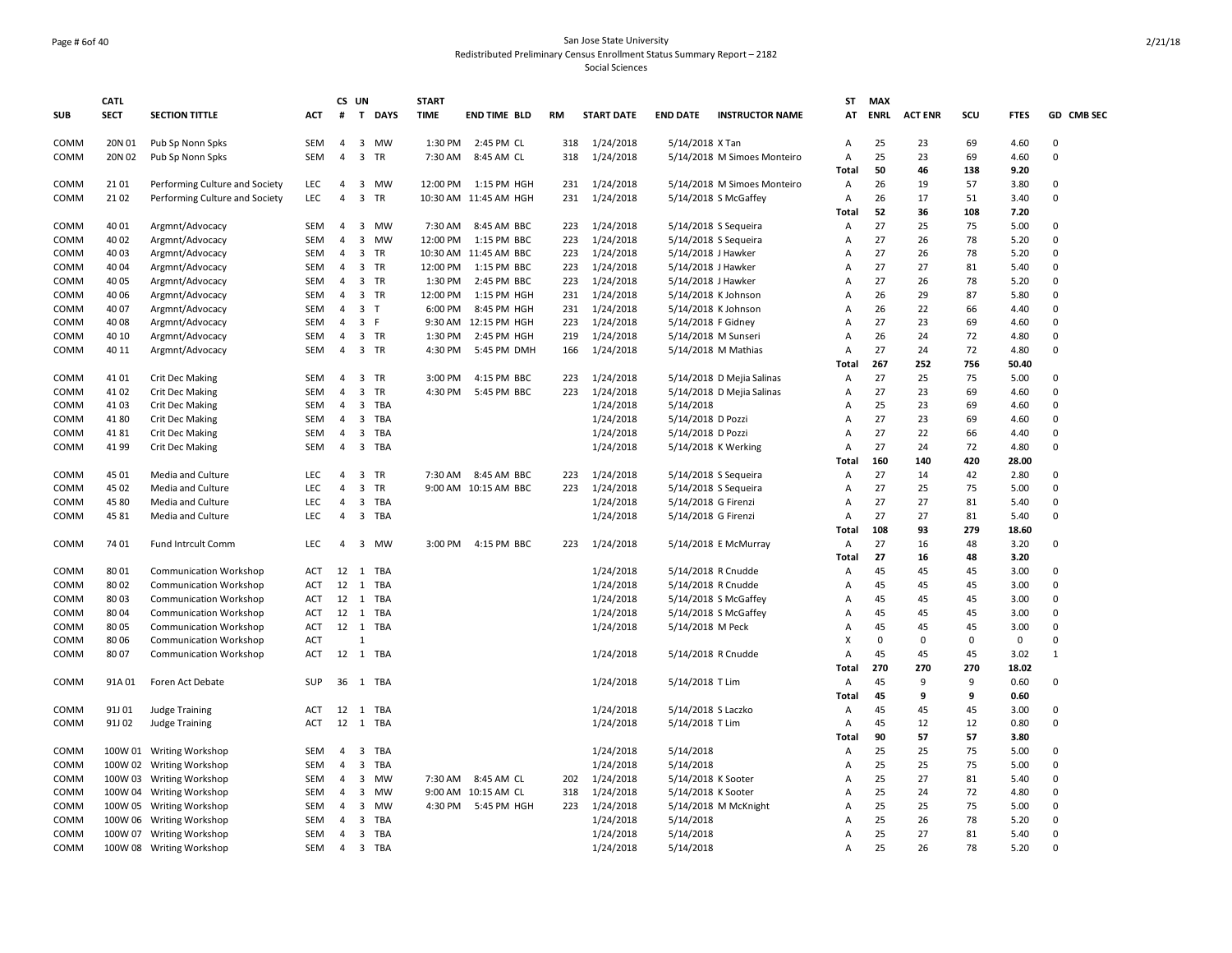#### Page # 6of 40 San Jose State University Redistributed Preliminary Census Enrollment Status Summary Report – 2182 Social Sciences

| <b>SUB</b> | <b>CATL</b><br><b>SECT</b> | <b>SECTION TITTLE</b>          | ACT        | #              | CS UN                   | T DAYS     | <b>START</b><br><b>TIME</b> | <b>END TIME BLD</b>   | RM  | <b>START DATE</b> | <b>END DATE</b>      | <b>INSTRUCTOR NAME</b>      | ST<br>AT     | <b>MAX</b><br><b>ENRL</b> | <b>ACT ENR</b> | scu         | <b>FTES</b> | GD CMB SEC   |
|------------|----------------------------|--------------------------------|------------|----------------|-------------------------|------------|-----------------------------|-----------------------|-----|-------------------|----------------------|-----------------------------|--------------|---------------------------|----------------|-------------|-------------|--------------|
| COMM       | 20N 01                     | Pub Sp Nonn Spks               | <b>SEM</b> | $\overline{4}$ | $\overline{\mathbf{3}}$ | MW         | 1:30 PM                     | 2:45 PM CL            | 318 | 1/24/2018         | 5/14/2018 X Tan      |                             | Α            | 25                        | 23             | 69          | 4.60        | $\mathbf 0$  |
| COMM       | 20N 02                     | Pub Sp Nonn Spks               | <b>SEM</b> | $\overline{4}$ | $\overline{\mathbf{3}}$ | TR         | 7:30 AM                     | 8:45 AM CL            | 318 | 1/24/2018         |                      | 5/14/2018 M Simoes Monteiro | А            | 25                        | 23             | 69          | 4.60        | 0            |
|            |                            |                                |            |                |                         |            |                             |                       |     |                   |                      |                             | Total        | 50                        | 46             | 138         | 9.20        |              |
| COMM       | 2101                       | Performing Culture and Society | LEC        | $\overline{4}$ | 3                       | <b>MW</b>  | 12:00 PM                    | 1:15 PM HGH           | 231 | 1/24/2018         |                      | 5/14/2018 M Simoes Monteiro | A            | 26                        | 19             | 57          | 3.80        | $\Omega$     |
| COMM       | 2102                       | Performing Culture and Society | LEC        | $\overline{4}$ | $\overline{3}$          | TR         |                             | 10:30 AM 11:45 AM HGH | 231 | 1/24/2018         |                      | 5/14/2018 S McGaffey        | А            | 26                        | 17             | 51          | 3.40        | $\mathbf 0$  |
|            |                            |                                |            |                |                         |            |                             |                       |     |                   |                      |                             | Total        | 52                        | 36             | 108         | 7.20        |              |
| COMM       | 40 01                      | Argmnt/Advocacy                | <b>SEM</b> | $\overline{4}$ | $\overline{\mathbf{3}}$ | <b>MW</b>  | 7:30 AM                     | 8:45 AM BBC           | 223 | 1/24/2018         | 5/14/2018 S Sequeira |                             | А            | 27                        | 25             | 75          | 5.00        | $\Omega$     |
| COMM       | 4002                       | Argmnt/Advocacy                | <b>SEM</b> | $\overline{4}$ | $\overline{3}$          | <b>MW</b>  | 12:00 PM                    | 1:15 PM BBC           | 223 | 1/24/2018         |                      | 5/14/2018 S Sequeira        | А            | 27                        | 26             | 78          | 5.20        | $\Omega$     |
| COMM       | 40 03                      | Argmnt/Advocacy                | <b>SEM</b> | $\overline{4}$ | 3                       | <b>TR</b>  |                             | 10:30 AM 11:45 AM BBC | 223 | 1/24/2018         | 5/14/2018 J Hawker   |                             | A            | 27                        | 26             | 78          | 5.20        | $\Omega$     |
| COMM       | 40 04                      | Argmnt/Advocacy                | SEM        | $\overline{4}$ | $\overline{\mathbf{3}}$ | TR         | 12:00 PM                    | 1:15 PM BBC           | 223 | 1/24/2018         | 5/14/2018 J Hawker   |                             | А            | 27                        | 27             | 81          | 5.40        | $\Omega$     |
| COMM       | 40 05                      | Argmnt/Advocacy                | <b>SEM</b> | $\overline{4}$ | $\mathbf{3}$            | TR         | 1:30 PM                     | 2:45 PM BBC           | 223 | 1/24/2018         | 5/14/2018 J Hawker   |                             | А            | 27                        | 26             | 78          | 5.20        | $\Omega$     |
| COMM       | 40 06                      | Argmnt/Advocacy                | SEM        | 4              | $\overline{\mathbf{3}}$ | TR         | 12:00 PM                    | 1:15 PM HGH           | 231 | 1/24/2018         | 5/14/2018 K Johnson  |                             | Α            | 26                        | 29             | 87          | 5.80        | $\Omega$     |
| COMM       | 4007                       | Argmnt/Advocacy                | SEM        | 4              | $\overline{\mathbf{3}}$ | T          | 6:00 PM                     | 8:45 PM HGH           | 231 | 1/24/2018         | 5/14/2018 K Johnson  |                             | Α            | 26                        | 22             | 66          | 4.40        | $\mathbf 0$  |
| COMM       | 4008                       | Argmnt/Advocacy                | SEM        | 4              | 3 F                     |            |                             | 9:30 AM 12:15 PM HGH  | 223 | 1/24/2018         | 5/14/2018 F Gidney   |                             | Α            | 27                        | 23             | 69          | 4.60        | $\mathbf 0$  |
| COMM       | 40 10                      | Argmnt/Advocacy                | SEM        | 4              | $\overline{\mathbf{3}}$ | TR         | 1:30 PM                     | 2:45 PM HGH           | 219 | 1/24/2018         | 5/14/2018 M Sunseri  |                             | Α            | 26                        | 24             | 72          | 4.80        | $\Omega$     |
| COMM       | 40 11                      | Argmnt/Advocacy                | SEM        | 4              | $\overline{\mathbf{3}}$ | TR         | 4:30 PM                     | 5:45 PM DMH           | 166 | 1/24/2018         |                      | 5/14/2018 M Mathias         | Α            | 27                        | 24             | 72          | 4.80        | $\mathbf 0$  |
|            |                            |                                |            |                |                         |            |                             |                       |     |                   |                      |                             | Total        | 267                       | 252            | 756         | 50.40       |              |
| COMM       | 4101                       | <b>Crit Dec Making</b>         | <b>SEM</b> | 4              | 3                       | TR         | 3:00 PM                     | 4:15 PM BBC           | 223 | 1/24/2018         |                      | 5/14/2018 D Mejia Salinas   | Α            | 27                        | 25             | 75          | 5.00        | $\Omega$     |
| COMM       | 4102                       | <b>Crit Dec Making</b>         | SEM        | 4              | $\overline{3}$          | TR         | 4:30 PM                     | 5:45 PM BBC           | 223 | 1/24/2018         |                      | 5/14/2018 D Mejia Salinas   | Α            | 27                        | 23             | 69          | 4.60        | $\Omega$     |
| COMM       | 4103                       | <b>Crit Dec Making</b>         | SEM        | 4              | $\overline{\mathbf{3}}$ | TBA        |                             |                       |     | 1/24/2018         | 5/14/2018            |                             | Α            | 25                        | 23             | 69          | 4.60        | $\mathbf 0$  |
| COMM       | 4180                       | <b>Crit Dec Making</b>         | <b>SEM</b> | $\overline{4}$ | $\overline{3}$          | TBA        |                             |                       |     | 1/24/2018         | 5/14/2018 D Pozzi    |                             | A            | 27                        | 23             | 69          | 4.60        | $\Omega$     |
| COMM       | 4181                       | <b>Crit Dec Making</b>         | SEM        | 4              | $\overline{\mathbf{3}}$ | TBA        |                             |                       |     | 1/24/2018         | 5/14/2018 D Pozzi    |                             | А            | 27                        | 22             | 66          | 4.40        | $\Omega$     |
| COMM       | 4199                       | <b>Crit Dec Making</b>         | <b>SEM</b> | $\overline{4}$ | $\overline{\mathbf{3}}$ | TBA        |                             |                       |     | 1/24/2018         |                      | 5/14/2018 K Werking         | А            | 27                        | 24             | 72          | 4.80        | $\Omega$     |
|            |                            |                                |            |                |                         |            |                             |                       |     |                   |                      |                             | <b>Total</b> | 160                       | 140            | 420         | 28.00       |              |
| COMM       | 4501                       | Media and Culture              | <b>LEC</b> | $\overline{4}$ | $\overline{\mathbf{3}}$ | TR         | 7:30 AM                     | 8:45 AM BBC           | 223 | 1/24/2018         |                      | 5/14/2018 S Sequeira        | А            | 27                        | 14             | 42          | 2.80        | $\Omega$     |
| COMM       | 45 02                      | Media and Culture              | <b>LEC</b> | $\overline{4}$ | 3                       | <b>TR</b>  |                             | 9:00 AM 10:15 AM BBC  | 223 | 1/24/2018         |                      | 5/14/2018 S Sequeira        | Α            | 27                        | 25             | 75          | 5.00        | $\Omega$     |
| COMM       | 45 80                      | Media and Culture              | LEC        | $\overline{4}$ | $\overline{\mathbf{3}}$ | TBA        |                             |                       |     | 1/24/2018         | 5/14/2018 G Firenzi  |                             | А            | 27                        | 27             | 81          | 5.40        | $\Omega$     |
| COMM       | 4581                       | Media and Culture              | LEC        | $\overline{4}$ | $\overline{3}$          | TBA        |                             |                       |     | 1/24/2018         | 5/14/2018 G Firenzi  |                             | А            | 27                        | 27             | 81          | 5.40        | $\Omega$     |
|            |                            |                                |            |                |                         |            |                             |                       |     |                   |                      |                             | <b>Total</b> | 108                       | 93             | 279         | 18.60       |              |
| COMM       | 74 01                      | Fund Intrcult Comm             | LEC        | 4              |                         | 3 MW       | 3:00 PM                     | 4:15 PM BBC           | 223 | 1/24/2018         |                      | 5/14/2018 E McMurray        | А            | 27                        | 16             | 48          | 3.20        | $\mathbf 0$  |
|            |                            |                                |            |                |                         |            |                             |                       |     |                   |                      |                             | Total        | 27                        | 16             | 48          | 3.20        |              |
| COMM       | 8001                       | <b>Communication Workshop</b>  | <b>ACT</b> | 12             | 1                       | <b>TBA</b> |                             |                       |     | 1/24/2018         | 5/14/2018 R Cnudde   |                             | Α            | 45                        | 45             | 45          | 3.00        | $\Omega$     |
| COMM       | 8002                       | <b>Communication Workshop</b>  | <b>ACT</b> | 12             | 1                       | TBA        |                             |                       |     | 1/24/2018         | 5/14/2018 R Cnudde   |                             | Α            | 45                        | 45             | 45          | 3.00        | $\mathbf 0$  |
| COMM       | 8003                       | <b>Communication Workshop</b>  | <b>ACT</b> | 12             | 1                       | TBA        |                             |                       |     | 1/24/2018         |                      | 5/14/2018 S McGaffey        | Α            | 45                        | 45             | 45          | 3.00        | $\mathbf 0$  |
| COMM       | 8004                       | <b>Communication Workshop</b>  | <b>ACT</b> | 12             | $\overline{1}$          | TBA        |                             |                       |     | 1/24/2018         |                      | 5/14/2018 S McGaffey        | Α            | 45                        | 45             | 45          | 3.00        | $\Omega$     |
| COMM       | 8005                       | <b>Communication Workshop</b>  | <b>ACT</b> | 12             | 1                       | <b>TBA</b> |                             |                       |     | 1/24/2018         | 5/14/2018 M Peck     |                             | Α            | 45                        | 45             | 45          | 3.00        | $\Omega$     |
| COMM       | 8006                       | <b>Communication Workshop</b>  | ACT        |                | $\mathbf{1}$            |            |                             |                       |     |                   |                      |                             | X            | $\mathbf 0$               | 0              | $\mathbf 0$ | 0           | $\Omega$     |
| COMM       | 8007                       | <b>Communication Workshop</b>  | <b>ACT</b> | 12             |                         | 1 TBA      |                             |                       |     | 1/24/2018         | 5/14/2018 R Cnudde   |                             | Α            | 45                        | 45             | 45          | 3.02        | $\mathbf{1}$ |
|            |                            |                                |            |                |                         |            |                             |                       |     |                   |                      |                             | <b>Total</b> | 270                       | 270            | 270         | 18.02       |              |
| COMM       | 91A01                      | Foren Act Debate               | SUP        | 36             | 1                       | TBA        |                             |                       |     | 1/24/2018         | 5/14/2018 T Lim      |                             | Α            | 45                        | 9              | 9           | 0.60        | $\mathbf 0$  |
|            |                            |                                |            |                |                         |            |                             |                       |     |                   |                      |                             | <b>Total</b> | 45                        | 9              | 9           | 0.60        |              |
| COMM       | 91J 01                     | <b>Judge Training</b>          | ACT        | 12             |                         | 1 TBA      |                             |                       |     | 1/24/2018         | 5/14/2018 S Laczko   |                             | А            | 45                        | 45             | 45          | 3.00        | $\Omega$     |
| COMM       | 91J 02                     | Judge Training                 | <b>ACT</b> | 12             | 1                       | <b>TBA</b> |                             |                       |     | 1/24/2018         | 5/14/2018 T Lim      |                             | A            | 45                        | 12             | 12          | 0.80        | $\Omega$     |
|            |                            |                                |            |                |                         |            |                             |                       |     |                   |                      |                             | Total        | 90                        | 57             | 57          | 3.80        |              |
| COMM       |                            | 100W 01 Writing Workshop       | SEM        | $\overline{4}$ | $\overline{\mathbf{3}}$ | <b>TBA</b> |                             |                       |     | 1/24/2018         | 5/14/2018            |                             | Α            | 25                        | 25             | 75          | 5.00        | $\Omega$     |
| COMM       |                            | 100W 02 Writing Workshop       | <b>SEM</b> | $\overline{4}$ | $\overline{3}$          | <b>TBA</b> |                             |                       |     | 1/24/2018         | 5/14/2018            |                             | A            | 25                        | 25             | 75          | 5.00        | $\Omega$     |
| COMM       | 100W 03                    | Writing Workshop               | SEM        | 4              | $\overline{\mathbf{3}}$ | <b>MW</b>  | 7:30 AM                     | 8:45 AM CL            | 202 | 1/24/2018         | 5/14/2018 K Sooter   |                             | А            | 25                        | 27             | 81          | 5.40        | $\Omega$     |
| COMM       |                            | 100W 04 Writing Workshop       | SEM        | $\overline{4}$ | $\overline{\mathbf{3}}$ | MW         |                             | 9:00 AM 10:15 AM CL   | 318 | 1/24/2018         | 5/14/2018 K Sooter   |                             | Α            | 25                        | 24             | 72          | 4.80        | $\Omega$     |
| COMM       |                            | 100W 05 Writing Workshop       | SEM        | 4              | $\overline{3}$          | <b>MW</b>  | 4:30 PM                     | 5:45 PM HGH           | 223 | 1/24/2018         |                      | 5/14/2018 M McKnight        | Α            | 25                        | 25             | 75          | 5.00        | $\Omega$     |
| COMM       |                            | 100W 06 Writing Workshop       | SEM        | 4              | 3                       | TBA        |                             |                       |     | 1/24/2018         | 5/14/2018            |                             | A            | 25                        | 26             | 78          | 5.20        | $\mathbf 0$  |
| COMM       |                            | 100W 07 Writing Workshop       | <b>SEM</b> | 4              | $\overline{\mathbf{3}}$ | TBA        |                             |                       |     | 1/24/2018         | 5/14/2018            |                             | Α            | 25                        | 27             | 81          | 5.40        | $\mathbf 0$  |
| COMM       |                            | 100W 08 Writing Workshop       | SEM        | $\overline{4}$ | $\overline{\mathbf{3}}$ | TBA        |                             |                       |     | 1/24/2018         | 5/14/2018            |                             | Α            | 25                        | 26             | 78          | 5.20        | $\Omega$     |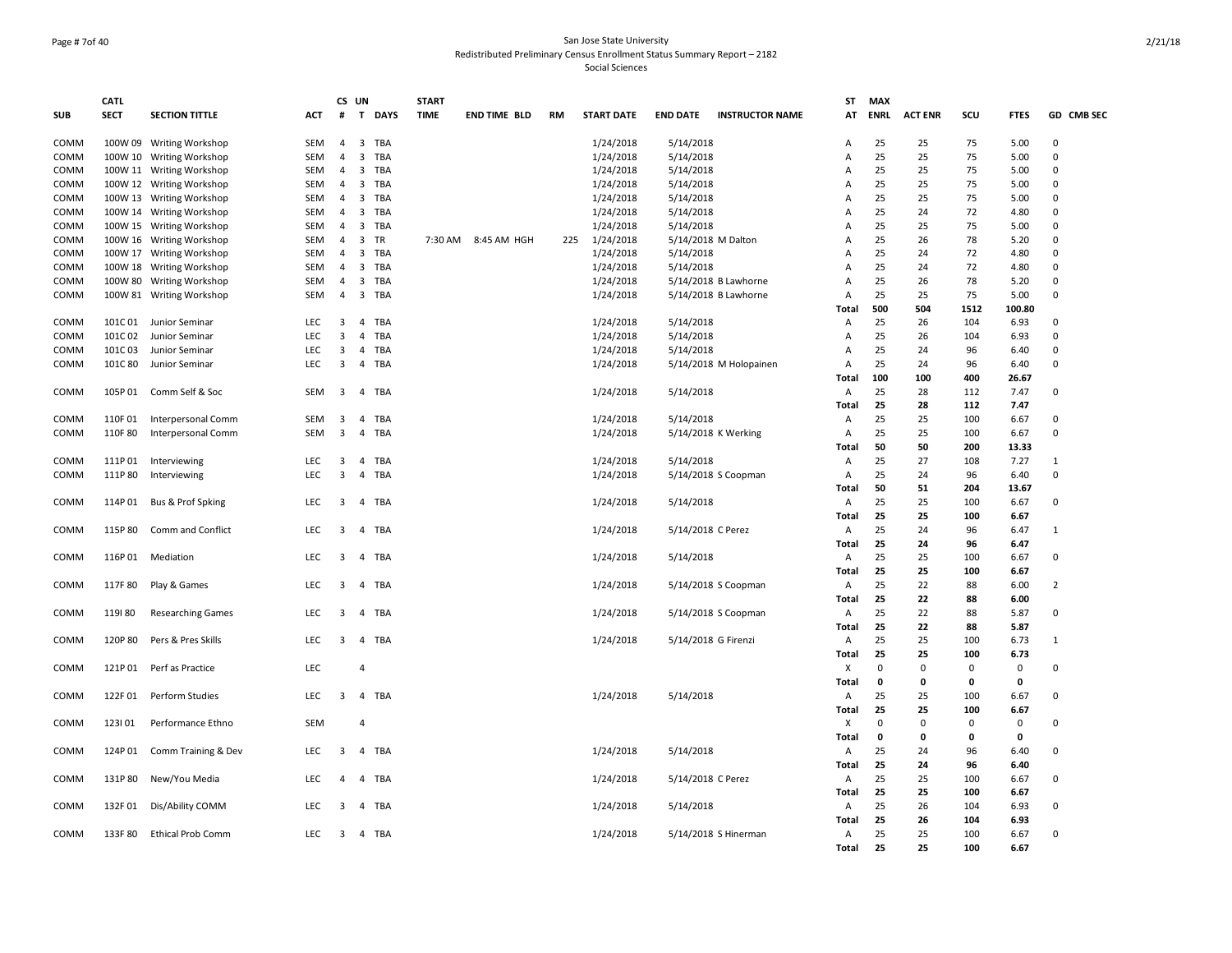#### Page # 7of 40 San Jose State University Redistributed Preliminary Census Enrollment Status Summary Report – 2182 Social Sciences

|            | <b>CATL</b> |                          |            | CS UN          |                         |             | <b>START</b> |                     |     |                   |                     |                        | <b>ST</b>      | <b>MAX</b>   |                |             |              |                |
|------------|-------------|--------------------------|------------|----------------|-------------------------|-------------|--------------|---------------------|-----|-------------------|---------------------|------------------------|----------------|--------------|----------------|-------------|--------------|----------------|
| <b>SUB</b> | <b>SECT</b> | <b>SECTION TITTLE</b>    | ACT        | #              | T                       | <b>DAYS</b> | <b>TIME</b>  | <b>END TIME BLD</b> | RM  | <b>START DATE</b> | <b>END DATE</b>     | <b>INSTRUCTOR NAME</b> | AT             | <b>ENRL</b>  | <b>ACT ENR</b> | SCU         | <b>FTES</b>  | GD CMB SEC     |
| COMM       |             | 100W 09 Writing Workshop | SEM        | 4              | $\overline{\mathbf{3}}$ | <b>TBA</b>  |              |                     |     | 1/24/2018         | 5/14/2018           |                        | A              | 25           | 25             | 75          | 5.00         | $\Omega$       |
| COMM       |             | 100W 10 Writing Workshop | SEM        | 4              | $\overline{3}$          | <b>TBA</b>  |              |                     |     | 1/24/2018         | 5/14/2018           |                        | Α              | 25           | 25             | 75          | 5.00         | $\mathbf 0$    |
| COMM       |             | 100W 11 Writing Workshop | SEM        | 4              | $\overline{\mathbf{3}}$ | <b>TBA</b>  |              |                     |     | 1/24/2018         | 5/14/2018           |                        | A              | 25           | 25             | 75          | 5.00         | $\Omega$       |
| COMM       |             | 100W 12 Writing Workshop | SEM        | 4              | $\overline{\mathbf{3}}$ | TBA         |              |                     |     | 1/24/2018         | 5/14/2018           |                        | A              | 25           | 25             | 75          | 5.00         | $\Omega$       |
| COMM       |             | 100W 13 Writing Workshop | <b>SEM</b> | 4              | $\overline{\mathbf{3}}$ | TBA         |              |                     |     | 1/24/2018         | 5/14/2018           |                        | A              | 25           | 25             | 75          | 5.00         | $\Omega$       |
| COMM       |             | 100W 14 Writing Workshop | SEM        | 4              | $\overline{\mathbf{3}}$ | <b>TBA</b>  |              |                     |     | 1/24/2018         | 5/14/2018           |                        | A              | 25           | 24             | 72          | 4.80         | $\Omega$       |
| COMM       |             | 100W 15 Writing Workshop | SEM        | 4              | $\overline{\mathbf{3}}$ | <b>TBA</b>  |              |                     |     | 1/24/2018         | 5/14/2018           |                        | A              | 25           | 25             | 75          | 5.00         | $\Omega$       |
| COMM       |             | 100W 16 Writing Workshop | <b>SEM</b> | 4              | $\overline{\mathbf{3}}$ | <b>TR</b>   |              | 7:30 AM 8:45 AM HGH | 225 | 1/24/2018         | 5/14/2018 M Dalton  |                        | Α              | 25           | 26             | 78          | 5.20         | $\Omega$       |
| COMM       |             | 100W 17 Writing Workshop | SEM        | $\overline{4}$ | $\overline{\mathbf{3}}$ | TBA         |              |                     |     | 1/24/2018         | 5/14/2018           |                        | A              | 25           | 24             | 72          | 4.80         | $\Omega$       |
| COMM       |             | 100W 18 Writing Workshop | <b>SEM</b> | 4              | $\overline{\mathbf{3}}$ | TBA         |              |                     |     | 1/24/2018         | 5/14/2018           |                        | $\overline{A}$ | 25           | 24             | 72          | 4.80         | $\Omega$       |
| COMM       | 100W 80     | <b>Writing Workshop</b>  | SEM        | 4              | $\overline{\mathbf{3}}$ | <b>TBA</b>  |              |                     |     | 1/24/2018         |                     | 5/14/2018 B Lawhorne   | A              | 25           | 26             | 78          | 5.20         | $\Omega$       |
| COMM       |             | 100W 81 Writing Workshop | SEM        | 4              | $\overline{\mathbf{3}}$ | TBA         |              |                     |     | 1/24/2018         |                     | 5/14/2018 B Lawhorne   | Α              | 25           | 25             | 75          | 5.00         | $\Omega$       |
|            |             |                          |            |                |                         |             |              |                     |     |                   |                     |                        | Total          | 500          | 504            | 1512        | 100.80       |                |
| COMM       | 101C01      | Junior Seminar           | LEC        | 3              | $\overline{4}$          | TBA         |              |                     |     | 1/24/2018         | 5/14/2018           |                        | A              | 25           | 26             | 104         | 6.93         | $\Omega$       |
| COMM       | 101C02      | Junior Seminar           | LEC        | 3              | $\overline{4}$          | <b>TBA</b>  |              |                     |     | 1/24/2018         | 5/14/2018           |                        | $\overline{A}$ | 25           | 26             | 104         | 6.93         | $\Omega$       |
| COMM       | 101C03      | Junior Seminar           | <b>LEC</b> | 3              | $\overline{4}$          | TBA         |              |                     |     | 1/24/2018         | 5/14/2018           |                        | $\overline{A}$ | 25           | 24             | 96          | 6.40         | $\Omega$       |
| COMM       | 101C 80     | Junior Seminar           | LEC        | 3              | $\overline{4}$          | <b>TBA</b>  |              |                     |     | 1/24/2018         |                     | 5/14/2018 M Holopainen | Α              | 25           | 24             | 96          | 6.40         | $\Omega$       |
|            |             |                          |            |                |                         |             |              |                     |     |                   |                     |                        | Total          | 100          | 100            | 400         | 26.67        |                |
| COMM       | 105P01      | Comm Self & Soc          | SEM        | $\overline{3}$ | $\overline{4}$          | TBA         |              |                     |     | 1/24/2018         | 5/14/2018           |                        | Α              | 25           | 28             | 112         | 7.47         | $\Omega$       |
|            |             |                          |            |                |                         |             |              |                     |     |                   |                     |                        | Total          | 25           | 28             | 112         | 7.47         |                |
| COMM       | 110F01      | Interpersonal Comm       | SEM        | 3              | $\overline{a}$          | TBA         |              |                     |     | 1/24/2018         | 5/14/2018           |                        | Α              | 25           | 25             | 100         | 6.67         | $\Omega$       |
| COMM       | 110F80      | Interpersonal Comm       | SEM        | $\overline{3}$ | $\overline{4}$          | <b>TBA</b>  |              |                     |     | 1/24/2018         |                     | 5/14/2018 K Werking    | A              | 25           | 25             | 100         | 6.67         | $\mathbf 0$    |
|            |             |                          |            |                |                         |             |              |                     |     |                   |                     |                        | Total          | 50           | 50             | 200         | 13.33        |                |
| COMM       | 111P01      | Interviewing             | LEC        | 3              | $\overline{4}$          | TBA         |              |                     |     | 1/24/2018         | 5/14/2018           |                        | A              | 25           | 27             | 108         | 7.27         | 1              |
| COMM       | 111P80      | Interviewing             | <b>LEC</b> | 3              | $\overline{4}$          | TBA         |              |                     |     | 1/24/2018         |                     | 5/14/2018 S Coopman    | A              | 25           | 24             | 96          | 6.40         | $\Omega$       |
|            |             |                          |            |                |                         |             |              |                     |     |                   |                     |                        | Total          | 50           | 51             | 204         | 13.67        | $\Omega$       |
| COMM       | 114P01      | Bus & Prof Spking        | LEC        | 3              | $\overline{4}$          | TBA         |              |                     |     | 1/24/2018         | 5/14/2018           |                        | Α              | 25<br>25     | 25<br>25       | 100         | 6.67         |                |
|            | 115P80      | Comm and Conflict        | <b>LEC</b> | 3              | $\overline{4}$          | TBA         |              |                     |     |                   |                     |                        | Total<br>Α     | 25           | 24             | 100         | 6.67<br>6.47 | $\mathbf{1}$   |
| COMM       |             |                          |            |                |                         |             |              |                     |     | 1/24/2018         | 5/14/2018 C Perez   |                        |                | 25           |                | 96          |              |                |
|            |             |                          | LEC        |                |                         | <b>TBA</b>  |              |                     |     |                   |                     |                        | <b>Total</b>   | 25           | 24             | 96<br>100   | 6.47         | $\mathbf 0$    |
| COMM       | 116P01      | Mediation                |            | 3              | $\overline{4}$          |             |              |                     |     | 1/24/2018         | 5/14/2018           |                        | Α              | 25           | 25<br>25       | 100         | 6.67<br>6.67 |                |
| COMM       | 117F 80     | Play & Games             | <b>LEC</b> | 3              | 4                       | TBA         |              |                     |     | 1/24/2018         |                     | 5/14/2018 S Coopman    | Total<br>Α     | 25           | 22             | 88          | 6.00         | $\overline{2}$ |
|            |             |                          |            |                |                         |             |              |                     |     |                   |                     |                        | Total          | 25           | 22             | 88          | 6.00         |                |
| COMM       | 119180      | <b>Researching Games</b> | LEC        | 3              | $\overline{4}$          | TBA         |              |                     |     | 1/24/2018         |                     | 5/14/2018 S Coopman    | Α              | 25           | 22             | 88          | 5.87         | $\mathbf 0$    |
|            |             |                          |            |                |                         |             |              |                     |     |                   |                     |                        | Total          | 25           | 22             | 88          | 5.87         |                |
| COMM       | 120P80      | Pers & Pres Skills       | LEC        | 3              | $\overline{4}$          | TBA         |              |                     |     | 1/24/2018         | 5/14/2018 G Firenzi |                        | Α              | 25           | 25             | 100         | 6.73         | 1              |
|            |             |                          |            |                |                         |             |              |                     |     |                   |                     |                        | Total          | 25           | 25             | 100         | 6.73         |                |
| COMM       | 121P01      | Perf as Practice         | LEC        |                | 4                       |             |              |                     |     |                   |                     |                        | X              | $\mathbf 0$  | $\mathbf 0$    | $\mathbf 0$ | $\mathbf 0$  | $\Omega$       |
|            |             |                          |            |                |                         |             |              |                     |     |                   |                     |                        | Total          | $\mathbf 0$  | $\mathbf 0$    | 0           | $\mathbf 0$  |                |
| COMM       | 122F01      | Perform Studies          | LEC        | 3              |                         | 4 TBA       |              |                     |     | 1/24/2018         | 5/14/2018           |                        | Α              | 25           | 25             | 100         | 6.67         | $\Omega$       |
|            |             |                          |            |                |                         |             |              |                     |     |                   |                     |                        | Total          | 25           | 25             | 100         | 6.67         |                |
| COMM       | 123101      | Performance Ethno        | SEM        |                | $\overline{4}$          |             |              |                     |     |                   |                     |                        | х              | $\mathbf{0}$ | $\Omega$       | 0           | 0            | $\Omega$       |
|            |             |                          |            |                |                         |             |              |                     |     |                   |                     |                        | Total          | $\mathbf 0$  | $\mathbf 0$    | $\mathbf 0$ | $\mathbf{0}$ |                |
| COMM       | 124P01      | Comm Training & Dev      | LEC        | 3              | 4                       | TBA         |              |                     |     | 1/24/2018         | 5/14/2018           |                        | A              | 25           | 24             | 96          | 6.40         | $\mathbf 0$    |
|            |             |                          |            |                |                         |             |              |                     |     |                   |                     |                        | Total          | 25           | 24             | 96          | 6.40         |                |
| COMM       | 131P80      | New/You Media            | LEC        | 4              | $\overline{4}$          | TBA         |              |                     |     | 1/24/2018         | 5/14/2018 C Perez   |                        | A              | 25           | 25             | 100         | 6.67         | $\Omega$       |
|            |             |                          |            |                |                         |             |              |                     |     |                   |                     |                        | Total          | 25           | 25             | 100         | 6.67         |                |
| COMM       | 132F01      | Dis/Ability COMM         | LEC        | 3              | $\overline{4}$          | TBA         |              |                     |     | 1/24/2018         | 5/14/2018           |                        | Α              | 25           | 26             | 104         | 6.93         | $\Omega$       |
|            |             |                          |            |                |                         |             |              |                     |     |                   |                     |                        | <b>Total</b>   | 25           | 26             | 104         | 6.93         |                |
| COMM       | 133F80      | <b>Ethical Prob Comm</b> | <b>LEC</b> | 3              |                         | 4 TBA       |              |                     |     | 1/24/2018         |                     | 5/14/2018 S Hinerman   | A              | 25           | 25             | 100         | 6.67         | $\Omega$       |
|            |             |                          |            |                |                         |             |              |                     |     |                   |                     |                        | Total          | 25           | 25             | 100         | 6.67         |                |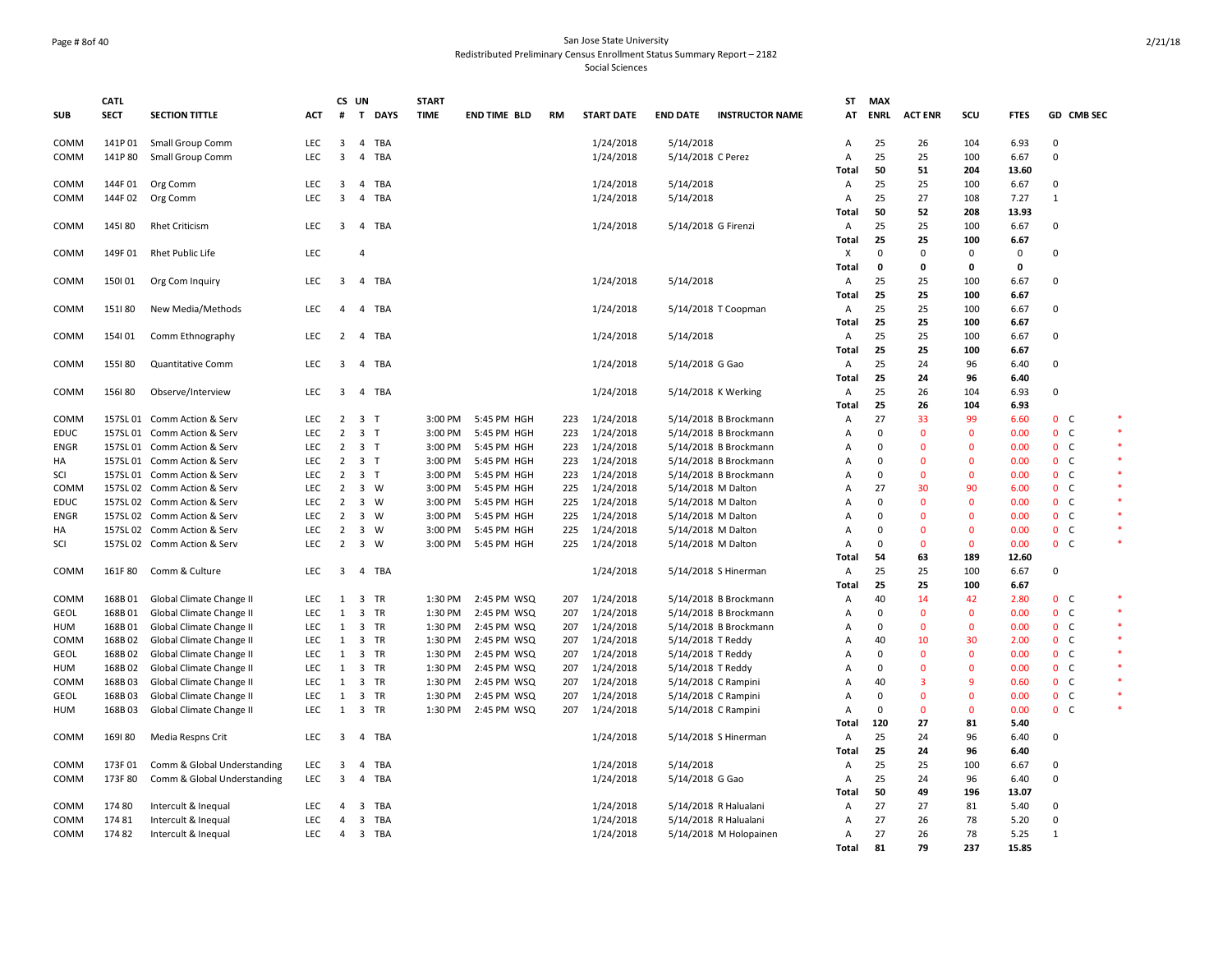#### Page # 8of 40 San Jose State University Redistributed Preliminary Census Enrollment Status Summary Report – 2182 Social Sciences

| <b>SUB</b>  | <b>CATL</b><br><b>SECT</b> | <b>SECTION TITTLE</b>       | ACT               | #                       | CS UN                   | T DAYS     | <b>START</b><br><b>TIME</b> | <b>END TIME BLD</b> | RM  | <b>START DATE</b> | <b>END DATE</b>   | <b>INSTRUCTOR NAME</b> | <b>ST</b><br>AT                | <b>MAX</b><br><b>ENRL</b> | <b>ACT ENR</b> | scu            | <b>FTES</b>   |                   | GD CMB SEC     |         |
|-------------|----------------------------|-----------------------------|-------------------|-------------------------|-------------------------|------------|-----------------------------|---------------------|-----|-------------------|-------------------|------------------------|--------------------------------|---------------------------|----------------|----------------|---------------|-------------------|----------------|---------|
|             |                            |                             |                   |                         |                         |            |                             |                     |     |                   |                   |                        |                                |                           |                |                |               |                   |                |         |
| COMM        | 141P01                     | Small Group Comm            | <b>LEC</b>        | 3                       | $\overline{4}$          | <b>TBA</b> |                             |                     |     | 1/24/2018         | 5/14/2018         |                        | $\overline{A}$                 | 25                        | 26             | 104            | 6.93          | $\mathbf 0$       |                |         |
| COMM        | 141P80                     | Small Group Comm            | LEC               | 3                       | $\overline{4}$          | <b>TBA</b> |                             |                     |     | 1/24/2018         | 5/14/2018 C Perez |                        | $\overline{A}$<br><b>Total</b> | 25<br>50                  | 25<br>51       | 100<br>204     | 6.67          | $\Omega$          |                |         |
|             |                            |                             |                   |                         |                         |            |                             |                     |     |                   |                   |                        |                                | 25                        |                |                | 13.60         |                   |                |         |
| COMM        | 144F01                     | Org Comm                    | LEC<br><b>LEC</b> | 3                       | $\overline{4}$          | TBA        |                             |                     |     | 1/24/2018         | 5/14/2018         |                        | Α                              | 25                        | 25<br>27       | 100            | 6.67          | 0<br>$\mathbf{1}$ |                |         |
| COMM        | 144F02                     | Org Comm                    |                   | 3                       | 4                       | TBA        |                             |                     |     | 1/24/2018         | 5/14/2018         |                        | Α<br>Total                     | 50                        | 52             | 108<br>208     | 7.27<br>13.93 |                   |                |         |
| COMM        | 145180                     | <b>Rhet Criticism</b>       | LEC               | $\overline{\mathbf{3}}$ |                         | 4 TBA      |                             |                     |     |                   |                   |                        | Α                              | 25                        | 25             | 100            | 6.67          | $\mathbf 0$       |                |         |
|             |                            |                             |                   |                         |                         |            |                             |                     |     | 1/24/2018         |                   | 5/14/2018 G Firenzi    |                                | 25                        | 25             | 100            |               |                   |                |         |
| COMM        | 149F01                     | Rhet Public Life            | LEC               |                         | $\overline{4}$          |            |                             |                     |     |                   |                   |                        | Total<br>X                     | $\Omega$                  | $\mathbf 0$    | 0              | 6.67<br>0     | 0                 |                |         |
|             |                            |                             |                   |                         |                         |            |                             |                     |     |                   |                   |                        | Total                          | $\mathbf 0$               | $\mathbf 0$    | $\mathbf 0$    | 0             |                   |                |         |
|             | 150101                     |                             | <b>LEC</b>        |                         |                         | TBA        |                             |                     |     |                   |                   |                        |                                | 25                        | 25             | 100            | 6.67          |                   |                |         |
| COMM        |                            | Org Com Inquiry             |                   | 3                       | $\overline{4}$          |            |                             |                     |     | 1/24/2018         | 5/14/2018         |                        | Α<br><b>Total</b>              | 25                        | 25             | 100            | 6.67          | 0                 |                |         |
|             |                            |                             | <b>LEC</b>        | $\overline{a}$          |                         |            |                             |                     |     |                   |                   |                        |                                |                           |                |                |               | $\Omega$          |                |         |
| COMM        | 151180                     | New Media/Methods           |                   |                         |                         | 4 TBA      |                             |                     |     | 1/24/2018         |                   | 5/14/2018 T Coopman    | A                              | 25                        | 25             | 100            | 6.67          |                   |                |         |
|             |                            |                             |                   |                         |                         |            |                             |                     |     |                   |                   |                        | Total                          | 25                        | 25             | 100            | 6.67          |                   |                |         |
| COMM        | 154101                     | Comm Ethnography            | <b>LEC</b>        | $\overline{2}$          | $\overline{4}$          | TBA        |                             |                     |     | 1/24/2018         | 5/14/2018         |                        | Α                              | 25                        | 25             | 100            | 6.67          | $\Omega$          |                |         |
|             |                            |                             |                   |                         |                         |            |                             |                     |     |                   |                   |                        | Total                          | 25                        | 25             | 100            | 6.67          |                   |                |         |
| COMM        | 155180                     | Quantitative Comm           | <b>LEC</b>        | 3                       | $\overline{4}$          | <b>TBA</b> |                             |                     |     | 1/24/2018         | 5/14/2018 G Gao   |                        | A                              | 25                        | 24             | 96             | 6.40          | $\Omega$          |                |         |
|             |                            |                             |                   |                         |                         |            |                             |                     |     |                   |                   |                        | <b>Total</b>                   | 25                        | 24             | 96             | 6.40          |                   |                |         |
| COMM        | 156180                     | Observe/Interview           | LEC               | 3                       |                         | 4 TBA      |                             |                     |     | 1/24/2018         |                   | 5/14/2018 K Werking    | Α                              | 25                        | 26             | 104            | 6.93          | 0                 |                |         |
|             |                            |                             |                   |                         |                         |            |                             |                     |     |                   |                   |                        | Total                          | 25                        | 26             | 104            | 6.93          |                   |                |         |
| COMM        |                            | 157SL 01 Comm Action & Serv | <b>LEC</b>        | 2                       | 3 T                     |            | 3:00 PM                     | 5:45 PM HGH         | 223 | 1/24/2018         |                   | 5/14/2018 B Brockmann  | A                              | 27                        | 33             | 99             | 6.60          |                   | 0 <sup>o</sup> | $\ast$  |
| <b>EDUC</b> |                            | 157SL 01 Comm Action & Serv | LEC               | 2                       | 3 <sub>7</sub>          |            | 3:00 PM                     | 5:45 PM HGH         | 223 | 1/24/2018         |                   | 5/14/2018 B Brockmann  | A                              | $\Omega$                  | $\mathbf 0$    | $\mathbf 0$    | 0.00          |                   | 0 <sup>o</sup> |         |
| <b>ENGR</b> |                            | 157SL 01 Comm Action & Serv | LEC               | $\overline{2}$          | 3 <sub>1</sub>          |            | 3:00 PM                     | 5:45 PM HGH         | 223 | 1/24/2018         |                   | 5/14/2018 B Brockmann  | A                              | $\Omega$                  | $\mathbf{0}$   | $\mathbf{0}$   | 0.00          |                   | 0 <sup>o</sup> |         |
| HA          |                            | 157SL 01 Comm Action & Serv | LEC               | $\overline{2}$          | 3 <sub>1</sub>          |            | 3:00 PM                     | 5:45 PM HGH         | 223 | 1/24/2018         |                   | 5/14/2018 B Brockmann  | A                              | $\Omega$                  | $\mathbf 0$    | $\mathbf 0$    | 0.00          |                   | 0 <sup>o</sup> |         |
| SCI         |                            | 157SL 01 Comm Action & Serv | <b>LEC</b>        | $\overline{2}$          | 3 <sub>1</sub>          |            | 3:00 PM                     | 5:45 PM HGH         | 223 | 1/24/2018         |                   | 5/14/2018 B Brockmann  | A                              | $\Omega$                  | $\mathbf{0}$   | $\mathbf 0$    | 0.00          |                   | 0 <sup>o</sup> | $\star$ |
| COMM        |                            | 157SL 02 Comm Action & Serv | <b>LEC</b>        | $\overline{2}$          | $3 \quad W$             |            | 3:00 PM                     | 5:45 PM HGH         | 225 | 1/24/2018         |                   | 5/14/2018 M Dalton     | A                              | 27                        | 30             | 90             | 6.00          |                   | 0 <sup>o</sup> |         |
| <b>EDUC</b> |                            | 157SL 02 Comm Action & Serv | <b>LEC</b>        | $\overline{2}$          | 3 W                     |            | 3:00 PM                     | 5:45 PM HGH         | 225 | 1/24/2018         |                   | 5/14/2018 M Dalton     | A                              | $\Omega$                  | $\mathbf{0}$   | $\Omega$       | 0.00          |                   | 0 <sup>o</sup> |         |
| <b>ENGR</b> |                            | 157SL 02 Comm Action & Serv | LEC               | $\overline{2}$          | $\overline{\mathbf{3}}$ | w          | 3:00 PM                     | 5:45 PM HGH         | 225 | 1/24/2018         |                   | 5/14/2018 M Dalton     | A                              | $\Omega$                  | $\Omega$       | $\mathbf{0}$   | 0.00          |                   | 0 <sup>o</sup> | $\ast$  |
| HA          |                            | 157SL 02 Comm Action & Serv | LEC               | $\overline{2}$          | $3 \quad W$             |            | 3:00 PM                     | 5:45 PM HGH         | 225 | 1/24/2018         |                   | 5/14/2018 M Dalton     | A                              | $\Omega$                  | $\mathbf{0}$   | $\mathbf{0}$   | 0.00          |                   | 0 <sup>o</sup> |         |
| SCI         |                            | 157SL 02 Comm Action & Serv | <b>LEC</b>        | $\overline{2}$          | 3 W                     |            | 3:00 PM                     | 5:45 PM HGH         | 225 | 1/24/2018         |                   | 5/14/2018 M Dalton     | $\overline{A}$                 | $\Omega$                  | $\mathbf{0}$   | $\mathbf{0}$   | 0.00          |                   | 0 <sup>o</sup> |         |
|             |                            |                             |                   |                         |                         |            |                             |                     |     |                   |                   |                        | Total                          | 54                        | 63             | 189            | 12.60         |                   |                |         |
| COMM        | 161F80                     | Comm & Culture              | LEC               | 3                       | $\overline{4}$          | <b>TBA</b> |                             |                     |     | 1/24/2018         |                   | 5/14/2018 S Hinerman   | Α                              | 25                        | 25             | 100            | 6.67          | 0                 |                |         |
|             |                            |                             |                   |                         |                         |            |                             |                     |     |                   |                   |                        | Total                          | 25                        | 25             | 100            | 6.67          |                   |                |         |
| COMM        | 168B01                     | Global Climate Change II    | LEC               | 1                       | 3                       | TR         | 1:30 PM                     | 2:45 PM WSQ         | 207 | 1/24/2018         |                   | 5/14/2018 B Brockmann  | A                              | 40                        | 14             | 42             | 2.80          |                   | 0 <sub>c</sub> |         |
| GEOL        | 168B01                     | Global Climate Change II    | LEC               | 1                       | $\overline{\mathbf{3}}$ | TR         | 1:30 PM                     | 2:45 PM WSQ         | 207 | 1/24/2018         |                   | 5/14/2018 B Brockmann  | A                              | $\Omega$                  | $\mathbf{0}$   | $\mathbf 0$    | 0.00          |                   | 0 <sub>c</sub> |         |
| HUM         | 168B01                     | Global Climate Change II    | <b>LEC</b>        | 1                       | $\overline{\mathbf{3}}$ | TR         | 1:30 PM                     | 2:45 PM WSQ         | 207 | 1/24/2018         |                   | 5/14/2018 B Brockmann  | A                              | $\Omega$                  | $\mathbf 0$    | $\mathbf 0$    | 0.00          |                   | 0 <sub>c</sub> |         |
| COMM        | 168B02                     | Global Climate Change II    | <b>LEC</b>        | 1                       | 3                       | TR         | 1:30 PM                     | 2:45 PM WSQ         | 207 | 1/24/2018         | 5/14/2018 T Reddy |                        | $\overline{A}$                 | 40                        | 10             | 30             | 2.00          |                   | 0 <sup>o</sup> |         |
| <b>GEOL</b> | 168B02                     | Global Climate Change II    | LEC               | 1                       | $\overline{\mathbf{3}}$ | TR         | 1:30 PM                     | 2:45 PM WSQ         | 207 | 1/24/2018         | 5/14/2018 T Reddy |                        | A                              | $\Omega$                  | $\mathbf 0$    | $\mathbf 0$    | 0.00          |                   | 0 <sup>o</sup> |         |
| HUM         | 168B02                     | Global Climate Change II    | <b>LEC</b>        | 1                       | $\overline{\mathbf{3}}$ | TR         | 1:30 PM                     | 2:45 PM WSQ         | 207 | 1/24/2018         | 5/14/2018 T Reddy |                        | A                              | $\Omega$                  | $\mathbf{0}$   | $\mathbf{0}$   | 0.00          |                   | 0 <sup>o</sup> |         |
| COMM        | 168B03                     | Global Climate Change II    | <b>LEC</b>        | 1                       | 3                       | TR         | 1:30 PM                     | 2:45 PM WSQ         | 207 | 1/24/2018         |                   | 5/14/2018 C Rampini    | A                              | 40                        | 3              | $\overline{9}$ | 0.60          |                   | 0 <sup>o</sup> |         |
| GEOL        | 168B03                     | Global Climate Change II    | LEC               | 1                       | $\overline{\mathbf{3}}$ | TR         | 1:30 PM                     | 2:45 PM WSQ         | 207 | 1/24/2018         |                   | 5/14/2018 C Rampini    | A                              | $\Omega$                  | $\mathbf{0}$   | $\mathbf{0}$   | 0.00          |                   | 0 <sup>o</sup> |         |
| <b>HUM</b>  | 168B03                     | Global Climate Change II    | <b>LEC</b>        | $\mathbf{1}$            | $\overline{3}$          | TR         | 1:30 PM                     | 2:45 PM WSQ         | 207 | 1/24/2018         |                   | 5/14/2018 C Rampini    | $\overline{A}$                 | $\Omega$                  | $\mathbf{0}$   | $\mathbf{0}$   | 0.00          |                   | 0 <sup>o</sup> | $\ast$  |
|             |                            |                             |                   |                         |                         |            |                             |                     |     |                   |                   |                        | Total                          | 120                       | 27             | 81             | 5.40          |                   |                |         |
| COMM        | 169180                     | Media Respns Crit           | <b>LEC</b>        | $\overline{3}$          |                         | 4 TBA      |                             |                     |     | 1/24/2018         |                   | 5/14/2018 S Hinerman   | $\overline{A}$                 | 25                        | 24             | 96             | 6.40          | $\Omega$          |                |         |
|             |                            |                             |                   |                         |                         |            |                             |                     |     |                   |                   |                        | <b>Total</b>                   | 25                        | 24             | 96             | 6.40          |                   |                |         |
| COMM        | 173F01                     | Comm & Global Understanding | LEC               | 3                       | 4                       | <b>TBA</b> |                             |                     |     | 1/24/2018         | 5/14/2018         |                        | Α                              | 25                        | 25             | 100            | 6.67          | 0                 |                |         |
| COMM        | 173F80                     | Comm & Global Understanding | LEC               | 3                       |                         | 4 TBA      |                             |                     |     | 1/24/2018         | 5/14/2018 G Gao   |                        | A                              | 25                        | 24             | 96             | 6.40          | 0                 |                |         |
|             |                            |                             |                   |                         |                         |            |                             |                     |     |                   |                   |                        | Total                          | 50                        | 49             | 196            | 13.07         |                   |                |         |
| COMM        | 174 80                     | Intercult & Inequal         | LEC               | $\overline{a}$          | 3                       | TBA        |                             |                     |     | 1/24/2018         |                   | 5/14/2018 R Halualani  | A                              | 27                        | 27             | 81             | 5.40          | $\mathbf 0$       |                |         |
| COMM        | 174 81                     | Intercult & Inequal         | LEC               | $\overline{a}$          | 3                       | TBA        |                             |                     |     | 1/24/2018         |                   | 5/14/2018 R Halualani  | $\overline{A}$                 | 27                        | 26             | 78             | 5.20          | 0                 |                |         |
| COMM        | 17482                      | Intercult & Inequal         | <b>LEC</b>        | 4                       |                         | 3 TBA      |                             |                     |     | 1/24/2018         |                   | 5/14/2018 M Holopainen | A                              | 27                        | 26             | 78             | 5.25          | 1                 |                |         |
|             |                            |                             |                   |                         |                         |            |                             |                     |     |                   |                   |                        | <b>Total</b>                   | 81                        | 79             | 237            | 15.85         |                   |                |         |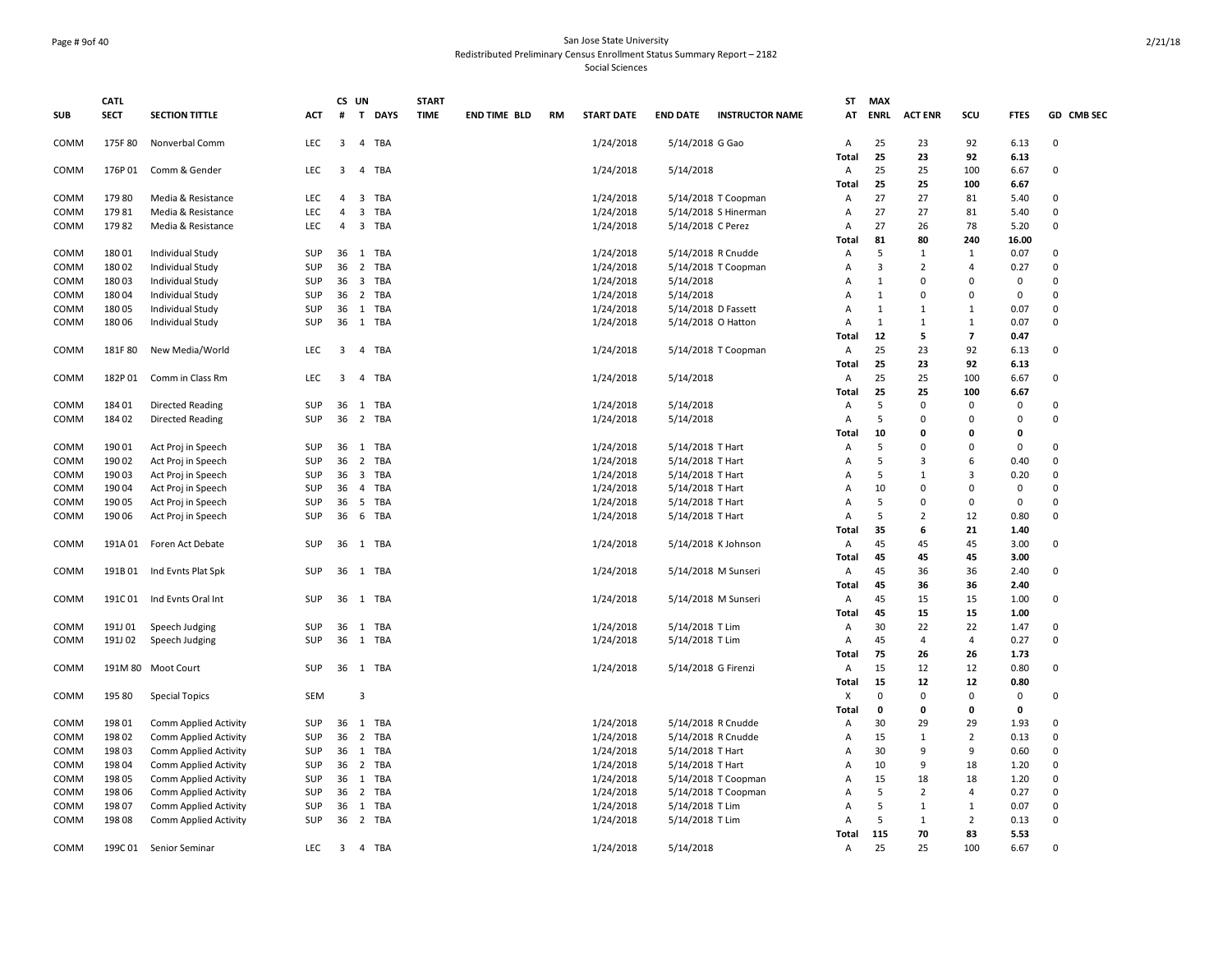#### Page # 9of 40 San Jose State University Redistributed Preliminary Census Enrollment Status Summary Report – 2182 Social Sciences

|              | <b>CATL</b>      |                                          |            |                         | CS UN                 | <b>START</b> |                     |    |                        |                                      |                        | <b>ST</b>      | <b>MAX</b>     |                |                            |                |                      |
|--------------|------------------|------------------------------------------|------------|-------------------------|-----------------------|--------------|---------------------|----|------------------------|--------------------------------------|------------------------|----------------|----------------|----------------|----------------------------|----------------|----------------------|
| <b>SUB</b>   | <b>SECT</b>      | <b>SECTION TITTLE</b>                    | ACT        | #                       | T DAYS                | <b>TIME</b>  | <b>END TIME BLD</b> | RM | <b>START DATE</b>      | <b>END DATE</b>                      | <b>INSTRUCTOR NAME</b> | AT             | <b>ENRL</b>    | <b>ACT ENR</b> | SCU                        | <b>FTES</b>    | GD CMB SEC           |
| COMM         | 175F80           | Nonverbal Comm                           | LEC        | $\overline{3}$          | 4 TBA                 |              |                     |    | 1/24/2018              | 5/14/2018 G Gao                      |                        | Α              | 25             | 23             | 92                         | 6.13           | $\Omega$             |
|              |                  |                                          |            |                         |                       |              |                     |    |                        |                                      |                        | <b>Total</b>   | 25             | 23             | 92                         | 6.13           |                      |
| COMM         | 176P01           | Comm & Gender                            | LEC        | 3                       | 4<br><b>TBA</b>       |              |                     |    | 1/24/2018              | 5/14/2018                            |                        | Α              | 25             | 25             | 100                        | 6.67           | $\mathbf 0$          |
| COMM         | 17980            | Media & Resistance                       | <b>LEC</b> | $\overline{4}$          | 3<br>TBA              |              |                     |    | 1/24/2018              |                                      | 5/14/2018 T Coopman    | Total<br>A     | 25<br>27       | 25<br>27       | 100<br>81                  | 6.67<br>5.40   | $\Omega$             |
| COMM         | 17981            | Media & Resistance                       | LEC        | $\overline{4}$          | 3<br>TBA              |              |                     |    | 1/24/2018              |                                      | 5/14/2018 S Hinerman   | Α              | 27             | 27             | 81                         | 5.40           | $\Omega$             |
| COMM         | 17982            | Media & Resistance                       | <b>LEC</b> | 4                       | 3 TBA                 |              |                     |    | 1/24/2018              | 5/14/2018 C Perez                    |                        | Α              | 27             | 26             | 78                         | 5.20           | $\Omega$             |
|              |                  |                                          |            |                         |                       |              |                     |    |                        |                                      |                        | Total          | 81             | 80             | 240                        | 16.00          |                      |
| COMM         | 18001            | Individual Study                         | SUP        | 36                      | 1 TBA                 |              |                     |    | 1/24/2018              |                                      | 5/14/2018 R Cnudde     | Α              | 5              | $\mathbf{1}$   | 1                          | 0.07           | $\Omega$             |
| COMM         | 18002            | Individual Study                         | SUP        | 36                      | $\overline{2}$<br>TBA |              |                     |    | 1/24/2018              |                                      | 5/14/2018 T Coopman    | A              | $\overline{3}$ | $\overline{2}$ | $\overline{4}$             | 0.27           | $\Omega$             |
| COMM         | 18003            | Individual Study                         | SUP        | 36                      | 3 TBA                 |              |                     |    | 1/24/2018              | 5/14/2018                            |                        | Α              | $\mathbf{1}$   | 0              | $\mathbf 0$                | $\Omega$       | $\Omega$             |
| COMM         | 18004            | Individual Study                         | <b>SUP</b> | 36                      | 2 TBA                 |              |                     |    | 1/24/2018              | 5/14/2018                            |                        | Α              | 1              | 0              | $\Omega$                   | 0              | $\Omega$             |
| COMM         | 18005            | Individual Study                         | SUP        |                         | 36 1 TBA              |              |                     |    | 1/24/2018              |                                      | 5/14/2018 D Fassett    | $\mathsf{A}$   | 1              | 1              | 1                          | 0.07           | $\Omega$             |
| COMM         | 180 06           | Individual Study                         | SUP        | 36                      | 1 TBA                 |              |                     |    | 1/24/2018              | 5/14/2018 O Hatton                   |                        | Α              | 1              | $\mathbf{1}$   | 1                          | 0.07           | 0                    |
|              |                  |                                          |            |                         |                       |              |                     |    |                        |                                      |                        | Total          | 12             | 5              | $\overline{7}$             | 0.47           |                      |
| COMM         | 181F80           | New Media/World                          | LEC        | $\overline{\mathbf{3}}$ | 4 TBA                 |              |                     |    | 1/24/2018              |                                      | 5/14/2018 T Coopman    | Α              | 25             | 23             | 92                         | 6.13           | $\Omega$             |
|              |                  |                                          |            |                         |                       |              |                     |    |                        |                                      |                        | Total          | 25             | 23             | 92                         | 6.13           |                      |
| COMM         | 182P01           | Comm in Class Rm                         | <b>LEC</b> | $\overline{\mathbf{3}}$ | 4 TBA                 |              |                     |    | 1/24/2018              | 5/14/2018                            |                        | Α              | 25             | 25             | 100                        | 6.67           | $\Omega$             |
|              |                  |                                          |            |                         |                       |              |                     |    |                        |                                      |                        | Total          | 25             | 25             | 100                        | 6.67           |                      |
| COMM         | 184 01           | <b>Directed Reading</b>                  | SUP        | 36                      | 1 TBA                 |              |                     |    | 1/24/2018              | 5/14/2018                            |                        | $\overline{A}$ | 5              | $\Omega$       | $\mathbf 0$                | $\Omega$       | $\Omega$             |
| COMM         | 184 02           | <b>Directed Reading</b>                  | SUP        | 36                      | 2 TBA                 |              |                     |    | 1/24/2018              | 5/14/2018                            |                        | Α              | 5              | $\Omega$       | $\mathbf 0$                | $\Omega$       | $\Omega$             |
|              |                  |                                          |            |                         |                       |              |                     |    |                        |                                      |                        | Total          | 10             | 0              | $\Omega$                   | 0              |                      |
| COMM         | 190 01           | Act Proj in Speech                       | SUP        | 36                      | 1 TBA                 |              |                     |    | 1/24/2018              | 5/14/2018 T Hart                     |                        | A              | 5<br>5         | $\Omega$<br>3  | 0<br>6                     | $\Omega$       | $\Omega$<br>$\Omega$ |
| COMM<br>COMM | 190 02<br>190 03 | Act Proj in Speech                       | SUP<br>SUP | 36<br>36                | 2 TBA<br>3 TBA        |              |                     |    | 1/24/2018<br>1/24/2018 | 5/14/2018 T Hart<br>5/14/2018 T Hart |                        | Α<br>A         | 5              | $\mathbf{1}$   | 3                          | 0.40<br>0.20   | $\Omega$             |
| COMM         | 190 04           | Act Proj in Speech<br>Act Proj in Speech | SUP        | 36                      | 4 TBA                 |              |                     |    | 1/24/2018              | 5/14/2018 T Hart                     |                        | Α              | 10             | $\Omega$       | $\mathbf 0$                | $\Omega$       | $\Omega$             |
| COMM         | 190 05           | Act Proj in Speech                       | SUP        | 36                      | 5<br>TBA              |              |                     |    | 1/24/2018              | 5/14/2018 T Hart                     |                        | A              | 5              | 0              | $\mathbf 0$                | $\Omega$       | $\Omega$             |
| COMM         | 190 06           | Act Proj in Speech                       | SUP        | 36                      | 6 TBA                 |              |                     |    | 1/24/2018              | 5/14/2018 T Hart                     |                        | Α              | 5              | $\overline{2}$ | 12                         | 0.80           | $\Omega$             |
|              |                  |                                          |            |                         |                       |              |                     |    |                        |                                      |                        | Total          | 35             | 6              | 21                         | 1.40           |                      |
| COMM         | 191A01           | Foren Act Debate                         | SUP        |                         | 36 1 TBA              |              |                     |    | 1/24/2018              |                                      | 5/14/2018 K Johnson    | Α              | 45             | 45             | 45                         | 3.00           | $\Omega$             |
|              |                  |                                          |            |                         |                       |              |                     |    |                        |                                      |                        | <b>Total</b>   | 45             | 45             | 45                         | 3.00           |                      |
| COMM         | 191B 01          | Ind Evnts Plat Spk                       | SUP        |                         | 36 1 TBA              |              |                     |    | 1/24/2018              |                                      | 5/14/2018 M Sunseri    | Α              | 45             | 36             | 36                         | 2.40           | 0                    |
|              |                  |                                          |            |                         |                       |              |                     |    |                        |                                      |                        | Total          | 45             | 36             | 36                         | 2.40           |                      |
| COMM         | 191C01           | Ind Evnts Oral Int                       | SUP        | 36                      | 1 TBA                 |              |                     |    | 1/24/2018              |                                      | 5/14/2018 M Sunseri    | Α              | 45             | 15             | 15                         | 1.00           | $\mathbf 0$          |
|              |                  |                                          |            |                         |                       |              |                     |    |                        |                                      |                        | Total          | 45             | 15             | 15                         | 1.00           |                      |
| COMM         | 191J 01          | Speech Judging                           | SUP        |                         | 36 1 TBA              |              |                     |    | 1/24/2018              | 5/14/2018 T Lim                      |                        | Α              | 30             | 22             | 22                         | 1.47           | $\Omega$             |
| COMM         | 191J 02          | Speech Judging                           | <b>SUP</b> | 36                      | 1 TBA                 |              |                     |    | 1/24/2018              | 5/14/2018 T Lim                      |                        | Α              | 45             | 4              | $\overline{4}$             | 0.27           | $\Omega$             |
|              |                  |                                          |            |                         |                       |              |                     |    |                        |                                      |                        | <b>Total</b>   | 75             | 26             | 26                         | 1.73           |                      |
| COMM         |                  | 191M 80 Moot Court                       | SUP        |                         | 36 1 TBA              |              |                     |    | 1/24/2018              | 5/14/2018 G Firenzi                  |                        | Α              | 15             | 12             | 12                         | 0.80           | $\Omega$             |
|              |                  |                                          |            |                         |                       |              |                     |    |                        |                                      |                        | <b>Total</b>   | 15             | 12             | 12                         | 0.80           |                      |
| COMM         | 195 80           | <b>Special Topics</b>                    | SEM        |                         | 3                     |              |                     |    |                        |                                      |                        | X              | $\mathbf 0$    | 0<br>0         | $\mathsf 0$<br>$\mathbf 0$ | $\pmb{0}$<br>0 | 0                    |
| COMM         | 198 01           | Comm Applied Activity                    | SUP        | 36                      | 1<br>TBA              |              |                     |    | 1/24/2018              |                                      | 5/14/2018 R Cnudde     | Total<br>Α     | 0<br>30        | 29             | 29                         | 1.93           | $\Omega$             |
| COMM         | 198 02           | Comm Applied Activity                    | SUP        | 36                      | 2 TBA                 |              |                     |    | 1/24/2018              |                                      | 5/14/2018 R Cnudde     | Α              | 15             | $\mathbf{1}$   | $\overline{2}$             | 0.13           | $\Omega$             |
| COMM         | 198 03           | Comm Applied Activity                    | <b>SUP</b> | 36                      | 1 TBA                 |              |                     |    | 1/24/2018              | 5/14/2018 T Hart                     |                        | A              | 30             | 9              | 9                          | 0.60           | $\Omega$             |
| COMM         | 198 04           | Comm Applied Activity                    | SUP        | 36                      | 2 TBA                 |              |                     |    | 1/24/2018              | 5/14/2018 T Hart                     |                        | Α              | 10             | 9              | 18                         | 1.20           | $\Omega$             |
| COMM         | 198 05           | Comm Applied Activity                    | SUP        | 36                      | 1 TBA                 |              |                     |    | 1/24/2018              |                                      | 5/14/2018 T Coopman    | A              | 15             | 18             | 18                         | 1.20           | $\Omega$             |
| COMM         | 198 06           | Comm Applied Activity                    | SUP        | 36                      | 2 TBA                 |              |                     |    | 1/24/2018              |                                      | 5/14/2018 T Coopman    | A              | 5              | $\overline{2}$ | $\overline{4}$             | 0.27           | $\Omega$             |
| COMM         | 198 07           | Comm Applied Activity                    | SUP        | 36                      | 1 TBA                 |              |                     |    | 1/24/2018              | 5/14/2018 T Lim                      |                        | Α              | 5              | $\mathbf{1}$   | $\mathbf{1}$               | 0.07           | $\Omega$             |
| COMM         | 198 08           | Comm Applied Activity                    | <b>SUP</b> |                         | 36 2 TBA              |              |                     |    | 1/24/2018              | 5/14/2018 T Lim                      |                        | Α              | 5              | $\mathbf{1}$   | $\overline{2}$             | 0.13           | $\Omega$             |
|              |                  |                                          |            |                         |                       |              |                     |    |                        |                                      |                        | Total          | 115            | 70             | 83                         | 5.53           |                      |
| COMM         |                  | 199C 01 Senior Seminar                   | LEC        | $\overline{\mathbf{3}}$ | 4 TBA                 |              |                     |    | 1/24/2018              | 5/14/2018                            |                        | Α              | 25             | 25             | 100                        | 6.67           | $\Omega$             |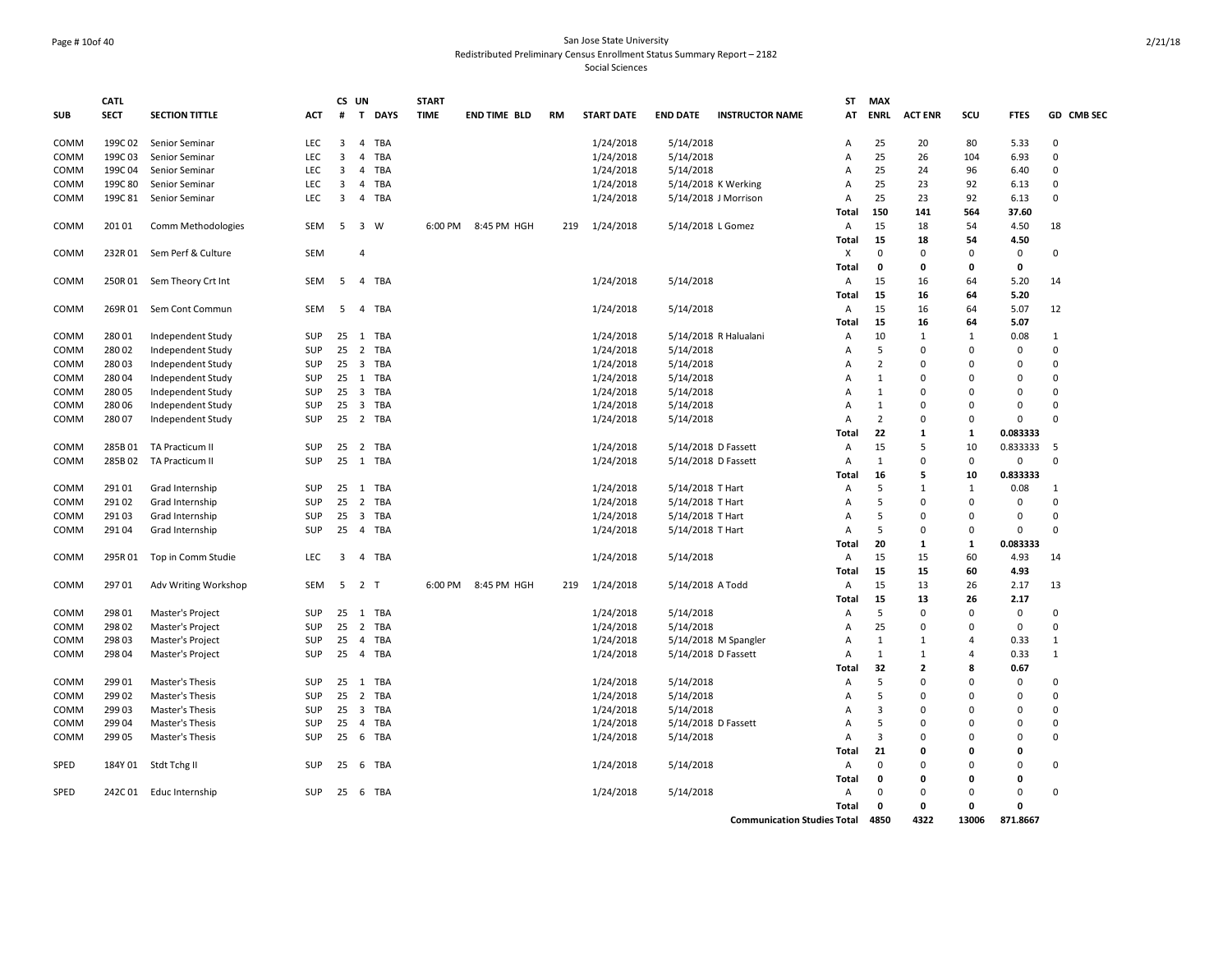#### Page # 10of 40 San Jose State University Redistributed Preliminary Census Enrollment Status Summary Report – 2182 Social Sciences

|            | <b>CATL</b> |                            |            |    | CS UN                          | <b>START</b> |                     |           |                   |                     |                                    | ST           | <b>MAX</b>     |                              |                |               |              |
|------------|-------------|----------------------------|------------|----|--------------------------------|--------------|---------------------|-----------|-------------------|---------------------|------------------------------------|--------------|----------------|------------------------------|----------------|---------------|--------------|
| <b>SUB</b> | <b>SECT</b> | <b>SECTION TITTLE</b>      | <b>ACT</b> | #  | T DAYS                         | <b>TIME</b>  | <b>END TIME BLD</b> | <b>RM</b> | <b>START DATE</b> | <b>END DATE</b>     | <b>INSTRUCTOR NAME</b>             | AT           | <b>ENRL</b>    | <b>ACT ENR</b>               | scu            | <b>FTES</b>   | GD CMB SEC   |
| COMM       | 199C 02     | Senior Seminar             | <b>LEC</b> | 3  | <b>TBA</b><br>$\overline{4}$   |              |                     |           | 1/24/2018         | 5/14/2018           |                                    | A            | 25             | 20                           | 80             | 5.33          | $\Omega$     |
| COMM       | 199C03      | Senior Seminar             | LEC        | 3  | <b>TBA</b><br>4                |              |                     |           | 1/24/2018         | 5/14/2018           |                                    | Α            | 25             | 26                           | 104            | 6.93          | $\mathbf 0$  |
| COMM       | 199C04      | Senior Seminar             | <b>LEC</b> | 3  | $\overline{4}$<br><b>TBA</b>   |              |                     |           | 1/24/2018         | 5/14/2018           |                                    | A            | 25             | 24                           | 96             | 6.40          | $\Omega$     |
| COMM       | 199C 80     | Senior Seminar             | LEC        | 3  | 4<br><b>TBA</b>                |              |                     |           | 1/24/2018         |                     | 5/14/2018 K Werking                | Α            | 25             | 23                           | 92             | 6.13          | $\mathbf 0$  |
| COMM       | 199C 81     | Senior Seminar             | LEC        | 3  | 4<br>TBA                       |              |                     |           | 1/24/2018         |                     | 5/14/2018 J Morrison               | Α            | 25             | 23                           | 92             | 6.13          | $\mathbf 0$  |
| COMM       | 201 01      | Comm Methodologies         | SEM        | 5  | $\overline{\mathbf{3}}$<br>W   |              | 6:00 PM 8:45 PM HGH | 219       | 1/24/2018         | 5/14/2018 L Gomez   |                                    | Total<br>Α   | 150<br>15      | 141<br>18                    | 564<br>54      | 37.60<br>4.50 | 18           |
|            |             |                            |            |    |                                |              |                     |           |                   |                     |                                    | <b>Total</b> | 15             | 18                           | 54             | 4.50          |              |
| COMM       | 232R01      | Sem Perf & Culture         | <b>SEM</b> |    | 4                              |              |                     |           |                   |                     |                                    | X            | $\mathbf 0$    | $\mathbf 0$                  | $\Omega$       | 0             | $\mathbf 0$  |
|            |             |                            |            |    |                                |              |                     |           |                   |                     |                                    | <b>Total</b> | $\mathbf{o}$   | 0                            | $\Omega$       | $\mathbf{0}$  |              |
| COMM       |             | 250R 01 Sem Theory Crt Int | SEM        | 5  | 4 TBA                          |              |                     |           | 1/24/2018         | 5/14/2018           |                                    | A            | 15             | 16                           | 64             | 5.20          | 14           |
|            |             |                            |            |    |                                |              |                     |           |                   |                     |                                    | Total        | 15             | 16                           | 64             | 5.20          |              |
| COMM       | 269R01      | Sem Cont Commun            | SEM        | 5  | 4 TBA                          |              |                     |           | 1/24/2018         | 5/14/2018           |                                    | Α            | 15             | 16                           | 64             | 5.07          | 12           |
|            |             |                            |            |    |                                |              |                     |           |                   |                     |                                    | Total        | 15             | 16                           | 64             | 5.07          |              |
| COMM       | 280 01      | Independent Study          | SUP        | 25 | TBA<br>1                       |              |                     |           | 1/24/2018         |                     | 5/14/2018 R Halualani              | Α            | 10             | $\mathbf{1}$                 | $\mathbf{1}$   | 0.08          | $\mathbf{1}$ |
| COMM       | 280 02      | Independent Study          | SUP        | 25 | $\overline{2}$<br><b>TBA</b>   |              |                     |           | 1/24/2018         | 5/14/2018           |                                    | А            | 5              | $\mathbf 0$                  | $\Omega$       | $\mathbf{0}$  | $\Omega$     |
| COMM       | 28003       | Independent Study          | <b>SUP</b> | 25 | $\overline{3}$<br><b>TBA</b>   |              |                     |           | 1/24/2018         | 5/14/2018           |                                    | A            | $\overline{2}$ | $\Omega$                     | $\Omega$       | 0             | $\Omega$     |
| COMM       | 28004       | Independent Study          | SUP        | 25 | 1<br>TBA                       |              |                     |           | 1/24/2018         | 5/14/2018           |                                    | Α            | $\mathbf{1}$   | $\Omega$                     | $\Omega$       | 0             | $\Omega$     |
| COMM       | 28005       | Independent Study          | SUP        | 25 | 3 TBA                          |              |                     |           | 1/24/2018         | 5/14/2018           |                                    | Α            | $\mathbf{1}$   | $\Omega$                     | $\Omega$       | 0             | $\Omega$     |
| COMM       | 280 06      | Independent Study          | SUP        | 25 | $\overline{\mathbf{3}}$<br>TBA |              |                     |           | 1/24/2018         | 5/14/2018           |                                    | Α            | $\mathbf{1}$   | $\Omega$                     | $\Omega$       | $\mathbf 0$   | $\Omega$     |
| COMM       | 280 07      | Independent Study          | SUP        | 25 | 2 TBA                          |              |                     |           | 1/24/2018         | 5/14/2018           |                                    | А            | $\overline{2}$ | $\mathbf 0$                  | $\mathbf 0$    | $\mathbf 0$   | $\Omega$     |
|            |             |                            |            |    |                                |              |                     |           |                   |                     |                                    | Total        | 22             | 1                            | 1              | 0.083333      |              |
| COMM       | 285B01      | TA Practicum II            | SUP        | 25 | 2 TBA                          |              |                     |           | 1/24/2018         | 5/14/2018 D Fassett |                                    | Α            | 15             | 5                            | 10             | 0.833333      | 5            |
| COMM       | 285B02      | TA Practicum II            | SUP        | 25 | 1 TBA                          |              |                     |           | 1/24/2018         |                     | 5/14/2018 D Fassett                | Α            | $\mathbf{1}$   | $\mathbf 0$                  | $\mathbf 0$    | 0             | $\mathbf 0$  |
|            |             |                            |            |    |                                |              |                     |           |                   |                     |                                    | Total        | 16             | 5                            | 10             | 0.833333      |              |
| COMM       | 291 01      | Grad Internship            | SUP        | 25 | 1 TBA                          |              |                     |           | 1/24/2018         | 5/14/2018 T Hart    |                                    | Α            | 5              | $\mathbf{1}$                 | 1              | 0.08          | 1            |
| COMM       | 29102       | Grad Internship            | SUP        | 25 | $\overline{2}$<br><b>TBA</b>   |              |                     |           | 1/24/2018         | 5/14/2018 T Hart    |                                    | Α            | 5              | $\Omega$                     | $\Omega$       | 0             | $\Omega$     |
| COMM       | 29103       | Grad Internship            | <b>SUP</b> | 25 | $\overline{\mathbf{3}}$<br>TBA |              |                     |           | 1/24/2018         | 5/14/2018 T Hart    |                                    | A            | 5              | $\Omega$                     | $\Omega$       | $\mathbf{0}$  | $\Omega$     |
| COMM       | 291 04      | Grad Internship            | SUP        | 25 | 4 TBA                          |              |                     |           | 1/24/2018         | 5/14/2018 T Hart    |                                    | Α            | 5              | 0                            | 0              | 0             | $\Omega$     |
|            |             |                            |            |    |                                |              |                     |           |                   |                     |                                    | Total        | 20             | 1                            | 1              | 0.083333      |              |
| COMM       | 295R01      | Top in Comm Studie         | LEC        | 3  | 4<br>TBA                       |              |                     |           | 1/24/2018         | 5/14/2018           |                                    | Α            | 15             | 15                           | 60             | 4.93          | 14           |
|            |             |                            |            |    |                                |              |                     |           |                   |                     |                                    | Total        | 15             | 15                           | 60             | 4.93          |              |
| COMM       | 29701       | Adv Writing Workshop       | SEM        |    | 5 2 T                          |              | 6:00 PM 8:45 PM HGH | 219       | 1/24/2018         | 5/14/2018 A Todd    |                                    | Α            | 15             | 13                           | 26             | 2.17          | 13           |
|            |             |                            |            |    |                                |              |                     |           |                   |                     |                                    | Total        | 15             | 13                           | 26             | 2.17          |              |
| COMM       | 298 01      | Master's Project           | SUP        | 25 | 1 TBA                          |              |                     |           | 1/24/2018         | 5/14/2018           |                                    | Α            | 5              | 0                            | 0              | $\mathbf 0$   | $\mathbf 0$  |
| COMM       | 298 02      | Master's Project           | SUP        | 25 | $\overline{2}$<br>TBA          |              |                     |           | 1/24/2018         | 5/14/2018           |                                    | Α            | 25             | $\Omega$                     | $\Omega$       | 0             | $\mathbf 0$  |
| COMM       | 298 03      | Master's Project           | SUP        | 25 | $\overline{4}$<br><b>TBA</b>   |              |                     |           | 1/24/2018         |                     | 5/14/2018 M Spangler               | Α            | $\mathbf{1}$   | $\mathbf{1}$<br>$\mathbf{1}$ | $\overline{a}$ | 0.33          | 1            |
| COMM       | 298 04      | Master's Project           | SUP        | 25 | 4 TBA                          |              |                     |           | 1/24/2018         | 5/14/2018 D Fassett |                                    | A<br>Total   | 1<br>32        | $\overline{2}$               | 4<br>8         | 0.33<br>0.67  | 1            |
| COMM       | 299 01      | Master's Thesis            | SUP        | 25 | TBA<br>1                       |              |                     |           | 1/24/2018         | 5/14/2018           |                                    | Α            | 5              | $\Omega$                     | $\Omega$       | $\mathbf 0$   | $\Omega$     |
| COMM       | 299 02      | Master's Thesis            | SUP        | 25 | $\overline{2}$<br>TBA          |              |                     |           | 1/24/2018         | 5/14/2018           |                                    | Α            | 5              | $\Omega$                     | $\Omega$       | 0             | $\Omega$     |
| COMM       | 299 03      | Master's Thesis            | SUP        | 25 | $\overline{\mathbf{3}}$<br>TBA |              |                     |           | 1/24/2018         | 5/14/2018           |                                    | Α            | 3              | $\Omega$                     | $\Omega$       | 0             | $\Omega$     |
| COMM       | 299 04      | Master's Thesis            | SUP        | 25 | $\overline{4}$<br>TBA          |              |                     |           | 1/24/2018         | 5/14/2018 D Fassett |                                    | А            | 5              | $\Omega$                     | $\Omega$       | $\mathbf{0}$  | $\Omega$     |
| COMM       | 299 05      | Master's Thesis            | <b>SUP</b> | 25 | 6<br>TBA                       |              |                     |           | 1/24/2018         | 5/14/2018           |                                    | A            | $\overline{3}$ | $\Omega$                     | U              | $\Omega$      | $\Omega$     |
|            |             |                            |            |    |                                |              |                     |           |                   |                     |                                    | Total        | 21             | 0                            | O              | 0             |              |
| SPED       | 184Y 01     | Stdt Tchg II               | SUP        | 25 | 6<br>TBA                       |              |                     |           | 1/24/2018         | 5/14/2018           |                                    | Α            | $\Omega$       | $\Omega$                     | $\Omega$       | 0             | $\mathbf 0$  |
|            |             |                            |            |    |                                |              |                     |           |                   |                     |                                    | Total        | $\mathbf{o}$   | 0                            | 0              | 0             |              |
| SPED       | 242C01      | Educ Internship            | SUP        | 25 | 6 TBA                          |              |                     |           | 1/24/2018         | 5/14/2018           |                                    | Α            | $\Omega$       | $\Omega$                     | $\Omega$       | 0             | $\Omega$     |
|            |             |                            |            |    |                                |              |                     |           |                   |                     |                                    | Total        | $\mathbf{o}$   | 0                            | 0              | $\mathbf{0}$  |              |
|            |             |                            |            |    |                                |              |                     |           |                   |                     | <b>Communication Studies Total</b> |              | 4850           | 4322                         | 13006          | 871.8667      |              |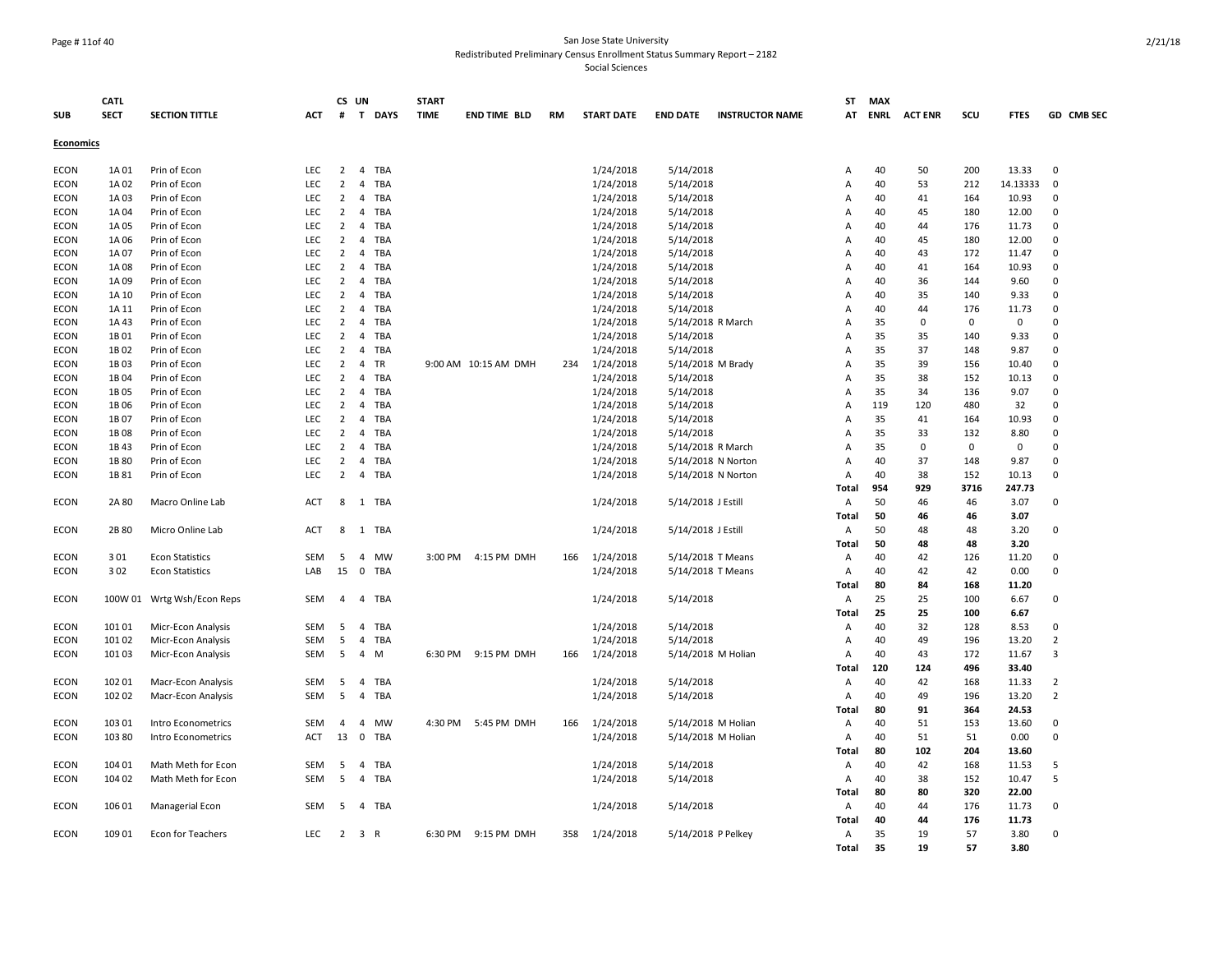### Page # 11of 40 San Jose State University Redistributed Preliminary Census Enrollment Status Summary Report – 2182

|                  | <b>CATL</b>   |                              |                   | CS UN                            |                                   | <b>START</b> |                      |     |                        |                                          |                        | ST                  | <b>MAX</b>  |                |             |             |                            |
|------------------|---------------|------------------------------|-------------------|----------------------------------|-----------------------------------|--------------|----------------------|-----|------------------------|------------------------------------------|------------------------|---------------------|-------------|----------------|-------------|-------------|----------------------------|
| <b>SUB</b>       | <b>SECT</b>   | <b>SECTION TITTLE</b>        | <b>ACT</b>        | #                                | T DAYS                            | <b>TIME</b>  | <b>END TIME BLD</b>  | RM  | <b>START DATE</b>      | <b>END DATE</b>                          | <b>INSTRUCTOR NAME</b> | AT                  | <b>ENRL</b> | <b>ACT ENR</b> | scu         | <b>FTES</b> | GD CMB SEC                 |
| <b>Economics</b> |               |                              |                   |                                  |                                   |              |                      |     |                        |                                          |                        |                     |             |                |             |             |                            |
|                  |               |                              |                   |                                  |                                   |              |                      |     |                        |                                          |                        |                     |             |                |             |             |                            |
| ECON             | 1A01          | Prin of Econ                 | LEC               | $\overline{2}$                   | $\overline{4}$<br>TBA             |              |                      |     | 1/24/2018              | 5/14/2018                                |                        | Α                   | 40          | 50             | 200         | 13.33       | $\mathbf 0$                |
| <b>ECON</b>      | 1A02          | Prin of Econ                 | <b>LEC</b>        | $\overline{2}$                   | 4<br><b>TBA</b>                   |              |                      |     | 1/24/2018              | 5/14/2018                                |                        | $\overline{A}$      | 40          | 53             | 212         | 14.13333    | $\mathbf 0$                |
| <b>ECON</b>      | 1A03          | Prin of Econ                 | LEC               | $\overline{2}$                   | $\overline{4}$<br><b>TBA</b>      |              |                      |     | 1/24/2018              | 5/14/2018                                |                        | Α                   | 40          | 41             | 164         | 10.93       | 0                          |
| ECON             | 1A 04         | Prin of Econ                 | <b>LEC</b>        | $\overline{2}$                   | 4<br>TBA                          |              |                      |     | 1/24/2018              | 5/14/2018                                |                        | A                   | 40          | 45             | 180         | 12.00       | 0                          |
| ECON             | 1A05          | Prin of Econ                 | LEC               | $\overline{2}$                   | <b>TBA</b><br>4                   |              |                      |     | 1/24/2018              | 5/14/2018                                |                        | A                   | 40          | 44             | 176         | 11.73       | 0                          |
| ECON             | 1A 06         | Prin of Econ                 | <b>LEC</b>        | $\overline{2}$                   | 4<br>TBA                          |              |                      |     | 1/24/2018              | 5/14/2018                                |                        | A                   | 40          | 45             | 180         | 12.00       | $\Omega$                   |
| ECON             | 1A 07         | Prin of Econ                 | <b>LEC</b>        | $\overline{2}$                   | TBA<br>4                          |              |                      |     | 1/24/2018              | 5/14/2018                                |                        | A                   | 40          | 43             | 172         | 11.47       | $\mathbf 0$                |
| ECON             | 1A08          | Prin of Econ                 | LEC               | $\overline{2}$                   | TBA<br>4                          |              |                      |     | 1/24/2018              | 5/14/2018                                |                        | Α                   | 40          | 41             | 164         | 10.93       | $\Omega$                   |
| <b>ECON</b>      | 1A09          | Prin of Econ                 | LEC               | $\overline{2}$                   | $\overline{4}$<br><b>TBA</b>      |              |                      |     | 1/24/2018              | 5/14/2018                                |                        | A                   | 40          | 36             | 144         | 9.60        | $\Omega$                   |
| <b>ECON</b>      | 1A 10         | Prin of Econ                 | <b>LEC</b>        | $\overline{2}$                   | 4<br><b>TBA</b>                   |              |                      |     | 1/24/2018              | 5/14/2018                                |                        | A                   | 40          | 35             | 140         | 9.33        | $\Omega$                   |
| <b>ECON</b>      | 1A 11         | Prin of Econ                 | <b>LEC</b>        | $\overline{2}$                   | $\overline{4}$<br><b>TBA</b>      |              |                      |     | 1/24/2018              | 5/14/2018                                |                        | $\overline{A}$      | 40          | 44             | 176         | 11.73       | $\Omega$                   |
| <b>ECON</b>      | 1A43          | Prin of Econ                 | LEC               | $\overline{2}$                   | TBA<br>$\overline{4}$             |              |                      |     | 1/24/2018              | 5/14/2018 R March                        |                        | A                   | 35          | $\mathbf 0$    | $\mathbf 0$ | $\mathsf 0$ | $\Omega$                   |
| <b>ECON</b>      | 1B01          | Prin of Econ                 | <b>LEC</b>        | 2                                | 4<br><b>TBA</b>                   |              |                      |     | 1/24/2018              | 5/14/2018                                |                        | $\overline{A}$      | 35          | 35             | 140         | 9.33        | $\Omega$<br>$\Omega$       |
| <b>ECON</b>      | 1B02          | Prin of Econ                 | LEC               | $\overline{2}$                   | $\overline{4}$<br><b>TBA</b>      |              |                      |     | 1/24/2018              | 5/14/2018                                |                        | $\overline{A}$      | 35          | 37             | 148         | 9.87        |                            |
| <b>ECON</b>      | 1B03          | Prin of Econ                 | LEC               | $\overline{2}$                   | 4<br>TR                           |              | 9:00 AM 10:15 AM DMH | 234 | 1/24/2018              | 5/14/2018 M Brady                        |                        | A                   | 35          | 39             | 156         | 10.40       | $\Omega$                   |
| <b>ECON</b>      | 1B04          | Prin of Econ                 | <b>LEC</b>        | $\overline{2}$<br>$\overline{2}$ | $\overline{4}$<br><b>TBA</b>      |              |                      |     | 1/24/2018              | 5/14/2018                                |                        | $\overline{A}$      | 35          | 38             | 152         | 10.13       | $\mathbf 0$<br>$\mathbf 0$ |
| <b>ECON</b>      | 1B05<br>1B06  | Prin of Econ                 | LEC<br><b>LEC</b> | $\overline{2}$                   | 4<br><b>TBA</b><br>$\overline{4}$ |              |                      |     | 1/24/2018              | 5/14/2018                                |                        | Α                   | 35<br>119   | 34<br>120      | 136<br>480  | 9.07        | $\Omega$                   |
| <b>ECON</b>      |               | Prin of Econ                 | LEC               | $\overline{2}$                   | <b>TBA</b><br>4<br><b>TBA</b>     |              |                      |     | 1/24/2018              | 5/14/2018                                |                        | $\overline{A}$<br>A | 35          |                |             | 32<br>10.93 | 0                          |
| ECON<br>ECON     | 1B 07<br>1B08 | Prin of Econ<br>Prin of Econ | <b>LEC</b>        | $\overline{2}$                   | <b>TBA</b><br>4                   |              |                      |     | 1/24/2018              | 5/14/2018                                |                        | A                   | 35          | 41<br>33       | 164<br>132  | 8.80        | $\Omega$                   |
| ECON             | 1B43          |                              | LEC               | $\overline{2}$                   | TBA<br>4                          |              |                      |     | 1/24/2018<br>1/24/2018 | 5/14/2018                                |                        | A                   | 35          | 0              | $\mathbf 0$ | 0           | $\Omega$                   |
| ECON             | 1B 80         | Prin of Econ<br>Prin of Econ | LEC               | $\overline{2}$                   | <b>TBA</b><br>4                   |              |                      |     | 1/24/2018              | 5/14/2018 R March                        |                        | A                   | 40          | 37             | 148         | 9.87        | $\Omega$                   |
| ECON             | 1B 81         | Prin of Econ                 | LEC               | $\overline{2}$                   | $\overline{4}$<br>TBA             |              |                      |     | 1/24/2018              | 5/14/2018 N Norton<br>5/14/2018 N Norton |                        | A                   | 40          | 38             | 152         | 10.13       | $\Omega$                   |
|                  |               |                              |                   |                                  |                                   |              |                      |     |                        |                                          |                        | Total               | 954         | 929            | 3716        | 247.73      |                            |
| ECON             | 2A 80         | Macro Online Lab             | <b>ACT</b>        | 8                                | 1 TBA                             |              |                      |     | 1/24/2018              | 5/14/2018 J Estill                       |                        | A                   | 50          | 46             | 46          | 3.07        | $\Omega$                   |
|                  |               |                              |                   |                                  |                                   |              |                      |     |                        |                                          |                        | Total               | 50          | 46             | 46          | 3.07        |                            |
| <b>ECON</b>      | 2B 80         | Micro Online Lab             | <b>ACT</b>        | 8                                | TBA<br>1                          |              |                      |     | 1/24/2018              | 5/14/2018 J Estill                       |                        | $\overline{A}$      | 50          | 48             | 48          | 3.20        | $\Omega$                   |
|                  |               |                              |                   |                                  |                                   |              |                      |     |                        |                                          |                        | Total               | 50          | 48             | 48          | 3.20        |                            |
| <b>ECON</b>      | 301           | <b>Econ Statistics</b>       | <b>SEM</b>        | 5                                | 4<br><b>MW</b>                    |              | 3:00 PM 4:15 PM DMH  | 166 | 1/24/2018              | 5/14/2018 T Means                        |                        | A                   | 40          | 42             | 126         | 11.20       | $\Omega$                   |
| ECON             | 302           | <b>Econ Statistics</b>       | LAB               | 15                               | $\mathbf 0$<br><b>TBA</b>         |              |                      |     | 1/24/2018              | 5/14/2018 T Means                        |                        | A                   | 40          | 42             | 42          | 0.00        | $\Omega$                   |
|                  |               |                              |                   |                                  |                                   |              |                      |     |                        |                                          |                        | Total               | 80          | 84             | 168         | 11.20       |                            |
| ECON             |               | 100W 01 Wrtg Wsh/Econ Reps   | SEM               | $\overline{4}$                   | $\overline{4}$<br><b>TBA</b>      |              |                      |     | 1/24/2018              | 5/14/2018                                |                        | A                   | 25          | 25             | 100         | 6.67        | $\Omega$                   |
|                  |               |                              |                   |                                  |                                   |              |                      |     |                        |                                          |                        | Total               | 25          | 25             | 100         | 6.67        |                            |
| <b>ECON</b>      | 101 01        | Micr-Econ Analysis           | SEM               | 5                                | TBA<br>$\overline{4}$             |              |                      |     | 1/24/2018              | 5/14/2018                                |                        | $\overline{A}$      | 40          | 32             | 128         | 8.53        | $\Omega$                   |
| ECON             | 101 02        | Micr-Econ Analysis           | SEM               | 5                                | <b>TBA</b><br>4                   |              |                      |     | 1/24/2018              | 5/14/2018                                |                        | Α                   | 40          | 49             | 196         | 13.20       | $\overline{2}$             |
| ECON             | 101 03        | Micr-Econ Analysis           | SEM               | 5                                | 4<br>M                            |              | 6:30 PM 9:15 PM DMH  | 166 | 1/24/2018              | 5/14/2018 M Holian                       |                        | Α                   | 40          | 43             | 172         | 11.67       | 3                          |
|                  |               |                              |                   |                                  |                                   |              |                      |     |                        |                                          |                        | Total               | 120         | 124            | 496         | 33.40       |                            |
| ECON             | 102 01        | Macr-Econ Analysis           | SEM               | 5                                | $\overline{4}$<br>TBA             |              |                      |     | 1/24/2018              | 5/14/2018                                |                        | Α                   | 40          | 42             | 168         | 11.33       | 2                          |
| ECON             | 102 02        | Macr-Econ Analysis           | SEM               | 5                                | 4<br>TBA                          |              |                      |     | 1/24/2018              | 5/14/2018                                |                        | Α                   | 40          | 49             | 196         | 13.20       | $\overline{2}$             |
|                  |               |                              |                   |                                  |                                   |              |                      |     |                        |                                          |                        | Total               | 80          | 91             | 364         | 24.53       |                            |
| ECON             | 103 01        | Intro Econometrics           | SEM               | 4                                | $\overline{a}$<br><b>MW</b>       | 4:30 PM      | 5:45 PM DMH          | 166 | 1/24/2018              | 5/14/2018 M Holian                       |                        | Α                   | 40          | 51             | 153         | 13.60       | 0                          |
| <b>ECON</b>      | 103 80        | Intro Econometrics           | ACT               | 13                               | $\mathbf 0$<br>TBA                |              |                      |     | 1/24/2018              | 5/14/2018 M Holian                       |                        | Α                   | 40          | 51             | 51          | 0.00        | $\Omega$                   |
|                  |               |                              |                   |                                  |                                   |              |                      |     |                        |                                          |                        | Total               | 80          | 102            | 204         | 13.60       |                            |
| ECON             | 104 01        | Math Meth for Econ           | SEM               | 5                                | <b>TBA</b><br>$\overline{4}$      |              |                      |     | 1/24/2018              | 5/14/2018                                |                        | Α                   | 40          | 42             | 168         | 11.53       | 5                          |
| <b>ECON</b>      | 104 02        | Math Meth for Econ           | <b>SEM</b>        | 5                                | $\overline{4}$<br>TBA             |              |                      |     | 1/24/2018              | 5/14/2018                                |                        | $\overline{A}$      | 40          | 38             | 152         | 10.47       | 5                          |
|                  |               |                              |                   |                                  |                                   |              |                      |     |                        |                                          |                        | Total               | 80          | 80             | 320         | 22.00       |                            |
| <b>ECON</b>      | 106 01        | Managerial Econ              | <b>SEM</b>        | -5                               | 4<br>TBA                          |              |                      |     | 1/24/2018              | 5/14/2018                                |                        | A                   | 40          | 44             | 176         | 11.73       | $\mathbf 0$                |
|                  |               |                              |                   |                                  |                                   |              |                      |     |                        |                                          |                        | Total               | 40          | 44             | 176         | 11.73       |                            |
| ECON             | 109 01        | Econ for Teachers            | LEC               | $\overline{2}$                   | 3 R                               |              | 6:30 PM 9:15 PM DMH  | 358 | 1/24/2018              | 5/14/2018 P Pelkey                       |                        | A                   | 35          | 19             | 57          | 3.80        | $\mathbf 0$                |
|                  |               |                              |                   |                                  |                                   |              |                      |     |                        |                                          |                        | <b>Total</b>        | 35          | 19             | 57          | 3.80        |                            |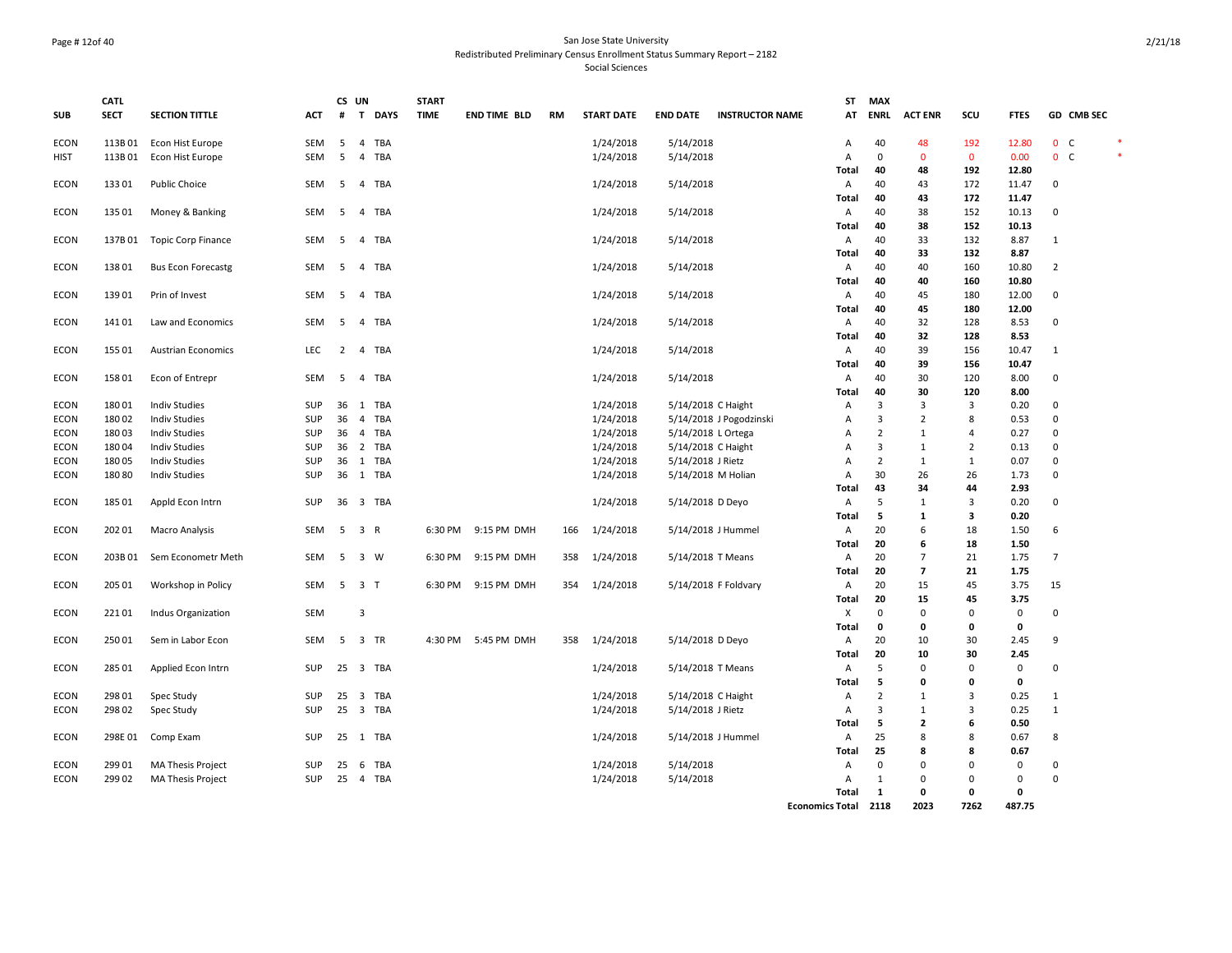#### Page # 12of 40 San Jose State University Redistributed Preliminary Census Enrollment Status Summary Report – 2182 Social Sciences

|             | <b>CATL</b> |                            |            | CS UN          |                                       |             | <b>START</b> |                     |     |                   |                    |                         | <b>ST</b>               | <b>MAX</b>     |                          |                |              |                |                |        |
|-------------|-------------|----------------------------|------------|----------------|---------------------------------------|-------------|--------------|---------------------|-----|-------------------|--------------------|-------------------------|-------------------------|----------------|--------------------------|----------------|--------------|----------------|----------------|--------|
| <b>SUB</b>  | <b>SECT</b> | <b>SECTION TITTLE</b>      | <b>ACT</b> | #              | T<br><b>DAYS</b>                      | <b>TIME</b> |              | <b>END TIME BLD</b> | RM  | <b>START DATE</b> | <b>END DATE</b>    | <b>INSTRUCTOR NAME</b>  | AT                      | <b>ENRL</b>    | <b>ACT ENR</b>           | scu            | <b>FTES</b>  |                | GD CMB SEC     |        |
| <b>ECON</b> | 113B01      | Econ Hist Europe           | SEM        | 5              | <b>TBA</b><br>4                       |             |              |                     |     | 1/24/2018         | 5/14/2018          |                         | Α                       | 40             | 48                       | 192            | 12.80        |                | 0 <sub>c</sub> |        |
| HIST        | 113B01      | Econ Hist Europe           | SEM        | 5              | <b>TBA</b><br>$\overline{4}$          |             |              |                     |     | 1/24/2018         | 5/14/2018          |                         | Α                       | $\mathbf 0$    | $\mathbf{0}$             | $\mathbf{0}$   | 0.00         |                | 0 <sub>c</sub> | $\ast$ |
|             |             |                            |            |                |                                       |             |              |                     |     |                   |                    |                         | Total                   | 40             | 48                       | 192            | 12.80        |                |                |        |
| <b>ECON</b> | 133 01      | <b>Public Choice</b>       | SEM        | 5              | $\overline{4}$<br>TBA                 |             |              |                     |     | 1/24/2018         | 5/14/2018          |                         | Α                       | 40             | 43                       | 172            | 11.47        | 0              |                |        |
|             |             |                            |            |                |                                       |             |              |                     |     |                   |                    |                         | Total                   | 40             | 43                       | 172            | 11.47        |                |                |        |
| <b>ECON</b> | 135 01      | Money & Banking            | SEM        | 5              | 4 TBA                                 |             |              |                     |     | 1/24/2018         | 5/14/2018          |                         | Α                       | 40             | 38                       | 152            | 10.13        | 0              |                |        |
|             |             |                            |            |                |                                       |             |              |                     |     |                   |                    |                         | Total                   | 40             | 38                       | 152            | 10.13        |                |                |        |
| <b>ECON</b> |             | 137B 01 Topic Corp Finance | SEM        | 5              | 4 TBA                                 |             |              |                     |     | 1/24/2018         | 5/14/2018          |                         | Α                       | 40<br>40       | 33<br>33                 | 132<br>132     | 8.87<br>8.87 | $\mathbf{1}$   |                |        |
| <b>ECON</b> | 138 01      | <b>Bus Econ Forecastg</b>  | SEM        | 5              | 4 TBA                                 |             |              |                     |     | 1/24/2018         | 5/14/2018          |                         | Total<br>Α              | 40             | 40                       | 160            | 10.80        | $\overline{2}$ |                |        |
|             |             |                            |            |                |                                       |             |              |                     |     |                   |                    |                         | Total                   | 40             | 40                       | 160            | 10.80        |                |                |        |
| <b>ECON</b> | 139 01      | Prin of Invest             | SEM        | 5              | 4 TBA                                 |             |              |                     |     | 1/24/2018         | 5/14/2018          |                         | Α                       | 40             | 45                       | 180            | 12.00        | 0              |                |        |
|             |             |                            |            |                |                                       |             |              |                     |     |                   |                    |                         | Total                   | 40             | 45                       | 180            | 12.00        |                |                |        |
| <b>ECON</b> | 141 01      | Law and Economics          | SEM        | 5              | <b>TBA</b><br>$\overline{4}$          |             |              |                     |     | 1/24/2018         | 5/14/2018          |                         | Α                       | 40             | 32                       | 128            | 8.53         | 0              |                |        |
|             |             |                            |            |                |                                       |             |              |                     |     |                   |                    |                         | Total                   | 40             | 32                       | 128            | 8.53         |                |                |        |
| <b>ECON</b> | 155 01      | <b>Austrian Economics</b>  | <b>LEC</b> | $\overline{2}$ | <b>TBA</b><br>4                       |             |              |                     |     | 1/24/2018         | 5/14/2018          |                         | Α                       | 40             | 39                       | 156            | 10.47        | $\mathbf{1}$   |                |        |
|             |             |                            |            |                |                                       |             |              |                     |     |                   |                    |                         | Total                   | 40             | 39                       | 156            | 10.47        |                |                |        |
| <b>ECON</b> | 158 01      | Econ of Entrepr            | SEM        | 5              | $\overline{4}$<br><b>TBA</b>          |             |              |                     |     | 1/24/2018         | 5/14/2018          |                         | Α                       | 40             | 30                       | 120            | 8.00         | 0              |                |        |
|             |             |                            |            |                |                                       |             |              |                     |     |                   |                    |                         | Total                   | 40             | 30                       | 120            | 8.00         |                |                |        |
| <b>ECON</b> | 18001       | <b>Indiv Studies</b>       | SUP        | 36             | 1 TBA                                 |             |              |                     |     | 1/24/2018         | 5/14/2018 C Haight |                         | Α                       | $\overline{3}$ | 3                        | $\overline{3}$ | 0.20         | 0              |                |        |
| <b>ECON</b> | 18002       | <b>Indiv Studies</b>       | SUP        | 36             | <b>TBA</b><br>$\overline{4}$          |             |              |                     |     | 1/24/2018         |                    | 5/14/2018 J Pogodzinski | Α                       | $\overline{3}$ | $\overline{2}$           | 8              | 0.53         | $\mathbf 0$    |                |        |
| <b>ECON</b> | 18003       | <b>Indiv Studies</b>       | SUP        | 36             | $\overline{4}$<br><b>TBA</b>          |             |              |                     |     | 1/24/2018         | 5/14/2018 L Ortega |                         | Α                       | $\overline{2}$ | $\mathbf{1}$             | $\overline{4}$ | 0.27         | 0              |                |        |
| ECON        | 18004       | <b>Indiv Studies</b>       | SUP        | 36             | $\overline{2}$<br><b>TBA</b>          |             |              |                     |     | 1/24/2018         | 5/14/2018 C Haight |                         | A                       | 3              | $\mathbf{1}$             | $\overline{2}$ | 0.13         | 0              |                |        |
| ECON        | 18005       | <b>Indiv Studies</b>       | SUP        | 36             | 1<br><b>TBA</b>                       |             |              |                     |     | 1/24/2018         | 5/14/2018 J Rietz  |                         | $\overline{A}$          | $\overline{2}$ | $\mathbf{1}$             | $\mathbf{1}$   | 0.07         | 0              |                |        |
| <b>ECON</b> | 18080       | <b>Indiv Studies</b>       | SUP        | 36             | 1 TBA                                 |             |              |                     |     | 1/24/2018         |                    | 5/14/2018 M Holian      | A                       | 30             | 26                       | 26             | 1.73         | $\mathbf 0$    |                |        |
|             |             |                            |            |                |                                       |             |              |                     |     |                   |                    |                         | Total                   | 43             | 34                       | 44             | 2.93         |                |                |        |
| ECON        | 185 01      | Appld Econ Intrn           | SUP        |                | 36 3 TBA                              |             |              |                     |     | 1/24/2018         | 5/14/2018 D Deyo   |                         | Α                       | 5              | $\mathbf{1}$             | $\overline{3}$ | 0.20         | 0              |                |        |
|             |             |                            |            |                |                                       |             |              |                     |     |                   |                    |                         | <b>Total</b>            | 5              | 1                        | 3              | 0.20         |                |                |        |
| <b>ECON</b> | 202 01      | Macro Analysis             | SEM        |                | 5 3 R                                 |             |              | 6:30 PM 9:15 PM DMH | 166 | 1/24/2018         |                    | 5/14/2018 J Hummel      | Α                       | 20             | 6                        | 18             | 1.50         | 6              |                |        |
|             |             |                            |            |                |                                       |             |              |                     |     |                   |                    |                         | <b>Total</b>            | 20             | 6                        | 18             | 1.50         |                |                |        |
| ECON        | 203B 01     | Sem Econometr Meth         | SEM        | 5              | 3 W                                   |             | 6:30 PM      | 9:15 PM DMH         | 358 | 1/24/2018         | 5/14/2018 T Means  |                         | A                       | 20             | $\overline{7}$           | 21             | 1.75         | $\overline{7}$ |                |        |
|             |             |                            |            |                |                                       |             |              |                     |     |                   |                    |                         | Total                   | 20             | $\overline{\phantom{a}}$ | 21             | 1.75         |                |                |        |
| <b>ECON</b> | 205 01      | Workshop in Policy         | SEM        |                | 5 3 T                                 |             |              | 6:30 PM 9:15 PM DMH | 354 | 1/24/2018         |                    | 5/14/2018 F Foldvary    | Α                       | 20<br>20       | 15<br>15                 | 45<br>45       | 3.75<br>3.75 | 15             |                |        |
| <b>ECON</b> | 22101       | Indus Organization         | SEM        |                | $\overline{3}$                        |             |              |                     |     |                   |                    |                         | Total<br>$\pmb{\times}$ | $\Omega$       | $\mathbf 0$              | $\mathbf 0$    | $\mathsf 0$  | 0              |                |        |
|             |             |                            |            |                |                                       |             |              |                     |     |                   |                    |                         | Total                   | 0              | 0                        | $\mathbf 0$    | 0            |                |                |        |
| <b>ECON</b> | 250 01      | Sem in Labor Econ          | SEM        | - 5            | 3 TR                                  |             |              | 4:30 PM 5:45 PM DMH | 358 | 1/24/2018         | 5/14/2018 D Deyo   |                         | Α                       | 20             | 10                       | 30             | 2.45         | 9              |                |        |
|             |             |                            |            |                |                                       |             |              |                     |     |                   |                    |                         | Total                   | 20             | 10                       | 30             | 2.45         |                |                |        |
| <b>ECON</b> | 285 01      | Applied Econ Intrn         | SUP        | 25             | $\overline{\mathbf{3}}$<br><b>TBA</b> |             |              |                     |     | 1/24/2018         | 5/14/2018 T Means  |                         | Α                       | 5              | $\mathbf 0$              | $\mathbf 0$    | $\mathbf 0$  | 0              |                |        |
|             |             |                            |            |                |                                       |             |              |                     |     |                   |                    |                         | Total                   | 5              | 0                        | $\mathbf 0$    | 0            |                |                |        |
| <b>ECON</b> | 298 01      | Spec Study                 | SUP        | 25             | $\overline{\mathbf{3}}$<br><b>TBA</b> |             |              |                     |     | 1/24/2018         | 5/14/2018 C Haight |                         | Α                       | $\overline{2}$ | $\mathbf{1}$             | 3              | 0.25         | $\mathbf{1}$   |                |        |
| ECON        | 298 02      | Spec Study                 | SUP        |                | 25 3 TBA                              |             |              |                     |     | 1/24/2018         | 5/14/2018 J Rietz  |                         | Α                       | 3              | $\mathbf{1}$             | 3              | 0.25         | $\mathbf{1}$   |                |        |
|             |             |                            |            |                |                                       |             |              |                     |     |                   |                    |                         | Total                   | 5              | $\overline{2}$           | 6              | 0.50         |                |                |        |
| <b>ECON</b> | 298E 01     | Comp Exam                  | SUP        |                | 25 1 TBA                              |             |              |                     |     | 1/24/2018         |                    | 5/14/2018 J Hummel      | Α                       | 25             | 8                        | 8              | 0.67         | 8              |                |        |
|             |             |                            |            |                |                                       |             |              |                     |     |                   |                    |                         | <b>Total</b>            | 25             | 8                        | 8              | 0.67         |                |                |        |
| ECON        | 299 01      | <b>MA Thesis Project</b>   | SUP        | 25             | -6<br>TBA                             |             |              |                     |     | 1/24/2018         | 5/14/2018          |                         | A                       | $\Omega$       | $\Omega$                 | $\mathbf{0}$   | $\mathbf 0$  | 0              |                |        |
| <b>ECON</b> | 299 02      | MA Thesis Project          | SUP        | 25 4           | <b>TBA</b>                            |             |              |                     |     | 1/24/2018         | 5/14/2018          |                         | Α                       | $\mathbf{1}$   | $\Omega$                 | $\mathbf 0$    | $\mathsf 0$  | 0              |                |        |
|             |             |                            |            |                |                                       |             |              |                     |     |                   |                    |                         | Total                   | 1              | 0                        | $\mathbf 0$    | 0            |                |                |        |
|             |             |                            |            |                |                                       |             |              |                     |     |                   |                    |                         | Economics Total 2118    |                | 2023                     | 7262           | 487.75       |                |                |        |

2/21/18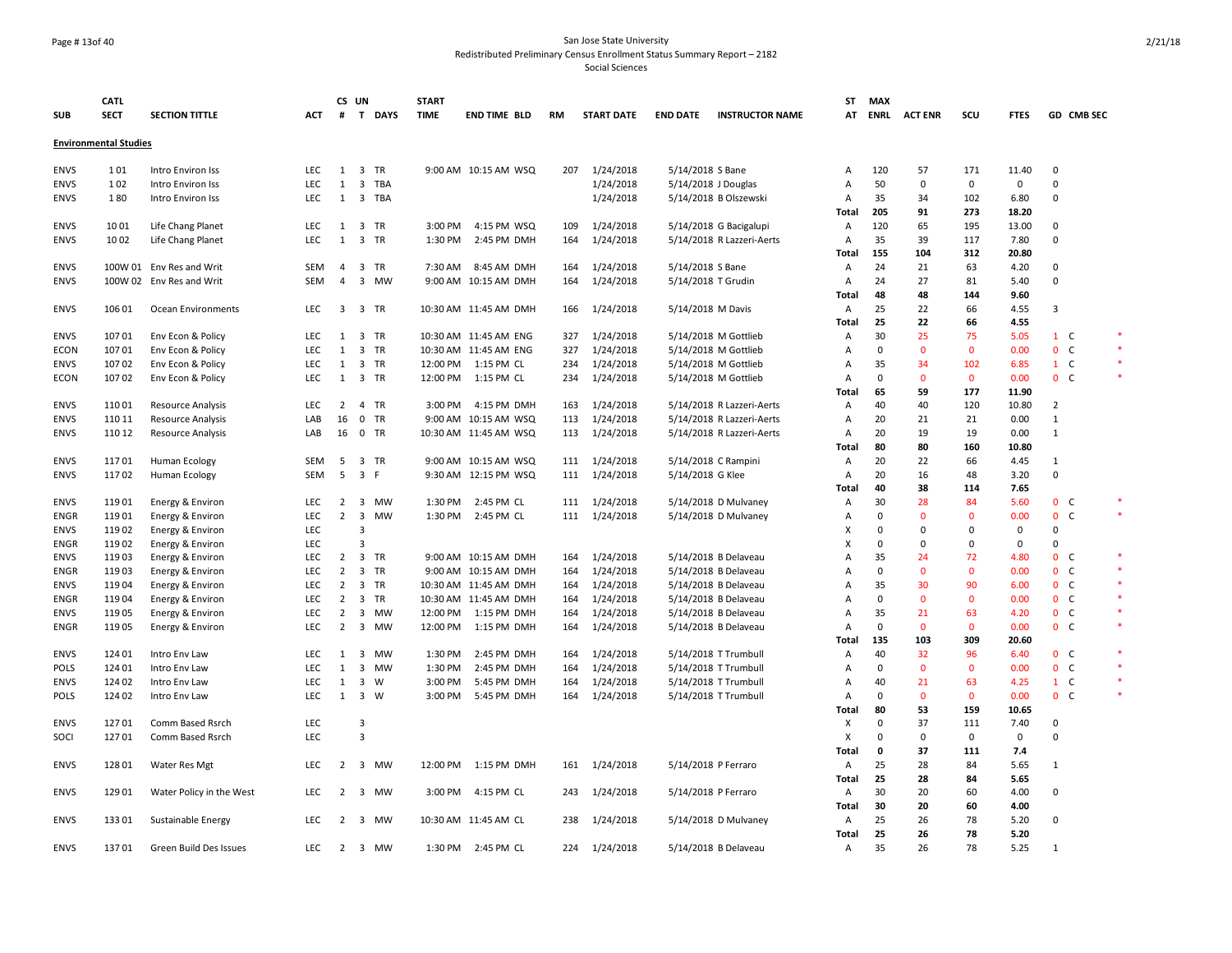#### Page # 13of 40 San Jose State University Redistributed Preliminary Census Enrollment Status Summary Report – 2182

|             | <b>CATL</b>                  |                          |            | CS UN          |                         |           | <b>START</b> |                       |     |                   |                     |                           | ST             | <b>MAX</b>  |                    |              |               |                   |         |
|-------------|------------------------------|--------------------------|------------|----------------|-------------------------|-----------|--------------|-----------------------|-----|-------------------|---------------------|---------------------------|----------------|-------------|--------------------|--------------|---------------|-------------------|---------|
| <b>SUB</b>  | <b>SECT</b>                  | <b>SECTION TITTLE</b>    | <b>ACT</b> |                |                         | # T DAYS  | <b>TIME</b>  | END TIME BLD          | RM  | <b>START DATE</b> | <b>END DATE</b>     | <b>INSTRUCTOR NAME</b>    | AT             |             | <b>ENRL ACTENR</b> | scu          | <b>FTES</b>   | GD CMB SEC        |         |
|             | <b>Environmental Studies</b> |                          |            |                |                         |           |              |                       |     |                   |                     |                           |                |             |                    |              |               |                   |         |
| <b>ENVS</b> | 101                          |                          | <b>LEC</b> |                |                         |           |              | 9:00 AM 10:15 AM WSQ  | 207 | 1/24/2018         |                     |                           |                | 120         |                    | 171          |               | $\mathbf 0$       |         |
|             |                              | Intro Environ Iss        |            | 1              | 3 TR                    |           |              |                       |     |                   | 5/14/2018 S Bane    |                           | Α              |             | 57                 |              | 11.40         | $\Omega$          |         |
| <b>ENVS</b> | 102                          | Intro Environ Iss        | LEC        | 1              |                         | 3 TBA     |              |                       |     | 1/24/2018         | 5/14/2018 J Douglas |                           | Α              | 50          | 0                  | 0            | $\mathbf 0$   | $\Omega$          |         |
| <b>ENVS</b> | 180                          | Intro Environ Iss        | LEC        |                | 1 3 TBA                 |           |              |                       |     | 1/24/2018         |                     | 5/14/2018 B Olszewski     | Α<br>Total     | 35<br>205   | 34<br>91           | 102<br>273   | 6.80<br>18.20 |                   |         |
|             |                              | Life Chang Planet        | <b>LEC</b> | 1              | 3 TR                    |           | 3:00 PM      |                       | 109 | 1/24/2018         |                     |                           |                | 120         | 65                 | 195          | 13.00         | $\Omega$          |         |
| <b>ENVS</b> | 1001                         |                          |            |                | 3 TR                    |           |              | 4:15 PM WSQ           |     |                   |                     | 5/14/2018 G Bacigalupi    | Α              |             | 39                 |              |               | $\Omega$          |         |
| <b>ENVS</b> | 1002                         | Life Chang Planet        | LEC        | 1              |                         |           | 1:30 PM      | 2:45 PM DMH           | 164 | 1/24/2018         |                     | 5/14/2018 R Lazzeri-Aerts | Α              | 35<br>155   | 104                | 117          | 7.80<br>20.80 |                   |         |
|             |                              |                          |            |                |                         |           |              |                       |     | 1/24/2018         |                     |                           | Total          |             |                    | 312          |               | 0                 |         |
| <b>ENVS</b> |                              | 100W 01 Env Res and Writ | SEM        | 4              | 3 TR                    |           | 7:30 AM      | 8:45 AM DMH           | 164 |                   | 5/14/2018 S Bane    |                           | Α              | 24          | 21                 | 63           | 4.20          | $\Omega$          |         |
| <b>ENVS</b> |                              | 100W 02 Env Res and Writ | <b>SEM</b> | $\overline{4}$ |                         | 3 MW      |              | 9:00 AM 10:15 AM DMH  | 164 | 1/24/2018         | 5/14/2018 T Grudin  |                           | Α              | 24          | 27                 | 81           | 5.40          |                   |         |
|             |                              |                          |            |                |                         |           |              |                       |     |                   |                     |                           | Total          | 48          | 48                 | 144          | 9.60          | $\overline{3}$    |         |
| <b>ENVS</b> | 106 01                       | Ocean Environments       | <b>LEC</b> | $\overline{3}$ | 3 TR                    |           |              | 10:30 AM 11:45 AM DMH | 166 | 1/24/2018         | 5/14/2018 M Davis   |                           | Α              | 25          | 22                 | 66           | 4.55          |                   |         |
|             |                              |                          |            |                |                         |           |              |                       |     |                   |                     |                           | Total          | 25          | 22                 | 66           | 4.55          |                   |         |
| <b>ENVS</b> | 107 01                       | Env Econ & Policy        | <b>LEC</b> | 1              | 3 TR                    |           |              | 10:30 AM 11:45 AM ENG | 327 | 1/24/2018         |                     | 5/14/2018 M Gottlieb      | Α              | 30          | 25                 | 75           | 5.05          | $1\quad C$        |         |
| ECON        | 107 01                       | Env Econ & Policy        | <b>LEC</b> | 1              | 3 TR                    |           |              | 10:30 AM 11:45 AM ENG | 327 | 1/24/2018         |                     | 5/14/2018 M Gottlieb      | Α              | 0           | $\mathbf{0}$       | $\mathbf{0}$ | 0.00          | 0 <sub>c</sub>    |         |
| <b>ENVS</b> | 107 02                       | Env Econ & Policy        | LEC        | 1              | 3 TR                    |           |              | 12:00 PM  1:15 PM CL  | 234 | 1/24/2018         |                     | 5/14/2018 M Gottlieb      | Α              | 35          | 34                 | 102          | 6.85          | $1 \quad C$       | $\ast$  |
| ECON        | 107 02                       | Env Econ & Policy        | <b>LEC</b> | 1              | 3 TR                    |           | 12:00 PM     | 1:15 PM CL            | 234 | 1/24/2018         |                     | 5/14/2018 M Gottlieb      | $\overline{A}$ | $\Omega$    | $\mathbf{0}$       | $\mathbf{0}$ | 0.00          | 0 <sup>o</sup>    |         |
|             |                              |                          |            |                |                         |           |              |                       |     |                   |                     |                           | <b>Total</b>   | 65          | 59                 | 177          | 11.90         |                   |         |
| <b>ENVS</b> | 110 01                       | Resource Analysis        | <b>LEC</b> | $\overline{2}$ | 4 TR                    |           | 3:00 PM      | 4:15 PM DMH           | 163 | 1/24/2018         |                     | 5/14/2018 R Lazzeri-Aerts | Α              | 40          | 40                 | 120          | 10.80         | $\overline{2}$    |         |
| <b>ENVS</b> | 110 11                       | <b>Resource Analysis</b> | LAB        | 16             | $0$ TR                  |           |              | 9:00 AM 10:15 AM WSQ  | 113 | 1/24/2018         |                     | 5/14/2018 R Lazzeri-Aerts | A              | 20          | 21                 | 21           | 0.00          | 1                 |         |
| <b>ENVS</b> | 110 12                       | <b>Resource Analysis</b> | LAB        | 16             | 0 TR                    |           |              | 10:30 AM 11:45 AM WSQ | 113 | 1/24/2018         |                     | 5/14/2018 R Lazzeri-Aerts | Α              | 20          | 19                 | 19           | 0.00          | $\mathbf{1}$      |         |
|             |                              |                          |            |                |                         |           |              |                       |     |                   |                     |                           | Total          | 80          | 80                 | 160          | 10.80         |                   |         |
| <b>ENVS</b> | 11701                        | Human Ecology            | <b>SEM</b> | 5              | 3 TR                    |           |              | 9:00 AM 10:15 AM WSQ  | 111 | 1/24/2018         |                     | 5/14/2018 C Rampini       | Α              | 20          | 22                 | 66           | 4.45          | 1                 |         |
| <b>ENVS</b> | 11702                        | Human Ecology            | SEM        | 5              | 3 F                     |           |              | 9:30 AM 12:15 PM WSQ  | 111 | 1/24/2018         | 5/14/2018 G Klee    |                           | Α              | 20          | 16                 | 48           | 3.20          | $\Omega$          |         |
|             |                              |                          |            |                |                         |           |              |                       |     |                   |                     |                           | Total          | 40          | 38                 | 114          | 7.65          |                   |         |
| <b>ENVS</b> | 119 01                       | Energy & Environ         | <b>LEC</b> | $\overline{2}$ | $\overline{\mathbf{3}}$ | MW        | 1:30 PM      | 2:45 PM CL            | 111 | 1/24/2018         |                     | 5/14/2018 D Mulvaney      | Α              | 30          | 28                 | 84           | 5.60          | 0 <sub>c</sub>    |         |
| <b>ENGR</b> | 11901                        | Energy & Environ         | <b>LEC</b> | $\overline{2}$ | 3                       | MW        | 1:30 PM      | 2:45 PM CL            | 111 | 1/24/2018         |                     | 5/14/2018 D Mulvaney      | Α              | $\Omega$    | $\mathbf 0$        | $\Omega$     | 0.00          | $\mathbf{0}$<br>C |         |
| <b>ENVS</b> | 11902                        | Energy & Environ         | <b>LEC</b> |                | $\overline{3}$          |           |              |                       |     |                   |                     |                           | х              | $\Omega$    | $\Omega$           | $\Omega$     | 0             | $\Omega$          |         |
| <b>ENGR</b> | 119 02                       | Energy & Environ         | <b>LEC</b> |                | $\overline{3}$          |           |              |                       |     |                   |                     |                           | х              | $\Omega$    | $\mathbf 0$        | $\mathbf 0$  | $\mathbf 0$   | $\Omega$          |         |
| <b>ENVS</b> | 11903                        | Energy & Environ         | LEC        |                | 2 3 TR                  |           |              | 9:00 AM 10:15 AM DMH  | 164 | 1/24/2018         |                     | 5/14/2018 B Delaveau      | Α              | 35          | 24                 | 72           | 4.80          | 0 <sub>c</sub>    | $\ast$  |
| <b>ENGR</b> | 11903                        | Energy & Environ         | <b>LEC</b> | $\overline{2}$ | 3 TR                    |           |              | 9:00 AM 10:15 AM DMH  | 164 | 1/24/2018         |                     | 5/14/2018 B Delaveau      | Α              | $\mathbf 0$ | $\mathbf 0$        | $\Omega$     | 0.00          | 0 <sub>c</sub>    |         |
| <b>ENVS</b> | 119 04                       | Energy & Environ         | <b>LEC</b> | $\overline{2}$ | 3 TR                    |           |              | 10:30 AM 11:45 AM DMH | 164 | 1/24/2018         |                     | 5/14/2018 B Delaveau      | Α              | 35          | 30                 | 90           | 6.00          | 0 <sub>c</sub>    | $\star$ |
| <b>ENGR</b> | 11904                        | Energy & Environ         | <b>LEC</b> |                | 2 3 TR                  |           |              | 10:30 AM 11:45 AM DMH | 164 | 1/24/2018         |                     | 5/14/2018 B Delaveau      | A              | $\mathbf 0$ | $\mathbf{0}$       | $\mathbf{0}$ | 0.00          | 0 <sup>o</sup>    |         |
| <b>ENVS</b> | 11905                        | Energy & Environ         | <b>LEC</b> | $\overline{2}$ | $\overline{\mathbf{3}}$ | <b>MW</b> | 12:00 PM     | 1:15 PM DMH           | 164 | 1/24/2018         |                     | 5/14/2018 B Delaveau      | Α              | 35          | 21                 | 63           | 4.20          | 0 <sub>c</sub>    | $\ast$  |
| <b>ENGR</b> | 11905                        | Energy & Environ         | LEC        | $\overline{2}$ |                         | 3 MW      | 12:00 PM     | 1:15 PM DMH           | 164 | 1/24/2018         |                     | 5/14/2018 B Delaveau      | Α              | 0           | $\mathbf{0}$       | $\mathbf{0}$ | 0.00          | 0 <sup>o</sup>    |         |
|             |                              |                          |            |                |                         |           |              |                       |     |                   |                     |                           | Total          | 135         | 103                | 309          | 20.60         |                   |         |
| <b>ENVS</b> | 124 01                       | Intro Env Law            | LEC        | 1              | 3                       | MW        | 1:30 PM      | 2:45 PM DMH           | 164 | 1/24/2018         |                     | 5/14/2018 T Trumbull      | Α              | 40          | 32                 | 96           | 6.40          | 0 <sub>c</sub>    |         |
| <b>POLS</b> | 124 01                       | Intro Env Law            | LEC        | $\mathbf{1}$   | 3                       | <b>MW</b> | 1:30 PM      | 2:45 PM DMH           | 164 | 1/24/2018         |                     | 5/14/2018 T Trumbull      | Α              | 0           | $\mathbf 0$        | $\Omega$     | 0.00          | 0 <sub>c</sub>    |         |
| <b>ENVS</b> | 124 02                       | Intro Env Law            | <b>LEC</b> | 1              | $\overline{\mathbf{3}}$ | W         | 3:00 PM      | 5:45 PM DMH           | 164 | 1/24/2018         |                     | 5/14/2018 T Trumbull      | Α              | 40          | 21                 | 63           | 4.25          | $1\quad C$        | $\ast$  |
| <b>POLS</b> | 124 02                       | Intro Env Law            | <b>LEC</b> | 1              | $\overline{\mathbf{3}}$ | W         | 3:00 PM      | 5:45 PM DMH           | 164 | 1/24/2018         |                     | 5/14/2018 T Trumbull      | Α              | $\Omega$    | $\mathbf{0}$       | $\mathbf{0}$ | 0.00          | 0 <sup>o</sup>    |         |
|             |                              |                          |            |                |                         |           |              |                       |     |                   |                     |                           | <b>Total</b>   | 80          | 53                 | 159          | 10.65         |                   |         |
| <b>ENVS</b> | 12701                        | Comm Based Rsrch         | LEC        |                | $\overline{\mathbf{3}}$ |           |              |                       |     |                   |                     |                           | х              | 0           | 37                 | 111          | 7.40          | $\Omega$          |         |
| SOCI        | 12701                        | Comm Based Rsrch         | <b>LEC</b> |                | $\overline{3}$          |           |              |                       |     |                   |                     |                           | X              | $\Omega$    | 0                  | $\mathbf 0$  | $\mathsf 0$   | $\Omega$          |         |
|             |                              |                          |            |                |                         |           |              |                       |     |                   |                     |                           | Total          | 0           | 37                 | 111          | 7.4           |                   |         |
| <b>ENVS</b> | 128 01                       | Water Res Mgt            | <b>LEC</b> |                |                         | 2 3 MW    |              | 12:00 PM 1:15 PM DMH  | 161 | 1/24/2018         | 5/14/2018 P Ferraro |                           | Α              | 25          | 28                 | 84           | 5.65          | 1                 |         |
|             |                              |                          |            |                |                         |           |              |                       |     |                   |                     |                           | <b>Total</b>   | 25          | 28                 | 84           | 5.65          |                   |         |
| <b>ENVS</b> | 129 01                       | Water Policy in the West | <b>LEC</b> | $\overline{2}$ |                         | 3 MW      | 3:00 PM      | 4:15 PM CL            | 243 | 1/24/2018         | 5/14/2018 P Ferraro |                           | Α              | 30          | 20                 | 60           | 4.00          | $\Omega$          |         |
|             |                              |                          |            |                |                         |           |              |                       |     |                   |                     |                           | Total          | 30          | 20                 | 60           | 4.00          |                   |         |
| <b>ENVS</b> | 133 01                       | Sustainable Energy       | LEC        | $\overline{2}$ | 3                       | MW        |              | 10:30 AM 11:45 AM CL  | 238 | 1/24/2018         |                     | 5/14/2018 D Mulvaney      | Α              | 25          | 26                 | 78           | 5.20          | $\Omega$          |         |
|             |                              |                          |            |                |                         |           |              |                       |     |                   |                     |                           | Total          | 25          | 26                 | 78           | 5.20          |                   |         |
| <b>ENVS</b> | 13701                        | Green Build Des Issues   | <b>LEC</b> |                |                         | 2 3 MW    |              | 1:30 PM 2:45 PM CL    | 224 | 1/24/2018         |                     | 5/14/2018 B Delaveau      | Α              | 35          | 26                 | 78           | 5.25          | 1                 |         |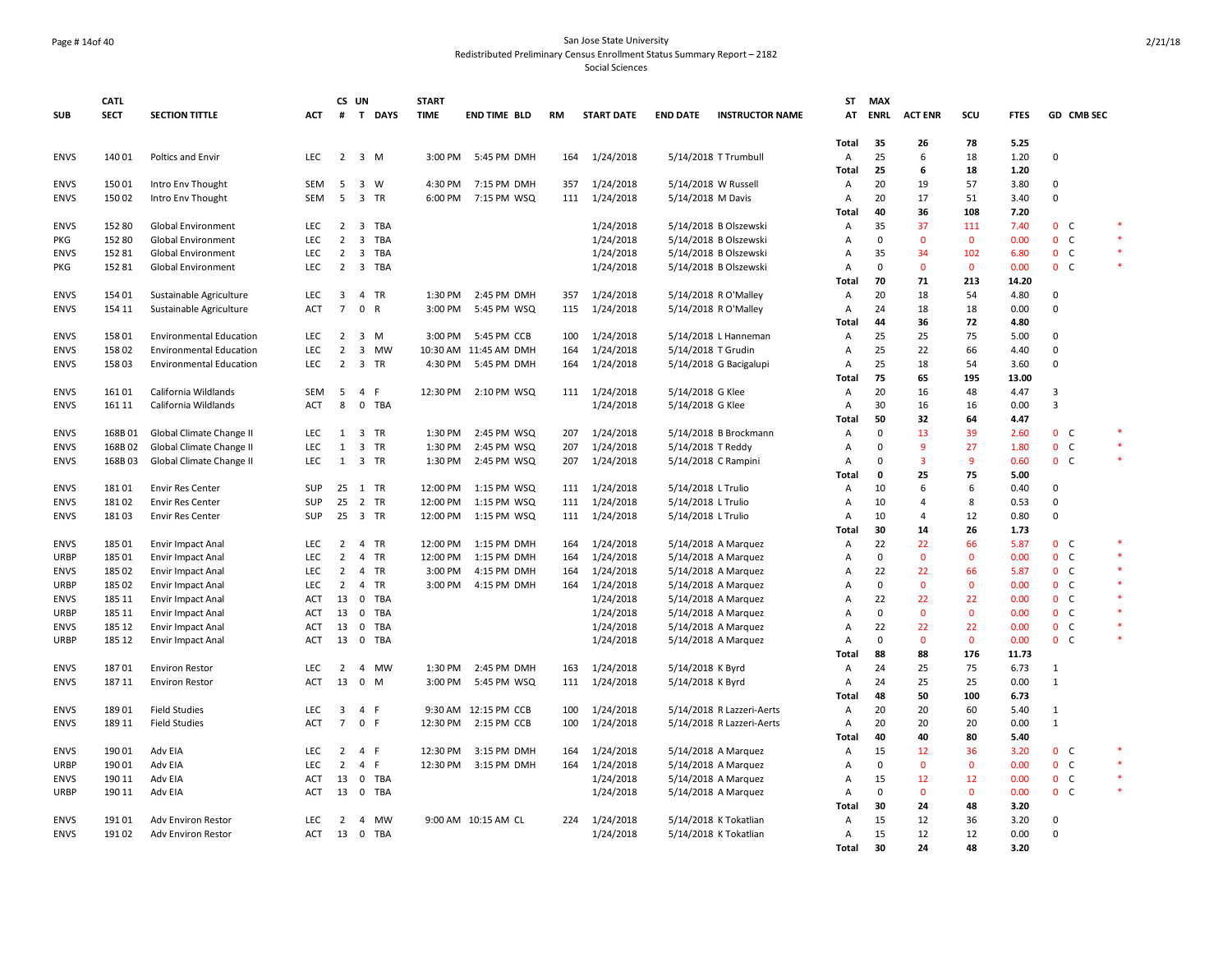#### Page # 14of 40 San Jose State University Redistributed Preliminary Census Enrollment Status Summary Report – 2182

|             | <b>CATL</b> |                                |            | CS UN                   |                         |            | <b>START</b> |                       |     |                   |                     |                           | ST             | <b>MAX</b>     |                |                     |               |                          |        |
|-------------|-------------|--------------------------------|------------|-------------------------|-------------------------|------------|--------------|-----------------------|-----|-------------------|---------------------|---------------------------|----------------|----------------|----------------|---------------------|---------------|--------------------------|--------|
| <b>SUB</b>  | <b>SECT</b> | <b>SECTION TITTLE</b>          | ACT        | #                       |                         | T DAYS     | <b>TIME</b>  | END TIME BLD          | RM  | <b>START DATE</b> | <b>END DATE</b>     | <b>INSTRUCTOR NAME</b>    | АТ             | <b>ENRL</b>    | <b>ACT ENR</b> | scu                 | <b>FTES</b>   | GD CMB SEC               |        |
|             |             |                                |            |                         |                         |            |              |                       |     |                   |                     |                           |                |                |                |                     |               |                          |        |
|             |             |                                |            |                         |                         |            |              |                       |     |                   |                     |                           | Total          | 35             | 26             | 78                  | 5.25          |                          |        |
| <b>ENVS</b> | 140 01      | Poltics and Envir              | <b>LEC</b> | $2 \quad 3 \quad M$     |                         |            | 3:00 PM      | 5:45 PM DMH           | 164 | 1/24/2018         |                     | 5/14/2018 T Trumbull      | Α              | 25             | 6              | 18                  | 1.20          | 0                        |        |
|             |             |                                |            |                         |                         |            |              |                       |     |                   |                     |                           | Total          | 25             | 6              | 18                  | 1.20          |                          |        |
| <b>ENVS</b> | 150 01      | Intro Env Thought              | <b>SEM</b> | 5                       |                         | 3 W        | 4:30 PM      | 7:15 PM DMH           | 357 | 1/24/2018         | 5/14/2018 W Russell |                           | A              | 20             | 19             | 57                  | 3.80          | $\Omega$                 |        |
| <b>ENVS</b> | 150 02      | Intro Env Thought              | SEM        | 5                       |                         | 3 TR       | 6:00 PM      | 7:15 PM WSQ           | 111 | 1/24/2018         | 5/14/2018 M Davis   |                           | Α              | 20             | 17             | 51                  | 3.40          | $\mathbf 0$              |        |
|             |             |                                |            |                         |                         |            |              |                       |     |                   |                     |                           | Total          | 40             | 36             | 108                 | 7.20          |                          |        |
| <b>ENVS</b> | 152 80      | Global Environment             | LEC        | $\overline{2}$          |                         | 3 TBA      |              |                       |     | 1/24/2018         |                     | 5/14/2018 B Olszewski     | A              | 35             | 37             | 111                 | 7.40          | 0 <sub>c</sub>           |        |
| PKG         | 152 80      | Global Environment             | LEC        | $\overline{2}$          | 3                       | <b>TBA</b> |              |                       |     | 1/24/2018         |                     | 5/14/2018 B Olszewski     | Α              | $\mathbf 0$    | $\mathbf{0}$   | $\mathbf 0$         | 0.00          | 0 <sub>c</sub>           | $\ast$ |
| <b>ENVS</b> | 15281       | Global Environment             | <b>LEC</b> | $\overline{2}$          | 3                       | TBA        |              |                       |     | 1/24/2018         |                     | 5/14/2018 B Olszewski     | Α              | 35             | 34             | 102                 | 6.80          | 0 <sub>c</sub>           |        |
| PKG         | 152 81      | Global Environment             | <b>LEC</b> |                         |                         | 2 3 TBA    |              |                       |     | 1/24/2018         |                     | 5/14/2018 B Olszewski     | A              | $\mathbf 0$    | $\mathbf 0$    | $\mathbf 0$         | 0.00          | 0 <sub>c</sub>           | $\ast$ |
|             |             |                                |            |                         |                         |            |              |                       |     |                   |                     |                           | Total          | 70             | 71             | 213                 | 14.20         |                          |        |
| <b>ENVS</b> | 154 01      | Sustainable Agriculture        | <b>LEC</b> | $\overline{\mathbf{3}}$ |                         | 4 TR       | 1:30 PM      | 2:45 PM DMH           | 357 | 1/24/2018         |                     | 5/14/2018 R O'Malley      | A              | 20             | 18             | 54                  | 4.80          | $\Omega$                 |        |
| <b>ENVS</b> | 154 11      | Sustainable Agriculture        | ACT        | $\overline{7}$          | 0 R                     |            | 3:00 PM      | 5:45 PM WSQ           | 115 | 1/24/2018         |                     | 5/14/2018 R O'Malley      | A              | 24             | 18             | 18                  | 0.00          | 0                        |        |
|             |             |                                |            |                         |                         |            |              |                       |     |                   |                     |                           | Total          | 44             | 36             | 72                  | 4.80          |                          |        |
| <b>ENVS</b> | 158 01      | <b>Environmental Education</b> | <b>LEC</b> | $\overline{2}$          |                         | $3 \, M$   | 3:00 PM      | 5:45 PM CCB           | 100 | 1/24/2018         |                     | 5/14/2018 L Hanneman      | Α              | 25             | 25             | 75                  | 5.00          | $\mathbf 0$              |        |
| <b>ENVS</b> | 158 02      | <b>Environmental Education</b> | LEC        | $\overline{2}$          | 3                       | <b>MW</b>  |              | 10:30 AM 11:45 AM DMH | 164 | 1/24/2018         | 5/14/2018 T Grudin  |                           | Α              | 25             | 22             | 66                  | 4.40          | $\mathbf 0$              |        |
| <b>ENVS</b> | 15803       | <b>Environmental Education</b> | LEC        | $\overline{2}$          |                         | 3 TR       | 4:30 PM      | 5:45 PM DMH           | 164 | 1/24/2018         |                     | 5/14/2018 G Bacigalupi    | A              | 25             | 18             | 54                  | 3.60          | $\mathbf 0$              |        |
|             |             |                                |            |                         |                         |            |              |                       |     |                   |                     |                           | Total          | 75             | 65             | 195                 | 13.00         |                          |        |
| <b>ENVS</b> | 16101       | California Wildlands           | SEM        | 5                       | 4 F                     |            | 12:30 PM     | 2:10 PM WSQ           | 111 | 1/24/2018         | 5/14/2018 G Klee    |                           | Α              | 20             | 16             | 48                  | 4.47          | 3                        |        |
| <b>ENVS</b> | 161 11      | California Wildlands           | ACT        | 8                       | 0                       | <b>TBA</b> |              |                       |     | 1/24/2018         | 5/14/2018 G Klee    |                           | Α              | 30             | 16             | 16                  | 0.00          | 3                        |        |
|             |             |                                |            |                         |                         |            |              |                       |     |                   |                     |                           | Total          | 50             | 32             | 64                  | 4.47          |                          |        |
| <b>ENVS</b> | 168B01      | Global Climate Change II       | <b>LEC</b> | 1 3 TR                  |                         |            | 1:30 PM      | 2:45 PM WSQ           | 207 | 1/24/2018         |                     | 5/14/2018 B Brockmann     | $\overline{A}$ | $\mathbf 0$    | 13             | 39                  | 2.60          | 0 <sub>c</sub>           |        |
| <b>ENVS</b> | 168B02      | Global Climate Change II       | LEC        | 1                       | $\overline{\mathbf{3}}$ | TR         | 1:30 PM      | 2:45 PM WSQ           | 207 | 1/24/2018         | 5/14/2018 T Reddy   |                           | Α              | $\mathbf 0$    | 9              | 27                  | 1.80          | $\mathbf{0}$<br>C        | $\ast$ |
| <b>ENVS</b> | 168B03      | Global Climate Change II       | <b>LEC</b> | 1                       |                         | 3 TR       | 1:30 PM      | 2:45 PM WSQ           | 207 | 1/24/2018         |                     | 5/14/2018 C Rampini       | $\overline{A}$ | $\Omega$       | $\overline{3}$ | 9                   | 0.60          | 0 <sub>c</sub>           | *      |
|             |             |                                |            |                         |                         |            |              |                       |     |                   |                     |                           | Total          | $\mathbf{0}$   | 25             | 75                  | 5.00          |                          |        |
| <b>ENVS</b> | 18101       | <b>Envir Res Center</b>        | SUP        | 25                      |                         | 1 TR       | 12:00 PM     | 1:15 PM WSQ           | 111 | 1/24/2018         | 5/14/2018 L Trulio  |                           | Α              | 10             | 6              | 6                   | 0.40          | $\mathbf 0$              |        |
| <b>ENVS</b> | 18102       | <b>Envir Res Center</b>        | SUP        | 25                      |                         | 2 TR       | 12:00 PM     | 1:15 PM WSQ           | 111 | 1/24/2018         | 5/14/2018 L Trulio  |                           | $\overline{A}$ | 10             | $\overline{4}$ | 8                   | 0.53          | $\Omega$                 |        |
| <b>ENVS</b> | 18103       | <b>Envir Res Center</b>        | SUP        | 25 3 TR                 |                         |            | 12:00 PM     | 1:15 PM WSQ           | 111 | 1/24/2018         | 5/14/2018 L Trulio  |                           | Α              | 10             | 4              | 12                  | 0.80          | $\mathsf 0$              |        |
|             |             |                                |            |                         |                         |            |              |                       |     |                   |                     |                           | Total          | 30             | 14             | 26                  | 1.73          |                          |        |
| <b>ENVS</b> | 185 01      | Envir Impact Anal              | LEC        | $\overline{2}$          | $\overline{4}$          | TR         | 12:00 PM     | 1:15 PM DMH           | 164 | 1/24/2018         |                     | 5/14/2018 A Marquez       | Α              | 22             | 22             | 66                  | 5.87          | 0 <sub>c</sub>           | $\ast$ |
| URBP        | 185 01      | <b>Envir Impact Anal</b>       | <b>LEC</b> | $\overline{2}$          |                         | 4 TR       | 12:00 PM     | 1:15 PM DMH           | 164 | 1/24/2018         |                     | 5/14/2018 A Marquez       | Α              | $\mathbf 0$    | $\mathbf{0}$   | $\mathbf{0}$        | 0.00          | 0 <sub>c</sub>           |        |
| <b>ENVS</b> | 185 02      | Envir Impact Anal              | LEC        | 2                       |                         | 4 TR       | 3:00 PM      | 4:15 PM DMH           | 164 | 1/24/2018         |                     | 5/14/2018 A Marquez       | $\overline{A}$ | 22             | 22             | 66                  | 5.87          | 0 <sub>c</sub>           |        |
| URBP        | 185 02      | Envir Impact Anal              | <b>LEC</b> | $\overline{2}$          | $\overline{4}$          | TR         | 3:00 PM      | 4:15 PM DMH           | 164 | 1/24/2018         |                     | 5/14/2018 A Marquez       | Α              | $\mathbf 0$    | $\mathbf 0$    | $\mathbf 0$         | 0.00          | 0 <sub>c</sub>           |        |
| <b>ENVS</b> | 185 11      | Envir Impact Anal              | <b>ACT</b> | 13                      | $\overline{0}$          | TBA        |              |                       |     | 1/24/2018         |                     | 5/14/2018 A Marquez       | $\overline{A}$ | 22             | 22             | 22                  | 0.00          | $\mathbf{0}$<br><b>C</b> |        |
| URBP        | 185 11      | <b>Envir Impact Anal</b>       | ACT        | 13                      | $\mathbf 0$             | <b>TBA</b> |              |                       |     | 1/24/2018         |                     | 5/14/2018 A Marquez       | A              | $\mathbf 0$    | $\mathbf{0}$   | $\mathbf 0$         | 0.00          | 0 <sub>c</sub>           |        |
| <b>ENVS</b> | 185 12      | Envir Impact Anal              | ACT        | 13                      | $\mathbf 0$             | TBA        |              |                       |     | 1/24/2018         |                     | 5/14/2018 A Marquez       | Α              | 22<br>$\Omega$ | 22<br>$\Omega$ | 22                  | 0.00          | 0 <sub>c</sub>           |        |
| <b>URBP</b> | 185 12      | <b>Envir Impact Anal</b>       | <b>ACT</b> | 13                      | $\mathbf 0$             | TBA        |              |                       |     | 1/24/2018         |                     | 5/14/2018 A Marquez       | A<br>Total     | 88             | 88             | $\mathbf{0}$<br>176 | 0.00<br>11.73 | 0 <sub>c</sub>           |        |
| <b>ENVS</b> | 18701       | <b>Environ Restor</b>          | <b>LEC</b> | 2                       |                         | 4 MW       | 1:30 PM      | 2:45 PM DMH           | 163 | 1/24/2018         | 5/14/2018 K Byrd    |                           | $\overline{A}$ | 24             | 25             | 75                  | 6.73          | $\mathbf{1}$             |        |
|             | 187 11      |                                | ACT        | 13                      | $\mathbf 0$             |            | 3:00 PM      |                       | 111 | 1/24/2018         |                     |                           |                | 24             | 25             | 25                  | 0.00          | $\mathbf 1$              |        |
| <b>ENVS</b> |             | <b>Environ Restor</b>          |            |                         |                         | M          |              | 5:45 PM WSQ           |     |                   | 5/14/2018 K Byrd    |                           | A              |                |                | 100                 |               |                          |        |
| <b>ENVS</b> | 18901       | <b>Field Studies</b>           | LEC        | $\overline{\mathbf{3}}$ | 4 F                     |            |              | 9:30 AM 12:15 PM CCB  | 100 | 1/24/2018         |                     | 5/14/2018 R Lazzeri-Aerts | Total<br>A     | 48<br>20       | 50<br>20       | 60                  | 6.73<br>5.40  | 1                        |        |
| <b>ENVS</b> | 189 11      | <b>Field Studies</b>           | ACT        | $7^{\circ}$             | 0 F                     |            | 12:30 PM     | 2:15 PM CCB           | 100 | 1/24/2018         |                     | 5/14/2018 R Lazzeri-Aerts | A              | 20             | 20             | 20                  | 0.00          | $\mathbf{1}$             |        |
|             |             |                                |            |                         |                         |            |              |                       |     |                   |                     |                           | Total          | 40             | 40             | 80                  | 5.40          |                          |        |
| <b>ENVS</b> | 190 01      | Adv EIA                        | LEC        | $\overline{2}$          | 4 F                     |            | 12:30 PM     | 3:15 PM DMH           | 164 | 1/24/2018         |                     | 5/14/2018 A Marquez       | Α              | 15             | 12             | 36                  | 3.20          | 0 <sub>c</sub>           |        |
| URBP        | 190 01      | Adv EIA                        | <b>LEC</b> | $\overline{2}$          | 4                       | -F         | 12:30 PM     | 3:15 PM DMH           | 164 | 1/24/2018         |                     | 5/14/2018 A Marquez       | Α              | $\mathbf{0}$   | $\mathbf{0}$   | $\mathbf 0$         | 0.00          | $\mathbf{0}$<br>C        |        |
| <b>ENVS</b> | 190 11      | Adv EIA                        | ACT        | 13                      |                         | 0 TBA      |              |                       |     | 1/24/2018         |                     | 5/14/2018 A Marquez       | A              | 15             | 12             | 12                  | 0.00          | 0 <sub>c</sub>           |        |
| URBP        | 190 11      | Adv EIA                        | <b>ACT</b> |                         |                         | 13 0 TBA   |              |                       |     | 1/24/2018         |                     | 5/14/2018 A Marquez       | Α              | $\mathbf 0$    | $\mathbf{0}$   | $\mathbf{0}$        | 0.00          | 0 <sub>c</sub>           | $\ast$ |
|             |             |                                |            |                         |                         |            |              |                       |     |                   |                     |                           | <b>Total</b>   | 30             | 24             | 48                  | 3.20          |                          |        |
| <b>ENVS</b> | 19101       | Adv Environ Restor             | LEC        | $\overline{2}$          | $\overline{4}$          | MW         |              | 9:00 AM 10:15 AM CL   | 224 | 1/24/2018         |                     | 5/14/2018 K Tokatlian     | Α              | 15             | 12             | 36                  | 3.20          | 0                        |        |
| <b>ENVS</b> | 191 02      | Adv Environ Restor             | ACT        | 13                      |                         | 0 TBA      |              |                       |     | 1/24/2018         |                     | 5/14/2018 K Tokatlian     | $\overline{A}$ | 15             | 12             | 12                  | 0.00          | $\mathbf 0$              |        |
|             |             |                                |            |                         |                         |            |              |                       |     |                   |                     |                           | <b>Total</b>   | 30             | 24             | 48                  | 3.20          |                          |        |
|             |             |                                |            |                         |                         |            |              |                       |     |                   |                     |                           |                |                |                |                     |               |                          |        |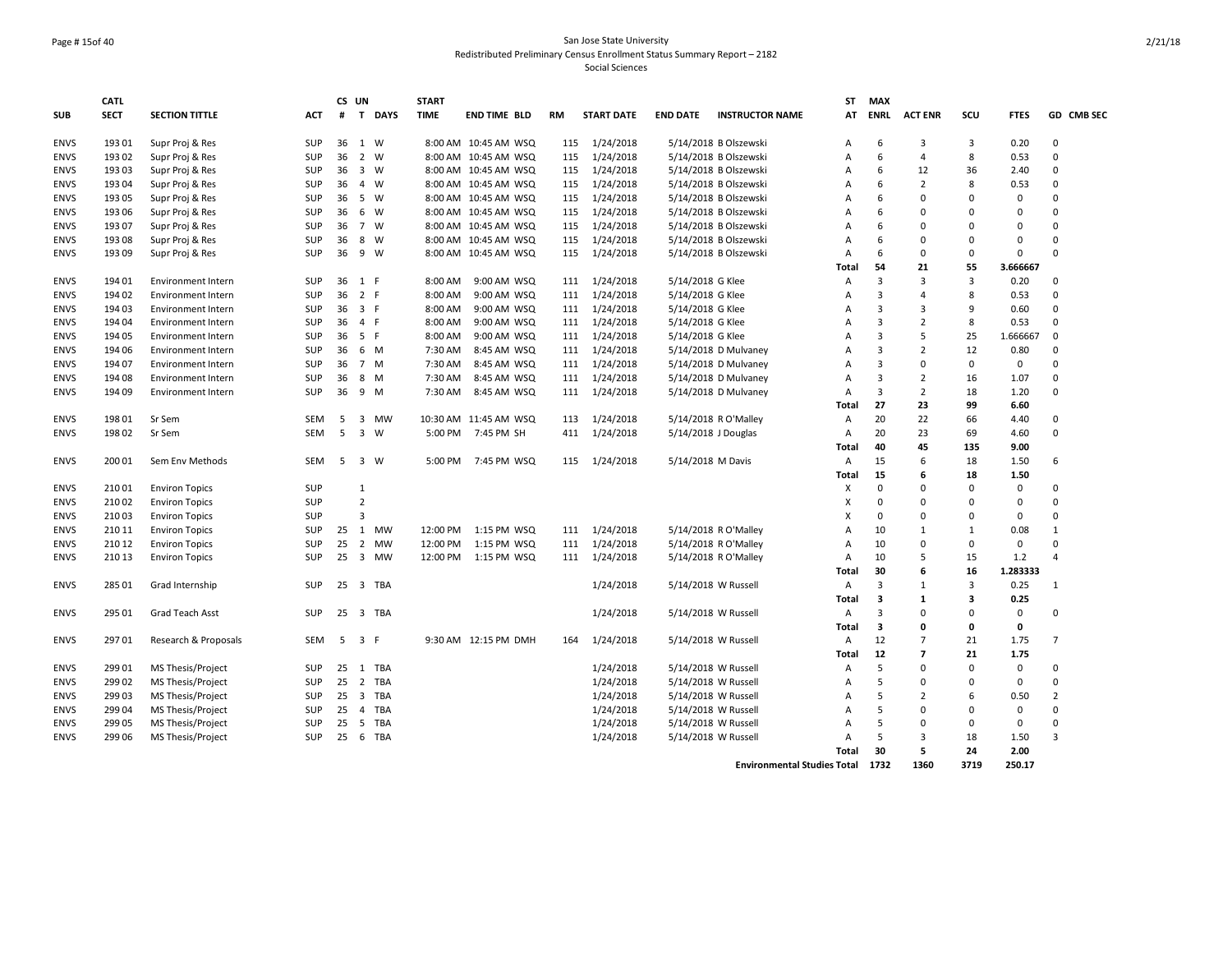#### Page # 15of 40 San Jose State University Redistributed Preliminary Census Enrollment Status Summary Report – 2182 Social Sciences

|             | <b>CATL</b> |                           |            | CS UN |                                       | <b>START</b> |                       |     |                   |                       |                                    | ST             | <b>MAX</b>              |                                  |                         |              |                            |
|-------------|-------------|---------------------------|------------|-------|---------------------------------------|--------------|-----------------------|-----|-------------------|-----------------------|------------------------------------|----------------|-------------------------|----------------------------------|-------------------------|--------------|----------------------------|
| <b>SUB</b>  | <b>SECT</b> | <b>SECTION TITTLE</b>     | <b>ACT</b> | #     | T DAYS                                | <b>TIME</b>  | <b>END TIME BLD</b>   | RM  | <b>START DATE</b> | <b>END DATE</b>       | <b>INSTRUCTOR NAME</b>             | AT             | <b>ENRL</b>             | <b>ACT ENR</b>                   | SCU                     | <b>FTES</b>  | GD CMB SEC                 |
| <b>ENVS</b> | 193 01      | Supr Proj & Res           | SUP        | 36    | 1 W                                   |              | 8:00 AM 10:45 AM WSQ  | 115 | 1/24/2018         |                       | 5/14/2018 B Olszewski              | A              | 6                       | 3                                | 3                       | 0.20         | 0                          |
| <b>ENVS</b> | 193 02      | Supr Proj & Res           | SUP        | 36    | $\overline{2}$<br>W                   |              | 8:00 AM 10:45 AM WSQ  | 115 | 1/24/2018         |                       | 5/14/2018 B Olszewski              | A              | 6                       | $\overline{4}$                   | 8                       | 0.53         | $\mathbf 0$                |
| <b>ENVS</b> | 19303       | Supr Proj & Res           | SUP        | 36    | $\overline{\mathbf{3}}$<br>W          |              | 8:00 AM 10:45 AM WSQ  | 115 | 1/24/2018         |                       | 5/14/2018 B Olszewski              | A              | 6                       | 12                               | 36                      | 2.40         | $\mathbf 0$                |
| ENVS        | 193 04      | Supr Proj & Res           | SUP        | 36    | $\overline{4}$<br>W                   |              | 8:00 AM 10:45 AM WSQ  | 115 | 1/24/2018         |                       | 5/14/2018 B Olszewski              | A              | 6                       | $\overline{2}$                   | 8                       | 0.53         | $\Omega$                   |
| <b>ENVS</b> | 193 05      | Supr Proj & Res           | SUP        | 36    | - 5<br>W                              |              | 8:00 AM 10:45 AM WSQ  | 115 | 1/24/2018         |                       | 5/14/2018 B Olszewski              | A              | 6                       | $\Omega$                         | $\Omega$                | $\mathbf 0$  | $\Omega$                   |
| <b>ENVS</b> | 193 06      | Supr Proj & Res           | SUP        | 36    | 6<br>W                                |              | 8:00 AM 10:45 AM WSQ  | 115 | 1/24/2018         |                       | 5/14/2018 B Olszewski              | A              | 6                       | $\Omega$                         | $\Omega$                | $\mathbf 0$  | $\Omega$                   |
| <b>ENVS</b> | 193 07      | Supr Proj & Res           | SUP        | 36    | $\overline{7}$<br>W                   |              | 8:00 AM 10:45 AM WSQ  | 115 | 1/24/2018         |                       | 5/14/2018 B Olszewski              | A              | 6                       | $\Omega$                         | $\Omega$                | 0            | $\Omega$                   |
| <b>ENVS</b> | 193 08      | Supr Proj & Res           | SUP        | 36    | 8<br>W                                |              | 8:00 AM 10:45 AM WSQ  | 115 | 1/24/2018         |                       | 5/14/2018 B Olszewski              | A              | 6                       | $\mathbf 0$                      | $\Omega$                | 0            | $\Omega$                   |
| <b>ENVS</b> | 193 09      | Supr Proj & Res           | SUP        | 36    | 9<br>W                                |              | 8:00 AM 10:45 AM WSQ  | 115 | 1/24/2018         |                       | 5/14/2018 B Olszewski              | A              | 6                       | $\mathbf 0$                      | $\Omega$                | $\Omega$     | $\Omega$                   |
|             |             |                           |            |       |                                       |              |                       |     |                   |                       |                                    | Total          | 54                      | 21                               | 55                      | 3.666667     |                            |
| <b>ENVS</b> | 194 01      | <b>Environment Intern</b> | SUP        | 36    | 1 F                                   | 8:00 AM      | 9:00 AM WSQ           | 111 | 1/24/2018         | 5/14/2018 G Klee      |                                    | Α              | 3                       | 3                                | 3                       | 0.20         | $\mathbf 0$                |
| <b>ENVS</b> | 194 02      | <b>Environment Intern</b> | SUP        | 36    | 2 F                                   | 8:00 AM      | 9:00 AM WSQ           | 111 | 1/24/2018         | 5/14/2018 G Klee      |                                    | A              | $\overline{3}$          | $\overline{4}$                   | 8                       | 0.53         | $\mathbf 0$                |
| <b>ENVS</b> | 194 03      | Environment Intern        | SUP        | 36    | 3 F                                   | 8:00 AM      | 9:00 AM WSQ           | 111 | 1/24/2018         | 5/14/2018 G Klee      |                                    | A              | 3                       | 3                                | 9                       | 0.60         | $\mathbf 0$                |
| <b>ENVS</b> | 194 04      | <b>Environment Intern</b> | SUP        | 36    | 4 F                                   | 8:00 AM      | 9:00 AM WSQ           | 111 | 1/24/2018         | 5/14/2018 G Klee      |                                    | A              | $\overline{3}$          | $\overline{2}$                   | 8                       | 0.53         | $\mathbf 0$                |
| <b>ENVS</b> | 194 05      | <b>Environment Intern</b> | SUP        | 36    | 5 F                                   | 8:00 AM      | 9:00 AM WSQ           | 111 | 1/24/2018         | 5/14/2018 G Klee      |                                    | A              | $\overline{3}$          | 5                                | 25                      | 1.666667     | $\mathbf 0$                |
| <b>ENVS</b> | 194 06      | <b>Environment Intern</b> | SUP        | 36    | 6<br>M                                | 7:30 AM      | 8:45 AM WSQ           | 111 | 1/24/2018         |                       | 5/14/2018 D Mulvaney               | A              | $\overline{3}$          | $\overline{2}$                   | 12                      | 0.80         | $\mathbf 0$                |
| <b>ENVS</b> | 194 07      | <b>Environment Intern</b> | SUP        | 36    | 7 M                                   | 7:30 AM      | 8:45 AM WSQ           | 111 | 1/24/2018         |                       | 5/14/2018 D Mulvaney               | A              | 3                       | $\mathbf 0$                      | $\mathbf 0$             | 0            | $\Omega$                   |
| <b>ENVS</b> | 194 08      | <b>Environment Intern</b> | SUP        | 36    | 8<br>M                                | 7:30 AM      | 8:45 AM WSQ           | 111 | 1/24/2018         |                       | 5/14/2018 D Mulvaney               | $\overline{A}$ | 3                       | $\overline{2}$                   | 16                      | 1.07         | 0                          |
| <b>ENVS</b> | 194 09      | <b>Environment Intern</b> | <b>SUP</b> | 36    | 9 M                                   | 7:30 AM      | 8:45 AM WSQ           | 111 | 1/24/2018         |                       | 5/14/2018 D Mulvaney               | A              | 3                       | $\overline{2}$                   | 18                      | 1.20         | $\Omega$                   |
|             |             |                           |            |       |                                       |              |                       |     |                   |                       |                                    | Total          | 27                      | 23                               | 99                      | 6.60         |                            |
| <b>ENVS</b> | 198 01      | Sr Sem                    | SEM        | 5     | 3<br><b>MW</b>                        |              | 10:30 AM 11:45 AM WSQ | 113 | 1/24/2018         |                       | 5/14/2018 R O'Malley               | $\overline{A}$ | 20                      | 22                               | 66                      | 4.40         | 0                          |
| <b>ENVS</b> | 198 02      | Sr Sem                    | SEM        | 5     | $\overline{\mathbf{3}}$<br>W          | 5:00 PM      | 7:45 PM SH            | 411 | 1/24/2018         | $5/14/2018$ J Douglas |                                    | A              | 20                      | 23                               | 69                      | 4.60         | 0                          |
|             |             |                           |            |       |                                       |              |                       |     |                   |                       |                                    | Total          | 40                      | 45                               | 135                     | 9.00         |                            |
| <b>ENVS</b> | 200 01      | Sem Env Methods           | SEM        | 5     | $\overline{\mathbf{3}}$<br>W          | 5:00 PM      | 7:45 PM WSQ           | 115 | 1/24/2018         | 5/14/2018 M Davis     |                                    | Α              | 15                      | 6                                | 18                      | 1.50         | 6                          |
|             |             |                           |            |       |                                       |              |                       |     |                   |                       |                                    | Total          | 15                      | 6                                | 18                      | 1.50         |                            |
| <b>ENVS</b> | 21001       |                           | SUP        |       | $\mathbf{1}$                          |              |                       |     |                   |                       |                                    | X              | $\Omega$                | $\mathbf 0$                      | $\Omega$                | $\mathbf 0$  | $\Omega$                   |
| <b>ENVS</b> | 210 02      | <b>Environ Topics</b>     | SUP        |       | $\overline{2}$                        |              |                       |     |                   |                       |                                    | X              | $\Omega$                | $\Omega$                         | $\Omega$                | 0            | $\Omega$                   |
|             | 21003       | <b>Environ Topics</b>     |            |       | $\overline{3}$                        |              |                       |     |                   |                       |                                    |                | $\Omega$                | $\mathbf 0$                      | $\Omega$                | $\mathbf 0$  | $\Omega$                   |
| <b>ENVS</b> | 210 11      | <b>Environ Topics</b>     | SUP        |       | MW                                    | 12:00 PM     | 1:15 PM WSQ           | 111 | 1/24/2018         |                       | 5/14/2018 R O'Malley               | X<br>A         | 10                      | 1                                | $\mathbf{1}$            |              | $\mathbf{1}$               |
| <b>ENVS</b> |             | <b>Environ Topics</b>     | SUP        | 25    | 1                                     |              |                       |     |                   |                       |                                    |                |                         | $\mathbf 0$                      | $\Omega$                | 0.08         | $\Omega$                   |
| <b>ENVS</b> | 210 12      | <b>Environ Topics</b>     | SUP        | 25    | $\overline{2}$<br><b>MW</b>           | 12:00 PM     | 1:15 PM WSQ           | 111 | 1/24/2018         |                       | 5/14/2018 R O'Malley               | $\overline{A}$ | 10                      |                                  |                         | 0            | 4                          |
| <b>ENVS</b> | 210 13      | <b>Environ Topics</b>     | SUP        | 25    | $\overline{\mathbf{3}}$<br><b>MW</b>  | 12:00 PM     | 1:15 PM WSQ           |     | 111 1/24/2018     |                       | 5/14/2018 R O'Malley               | A              | 10                      | 5<br>6                           | 15                      | 1.2          |                            |
|             |             |                           |            |       |                                       |              |                       |     |                   |                       |                                    | Total          | 30                      |                                  | 16                      | 1.283333     |                            |
| <b>ENVS</b> | 285 01      | Grad Internship           | SUP        | 25    | 3 TBA                                 |              |                       |     | 1/24/2018         | 5/14/2018 W Russell   |                                    | Α              | 3                       | $\mathbf{1}$                     | 3                       | 0.25         | $\mathbf{1}$               |
|             |             |                           |            |       |                                       |              |                       |     |                   |                       |                                    | Total          | 3                       | $\mathbf{1}$                     | $\overline{\mathbf{3}}$ | 0.25         |                            |
| <b>ENVS</b> | 295 01      | Grad Teach Asst           | SUP        | 25    | 3 TBA                                 |              |                       |     | 1/24/2018         | 5/14/2018 W Russell   |                                    | Α              | 3                       | $\mathbf 0$                      | $\Omega$                | 0            | $\mathbf 0$                |
|             |             |                           |            |       |                                       |              |                       |     |                   |                       |                                    | Total          | $\overline{\mathbf{3}}$ | $\mathbf 0$                      | 0                       | 0            |                            |
| <b>ENVS</b> | 297 01      | Research & Proposals      | SEM        | 5     | 3 F                                   |              | 9:30 AM 12:15 PM DMH  | 164 | 1/24/2018         | 5/14/2018 W Russell   |                                    | Α<br>Total     | 12<br>12                | $\overline{7}$<br>$\overline{7}$ | 21<br>21                | 1.75<br>1.75 | $\overline{7}$             |
| <b>ENVS</b> | 299 01      | MS Thesis/Project         | <b>SUP</b> | 25    | 1<br>TBA                              |              |                       |     | 1/24/2018         | 5/14/2018 W Russell   |                                    | A              | 5                       | $\Omega$                         | $\Omega$                | 0            | $\Omega$                   |
| <b>ENVS</b> | 299 02      | MS Thesis/Project         | SUP        | 25    | $\overline{2}$<br>TBA                 |              |                       |     | 1/24/2018         | 5/14/2018 W Russell   |                                    | $\overline{A}$ | 5                       | $\mathbf 0$                      | $\mathbf 0$             | 0            | 0                          |
|             |             |                           |            |       |                                       |              |                       |     |                   |                       |                                    |                | 5                       |                                  |                         |              |                            |
| <b>ENVS</b> | 299 03      | MS Thesis/Project         | SUP        | 25    | $\overline{\mathbf{3}}$<br><b>TBA</b> |              |                       |     | 1/24/2018         | 5/14/2018 W Russell   |                                    | A<br>A         | 5                       | $\overline{2}$<br>$\mathbf 0$    | 6<br>$\Omega$           | 0.50         | $\overline{2}$<br>$\Omega$ |
| ENVS        | 299 04      | MS Thesis/Project         | SUP        | 25    | $\overline{4}$<br>TBA                 |              |                       |     | 1/24/2018         | 5/14/2018 W Russell   |                                    |                | 5                       |                                  |                         | 0            |                            |
| <b>ENVS</b> | 299 05      | MS Thesis/Project         | SUP        | 25    | 5<br>TBA                              |              |                       |     | 1/24/2018         | 5/14/2018 W Russell   |                                    | A              | 5                       | 0                                | $\mathbf 0$             | 0            | 0                          |
| <b>ENVS</b> | 299 06      | MS Thesis/Project         | <b>SUP</b> | 25    | 6<br>TBA                              |              |                       |     | 1/24/2018         | 5/14/2018 W Russell   |                                    | A              | 30                      | $\overline{3}$<br>5              | 18<br>24                | 1.50<br>2.00 | $\overline{3}$             |
|             |             |                           |            |       |                                       |              |                       |     |                   |                       |                                    | Total          |                         | 1360                             |                         |              |                            |
|             |             |                           |            |       |                                       |              |                       |     |                   |                       | <b>Environmental Studies Total</b> |                | 1732                    |                                  | 3719                    | 250.17       |                            |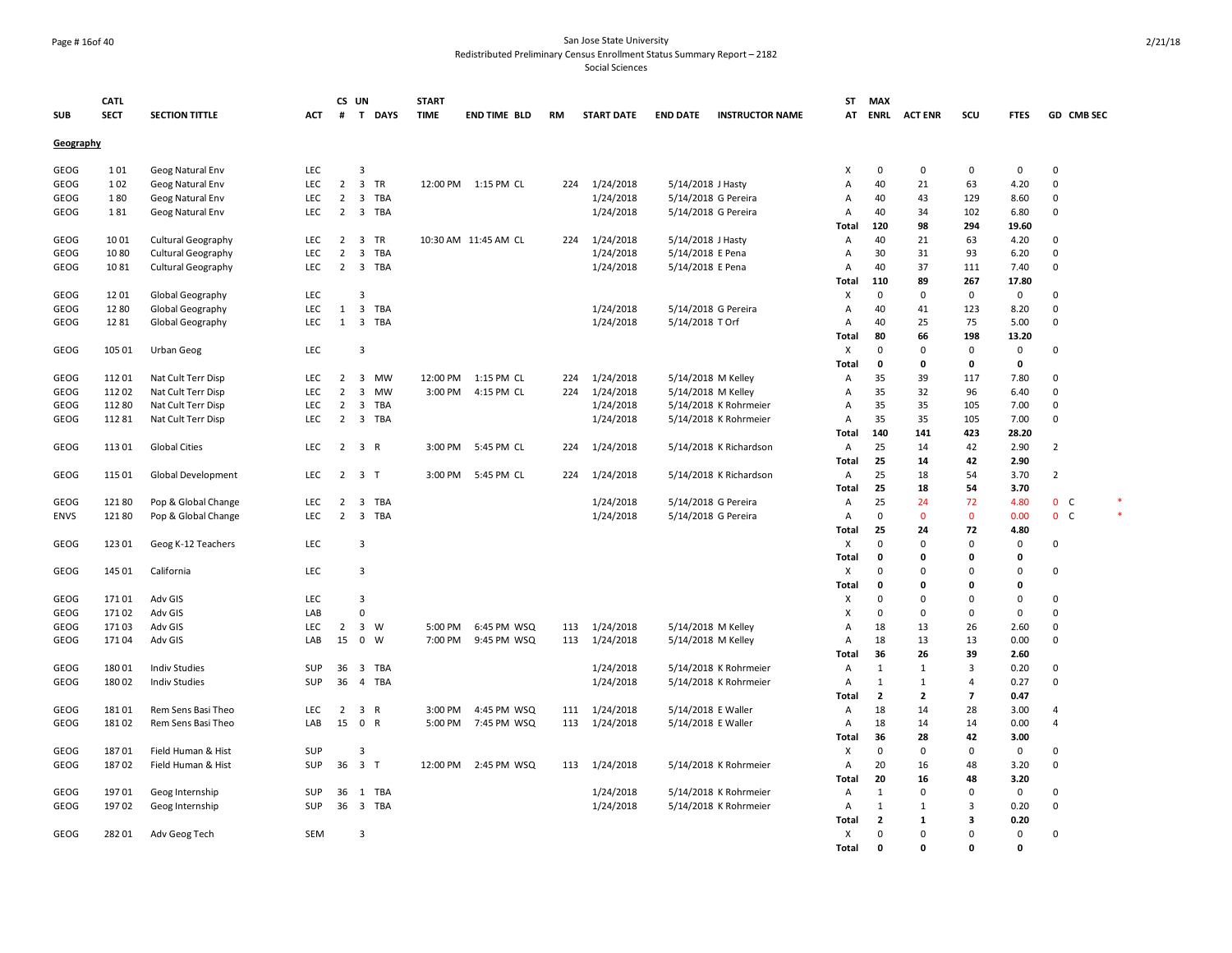#### Page # 16of 40 San Jose State University Redistributed Preliminary Census Enrollment Status Summary Report – 2182

|             | CATL        |                           |            |                 | CS UN                                   | <b>START</b> |                         |     |                   |                    |                        | SΤ             | <b>MAX</b>     |                |                          |              |                |  |
|-------------|-------------|---------------------------|------------|-----------------|-----------------------------------------|--------------|-------------------------|-----|-------------------|--------------------|------------------------|----------------|----------------|----------------|--------------------------|--------------|----------------|--|
| <b>SUB</b>  | <b>SECT</b> | <b>SECTION TITTLE</b>     | ACT        | #               | T DAYS                                  | <b>TIME</b>  | <b>END TIME BLD</b>     | RM  | <b>START DATE</b> | <b>END DATE</b>    | <b>INSTRUCTOR NAME</b> | AT             | <b>ENRL</b>    | <b>ACT ENR</b> | scu                      | <b>FTES</b>  | GD CMB SEC     |  |
| Geography   |             |                           |            |                 |                                         |              |                         |     |                   |                    |                        |                |                |                |                          |              |                |  |
| GEOG        | 101         | Geog Natural Env          | LEC        |                 | 3                                       |              |                         |     |                   |                    |                        | X              | 0              | 0              | 0                        | $\mathbf 0$  | $\mathbf 0$    |  |
| GEOG        | 102         | Geog Natural Env          | LEC        | $\overline{2}$  | $\overline{\mathbf{3}}$<br>TR           |              | 12:00 PM   1:15 PM   CL | 224 | 1/24/2018         | 5/14/2018 J Hasty  |                        | A              | 40             | 21             | 63                       | 4.20         | $\mathbf 0$    |  |
| GEOG        | 180         | Geog Natural Env          | LEC        | $\overline{2}$  | $\overline{\mathbf{3}}$<br><b>TBA</b>   |              |                         |     | 1/24/2018         |                    | 5/14/2018 G Pereira    | Α              | 40             | 43             | 129                      | 8.60         | $\mathbf{0}$   |  |
| GEOG        | 181         | Geog Natural Env          | <b>LEC</b> | $\overline{2}$  | 3<br>TBA                                |              |                         |     | 1/24/2018         |                    | 5/14/2018 G Pereira    | Α              | 40             | 34             | 102                      | 6.80         | $\mathbf 0$    |  |
|             |             |                           |            |                 |                                         |              |                         |     |                   |                    |                        | <b>Total</b>   | 120            | 98             | 294                      | 19.60        |                |  |
| GEOG        | 1001        | <b>Cultural Geography</b> | LEC        | $2^{\circ}$     | $\overline{\mathbf{3}}$<br>TR           |              | 10:30 AM 11:45 AM CL    | 224 | 1/24/2018         | 5/14/2018 J Hasty  |                        | Α              | 40             | 21             | 63                       | 4.20         | $\mathbf 0$    |  |
| GEOG        | 1080        | <b>Cultural Geography</b> | <b>LEC</b> | $\overline{2}$  | 3<br>TBA                                |              |                         |     | 1/24/2018         | 5/14/2018 E Pena   |                        | Α              | 30             | 31             | 93                       | 6.20         | 0              |  |
| GEOG        | 1081        | <b>Cultural Geography</b> | LEC        | $\overline{2}$  | 3 TBA                                   |              |                         |     | 1/24/2018         | 5/14/2018 E Pena   |                        | A              | 40             | 37             | 111                      | 7.40         | $\mathbf 0$    |  |
|             |             |                           |            |                 |                                         |              |                         |     |                   |                    |                        | Total          | 110            | 89             | 267                      | 17.80        |                |  |
| GEOG        | 1201        | Global Geography          | LEC        |                 | 3                                       |              |                         |     |                   |                    |                        | X              | $\mathbf 0$    | $\mathbf 0$    | 0                        | $\mathbf 0$  | $\mathbf 0$    |  |
| GEOG        | 1280        | Global Geography          | LEC        | 1               | $\overline{\mathbf{3}}$<br><b>TBA</b>   |              |                         |     | 1/24/2018         |                    | 5/14/2018 G Pereira    | A              | 40             | 41             | 123                      | 8.20         | $\mathbf 0$    |  |
| GEOG        | 1281        | Global Geography          | LEC        | 1               | $\overline{\mathbf{3}}$<br>TBA          |              |                         |     | 1/24/2018         | 5/14/2018 T Orf    |                        | A              | 40             | 25             | 75                       | 5.00         | 0              |  |
|             |             |                           |            |                 |                                         |              |                         |     |                   |                    |                        | Total          | 80             | 66             | 198                      | 13.20        |                |  |
| GEOG        | 105 01      | Urban Geog                | <b>LEC</b> |                 | 3                                       |              |                         |     |                   |                    |                        | Χ              | $\mathbf 0$    | 0              | 0                        | 0            | 0              |  |
|             |             |                           |            |                 |                                         |              |                         |     |                   |                    |                        | Total          | 0              | 0              | 0                        | $\mathbf 0$  |                |  |
| GEOG        | 11201       | Nat Cult Terr Disp        | <b>LEC</b> | $\overline{2}$  | 3<br>MW                                 | 12:00 PM     | 1:15 PM CL              | 224 | 1/24/2018         |                    | 5/14/2018 M Kelley     | A              | 35             | 39             | 117                      | 7.80         | $\mathbf 0$    |  |
| GEOG        | 11202       | Nat Cult Terr Disp        | <b>LEC</b> | $\overline{2}$  | $\overline{\mathbf{3}}$<br><b>MW</b>    | 3:00 PM      | 4:15 PM CL              | 224 | 1/24/2018         | 5/14/2018 M Kelley |                        | $\overline{A}$ | 35             | 32             | 96                       | 6.40         | $\mathbf 0$    |  |
| GEOG        | 11280       | Nat Cult Terr Disp        | LEC        | $\overline{2}$  | 3<br>TBA                                |              |                         |     | 1/24/2018         |                    | 5/14/2018 K Rohrmeier  | Α              | 35             | 35             | 105                      | 7.00         | $\mathbf 0$    |  |
| GEOG        | 11281       | Nat Cult Terr Disp        | LEC        | $\overline{2}$  | 3 TBA                                   |              |                         |     | 1/24/2018         |                    | 5/14/2018 K Rohrmeier  | A              | 35             | 35             | 105                      | 7.00         | 0              |  |
|             |             |                           |            |                 |                                         |              |                         |     |                   |                    |                        | Total          | 140            | 141            | 423                      | 28.20        |                |  |
| GEOG        | 11301       | <b>Global Cities</b>      | <b>LEC</b> | $\overline{2}$  | $\overline{\mathbf{3}}$<br>R            | 3:00 PM      | 5:45 PM CL              | 224 | 1/24/2018         |                    | 5/14/2018 K Richardson | A              | 25             | 14             | 42                       | 2.90         | $\overline{2}$ |  |
|             |             |                           |            |                 |                                         |              |                         |     |                   |                    |                        | <b>Total</b>   | 25             | 14             | 42                       | 2.90         |                |  |
| GEOG        | 115 01      | Global Development        | <b>LEC</b> | $\overline{2}$  | 3 <sub>1</sub>                          | 3:00 PM      | 5:45 PM CL              | 224 | 1/24/2018         |                    | 5/14/2018 K Richardson | A              | 25             | 18             | 54                       | 3.70         | $\overline{2}$ |  |
|             |             |                           |            |                 |                                         |              |                         |     |                   |                    |                        | <b>Total</b>   | 25             | 18             | 54                       | 3.70         |                |  |
| GEOG        | 12180       | Pop & Global Change       | LEC        | $\overline{2}$  | <b>TBA</b><br>3                         |              |                         |     | 1/24/2018         |                    | 5/14/2018 G Pereira    | A              | 25             | 24             | 72                       | 4.80         | 0 <sub>c</sub> |  |
| <b>ENVS</b> | 12180       | Pop & Global Change       | LEC        | $\overline{2}$  | $\overline{\mathbf{3}}$<br><b>TBA</b>   |              |                         |     | 1/24/2018         |                    | 5/14/2018 G Pereira    | A              | $\mathbf 0$    | $\mathbf{0}$   | $\mathbf{0}$             | 0.00         | 0 <sup>o</sup> |  |
|             |             |                           |            |                 |                                         |              |                         |     |                   |                    |                        | Total          | 25             | 24             | 72                       | 4.80         |                |  |
| GEOG        | 123 01      | Geog K-12 Teachers        | LEC        |                 | 3                                       |              |                         |     |                   |                    |                        | Χ              | $\Omega$       | $\Omega$       | $\mathbf 0$              | 0            | 0              |  |
|             |             |                           |            |                 |                                         |              |                         |     |                   |                    |                        | Total          | 0              | 0              | 0                        | 0            |                |  |
| GEOG        | 145 01      | California                | LEC        |                 | 3                                       |              |                         |     |                   |                    |                        | Χ              | $\Omega$       | $\Omega$       | $\Omega$                 | $\mathbf 0$  | 0              |  |
|             |             |                           |            |                 |                                         |              |                         |     |                   |                    |                        | <b>Total</b>   | 0              | 0              | 0                        | $\mathbf{0}$ |                |  |
| GEOG        | 17101       | Adv GIS                   | LEC        |                 | 3                                       |              |                         |     |                   |                    |                        | X              | $\mathbf 0$    | $\mathbf 0$    | $\Omega$                 | $\mathbf 0$  | $\mathbf 0$    |  |
| GEOG        | 17102       | Adv GIS                   | LAB        |                 | $\mathbf 0$                             |              |                         |     |                   |                    |                        | X              | $\Omega$       | $\Omega$       | $\Omega$                 | $\mathbf 0$  | $\mathbf 0$    |  |
| GEOG        | 17103       | Adv GIS                   | LEC        | $\overline{2}$  | $\overline{\mathbf{3}}$<br>W            | 5:00 PM      | 6:45 PM WSQ             | 113 | 1/24/2018         | 5/14/2018 M Kelley |                        | A              | 18             | 13             | 26                       | 2.60         | $\mathbf 0$    |  |
| GEOG        | 17104       | Adv GIS                   | LAB        | 15              | $\mathbf 0$<br>W                        | 7:00 PM      | 9:45 PM WSQ             | 113 | 1/24/2018         | 5/14/2018 M Kelley |                        | A              | 18             | 13             | 13                       | 0.00         | 0              |  |
|             |             |                           |            |                 |                                         |              |                         |     |                   |                    |                        | <b>Total</b>   | 36             | 26             | 39                       | 2.60         |                |  |
| GEOG        | 18001       | <b>Indiv Studies</b>      | SUP        | 36              | $\overline{\mathbf{3}}$<br>TBA          |              |                         |     | 1/24/2018         |                    | 5/14/2018 K Rohrmeier  | Α              | $\mathbf{1}$   | 1              | 3                        | 0.20         | 0              |  |
| GEOG        | 180 02      | <b>Indiv Studies</b>      | SUP        | 36              | $\overline{4}$<br><b>TBA</b>            |              |                         |     | 1/24/2018         |                    | 5/14/2018 K Rohrmeier  | $\overline{A}$ | 1              | 1              | 4                        | 0.27         | $\mathbf 0$    |  |
|             |             |                           |            |                 |                                         |              |                         |     |                   |                    |                        | Total          | $\overline{2}$ | $\overline{2}$ | $\overline{\phantom{a}}$ | 0.47         |                |  |
| GEOG        | 18101       | Rem Sens Basi Theo        | <b>LEC</b> | $\overline{2}$  | $\overline{\mathbf{3}}$<br>$\mathsf{R}$ | 3:00 PM      | 4:45 PM WSQ             | 111 | 1/24/2018         | 5/14/2018 E Waller |                        | Α              | 18             | 14             | 28                       | 3.00         | $\overline{4}$ |  |
| GEOG        | 18102       | Rem Sens Basi Theo        | LAB        | 15 0            | $\mathsf{R}$                            | 5:00 PM      | 7:45 PM WSQ             | 113 | 1/24/2018         | 5/14/2018 E Waller |                        | A              | 18             | 14             | 14                       | 0.00         | $\overline{4}$ |  |
|             |             |                           |            |                 |                                         |              |                         |     |                   |                    |                        | Total          | 36             | 28             | 42                       | 3.00         |                |  |
| GEOG        | 18701       | Field Human & Hist        | SUP        |                 | 3                                       |              |                         |     |                   |                    |                        | X              | 0              | $\Omega$       | $\Omega$                 | 0            | $\mathbf 0$    |  |
| GEOG        | 18702       | Field Human & Hist        | SUP        |                 | 36 3 T                                  | 12:00 PM     | 2:45 PM WSQ             | 113 | 1/24/2018         |                    | 5/14/2018 K Rohrmeier  | Α              | 20             | 16             | 48                       | 3.20         | $\mathbf 0$    |  |
|             |             |                           |            |                 |                                         |              |                         |     |                   |                    |                        | <b>Total</b>   | 20             | 16             | 48                       | 3.20         |                |  |
| GEOG        | 19701       | Geog Internship           | SUP        | 36              | 1 TBA                                   |              |                         |     | 1/24/2018         |                    | 5/14/2018 K Rohrmeier  | A              | 1              | $\mathbf 0$    | $\mathbf 0$              | $\mathbf 0$  | $\mathbf 0$    |  |
| GEOG        | 19702       | Geog Internship           | <b>SUP</b> | 36 <sub>3</sub> | <b>TBA</b>                              |              |                         |     | 1/24/2018         |                    | 5/14/2018 K Rohrmeier  | A              | $\mathbf{1}$   | $\mathbf{1}$   | 3                        | 0.20         | $\mathbf 0$    |  |
|             |             |                           |            |                 |                                         |              |                         |     |                   |                    |                        | Total          | $\overline{2}$ | 1              | 3                        | 0.20         |                |  |
| GEOG        | 282 01      | Adv Geog Tech             | SEM        |                 | 3                                       |              |                         |     |                   |                    |                        | Χ              | 0              | $\Omega$       | $\Omega$                 | $\mathbf 0$  | $\mathbf 0$    |  |
|             |             |                           |            |                 |                                         |              |                         |     |                   |                    |                        | <b>Total</b>   | $\mathbf{0}$   | O              | O                        | $\Omega$     |                |  |
|             |             |                           |            |                 |                                         |              |                         |     |                   |                    |                        |                |                |                |                          |              |                |  |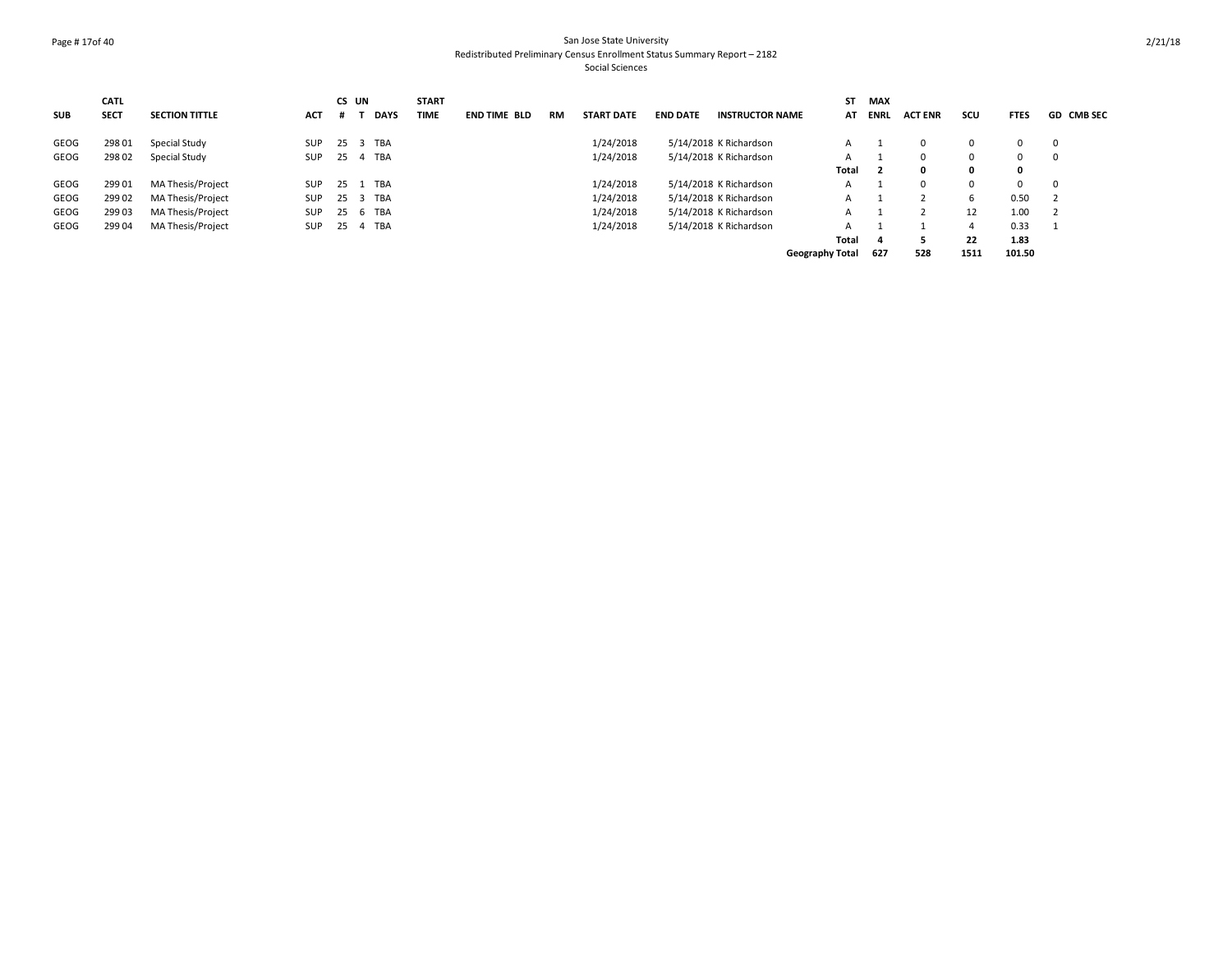#### Page # 17of 40 San Jose State University Redistributed Preliminary Census Enrollment Status Summary Report – 2182 Social Sciences

|            | <b>CATL</b> |                       |            |    | CS UN       | <b>START</b> |                     |    |                   |                 |                        | ST                     | MAX                     |                |      |              |                   |
|------------|-------------|-----------------------|------------|----|-------------|--------------|---------------------|----|-------------------|-----------------|------------------------|------------------------|-------------------------|----------------|------|--------------|-------------------|
| <b>SUB</b> | <b>SECT</b> | <b>SECTION TITTLE</b> | <b>ACT</b> |    | <b>DAYS</b> | <b>TIME</b>  | <b>END TIME BLD</b> | RM | <b>START DATE</b> | <b>END DATE</b> | <b>INSTRUCTOR NAME</b> | AT                     | <b>ENRL</b>             | <b>ACT ENR</b> | scu  | <b>FTES</b>  | <b>GD CMB SEC</b> |
| GEOG       | 298 01      | Special Study         | SUP        | 25 | 3 TBA       |              |                     |    | 1/24/2018         |                 | 5/14/2018 K Richardson | A                      |                         | $\Omega$       | 0    | 0            | $\mathbf{0}$      |
| GEOG       | 298 02      | Special Study         | <b>SUP</b> |    | 25 4 TBA    |              |                     |    | 1/24/2018         |                 | 5/14/2018 K Richardson | A                      |                         |                | 0    | 0            | $\mathbf 0$       |
|            |             |                       |            |    |             |              |                     |    |                   |                 |                        | Total                  | $\overline{\mathbf{2}}$ |                | 0    | $\mathbf{o}$ |                   |
| GEOG       | 299 01      | MA Thesis/Project     | SUP        | 25 | 1 TBA       |              |                     |    | 1/24/2018         |                 | 5/14/2018 K Richardson | A                      |                         |                | 0    | 0            | $\mathbf 0$       |
| GEOG       | 299 02      | MA Thesis/Project     | SUP        | 25 | 3 TBA       |              |                     |    | 1/24/2018         |                 | 5/14/2018 K Richardson | A                      |                         |                | 6    | 0.50         |                   |
| GEOG       | 299 03      | MA Thesis/Project     | SUP        |    | 25 6 TBA    |              |                     |    | 1/24/2018         |                 | 5/14/2018 K Richardson | A                      |                         |                | 12   | 1.00         |                   |
| GEOG       | 299 04      | MA Thesis/Project     | <b>SUP</b> |    | 25  4  TBA  |              |                     |    | 1/24/2018         |                 | 5/14/2018 K Richardson | A                      |                         |                |      | 0.33         |                   |
|            |             |                       |            |    |             |              |                     |    |                   |                 |                        | <b>Total</b>           | 4                       |                | 22   | 1.83         |                   |
|            |             |                       |            |    |             |              |                     |    |                   |                 |                        | <b>Geography Total</b> | 627                     | 528            | 1511 | 101.50       |                   |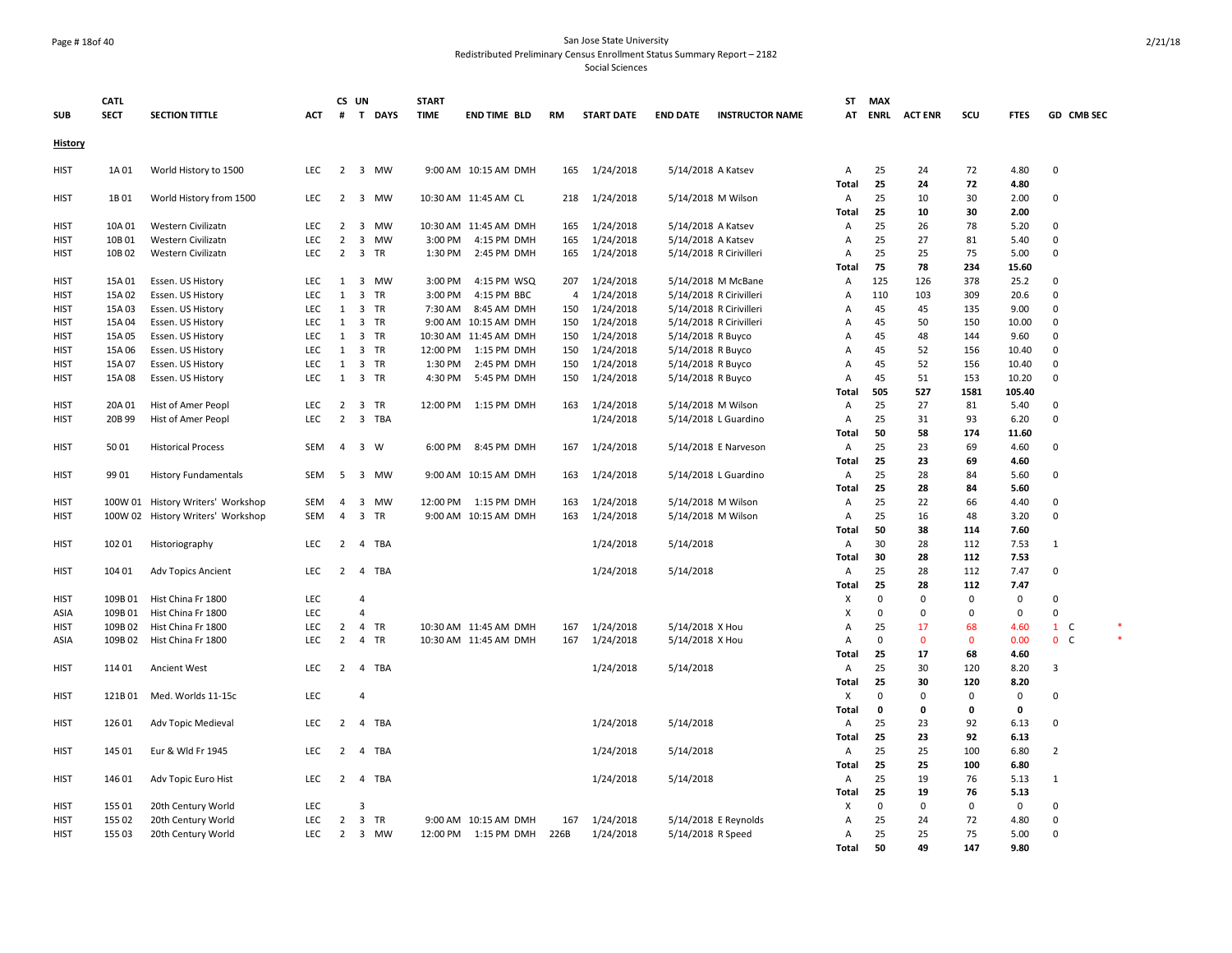#### Page # 18of 40 San Jose State University Redistributed Preliminary Census Enrollment Status Summary Report – 2182

|                | <b>CATL</b> |                                   |            |                | CS UN                   |             | <b>START</b> |                        |                |                   |                    |                         | ST             | <b>MAX</b>  |                |             |              |                |  |
|----------------|-------------|-----------------------------------|------------|----------------|-------------------------|-------------|--------------|------------------------|----------------|-------------------|--------------------|-------------------------|----------------|-------------|----------------|-------------|--------------|----------------|--|
| <b>SUB</b>     | <b>SECT</b> | <b>SECTION TITTLE</b>             | <b>ACT</b> | #              | T                       | <b>DAYS</b> | <b>TIME</b>  | <b>END TIME BLD</b>    | RM             | <b>START DATE</b> | <b>END DATE</b>    | <b>INSTRUCTOR NAME</b>  | AT             | <b>ENRL</b> | <b>ACT ENR</b> | scu         | <b>FTES</b>  | GD CMB SEC     |  |
|                |             |                                   |            |                |                         |             |              |                        |                |                   |                    |                         |                |             |                |             |              |                |  |
| <u>History</u> |             |                                   |            |                |                         |             |              |                        |                |                   |                    |                         |                |             |                |             |              |                |  |
| HIST           | 1A 01       | World History to 1500             | <b>LEC</b> | $\overline{2}$ |                         | 3 MW        |              | 9:00 AM 10:15 AM DMH   | 165            | 1/24/2018         | 5/14/2018 A Katsev |                         | Α              | 25          | 24             | 72          | 4.80         | 0              |  |
|                |             |                                   |            |                |                         |             |              |                        |                |                   |                    |                         | Total          | 25          | 24             | 72          | 4.80         |                |  |
| HIST           | 1B 01       | World History from 1500           | <b>LEC</b> |                |                         | 2 3 MW      |              | 10:30 AM 11:45 AM CL   | 218            | 1/24/2018         |                    | 5/14/2018 M Wilson      | A              | 25          | 10             | 30          | 2.00         | 0              |  |
|                |             |                                   |            |                |                         |             |              |                        |                |                   |                    |                         | Total          | 25          | 10             | 30          | 2.00         |                |  |
| <b>HIST</b>    | 10A 01      | Western Civilizatn                | <b>LEC</b> | $\overline{2}$ | $\overline{\mathbf{3}}$ | MW          |              | 10:30 AM 11:45 AM DMH  | 165            | 1/24/2018         | 5/14/2018 A Katsev |                         | A              | 25          | 26             | 78          | 5.20         | 0              |  |
| <b>HIST</b>    | 10B01       | Western Civilizatn                | LEC        | $\overline{2}$ | 3                       | <b>MW</b>   | 3:00 PM      | 4:15 PM DMH            | 165            | 1/24/2018         | 5/14/2018 A Katsev |                         | Α              | 25          | 27             | 81          | 5.40         | $\mathbf 0$    |  |
| <b>HIST</b>    | 10B02       | Western Civilizatn                | LEC        | $\overline{2}$ | 3                       | TR          | 1:30 PM      | 2:45 PM DMH            | 165            | 1/24/2018         |                    | 5/14/2018 R Cirivilleri | A              | 25          | 25             | 75          | 5.00         | $\mathsf 0$    |  |
|                |             |                                   |            |                |                         |             |              |                        |                |                   |                    |                         | <b>Total</b>   | 75          | 78             | 234         | 15.60        |                |  |
| <b>HIST</b>    | 15A01       | Essen. US History                 | LEC        | 1              |                         | 3 MW        | 3:00 PM      | 4:15 PM WSQ            | 207            | 1/24/2018         |                    | 5/14/2018 M McBane      | Α              | 125         | 126            | 378         | 25.2         | 0              |  |
| HIST           | 15A02       | Essen. US History                 | <b>LEC</b> | 1              | 3                       | <b>TR</b>   | 3:00 PM      | 4:15 PM BBC            | $\overline{4}$ | 1/24/2018         |                    | 5/14/2018 R Cirivilleri | $\overline{A}$ | 110         | 103            | 309         | 20.6         | $\mathbf 0$    |  |
| <b>HIST</b>    | 15A 03      | Essen. US History                 | LEC        | 1              | $\overline{\mathbf{3}}$ | TR          | 7:30 AM      | 8:45 AM DMH            | 150            | 1/24/2018         |                    | 5/14/2018 R Cirivilleri | Α              | 45          | 45             | 135         | 9.00         | $\mathbf 0$    |  |
| <b>HIST</b>    | 15A 04      | Essen. US History                 | <b>LEC</b> | 1              | $\overline{\mathbf{3}}$ | TR          |              | 9:00 AM 10:15 AM DMH   | 150            | 1/24/2018         |                    | 5/14/2018 R Cirivilleri | Α              | 45          | 50             | 150         | 10.00        | $\pmb{0}$      |  |
| <b>HIST</b>    | 15A05       | Essen. US History                 | <b>LEC</b> | 1              | $\overline{3}$          | <b>TR</b>   |              | 10:30 AM 11:45 AM DMH  | 150            | 1/24/2018         | 5/14/2018 R Buyco  |                         | Α              | 45          | 48             | 144         | 9.60         | $\mathbf 0$    |  |
| <b>HIST</b>    | 15A 06      | Essen. US History                 | LEC        | 1              | $\overline{\mathbf{3}}$ | TR          | 12:00 PM     | 1:15 PM DMH            | 150            | 1/24/2018         | 5/14/2018 R Buyco  |                         | Α              | 45          | 52             | 156         | 10.40        | $\mathsf 0$    |  |
| <b>HIST</b>    | 15A 07      | Essen. US History                 | <b>LEC</b> | 1              | $\overline{\mathbf{3}}$ | TR          | 1:30 PM      | 2:45 PM DMH            | 150            | 1/24/2018         | 5/14/2018 R Buyco  |                         | Α              | 45          | 52             | 156         | 10.40        | 0              |  |
| <b>HIST</b>    | 15A08       | Essen. US History                 | LEC        | $\mathbf{1}$   |                         | 3 TR        | 4:30 PM      | 5:45 PM DMH            | 150            | 1/24/2018         | 5/14/2018 R Buyco  |                         | Α              | 45          | 51             | 153         | 10.20        | $\mathbf 0$    |  |
|                |             |                                   |            |                |                         |             |              |                        |                |                   |                    |                         | Total          | 505         | 527            | 1581        | 105.40       |                |  |
| <b>HIST</b>    | 20A 01      | Hist of Amer Peopl                | LEC        | $\overline{2}$ | $\overline{\mathbf{3}}$ | TR          | 12:00 PM     | 1:15 PM DMH            | 163            | 1/24/2018         |                    | 5/14/2018 M Wilson      | Α              | 25          | 27             | 81          | 5.40         | 0              |  |
| <b>HIST</b>    | 20B 99      | Hist of Amer Peopl                | LEC        | $\overline{2}$ | $\overline{3}$          | <b>TBA</b>  |              |                        |                | 1/24/2018         |                    | 5/14/2018 L Guardino    | Α              | 25          | 31             | 93          | 6.20         | $\mathbf 0$    |  |
|                |             |                                   |            |                |                         |             |              |                        |                |                   |                    |                         | <b>Total</b>   | 50          | 58             | 174         | 11.60        |                |  |
| <b>HIST</b>    | 5001        | <b>Historical Process</b>         | SEM        | $\overline{4}$ | $\overline{\mathbf{3}}$ | W           | 6:00 PM      | 8:45 PM DMH            | 167            | 1/24/2018         |                    | 5/14/2018 E Narveson    | A              | 25          | 23             | 69          | 4.60         | 0              |  |
|                |             |                                   |            |                |                         |             |              |                        |                |                   |                    |                         | <b>Total</b>   | 25          | 23             | 69          | 4.60         |                |  |
| <b>HIST</b>    | 9901        | <b>History Fundamentals</b>       | SEM        | 5              |                         | 3 MW        |              | 9:00 AM 10:15 AM DMH   | 163            | 1/24/2018         |                    | 5/14/2018 L Guardino    | Α              | 25          | 28             | 84          | 5.60         | 0              |  |
|                |             |                                   |            |                |                         |             |              |                        |                |                   |                    |                         | Total          | 25          | 28             | 84          | 5.60         |                |  |
| <b>HIST</b>    | 100W 01     | History Writers' Workshop         | SEM        | 4              | 3                       | <b>MW</b>   |              | 12:00 PM 1:15 PM DMH   | 163            | 1/24/2018         |                    | 5/14/2018 M Wilson      | A              | 25          | 22             | 66          | 4.40         | 0              |  |
| <b>HIST</b>    |             | 100W 02 History Writers' Workshop | <b>SEM</b> | $\overline{4}$ | 3                       | <b>TR</b>   |              | 9:00 AM 10:15 AM DMH   | 163            | 1/24/2018         |                    | 5/14/2018 M Wilson      | $\overline{A}$ | 25          | 16             | 48          | 3.20         | $\mathsf 0$    |  |
|                |             |                                   |            |                |                         |             |              |                        |                |                   |                    |                         | <b>Total</b>   | 50          | 38             | 114         | 7.60         |                |  |
| <b>HIST</b>    | 102 01      | Historiography                    | LEC        | 2              | $\overline{4}$          | TBA         |              |                        |                | 1/24/2018         | 5/14/2018          |                         | A              | 30          | 28             | 112         | 7.53         | 1              |  |
|                |             |                                   |            |                |                         |             |              |                        |                |                   |                    |                         | <b>Total</b>   | 30          | 28             | 112         | 7.53         |                |  |
| <b>HIST</b>    | 104 01      | Adv Topics Ancient                | <b>LEC</b> | 2              | $\overline{4}$          | <b>TBA</b>  |              |                        |                | 1/24/2018         | 5/14/2018          |                         | $\overline{A}$ | 25          | 28             | 112         | 7.47         | $\mathbf 0$    |  |
|                |             |                                   |            |                |                         |             |              |                        |                |                   |                    |                         | Total          | 25          | 28             | 112         | 7.47         |                |  |
| <b>HIST</b>    | 109B01      | Hist China Fr 1800                | LEC        |                | $\overline{4}$          |             |              |                        |                |                   |                    |                         | Х              | 0           | $\Omega$       | $\Omega$    | $\mathbf{0}$ | $\Omega$       |  |
| ASIA           | 109B01      | Hist China Fr 1800                | LEC        |                | $\Delta$                |             |              |                        |                |                   |                    |                         | $\pmb{\times}$ | $\Omega$    | $\Omega$       | 0           | $\mathbf{0}$ | $\mathbf 0$    |  |
| <b>HIST</b>    | 109B02      | Hist China Fr 1800                | <b>LEC</b> | $\overline{2}$ | $\overline{4}$          | <b>TR</b>   |              | 10:30 AM 11:45 AM DMH  | 167            | 1/24/2018         | 5/14/2018 X Hou    |                         | A              | 25          | 17             | 68          | 4.60         | $1 \quad C$    |  |
| ASIA           | 109B02      | Hist China Fr 1800                | LEC        | $\overline{2}$ | 4                       | <b>TR</b>   |              | 10:30 AM 11:45 AM DMH  | 167            | 1/24/2018         | 5/14/2018 X Hou    |                         | A              | $\mathsf 0$ | $\mathbf 0$    | $\mathbf 0$ | 0.00         | 0 <sub>c</sub> |  |
|                |             |                                   |            |                |                         |             |              |                        |                |                   |                    |                         | <b>Total</b>   | 25          | 17             | 68          | 4.60         |                |  |
| <b>HIST</b>    | 114 01      | Ancient West                      | LEC        |                |                         | 2 4 TBA     |              |                        |                | 1/24/2018         | 5/14/2018          |                         | Α              | 25          | 30             | 120         | 8.20         | 3              |  |
|                |             |                                   |            |                |                         |             |              |                        |                |                   |                    |                         | <b>Total</b>   | 25          | 30             | 120         | 8.20         |                |  |
| <b>HIST</b>    | 121B 01     | Med. Worlds 11-15c                | LEC        |                | 4                       |             |              |                        |                |                   |                    |                         | X              | $\mathbf 0$ | 0              | $\Omega$    | $\mathbf 0$  | $\mathbf 0$    |  |
|                |             |                                   |            |                |                         |             |              |                        |                |                   |                    |                         | <b>Total</b>   | $\mathbf 0$ | 0              | 0           | 0            |                |  |
| HIST           | 126 01      | Adv Topic Medieval                | <b>LEC</b> | 2              | 4                       | TBA         |              |                        |                | 1/24/2018         | 5/14/2018          |                         | A              | 25          | 23             | 92          | 6.13         | 0              |  |
|                |             |                                   |            |                |                         |             |              |                        |                |                   |                    |                         | Total          | 25          | 23             | 92          | 6.13         |                |  |
| <b>HIST</b>    | 145 01      | Eur & Wld Fr 1945                 | <b>LEC</b> | $\overline{2}$ | $\overline{4}$          | TBA         |              |                        |                | 1/24/2018         | 5/14/2018          |                         | A              | 25          | 25             | 100         | 6.80         | 2              |  |
|                |             |                                   |            |                |                         |             |              |                        |                |                   |                    |                         | Total          | 25          | 25             | 100         | 6.80         |                |  |
| <b>HIST</b>    | 146 01      | Adv Topic Euro Hist               | LEC        |                |                         | 2 4 TBA     |              |                        |                | 1/24/2018         | 5/14/2018          |                         | A              | 25          | 19             | 76          | 5.13         | 1              |  |
|                |             |                                   |            |                |                         |             |              |                        |                |                   |                    |                         | Total          | 25          | 19             | 76          | 5.13         |                |  |
| <b>HIST</b>    | 155 01      | 20th Century World                | LEC        |                | 3                       |             |              |                        |                |                   |                    |                         | X              | $\mathbf 0$ | $\mathbf 0$    | 0           | $\mathbf 0$  | 0              |  |
| HIST           | 155 02      | 20th Century World                | <b>LEC</b> | $\overline{2}$ | 3                       | TR          |              | 9:00 AM 10:15 AM DMH   | 167            | 1/24/2018         |                    | 5/14/2018 E Reynolds    | Α              | 25          | 24             | 72          | 4.80         | $\mathbf 0$    |  |
| <b>HIST</b>    | 155 03      | 20th Century World                | <b>LEC</b> | $\overline{2}$ |                         | 3 MW        |              | 12:00 PM   1:15 PM DMH | 226B           | 1/24/2018         | 5/14/2018 R Speed  |                         | A              | 25          | 25             | 75          | 5.00         | $\mathbf 0$    |  |
|                |             |                                   |            |                |                         |             |              |                        |                |                   |                    |                         | Total          | 50          | 49             | 147         | 9.80         |                |  |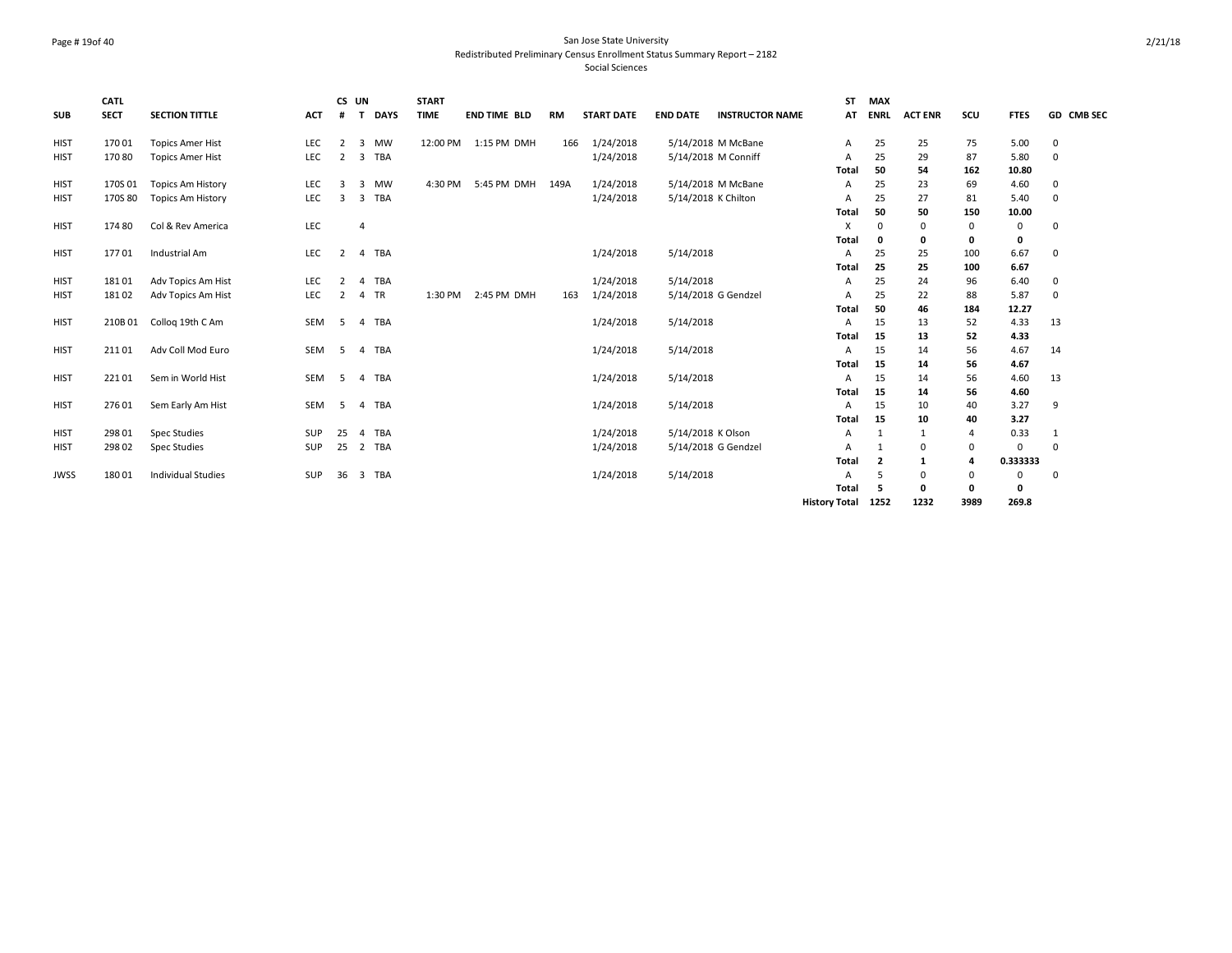#### Page # 19of 40 San Jose State University Redistributed Preliminary Census Enrollment Status Summary Report – 2182 Social Sciences

| <b>SUB</b>  | <b>CATL</b><br><b>SECT</b> | <b>SECTION TITTLE</b>     | <b>ACT</b> | #              | CS UN<br><b>DAYS</b><br>T    | <b>START</b><br><b>TIME</b> | <b>END TIME BLD</b>  | RM   | <b>START DATE</b> | <b>END DATE</b>     | <b>INSTRUCTOR NAME</b> | <b>ST</b><br>AT      | <b>MAX</b><br><b>ENRL</b> | <b>ACT ENR</b> | scu      | <b>FTES</b>  | GD CMB SEC  |
|-------------|----------------------------|---------------------------|------------|----------------|------------------------------|-----------------------------|----------------------|------|-------------------|---------------------|------------------------|----------------------|---------------------------|----------------|----------|--------------|-------------|
| <b>HIST</b> | 17001                      | <b>Topics Amer Hist</b>   | LEC        | 2              | <b>MW</b><br>3               |                             | 12:00 PM 1:15 PM DMH | 166  | 1/24/2018         |                     | 5/14/2018 M McBane     | Α                    | 25                        | 25             | 75       | 5.00         | 0           |
| <b>HIST</b> | 17080                      | <b>Topics Amer Hist</b>   | LEC        | $\overline{2}$ | <b>TBA</b><br>3              |                             |                      |      | 1/24/2018         | 5/14/2018 M Conniff |                        | Α                    | 25                        | 29             | 87       | 5.80         | $\mathbf 0$ |
|             |                            |                           |            |                |                              |                             |                      |      |                   |                     |                        | Total                | 50                        | 54             | 162      | 10.80        |             |
| <b>HIST</b> | 170S01                     | <b>Topics Am History</b>  | LEC        | $\overline{3}$ | MW<br>3                      | 4:30 PM                     | 5:45 PM DMH          | 149A | 1/24/2018         |                     | 5/14/2018 M McBane     | A                    | 25                        | 23             | 69       | 4.60         | $\mathbf 0$ |
| <b>HIST</b> | 170S 80                    | <b>Topics Am History</b>  | LEC        | $\overline{3}$ | TBA<br>3                     |                             |                      |      | 1/24/2018         | 5/14/2018 K Chilton |                        | Α                    | 25                        | 27             | 81       | 5.40         | $\mathbf 0$ |
|             |                            |                           |            |                |                              |                             |                      |      |                   |                     |                        | Total                | 50                        | 50             | 150      | 10.00        |             |
| <b>HIST</b> | 174 80                     | Col & Rev America         | LEC        |                | $\overline{4}$               |                             |                      |      |                   |                     |                        | X                    | 0                         | 0              | 0        | 0            | $\Omega$    |
|             |                            |                           |            |                |                              |                             |                      |      |                   |                     |                        | Total                | 0                         | 0              | 0        | 0            |             |
| <b>HIST</b> | 17701                      | Industrial Am             | LEC        | 2              | 4 TBA                        |                             |                      |      | 1/24/2018         | 5/14/2018           |                        | A                    | 25                        | 25             | 100      | 6.67         | $\mathbf 0$ |
|             |                            |                           |            |                |                              |                             |                      |      |                   |                     |                        | Total                | 25                        | 25             | 100      | 6.67         |             |
| <b>HIST</b> | 18101                      | Adv Topics Am Hist        | <b>LEC</b> | $\overline{2}$ | TBA<br>$\overline{a}$        |                             |                      |      | 1/24/2018         | 5/14/2018           |                        | A                    | 25                        | 24             | 96       | 6.40         | $\mathbf 0$ |
| <b>HIST</b> | 18102                      | Adv Topics Am Hist        | LEC        | $\overline{2}$ | <b>TR</b><br>4               | 1:30 PM                     | 2:45 PM DMH          | 163  | 1/24/2018         |                     | 5/14/2018 G Gendzel    | A                    | 25                        | 22             | 88       | 5.87         | $\mathbf 0$ |
|             |                            |                           |            |                |                              |                             |                      |      |                   |                     |                        | Total                | 50                        | 46             | 184      | 12.27        |             |
| <b>HIST</b> | 210B01                     | Collog 19th C Am          | SEM        | -5             | TBA<br>$\overline{4}$        |                             |                      |      | 1/24/2018         | 5/14/2018           |                        | A                    | 15                        | 13             | 52       | 4.33         | 13          |
|             |                            |                           |            |                |                              |                             |                      |      |                   |                     |                        | Total                | 15                        | 13             | 52       | 4.33         |             |
| <b>HIST</b> | 21101                      | Adv Coll Mod Euro         | SEM        | -5             | <b>TBA</b><br>$\overline{4}$ |                             |                      |      | 1/24/2018         | 5/14/2018           |                        | A                    | 15                        | 14             | 56       | 4.67         | 14          |
|             |                            |                           |            |                |                              |                             |                      |      |                   |                     |                        | Total                | 15                        | 14             | 56       | 4.67         |             |
| <b>HIST</b> | 22101                      | Sem in World Hist         | SEM        | -5             | 4 TBA                        |                             |                      |      | 1/24/2018         | 5/14/2018           |                        | Α                    | 15                        | 14             | 56       | 4.60         | 13          |
|             |                            |                           |            |                |                              |                             |                      |      |                   |                     |                        | Total                | 15                        | 14             | 56       | 4.60         |             |
| <b>HIST</b> | 276 01                     | Sem Early Am Hist         | SEM        | - 5            | TBA<br>4                     |                             |                      |      | 1/24/2018         | 5/14/2018           |                        | A                    | 15                        | 10             | 40       | 3.27         | 9           |
|             |                            |                           |            |                |                              |                             |                      |      |                   |                     |                        | Total                | 15                        | 10             | 40       | 3.27         |             |
| <b>HIST</b> | 298 01                     | <b>Spec Studies</b>       | SUP        | 25             | TBA<br>$\overline{a}$        |                             |                      |      | 1/24/2018         | 5/14/2018 K Olson   |                        | Α                    | 1                         | 1              | 4        | 0.33         |             |
| <b>HIST</b> | 298 02                     | <b>Spec Studies</b>       | SUP        | 25             | 2 TBA                        |                             |                      |      | 1/24/2018         |                     | 5/14/2018 G Gendzel    | A                    | -1                        | 0              | $\Omega$ | $\mathbf 0$  | $\Omega$    |
|             |                            |                           |            |                |                              |                             |                      |      |                   |                     |                        | Total                | $\overline{\mathbf{2}}$   | 1              | 4        | 0.333333     |             |
| <b>JWSS</b> | 18001                      | <b>Individual Studies</b> | SUP        | 36             | 3 TBA                        |                             |                      |      | 1/24/2018         | 5/14/2018           |                        | Α                    | 5                         | 0              | $\Omega$ | 0            | $\Omega$    |
|             |                            |                           |            |                |                              |                             |                      |      |                   |                     |                        | Total                | 5                         | 0              | 0        | $\mathbf{0}$ |             |
|             |                            |                           |            |                |                              |                             |                      |      |                   |                     |                        | <b>History Total</b> | 1252                      | 1232           | 3989     | 269.8        |             |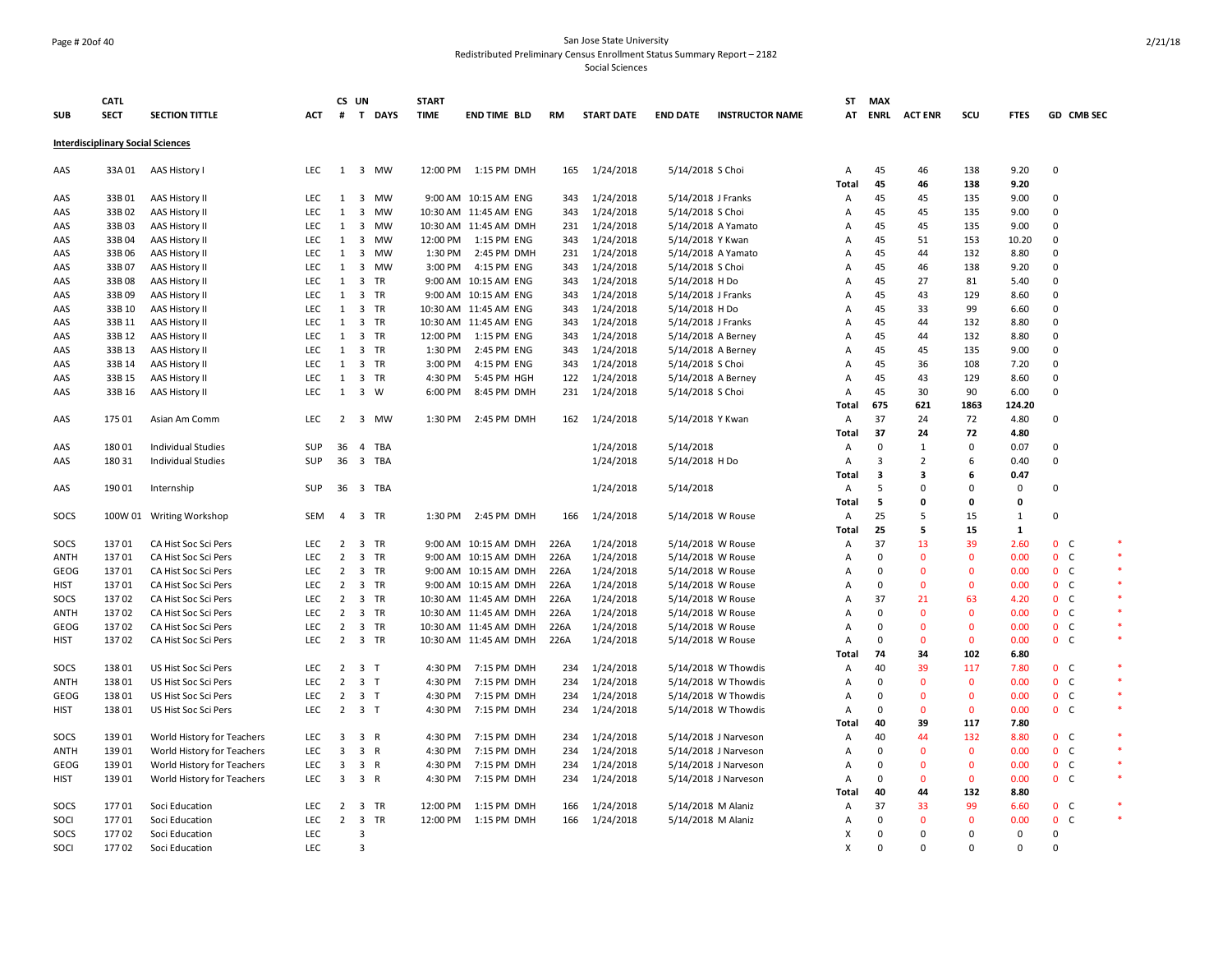#### Page # 20of 40 San Jose State University Redistributed Preliminary Census Enrollment Status Summary Report – 2182

|             | <b>CATL</b>                              |                            |            | CS UN          |                         |           | <b>START</b> |                       |      |                   |                    |                        | ST             | <b>MAX</b>              |                |              |             |                |            |              |
|-------------|------------------------------------------|----------------------------|------------|----------------|-------------------------|-----------|--------------|-----------------------|------|-------------------|--------------------|------------------------|----------------|-------------------------|----------------|--------------|-------------|----------------|------------|--------------|
| <b>SUB</b>  | <b>SECT</b>                              | <b>SECTION TITTLE</b>      | ACT        |                |                         | # T DAYS  | <b>TIME</b>  | <b>END TIME BLD</b>   | RM   | <b>START DATE</b> | <b>END DATE</b>    | <b>INSTRUCTOR NAME</b> | AT             | <b>ENRL</b>             | <b>ACT ENR</b> | scu          | <b>FTES</b> |                | GD CMB SEC |              |
|             | <b>Interdisciplinary Social Sciences</b> |                            |            |                |                         |           |              |                       |      |                   |                    |                        |                |                         |                |              |             |                |            |              |
| AAS         | 33A01                                    | AAS History I              | <b>LEC</b> | 1              |                         | 3 MW      | 12:00 PM     | 1:15 PM DMH           | 165  | 1/24/2018         | 5/14/2018 S Choi   |                        | A              | 45                      | 46             | 138          | 9.20        | $\mathbf 0$    |            |              |
|             |                                          |                            |            |                |                         |           |              |                       |      |                   |                    |                        | <b>Total</b>   | 45                      | 46             | 138          | 9.20        |                |            |              |
| AAS         | 33B01                                    | AAS History II             | LEC        | $\mathbf{1}$   | $\overline{\mathbf{3}}$ | <b>MW</b> |              | 9:00 AM 10:15 AM ENG  | 343  | 1/24/2018         | 5/14/2018 J Franks |                        | Α              | 45                      | 45             | 135          | 9.00        | $\Omega$       |            |              |
| AAS         | 33B02                                    | AAS History II             | LEC        | 1              | $\overline{\mathbf{3}}$ | MW        |              | 10:30 AM 11:45 AM ENG | 343  | 1/24/2018         | 5/14/2018 S Choi   |                        | Α              | 45                      | 45             | 135          | 9.00        | $\mathbf 0$    |            |              |
| AAS         | 33B03                                    | AAS History II             | <b>LEC</b> | 1              | $\overline{\mathbf{3}}$ | MW        |              | 10:30 AM 11:45 AM DMH | 231  | 1/24/2018         | 5/14/2018 A Yamato |                        | Α              | 45                      | 45             | 135          | 9.00        | $\Omega$       |            |              |
| AAS         | 33B04                                    | AAS History II             | LEC        | 1              | $\overline{\mathbf{3}}$ | <b>MW</b> | 12:00 PM     | 1:15 PM ENG           | 343  | 1/24/2018         | 5/14/2018 Y Kwan   |                        | Α              | 45                      | 51             | 153          | 10.20       | $\mathbf 0$    |            |              |
| AAS         | 33B06                                    | AAS History II             | <b>LEC</b> | 1              | 3                       | MW        | 1:30 PM      | 2:45 PM DMH           | 231  | 1/24/2018         | 5/14/2018 A Yamato |                        | Α              | 45                      | 44             | 132          | 8.80        | $\mathbf 0$    |            |              |
| AAS         | 33B07                                    | AAS History II             | <b>LEC</b> | 1              | $\overline{\mathbf{3}}$ | <b>MW</b> | 3:00 PM      | 4:15 PM ENG           | 343  | 1/24/2018         | 5/14/2018 S Choi   |                        | $\overline{A}$ | 45                      | 46             | 138          | 9.20        | $\Omega$       |            |              |
| AAS         | 33B08                                    | AAS History II             | LEC        | 1              | $\overline{\mathbf{3}}$ | TR        |              | 9:00 AM 10:15 AM ENG  | 343  | 1/24/2018         | 5/14/2018 H Do     |                        | A              | 45                      | 27             | 81           | 5.40        | $\Omega$       |            |              |
| AAS         | 33B09                                    | AAS History II             | <b>LEC</b> | 1              | $\overline{3}$          | TR        |              | 9:00 AM 10:15 AM ENG  | 343  | 1/24/2018         | 5/14/2018 J Franks |                        | A              | 45                      | 43             | 129          | 8.60        | $\Omega$       |            |              |
| AAS         | 33B 10                                   | AAS History II             | <b>LEC</b> | 1              | $\overline{\mathbf{3}}$ | TR        |              | 10:30 AM 11:45 AM ENG | 343  | 1/24/2018         | 5/14/2018 H Do     |                        | А              | 45                      | 33             | 99           | 6.60        | $\Omega$       |            |              |
| AAS         | 33B 11                                   | AAS History II             | <b>LEC</b> | 1              |                         | 3 TR      |              | 10:30 AM 11:45 AM ENG | 343  | 1/24/2018         | 5/14/2018 J Franks |                        | Α              | 45                      | 44             | 132          | 8.80        | $\Omega$       |            |              |
| AAS         | 33B 12                                   | AAS History II             | LEC        | 1              | $\overline{\mathbf{3}}$ | TR        | 12:00 PM     | 1:15 PM ENG           | 343  | 1/24/2018         | 5/14/2018 A Berney |                        | А              | 45                      | 44             | 132          | 8.80        | $\Omega$       |            |              |
| AAS         | 33B 13                                   | AAS History II             | LEC        | 1              |                         | 3 TR      | 1:30 PM      | 2:45 PM ENG           | 343  | 1/24/2018         | 5/14/2018 A Berney |                        | Α              | 45                      | 45             | 135          | 9.00        | $\mathbf 0$    |            |              |
| AAS         | 33B 14                                   | AAS History II             | <b>LEC</b> | 1              | $\overline{\mathbf{3}}$ | TR        | 3:00 PM      | 4:15 PM ENG           | 343  | 1/24/2018         | 5/14/2018 S Choi   |                        | Α              | 45                      | 36             | 108          | 7.20        | $\mathbf 0$    |            |              |
| AAS         | 33B 15                                   | AAS History II             | LEC        | 1              | $\overline{\mathbf{3}}$ | TR        | 4:30 PM      | 5:45 PM HGH           | 122  | 1/24/2018         | 5/14/2018 A Berney |                        | Α              | 45                      | 43             | 129          | 8.60        | $\Omega$       |            |              |
| AAS         | 33B 16                                   | AAS History II             | LEC        | 1              |                         | 3 W       | 6:00 PM      | 8:45 PM DMH           | 231  | 1/24/2018         | 5/14/2018 S Choi   |                        | Α              | 45                      | 30             | 90           | 6.00        | $\Omega$       |            |              |
|             |                                          |                            |            |                |                         |           |              |                       |      |                   |                    |                        | Total          | 675                     | 621            | 1863         | 124.20      |                |            |              |
| AAS         | 175 01                                   | Asian Am Comm              | <b>LEC</b> | 2              | $\overline{\mathbf{3}}$ | <b>MW</b> | 1:30 PM      | 2:45 PM DMH           | 162  | 1/24/2018         | 5/14/2018 Y Kwan   |                        | A              | 37                      | 24             | 72           | 4.80        | $\Omega$       |            |              |
|             |                                          |                            |            |                |                         |           |              |                       |      |                   |                    |                        | Total          | 37                      | 24             | 72           | 4.80        |                |            |              |
| AAS         | 18001                                    | <b>Individual Studies</b>  | SUP        | 36             | $\overline{4}$          | TBA       |              |                       |      | 1/24/2018         | 5/14/2018          |                        | $\mathsf{A}$   | $\mathbf 0$             | $\mathbf{1}$   | 0            | 0.07        | $\Omega$       |            |              |
| AAS         | 180 31                                   | <b>Individual Studies</b>  | SUP        | 36             |                         | 3 TBA     |              |                       |      | 1/24/2018         | 5/14/2018 H Do     |                        | A              | 3                       | $\overline{2}$ | 6            | 0.40        | $\Omega$       |            |              |
|             |                                          |                            |            |                |                         |           |              |                       |      |                   |                    |                        | Total          | $\overline{\mathbf{3}}$ | 3              | 6            | 0.47        |                |            |              |
| AAS         | 190 01                                   | Internship                 | SUP        | 36             |                         | 3 TBA     |              |                       |      | 1/24/2018         | 5/14/2018          |                        | $\mathsf{A}$   | 5                       | $\mathsf 0$    | 0            | 0           | $\mathbf 0$    |            |              |
|             |                                          |                            |            |                |                         |           |              |                       |      |                   |                    |                        | Total          | 5                       | $\mathbf{0}$   | 0            | 0           | $\Omega$       |            |              |
| SOCS        |                                          | 100W 01 Writing Workshop   | SEM        | 4              |                         | 3 TR      |              | 1:30 PM 2:45 PM DMH   | 166  | 1/24/2018         | 5/14/2018 W Rouse  |                        | Α              | 25<br>25                | 5<br>5         | 15<br>15     | 1<br>1      |                |            |              |
| SOCS        | 13701                                    | CA Hist Soc Sci Pers       | <b>LEC</b> | $\overline{2}$ | 3                       | <b>TR</b> |              | 9:00 AM 10:15 AM DMH  | 226A | 1/24/2018         | 5/14/2018 W Rouse  |                        | Total<br>A     | 37                      | 13             | 39           | 2.60        | 0 <sup>o</sup> |            |              |
| <b>ANTH</b> | 13701                                    | CA Hist Soc Sci Pers       | LEC        | 2              | $\overline{\mathbf{3}}$ | TR        |              | 9:00 AM 10:15 AM DMH  | 226A | 1/24/2018         | 5/14/2018 W Rouse  |                        | Α              | $\mathbf 0$             | $\mathbf{0}$   | $\mathbf{0}$ | 0.00        | 0 <sup>o</sup> |            | $\ast$       |
| GEOG        | 13701                                    | CA Hist Soc Sci Pers       | <b>LEC</b> | 2              | $\overline{\mathbf{3}}$ | TR        |              | 9:00 AM 10:15 AM DMH  | 226A | 1/24/2018         | 5/14/2018 W Rouse  |                        | Α              | $\mathbf{0}$            | $\Omega$       | $\mathbf{0}$ | 0.00        | 0 <sup>o</sup> |            | $\ast$       |
| <b>HIST</b> | 13701                                    | CA Hist Soc Sci Pers       | <b>LEC</b> | 2              |                         | 3 TR      |              | 9:00 AM 10:15 AM DMH  | 226A | 1/24/2018         | 5/14/2018 W Rouse  |                        | A              | $\mathbf 0$             | $\mathbf{0}$   | $\mathbf{0}$ | 0.00        | 0 <sup>o</sup> |            | $\ast$       |
| SOCS        | 13702                                    | CA Hist Soc Sci Pers       | LEC        | $\overline{2}$ |                         | 3 TR      |              | 10:30 AM 11:45 AM DMH | 226A | 1/24/2018         | 5/14/2018 W Rouse  |                        | Α              | 37                      | 21             | 63           | 4.20        | 0 <sup>o</sup> |            | $\ast$       |
| <b>ANTH</b> | 13702                                    | CA Hist Soc Sci Pers       | LEC        | $\overline{2}$ | $\overline{\mathbf{3}}$ | TR        |              | 10:30 AM 11:45 AM DMH | 226A | 1/24/2018         | 5/14/2018 W Rouse  |                        | Α              | $\mathbf 0$             | $\mathbf 0$    | 0            | 0.00        | $0-$           |            | $\ast$       |
| GEOG        | 13702                                    | CA Hist Soc Sci Pers       | LEC        | $\overline{2}$ |                         | 3 TR      |              | 10:30 AM 11:45 AM DMH | 226A | 1/24/2018         | 5/14/2018 W Rouse  |                        | А              | $\mathbf 0$             | $\mathbf 0$    | 0            | 0.00        | 0 <sub>c</sub> |            | $\ast$       |
| <b>HIST</b> | 13702                                    | CA Hist Soc Sci Pers       | <b>LEC</b> | $\overline{2}$ |                         | 3 TR      |              | 10:30 AM 11:45 AM DMH | 226A | 1/24/2018         | 5/14/2018 W Rouse  |                        | Α              | $\Omega$                | $\mathbf{0}$   | $\mathbf{0}$ | 0.00        | 0 <sub>c</sub> |            | $\pmb{\ast}$ |
|             |                                          |                            |            |                |                         |           |              |                       |      |                   |                    |                        | Total          | 74                      | 34             | 102          | 6.80        |                |            |              |
| SOCS        | 13801                                    | US Hist Soc Sci Pers       | <b>LEC</b> | $\overline{2}$ | 3 <sub>1</sub>          |           | 4:30 PM      | 7:15 PM DMH           | 234  | 1/24/2018         |                    | 5/14/2018 W Thowdis    | Α              | 40                      | 39             | 117          | 7.80        | 0 <sub>c</sub> |            | $\ast$       |
| <b>ANTH</b> | 13801                                    | US Hist Soc Sci Pers       | LEC        | 2              | 3 <sub>1</sub>          |           | 4:30 PM      | 7:15 PM DMH           | 234  | 1/24/2018         |                    | 5/14/2018 W Thowdis    | $\overline{A}$ | $\Omega$                | $\mathbf{0}$   | $\mathbf{0}$ | 0.00        | 0 <sup>o</sup> |            | $\ast$       |
| GEOG        | 13801                                    | US Hist Soc Sci Pers       | LEC        | $\overline{2}$ | 3 <sub>1</sub>          |           | 4:30 PM      | 7:15 PM DMH           | 234  | 1/24/2018         |                    | 5/14/2018 W Thowdis    | Α              | $\mathbf{0}$            | $\mathbf{0}$   | $\mathbf{0}$ | 0.00        | 0 <sub>c</sub> |            | $\ast$       |
| <b>HIST</b> | 13801                                    | US Hist Soc Sci Pers       | <b>LEC</b> |                | $2 \quad 3 \quad T$     |           | 4:30 PM      | 7:15 PM DMH           | 234  | 1/24/2018         |                    | 5/14/2018 W Thowdis    | Α              | $\mathbf{0}$            | $\mathbf{0}$   | $\mathbf{0}$ | 0.00        | 0 <sup>o</sup> |            | $\ast$       |
|             |                                          |                            |            |                |                         |           |              |                       |      |                   |                    |                        | <b>Total</b>   | 40                      | 39             | 117          | 7.80        |                |            |              |
| SOCS        | 13901                                    | World History for Teachers | LEC        | 3              | 3 R                     |           | 4:30 PM      | 7:15 PM DMH           | 234  | 1/24/2018         |                    | 5/14/2018 J Narveson   | Α              | 40                      | 44             | 132          | 8.80        | 0 <sub>c</sub> |            |              |
| ANTH        | 13901                                    | World History for Teachers | <b>LEC</b> | 3              | 3 R                     |           | 4:30 PM      | 7:15 PM DMH           | 234  | 1/24/2018         |                    | 5/14/2018 J Narveson   | Α              | $\mathbf 0$             | $\mathbf 0$    | $\mathbf 0$  | 0.00        | 0 <sub>c</sub> |            | $\ast$       |
| GEOG        | 13901                                    | World History for Teachers | LEC        | 3              | 3 R                     |           | 4:30 PM      | 7:15 PM DMH           | 234  | 1/24/2018         |                    | 5/14/2018 J Narveson   | Α              | $\mathbf 0$             | $\mathbf 0$    | 0            | 0.00        | 0 <sub>c</sub> |            | $\ast$       |
| <b>HIST</b> | 13901                                    | World History for Teachers | LEC        | 3              | 3 R                     |           | 4:30 PM      | 7:15 PM DMH           | 234  | 1/24/2018         |                    | 5/14/2018 J Narveson   | Α              | $\mathbf 0$             | $\mathbf{0}$   | $\mathbf{0}$ | 0.00        | 0 <sub>c</sub> |            | $\ast$       |
|             |                                          |                            |            |                |                         |           |              |                       |      |                   |                    |                        | Total          | 40                      | 44             | 132          | 8.80        |                |            |              |
| SOCS        | 17701                                    | Soci Education             | LEC        | $\overline{2}$ | $\overline{\mathbf{3}}$ | TR        | 12:00 PM     | 1:15 PM DMH           | 166  | 1/24/2018         | 5/14/2018 M Alaniz |                        | Α              | 37                      | 33             | 99           | 6.60        | 0 <sub>c</sub> |            | $\ast$       |
| SOCI        | 17701                                    | Soci Education             | <b>LEC</b> | $\overline{2}$ | $\overline{\mathbf{3}}$ | <b>TR</b> | 12:00 PM     | 1:15 PM DMH           | 166  | 1/24/2018         | 5/14/2018 M Alaniz |                        | $\overline{A}$ | $\mathbf{0}$            | $\mathbf{0}$   | $\mathbf{0}$ | 0.00        | 0 <sup>o</sup> |            | $\ast$       |
| SOCS        | 17702                                    | Soci Education             | LEC        |                | $\overline{3}$          |           |              |                       |      |                   |                    |                        | X              | $\mathbf{0}$            | $\mathbf 0$    | 0            | $\Omega$    | $\Omega$       |            |              |
| SOCI        | 17702                                    | Soci Education             | LEC        |                | $\overline{3}$          |           |              |                       |      |                   |                    |                        | X              | $\mathbf 0$             | $\Omega$       | 0            | $\mathbf 0$ | $\Omega$       |            |              |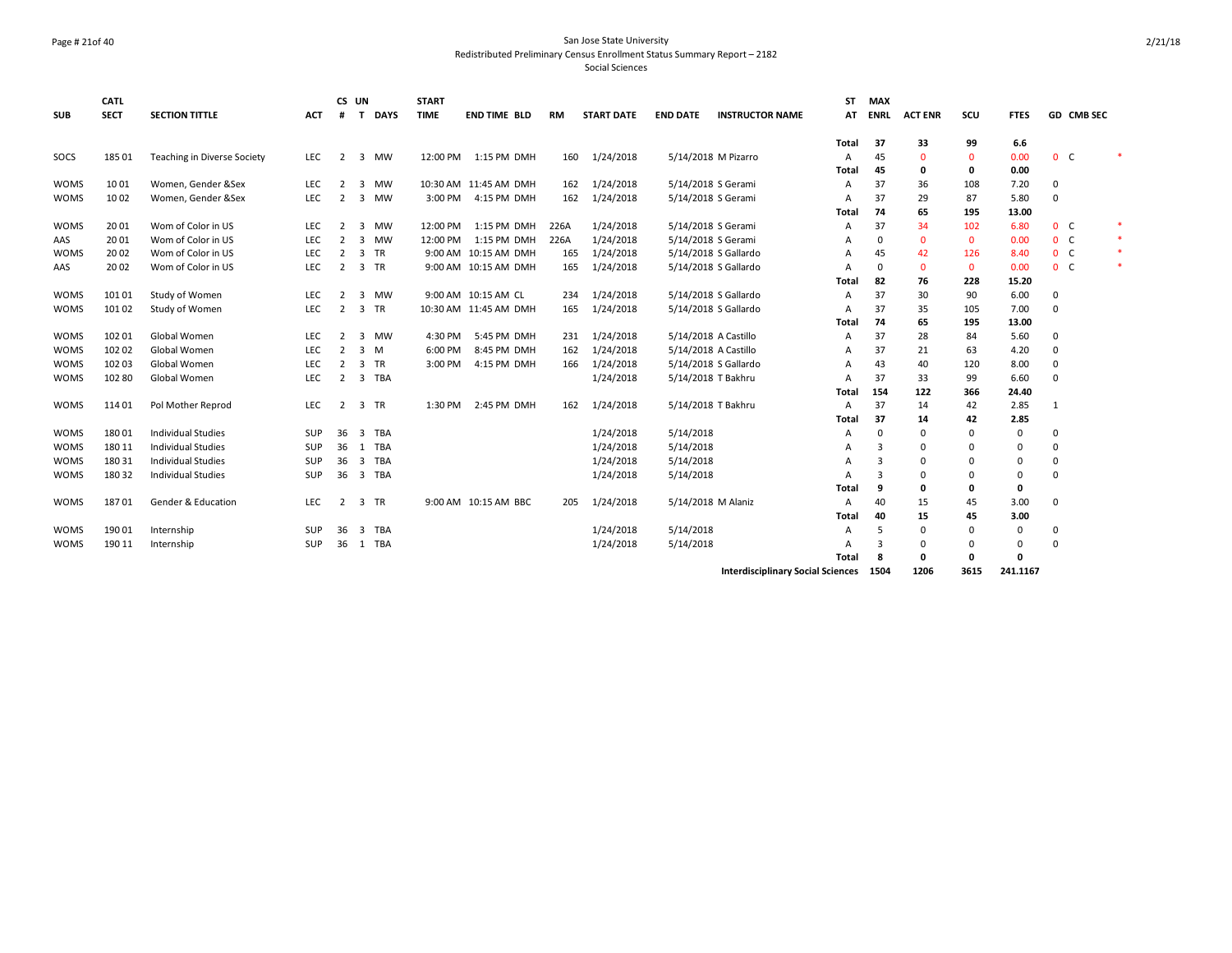#### Page # 21of 40 San Jose State University Redistributed Preliminary Census Enrollment Status Summary Report – 2182

| <b>SUB</b>  | <b>CATL</b><br><b>SECT</b> | <b>SECTION TITTLE</b>              | <b>ACT</b> | #              | CS UN<br>T              | <b>DAYS</b> | <b>START</b><br><b>TIME</b> | <b>END TIME BLD</b>   | <b>RM</b> | <b>START DATE</b> | <b>END DATE</b> | <b>INSTRUCTOR NAME</b>                        | <b>ST</b><br>AT | <b>MAX</b><br><b>ENRL</b> | <b>ACT ENR</b> | scu          | <b>FTES</b> |                | <b>GD CMB SEC</b> |        |
|-------------|----------------------------|------------------------------------|------------|----------------|-------------------------|-------------|-----------------------------|-----------------------|-----------|-------------------|-----------------|-----------------------------------------------|-----------------|---------------------------|----------------|--------------|-------------|----------------|-------------------|--------|
|             |                            |                                    |            |                |                         |             |                             |                       |           |                   |                 |                                               | Total           | 37                        | 33             | 99           | 6.6         |                |                   |        |
| SOCS        | 185 01                     | <b>Teaching in Diverse Society</b> | <b>LEC</b> | $\overline{2}$ |                         | 3 MW        | 12:00 PM                    | 1:15 PM DMH           | 160       | 1/24/2018         |                 | 5/14/2018 M Pizarro                           | A               | 45                        | $\mathbf 0$    | $\mathbf{0}$ | 0.00        | 0 <sub>c</sub> |                   |        |
|             |                            |                                    |            |                |                         |             |                             |                       |           |                   |                 |                                               | Total           | 45                        | 0              | 0            | 0.00        |                |                   |        |
| <b>WOMS</b> | 1001                       | Women, Gender &Sex                 | <b>LEC</b> | 2              | 3                       | <b>MW</b>   |                             | 10:30 AM 11:45 AM DMH | 162       | 1/24/2018         |                 | 5/14/2018 S Gerami                            | A               | 37                        | 36             | 108          | 7.20        | $\Omega$       |                   |        |
| <b>WOMS</b> | 1002                       | Women, Gender &Sex                 | <b>LEC</b> | 2              | 3                       | <b>MW</b>   | 3:00 PM                     | 4:15 PM DMH           | 162       | 1/24/2018         |                 | 5/14/2018 S Gerami                            | A               | 37                        | 29             | 87           | 5.80        | 0              |                   |        |
|             |                            |                                    |            |                |                         |             |                             |                       |           |                   |                 |                                               | Total           | 74                        | 65             | 195          | 13.00       |                |                   |        |
| <b>WOMS</b> | 2001                       | Wom of Color in US                 | <b>LEC</b> | 2              | 3                       | <b>MW</b>   | 12:00 PM                    | 1:15 PM DMH           | 226A      | 1/24/2018         |                 | 5/14/2018 S Gerami                            | A               | 37                        | 34             | 102          | 6.80        | 0 <sup>o</sup> |                   | *      |
| AAS         | 2001                       | Wom of Color in US                 | LEC        | 2              | 3                       | MW          | 12:00 PM                    | 1:15 PM DMH           | 226A      | 1/24/2018         |                 | 5/14/2018 S Gerami                            | A               | $\Omega$                  | $\mathbf{0}$   | $\mathbf 0$  | 0.00        | 0 <sub>c</sub> |                   | $\ast$ |
| <b>WOMS</b> | 2002                       | Wom of Color in US                 | LEC        | $\overline{2}$ | 3                       | TR          |                             | 9:00 AM 10:15 AM DMH  | 165       | 1/24/2018         |                 | 5/14/2018 S Gallardo                          | A               | 45                        | 42             | 126          | 8.40        | 0 <sub>c</sub> |                   | $\ast$ |
| AAS         | 2002                       | Wom of Color in US                 | <b>LEC</b> | $\overline{2}$ |                         | 3 TR        |                             | 9:00 AM 10:15 AM DMH  | 165       | 1/24/2018         |                 | 5/14/2018 S Gallardo                          | A               | 0                         | $\mathbf 0$    | $\mathbf{0}$ | 0.00        | 0 <sup>o</sup> |                   | $\ast$ |
|             |                            |                                    |            |                |                         |             |                             |                       |           |                   |                 |                                               | Total           | 82                        | 76             | 228          | 15.20       |                |                   |        |
| <b>WOMS</b> | 101 01                     | Study of Women                     | <b>LEC</b> | 2              | 3                       | <b>MW</b>   |                             | 9:00 AM 10:15 AM CL   | 234       | 1/24/2018         |                 | 5/14/2018 S Gallardo                          | A               | 37                        | 30             | 90           | 6.00        | 0              |                   |        |
| <b>WOMS</b> | 101 02                     | Study of Women                     | <b>LEC</b> | 2              | 3                       | <b>TR</b>   |                             | 10:30 AM 11:45 AM DMH | 165       | 1/24/2018         |                 | 5/14/2018 S Gallardo                          | A               | 37                        | 35             | 105          | 7.00        | 0              |                   |        |
|             |                            |                                    |            |                |                         |             |                             |                       |           |                   |                 |                                               | Total           | 74                        | 65             | 195          | 13.00       |                |                   |        |
| <b>WOMS</b> | 10201                      | Global Women                       | <b>LEC</b> | 2              | 3                       | MW          | 4:30 PM                     | 5:45 PM DMH           | 231       | 1/24/2018         |                 | 5/14/2018 A Castillo                          | A               | 37                        | 28             | 84           | 5.60        | 0              |                   |        |
| <b>WOMS</b> | 102 02                     | Global Women                       | <b>LEC</b> | 2              | $\overline{3}$          | M           | 6:00 PM                     | 8:45 PM DMH           | 162       | 1/24/2018         |                 | 5/14/2018 A Castillo                          | A               | 37                        | 21             | 63           | 4.20        | $\mathbf 0$    |                   |        |
| <b>WOMS</b> | 102 03                     | Global Women                       | <b>LEC</b> | $\overline{2}$ | 3                       | TR          | 3:00 PM                     | 4:15 PM DMH           | 166       | 1/24/2018         |                 | 5/14/2018 S Gallardo                          | A               | 43                        | 40             | 120          | 8.00        | $\mathbf 0$    |                   |        |
| <b>WOMS</b> | 102 80                     | Global Women                       | <b>LEC</b> | 2              |                         | 3 TBA       |                             |                       |           | 1/24/2018         |                 | 5/14/2018 T Bakhru                            | A               | 37                        | 33             | 99           | 6.60        | $\Omega$       |                   |        |
|             |                            |                                    |            |                |                         |             |                             |                       |           |                   |                 |                                               | Total           | 154                       | 122            | 366          | 24.40       |                |                   |        |
| <b>WOMS</b> | 114 01                     | Pol Mother Reprod                  | LEC        | $\overline{2}$ |                         | 3 TR        | 1:30 PM                     | 2:45 PM DMH           | 162       | 1/24/2018         |                 | 5/14/2018 T Bakhru                            | A               | 37                        | 14             | 42           | 2.85        | 1              |                   |        |
|             |                            |                                    |            |                |                         |             |                             |                       |           |                   |                 |                                               | Total           | 37                        | 14             | 42           | 2.85        |                |                   |        |
| <b>WOMS</b> | 18001                      | Individual Studies                 | SUP        | 36             | 3                       | <b>TBA</b>  |                             |                       |           | 1/24/2018         | 5/14/2018       |                                               | A               | $\Omega$                  | 0              | $\Omega$     | $\Omega$    | 0              |                   |        |
| <b>WOMS</b> | 180 11                     | Individual Studies                 | SUP        | 36             | $\mathbf{1}$            | <b>TBA</b>  |                             |                       |           | 1/24/2018         | 5/14/2018       |                                               | A               | 3                         | $\Omega$       | $\Omega$     | 0           | $\Omega$       |                   |        |
| <b>WOMS</b> | 180 31                     | <b>Individual Studies</b>          | SUP        | 36             | $\overline{\mathbf{3}}$ | <b>TBA</b>  |                             |                       |           | 1/24/2018         | 5/14/2018       |                                               | A               | 3                         | $\Omega$       |              | 0           | 0              |                   |        |
| <b>WOMS</b> | 180 32                     | <b>Individual Studies</b>          | SUP        | 36             | $\overline{\mathbf{3}}$ | <b>TBA</b>  |                             |                       |           | 1/24/2018         | 5/14/2018       |                                               | A               | 3                         | 0              | $\Omega$     | 0           | $\Omega$       |                   |        |
|             |                            |                                    |            |                |                         |             |                             |                       |           |                   |                 |                                               | Total           | 9                         | 0              | 0            | 0           |                |                   |        |
| <b>WOMS</b> | 18701                      | Gender & Education                 | <b>LEC</b> | $\overline{2}$ |                         | 3 TR        |                             | 9:00 AM 10:15 AM BBC  | 205       | 1/24/2018         |                 | 5/14/2018 M Alaniz                            | A               | 40                        | 15             | 45           | 3.00        | $\Omega$       |                   |        |
|             |                            |                                    |            |                |                         |             |                             |                       |           |                   |                 |                                               | Total           | 40                        | 15             | 45           | 3.00        |                |                   |        |
| <b>WOMS</b> | 19001                      | Internship                         | SUP        | 36             | 3                       | <b>TBA</b>  |                             |                       |           | 1/24/2018         | 5/14/2018       |                                               | A               | .5                        | 0              | 0            | 0           | 0              |                   |        |
| <b>WOMS</b> | 190 11                     | Internship                         | SUP        | 36             | 1                       | TBA         |                             |                       |           | 1/24/2018         | 5/14/2018       |                                               | A               | 3                         | $\Omega$       | $\Omega$     | $\Omega$    | $\Omega$       |                   |        |
|             |                            |                                    |            |                |                         |             |                             |                       |           |                   |                 |                                               | <b>Total</b>    | -8                        | 0              | $\Omega$     | 0           |                |                   |        |
|             |                            |                                    |            |                |                         |             |                             |                       |           |                   |                 | <b>Interdisciplinary Social Sciences</b> 1504 |                 |                           | 1206           | 3615         | 241.1167    |                |                   |        |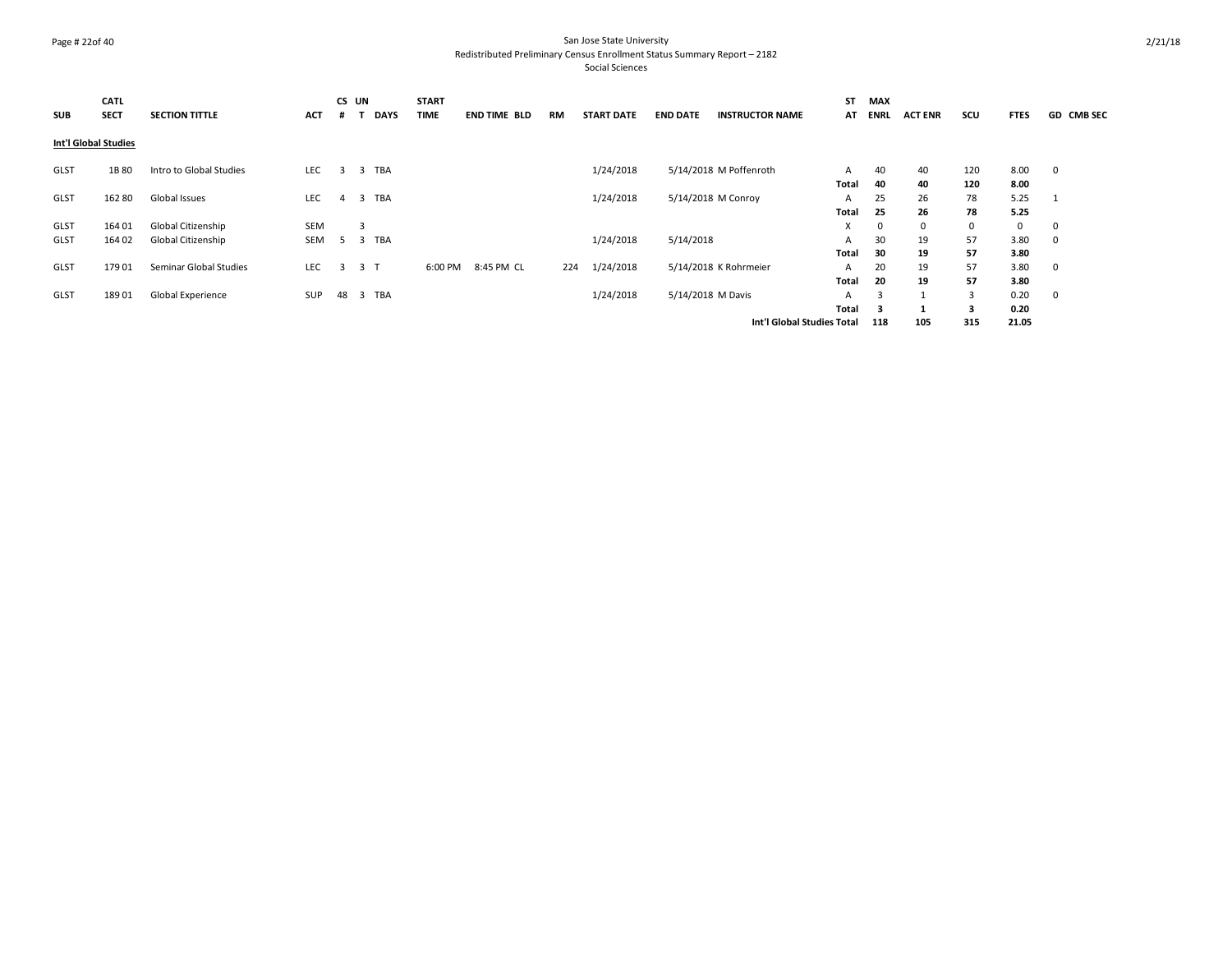#### Page # 22of 40 San Jose State University Redistributed Preliminary Census Enrollment Status Summary Report – 2182

| <b>SUB</b>           | <b>CATL</b><br><b>SECT</b> | <b>SECTION TITTLE</b>   | <b>ACT</b> |                | CS UN<br><b>DAYS</b>           | <b>START</b><br><b>TIME</b> | <b>END TIME BLD</b> | RM  | <b>START DATE</b> | <b>END DATE</b> | <b>INSTRUCTOR NAME</b>     | ST<br>AT          | MAX<br>ENRL | <b>ACT ENR</b> | scu          | <b>FTES</b>  | <b>GD CMB SEC</b> |
|----------------------|----------------------------|-------------------------|------------|----------------|--------------------------------|-----------------------------|---------------------|-----|-------------------|-----------------|----------------------------|-------------------|-------------|----------------|--------------|--------------|-------------------|
| Int'l Global Studies |                            |                         |            |                |                                |                             |                     |     |                   |                 |                            |                   |             |                |              |              |                   |
| <b>GLST</b>          | 1B 80                      | Intro to Global Studies | LEC        | $\overline{3}$ | TBA<br>$\overline{\mathbf{3}}$ |                             |                     |     | 1/24/2018         |                 | 5/14/2018 M Poffenroth     | A<br>Total        | 40<br>40    | 40<br>40       | 120<br>120   | 8.00<br>8.00 | $\mathbf 0$       |
| <b>GLST</b>          | 162 80                     | Global Issues           | <b>LEC</b> | 4              | <b>TBA</b><br>3                |                             |                     |     | 1/24/2018         |                 | 5/14/2018 M Conroy         | A<br>Total        | 25<br>25    | 26<br>26       | 78<br>78     | 5.25<br>5.25 |                   |
| <b>GLST</b>          | 164 01                     | Global Citizenship      | <b>SEM</b> |                | 3                              |                             |                     |     |                   |                 |                            | X                 | $\mathbf 0$ | $^{\circ}$     | $\mathbf{0}$ | 0            | $\mathbf 0$       |
| <b>GLST</b>          | 164 02                     | Global Citizenship      | SEM        | 5              | TBA<br>$\overline{\mathbf{3}}$ |                             |                     |     | 1/24/2018         | 5/14/2018       |                            | A<br>Total        | 30<br>30    | 19<br>19       | 57<br>57     | 3.80<br>3.80 | 0                 |
| <b>GLST</b>          | 179 01                     | Seminar Global Studies  | <b>LEC</b> | $\overline{3}$ | 3 <sub>1</sub>                 | 6:00 PM                     | 8:45 PM CL          | 224 | 1/24/2018         |                 | 5/14/2018 K Rohrmeier      | A<br>Total        | 20<br>20    | 19<br>19       | 57<br>57     | 3.80<br>3.80 | $\mathbf 0$       |
| GLST                 | 18901                      | Global Experience       | SUP        | 48             | TBA<br>3                       |                             |                     |     | 1/24/2018         |                 | 5/14/2018 M Davis          | A<br><b>Total</b> | 3<br>3      | $\overline{1}$ | 3<br>3       | 0.20<br>0.20 | $\mathbf 0$       |
|                      |                            |                         |            |                |                                |                             |                     |     |                   |                 | Int'l Global Studies Total |                   | 118         | 105            | 315          | 21.05        |                   |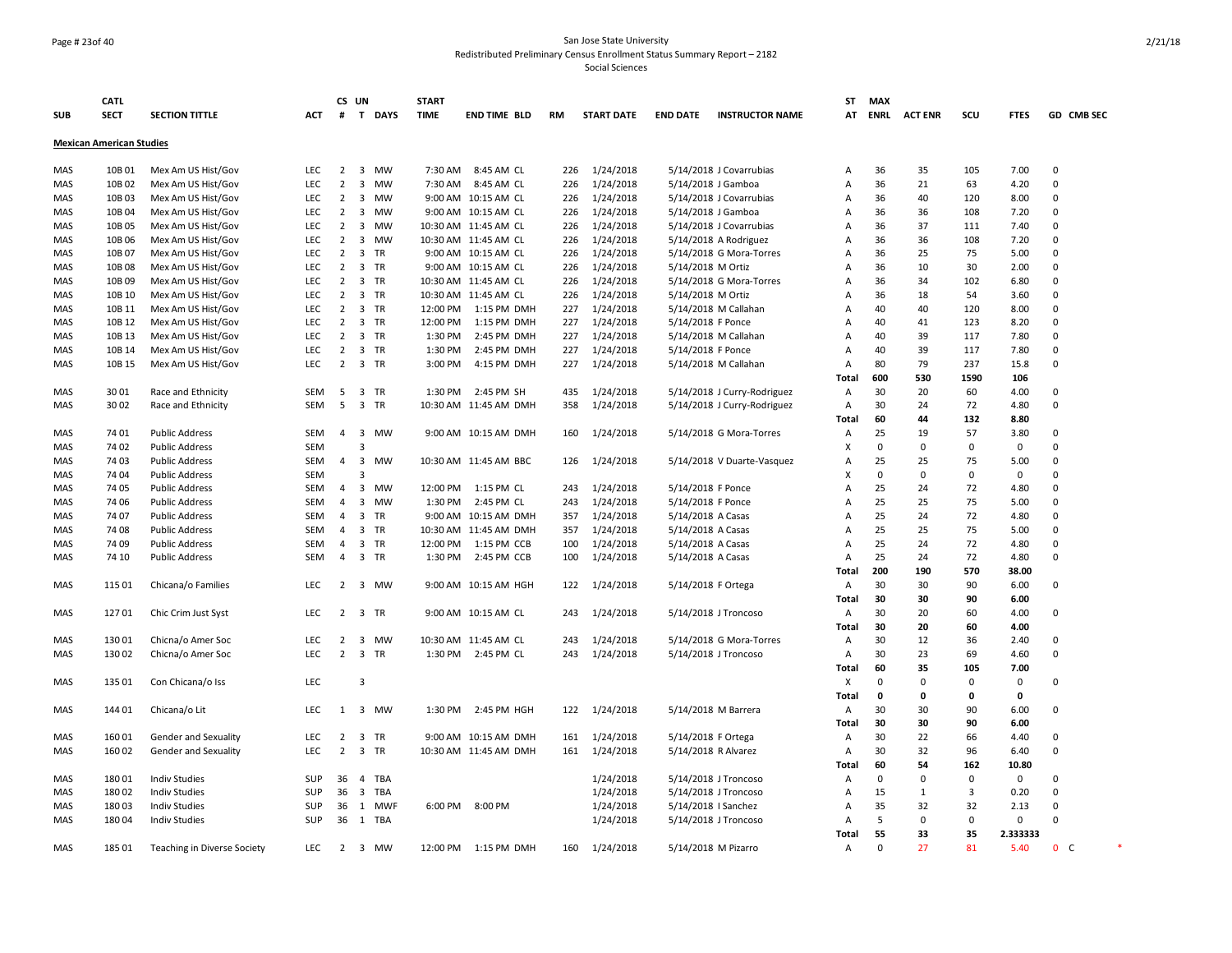# Page # 23of 40 San Jose State University Redistributed Preliminary Census Enrollment Status Summary Report – 2182

|            | <b>CATL</b>                     |                             |            |                | CS UN                   |            | <b>START</b> |                       |     |                   |                     |                             | ST                        | <b>MAX</b>  |                |          |              |             |                |  |
|------------|---------------------------------|-----------------------------|------------|----------------|-------------------------|------------|--------------|-----------------------|-----|-------------------|---------------------|-----------------------------|---------------------------|-------------|----------------|----------|--------------|-------------|----------------|--|
| <b>SUB</b> | <b>SECT</b>                     | <b>SECTION TITTLE</b>       | ACT        | #              |                         | T DAYS     | <b>TIME</b>  | <b>END TIME BLD</b>   | RM  | <b>START DATE</b> | <b>END DATE</b>     | <b>INSTRUCTOR NAME</b>      | AT                        | <b>ENRL</b> | <b>ACT ENR</b> | scu      | <b>FTES</b>  |             | GD CMB SEC     |  |
|            | <b>Mexican American Studies</b> |                             |            |                |                         |            |              |                       |     |                   |                     |                             |                           |             |                |          |              |             |                |  |
| MAS        | 10B 01                          | Mex Am US Hist/Gov          | LEC        | $\overline{2}$ |                         | 3 MW       | 7:30 AM      | 8:45 AM CL            | 226 | 1/24/2018         |                     | 5/14/2018 J Covarrubias     | A                         | 36          | 35             | 105      | 7.00         | $\mathbf 0$ |                |  |
| MAS        | 10B02                           | Mex Am US Hist/Gov          | <b>LEC</b> | $\overline{2}$ | 3                       | <b>MW</b>  | 7:30 AM      | 8:45 AM CL            | 226 | 1/24/2018         | 5/14/2018 J Gamboa  |                             | $\overline{A}$            | 36          | 21             | 63       | 4.20         | $\Omega$    |                |  |
| MAS        | 10B03                           | Mex Am US Hist/Gov          | LEC        | $\overline{2}$ | 3                       | MW         |              | 9:00 AM 10:15 AM CL   | 226 | 1/24/2018         |                     | 5/14/2018 J Covarrubias     | Α                         | 36          | 40             | 120      | 8.00         | $\mathbf 0$ |                |  |
| MAS        | 10B04                           | Mex Am US Hist/Gov          | <b>LEC</b> | $\overline{2}$ | 3                       | MW         |              | 9:00 AM 10:15 AM CL   | 226 | 1/24/2018         | 5/14/2018 J Gamboa  |                             | Α                         | 36          | 36             | 108      | 7.20         | 0           |                |  |
| MAS        | 10B05                           | Mex Am US Hist/Gov          | <b>LEC</b> | $\overline{2}$ | 3                       | <b>MW</b>  |              | 10:30 AM 11:45 AM CL  | 226 | 1/24/2018         |                     | 5/14/2018 J Covarrubias     | Α                         | 36          | 37             | 111      | 7.40         | $\mathbf 0$ |                |  |
| MAS        | 10B06                           | Mex Am US Hist/Gov          | LEC        | $\overline{2}$ | 3                       | <b>MW</b>  |              | 10:30 AM 11:45 AM CL  | 226 | 1/24/2018         |                     | 5/14/2018 A Rodriguez       | Α                         | 36          | 36             | 108      | 7.20         | 0           |                |  |
| <b>MAS</b> | 10B07                           | Mex Am US Hist/Gov          | <b>LEC</b> | $\overline{2}$ | $\overline{\mathbf{3}}$ | <b>TR</b>  |              | 9:00 AM 10:15 AM CL   | 226 | 1/24/2018         |                     | 5/14/2018 G Mora-Torres     | $\overline{A}$            | 36          | 25             | 75       | 5.00         | 0           |                |  |
| MAS        | 10B08                           | Mex Am US Hist/Gov          | <b>LEC</b> | $\overline{2}$ | $\overline{\mathbf{3}}$ | <b>TR</b>  |              | 9:00 AM 10:15 AM CL   | 226 | 1/24/2018         | 5/14/2018 M Ortiz   |                             | A                         | 36          | 10             | 30       | 2.00         | $\mathbf 0$ |                |  |
| <b>MAS</b> | 10B09                           | Mex Am US Hist/Gov          | <b>LEC</b> | $\overline{2}$ |                         | 3 TR       |              | 10:30 AM 11:45 AM CL  | 226 | 1/24/2018         |                     | 5/14/2018 G Mora-Torres     | $\overline{A}$            | 36          | 34             | 102      | 6.80         | $\mathbf 0$ |                |  |
| MAS        | 10B 10                          | Mex Am US Hist/Gov          | LEC        | $\overline{2}$ | $\overline{\mathbf{3}}$ | <b>TR</b>  |              | 10:30 AM 11:45 AM CL  | 226 | 1/24/2018         | 5/14/2018 M Ortiz   |                             | A                         | 36          | 18             | 54       | 3.60         | $\pmb{0}$   |                |  |
| MAS        | 10B 11                          | Mex Am US Hist/Gov          | LEC        | $\overline{2}$ | $\overline{3}$          | TR         | 12:00 PM     | 1:15 PM DMH           | 227 | 1/24/2018         |                     | 5/14/2018 M Callahan        | A                         | 40          | 40             | 120      | 8.00         | $\mathbf 0$ |                |  |
| MAS        | 10B 12                          | Mex Am US Hist/Gov          | <b>LEC</b> | $\overline{2}$ |                         | 3 TR       | 12:00 PM     | 1:15 PM DMH           | 227 | 1/24/2018         | 5/14/2018 F Ponce   |                             | $\overline{A}$            | 40          | 41             | 123      | 8.20         | $\mathbf 0$ |                |  |
| MAS        | 10B 13                          | Mex Am US Hist/Gov          | <b>LEC</b> | $\overline{2}$ | 3                       | TR         | 1:30 PM      | 2:45 PM DMH           | 227 | 1/24/2018         |                     | 5/14/2018 M Callahan        | Α                         | 40          | 39             | 117      | 7.80         | $\mathbf 0$ |                |  |
| MAS        | 10B 14                          | Mex Am US Hist/Gov          | <b>LEC</b> | $\overline{2}$ |                         | 3 TR       | 1:30 PM      | 2:45 PM DMH           | 227 | 1/24/2018         | 5/14/2018 F Ponce   |                             | A                         | 40          | 39             | 117      | 7.80         | 0           |                |  |
| MAS        | 10B 15                          | Mex Am US Hist/Gov          | <b>LEC</b> | $\overline{2}$ |                         | 3 TR       | 3:00 PM      | 4:15 PM DMH           | 227 | 1/24/2018         |                     | 5/14/2018 M Callahan        | A                         | 80          | 79             | 237      | 15.8         | 0           |                |  |
|            |                                 |                             |            |                |                         |            |              |                       |     |                   |                     |                             | Total                     | 600         | 530            | 1590     | 106          |             |                |  |
| MAS        | 3001                            | Race and Ethnicity          | <b>SEM</b> | 5              |                         | 3 TR       | 1:30 PM      | 2:45 PM SH            | 435 | 1/24/2018         |                     | 5/14/2018 J Curry-Rodriguez | A                         | 30          | 20             | 60       | 4.00         | 0           |                |  |
| MAS        | 3002                            | Race and Ethnicity          | SEM        | 5              |                         | 3 TR       |              | 10:30 AM 11:45 AM DMH | 358 | 1/24/2018         |                     | 5/14/2018 J Curry-Rodriguez | Α                         | 30          | 24             | 72       | 4.80         | 0           |                |  |
|            |                                 |                             |            |                |                         |            |              |                       |     |                   |                     |                             | <b>Total</b>              | 60          | 44             | 132      | 8.80         |             |                |  |
| MAS        | 7401                            | <b>Public Address</b>       | SEM        | $\overline{4}$ | $\overline{\mathbf{3}}$ | <b>MW</b>  |              | 9:00 AM 10:15 AM DMH  | 160 | 1/24/2018         |                     | 5/14/2018 G Mora-Torres     | A                         | 25          | 19             | 57       | 3.80         | $\mathbf 0$ |                |  |
| MAS        | 7402                            | <b>Public Address</b>       | <b>SEM</b> |                | 3                       |            |              |                       |     |                   |                     |                             | X                         | $\mathbf 0$ | $\mathbf 0$    | $\Omega$ | $\mathbf{0}$ | $\Omega$    |                |  |
| <b>MAS</b> | 7403                            | <b>Public Address</b>       | <b>SEM</b> | $\overline{4}$ | $\overline{\mathbf{3}}$ | <b>MW</b>  |              | 10:30 AM 11:45 AM BBC | 126 | 1/24/2018         |                     | 5/14/2018 V Duarte-Vasquez  | A                         | 25          | 25             | 75       | 5.00         | $\Omega$    |                |  |
| MAS        | 7404                            | <b>Public Address</b>       | <b>SEM</b> |                | $\overline{3}$          |            |              |                       |     |                   |                     |                             | $\boldsymbol{\mathsf{x}}$ | $\mathbf 0$ | $\mathbf 0$    | $\Omega$ | $\mathbf{0}$ | $\mathbf 0$ |                |  |
| <b>MAS</b> | 7405                            | <b>Public Address</b>       | SEM        | $\overline{4}$ | $\overline{\mathbf{3}}$ | <b>MW</b>  | 12:00 PM     | 1:15 PM CL            | 243 | 1/24/2018         | 5/14/2018 F Ponce   |                             | $\overline{A}$            | 25          | 24             | 72       | 4.80         | $\Omega$    |                |  |
| MAS        | 74 06                           | <b>Public Address</b>       | SEM        | $\overline{4}$ | 3                       | <b>MW</b>  | 1:30 PM      | 2:45 PM CL            | 243 | 1/24/2018         | 5/14/2018 F Ponce   |                             | A                         | 25          | 25             | 75       | 5.00         | $\mathbf 0$ |                |  |
| MAS        | 7407                            | <b>Public Address</b>       | SEM        | 4              | $\overline{\mathbf{3}}$ | TR         | 9:00 AM      | 10:15 AM DMH          | 357 | 1/24/2018         | 5/14/2018 A Casas   |                             | A                         | 25          | 24             | 72       | 4.80         | $\mathbf 0$ |                |  |
| MAS        | 7408                            | <b>Public Address</b>       | SEM        | 4              | $\overline{\mathbf{3}}$ | TR         |              | 10:30 AM 11:45 AM DMH | 357 | 1/24/2018         | 5/14/2018 A Casas   |                             | Α                         | 25          | 25             | 75       | 5.00         | $\mathbf 0$ |                |  |
| MAS        | 7409                            | <b>Public Address</b>       | SEM        | 4              | $\overline{\mathbf{3}}$ | TR         | 12:00 PM     | 1:15 PM CCB           | 100 | 1/24/2018         | 5/14/2018 A Casas   |                             | Α                         | 25          | 24             | 72       | 4.80         | 0           |                |  |
| MAS        | 74 10                           | <b>Public Address</b>       | SEM        | $\overline{4}$ |                         | 3 TR       | 1:30 PM      | 2:45 PM CCB           | 100 | 1/24/2018         | 5/14/2018 A Casas   |                             | $\overline{A}$            | 25          | 24             | 72       | 4.80         | $\mathbf 0$ |                |  |
|            |                                 |                             |            |                |                         |            |              |                       |     |                   |                     |                             | Total                     | 200         | 190            | 570      | 38.00        |             |                |  |
| MAS        | 115 01                          | Chicana/o Families          | LEC        | $\overline{2}$ | $\overline{\mathbf{3}}$ | MW         |              | 9:00 AM 10:15 AM HGH  | 122 | 1/24/2018         | 5/14/2018 F Ortega  |                             | A                         | 30          | 30             | 90       | 6.00         | 0           |                |  |
|            |                                 |                             |            |                |                         |            |              |                       |     |                   |                     |                             | <b>Total</b>              | 30          | 30             | 90       | 6.00         |             |                |  |
| MAS        | 12701                           | Chic Crim Just Syst         | LEC        | $\overline{2}$ | $\overline{\mathbf{3}}$ | TR         |              | 9:00 AM 10:15 AM CL   | 243 | 1/24/2018         |                     | 5/14/2018 J Troncoso        | A                         | 30          | 20             | 60       | 4.00         | 0           |                |  |
|            |                                 |                             |            |                |                         |            |              |                       |     |                   |                     |                             | <b>Total</b>              | 30          | 20             | 60       | 4.00         |             |                |  |
| MAS        | 130 01                          | Chicna/o Amer Soc           | LEC        | $\overline{2}$ | $\overline{\mathbf{3}}$ | <b>MW</b>  |              | 10:30 AM 11:45 AM CL  | 243 | 1/24/2018         |                     | 5/14/2018 G Mora-Torres     | Α                         | 30          | 12             | 36       | 2.40         | $\mathbf 0$ |                |  |
| MAS        | 130 02                          | Chicna/o Amer Soc           | <b>LEC</b> | $\overline{2}$ | $\overline{3}$          | <b>TR</b>  | 1:30 PM      | 2:45 PM CL            | 243 | 1/24/2018         |                     | 5/14/2018 J Troncoso        | A                         | 30          | 23             | 69       | 4.60         | $\mathbf 0$ |                |  |
|            |                                 |                             |            |                |                         |            |              |                       |     |                   |                     |                             | <b>Total</b>              | 60          | 35             | 105      | 7.00         |             |                |  |
| MAS        | 135 01                          | Con Chicana/o Iss           | LEC        |                | 3                       |            |              |                       |     |                   |                     |                             | Χ                         | $\Omega$    | $\Omega$       | $\Omega$ | $\mathbf 0$  | $\mathbf 0$ |                |  |
|            |                                 |                             |            |                |                         |            |              |                       |     |                   |                     |                             | <b>Total</b>              | 0           | $\Omega$       | $\Omega$ | $\mathbf{0}$ |             |                |  |
| MAS        | 144 01                          | Chicana/o Lit               | <b>LEC</b> | 1              |                         | 3 MW       | 1:30 PM      | 2:45 PM HGH           | 122 | 1/24/2018         |                     | 5/14/2018 M Barrera         | A                         | 30          | 30             | 90       | 6.00         | $\mathbf 0$ |                |  |
|            |                                 |                             |            |                |                         |            |              |                       |     |                   |                     |                             | Total                     | 30          | 30             | 90       | 6.00         |             |                |  |
| MAS        | 160 01                          | Gender and Sexuality        | LEC        | $\overline{2}$ | $\overline{\mathbf{3}}$ | TR         |              | 9:00 AM 10:15 AM DMH  | 161 | 1/24/2018         | 5/14/2018 F Ortega  |                             | Α                         | 30          | 22             | 66       | 4.40         | $\mathbf 0$ |                |  |
| MAS        | 160 02                          | Gender and Sexuality        | LEC        | $\overline{2}$ |                         | 3 TR       |              | 10:30 AM 11:45 AM DMH | 161 | 1/24/2018         | 5/14/2018 R Alvarez |                             | A                         | 30          | 32             | 96       | 6.40         | 0           |                |  |
|            |                                 |                             |            |                |                         |            |              |                       |     |                   |                     |                             | <b>Total</b>              | 60          | 54             | 162      | 10.80        |             |                |  |
| MAS        | 18001                           | <b>Indiv Studies</b>        | SUP        | 36             | $\overline{4}$          | <b>TBA</b> |              |                       |     | 1/24/2018         |                     | 5/14/2018 J Troncoso        | Α                         | $\mathbf 0$ | $\mathbf 0$    | 0        | $\mathbf 0$  | 0           |                |  |
| MAS        | 180 02                          | <b>Indiv Studies</b>        | <b>SUP</b> | 36             | $\overline{\mathbf{3}}$ | TBA        |              |                       |     | 1/24/2018         |                     | 5/14/2018 J Troncoso        | Α                         | 15          | 1              | 3        | 0.20         | 0           |                |  |
| MAS        | 18003                           | <b>Indiv Studies</b>        | <b>SUP</b> | 36             | 1                       | <b>MWF</b> | 6:00 PM      | 8:00 PM               |     | 1/24/2018         | 5/14/2018   Sanchez |                             | Α                         | 35          | 32             | 32       | 2.13         | $\mathbf 0$ |                |  |
| MAS        | 18004                           | <b>Indiv Studies</b>        | <b>SUP</b> | 36             |                         | 1 TBA      |              |                       |     | 1/24/2018         |                     | 5/14/2018 J Troncoso        | $\overline{A}$            | 5           | $\Omega$       | $\Omega$ | $\mathbf 0$  | $\Omega$    |                |  |
|            |                                 |                             |            |                |                         |            |              |                       |     |                   |                     |                             | <b>Total</b>              | 55          | 33             | 35       | 2.333333     |             |                |  |
| MAS        | 185 01                          | Teaching in Diverse Society | <b>LEC</b> |                | $2 \quad 3$             | <b>MW</b>  | 12:00 PM     | 1:15 PM DMH           | 160 | 1/24/2018         | 5/14/2018 M Pizarro |                             | Α                         | $\Omega$    | 27             | 81       | 5.40         |             | 0 <sup>o</sup> |  |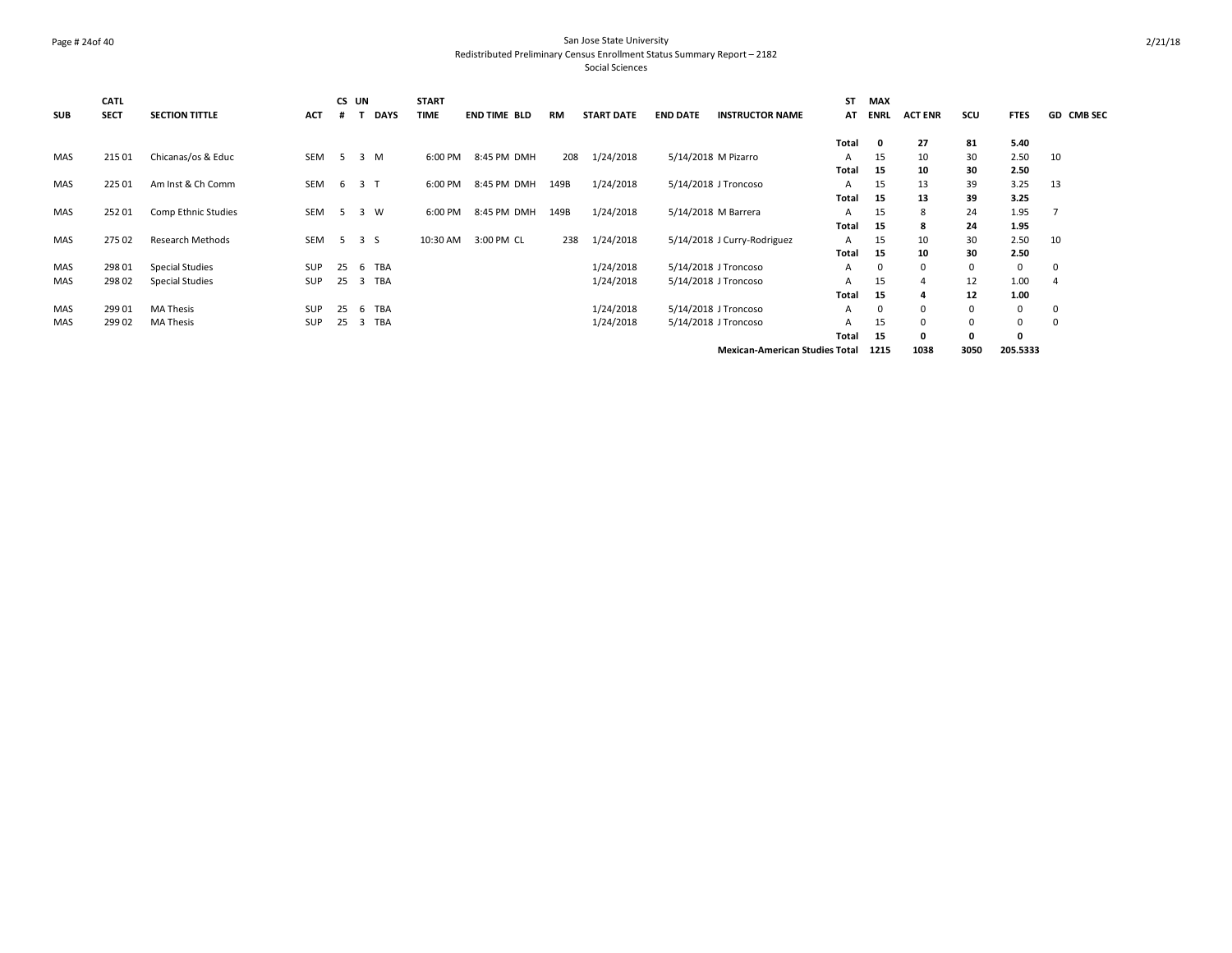# Page # 24of 40 San Jose State University Redistributed Preliminary Census Enrollment Status Summary Report – 2182

Social Sciences

| <b>SUB</b> | CATL<br><b>SECT</b> | <b>SECTION TITTLE</b>   | <b>ACT</b> |                | CS UN<br><b>DAYS</b> | <b>START</b><br><b>TIME</b> | <b>END TIME BLD</b> | RM   | <b>START DATE</b> | <b>END DATE</b> | <b>INSTRUCTOR NAME</b>      | <b>ST</b><br>AT | <b>MAX</b><br><b>ENRL</b> | <b>ACT ENR</b> | scu | <b>FTES</b> | GD CMB SEC   |
|------------|---------------------|-------------------------|------------|----------------|----------------------|-----------------------------|---------------------|------|-------------------|-----------------|-----------------------------|-----------------|---------------------------|----------------|-----|-------------|--------------|
|            |                     |                         |            |                |                      |                             |                     |      |                   |                 |                             | Total           | $\mathbf 0$               | 27             | 81  | 5.40        |              |
| MAS        | 215 01              | Chicanas/os & Educ      | SEM        | 5 <sup>5</sup> | 3 M                  | 6:00 PM                     | 8:45 PM DMH         | 208  | 1/24/2018         |                 | 5/14/2018 M Pizarro         | A               | 15                        | 10             | 30  | 2.50        | 10           |
|            |                     |                         |            |                |                      |                             |                     |      |                   |                 |                             | Total           | 15                        | 10             | 30  | 2.50        |              |
| MAS        | 225 01              | Am Inst & Ch Comm       | SEM        | 6 <sup>6</sup> | 3 <sub>1</sub>       | 6:00 PM                     | 8:45 PM DMH         | 149B | 1/24/2018         |                 | 5/14/2018 J Troncoso        | A               | 15                        | 13             | 39  | 3.25        | 13           |
|            |                     |                         |            |                |                      |                             |                     |      |                   |                 |                             | Total           | 15                        | 13             | 39  | 3.25        |              |
| MAS        | 252 01              | Comp Ethnic Studies     | SEM        | 5 <sup>5</sup> | 3 W                  | 6:00 PM                     | 8:45 PM DMH         | 149B | 1/24/2018         |                 | 5/14/2018 M Barrera         | A               | 15                        | 8              | 24  | 1.95        |              |
|            |                     |                         |            |                |                      |                             |                     |      |                   |                 |                             | Total           | 15                        | 8              | 24  | 1.95        |              |
| MAS        | 275 02              | <b>Research Methods</b> | SEM        |                | 5 3 S                | 10:30 AM                    | 3:00 PM CL          | 238  | 1/24/2018         |                 | 5/14/2018 J Curry-Rodriguez | A               | 15                        | 10             | 30  | 2.50        | 10           |
|            |                     |                         |            |                |                      |                             |                     |      |                   |                 |                             | Total           | 15                        | 10             | 30  | 2.50        |              |
| MAS        | 298 01              | <b>Special Studies</b>  | SUP        | 25             | 6 TBA                |                             |                     |      | 1/24/2018         |                 | 5/14/2018 J Troncoso        | A               | 0                         | $\mathbf 0$    | 0   | $\mathbf 0$ | 0            |
| <b>MAS</b> | 298 02              | <b>Special Studies</b>  | SUP        | 25             | TBA<br>3             |                             |                     |      | 1/24/2018         |                 | 5/14/2018 J Troncoso        | A               | 15                        | 4              | 12  | 1.00        | 4            |
|            |                     |                         |            |                |                      |                             |                     |      |                   |                 |                             | Total           | 15                        | 4              | 12  | 1.00        |              |
| MAS        | 299 01              | <b>MA Thesis</b>        | <b>SUP</b> | 25             | <b>TBA</b><br>6      |                             |                     |      | 1/24/2018         |                 | 5/14/2018 J Troncoso        | A               | 0                         | $\Omega$       |     | 0           | $\Omega$     |
| <b>MAS</b> | 299 02              | <b>MA Thesis</b>        | <b>SUP</b> | 25             | TBA<br>3             |                             |                     |      | 1/24/2018         |                 | 5/14/2018 J Troncoso        | A               | 15                        | $\Omega$       |     | 0           | <sup>0</sup> |
|            |                     |                         |            |                |                      |                             |                     |      |                   |                 |                             | Total           | 15                        | 0              |     | 0           |              |

**Mexican-American Studies Total 1215 1038 3050 205.5333**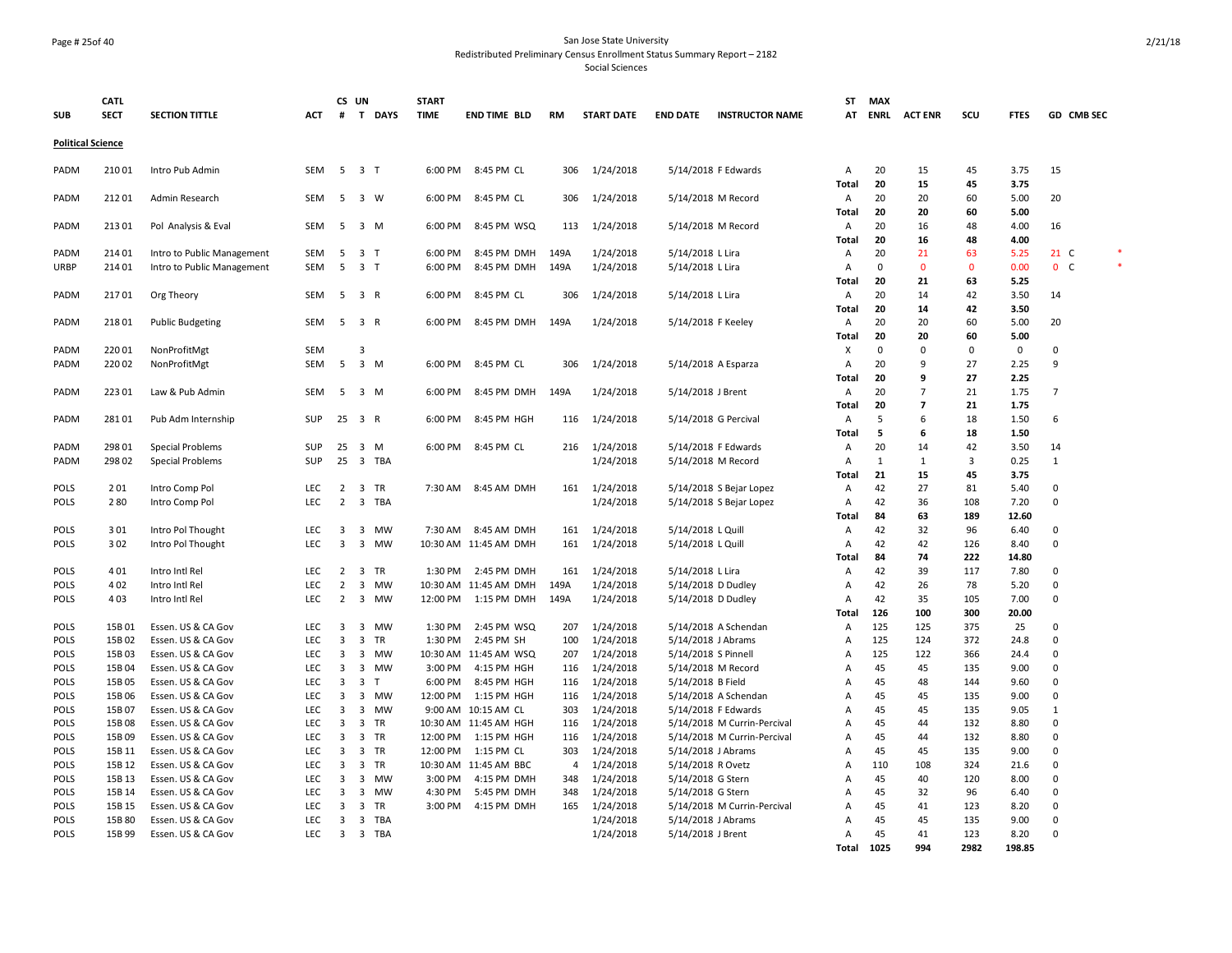#### Page # 25of 40 San Jose State University Redistributed Preliminary Census Enrollment Status Summary Report – 2182

|                          | <b>CATL</b> |                            |            |                | CS UN                   |            | <b>START</b> |                       |                |                        |                     |                                           | <b>ST</b>      | <b>MAX</b>  |                |             |              |                |  |
|--------------------------|-------------|----------------------------|------------|----------------|-------------------------|------------|--------------|-----------------------|----------------|------------------------|---------------------|-------------------------------------------|----------------|-------------|----------------|-------------|--------------|----------------|--|
| <b>SUB</b>               | <b>SECT</b> | <b>SECTION TITTLE</b>      | ACT        |                |                         | # T DAYS   | <b>TIME</b>  | <b>END TIME BLD</b>   | RM             | <b>START DATE</b>      | <b>END DATE</b>     | <b>INSTRUCTOR NAME</b>                    | AT             | <b>ENRL</b> | <b>ACT ENR</b> | scu         | <b>FTES</b>  | GD CMB SEC     |  |
|                          |             |                            |            |                |                         |            |              |                       |                |                        |                     |                                           |                |             |                |             |              |                |  |
| <b>Political Science</b> |             |                            |            |                |                         |            |              |                       |                |                        |                     |                                           |                |             |                |             |              |                |  |
| PADM                     | 210 01      | Intro Pub Admin            | SEM        | 5              | 3 <sub>1</sub>          |            | 6:00 PM      | 8:45 PM CL            | 306            | 1/24/2018              |                     | 5/14/2018 F Edwards                       | Α              | 20          | 15             | 45          | 3.75         | 15             |  |
|                          |             |                            |            |                |                         |            |              |                       |                |                        |                     |                                           | Total          | 20          | 15             | 45          | 3.75         |                |  |
| PADM                     | 212 01      | Admin Research             | SEM        | 5              | 3 W                     |            | 6:00 PM      | 8:45 PM CL            | 306            | 1/24/2018              |                     | 5/14/2018 M Record                        | Α              | 20          | 20             | 60          | 5.00         | 20             |  |
|                          |             |                            |            |                |                         |            |              |                       |                |                        |                     |                                           | Total          | 20          | 20             | 60          | 5.00         |                |  |
| PADM                     | 213 01      | Pol Analysis & Eval        | SEM        | 5              | 3 M                     |            | 6:00 PM      | 8:45 PM WSQ           | 113            | 1/24/2018              |                     | 5/14/2018 M Record                        | A              | 20          | 16             | 48          | 4.00         | 16             |  |
|                          |             |                            |            |                |                         |            |              |                       |                |                        |                     |                                           | Total          | 20          | 16             | 48          | 4.00         |                |  |
| PADM                     | 214 01      | Intro to Public Management | <b>SEM</b> | 5              | 3 T                     |            | 6:00 PM      | 8:45 PM DMH           | 149A           | 1/24/2018              | 5/14/2018 L Lira    |                                           | Α              | 20          | 21             | 63          | 5.25         | $21\,C$        |  |
| URBP                     | 214 01      | Intro to Public Management | <b>SEM</b> | 5              | 3 <sub>T</sub>          |            | 6:00 PM      | 8:45 PM DMH           | 149A           | 1/24/2018              | 5/14/2018 L Lira    |                                           | Α              | $\mathbf 0$ | $\mathbf{0}$   | $\mathbf 0$ | 0.00         | 0 <sub>c</sub> |  |
|                          |             |                            |            |                |                         |            |              |                       |                |                        |                     |                                           | Total          | 20          | 21             | 63          | 5.25         |                |  |
| PADM                     | 21701       | Org Theory                 | <b>SEM</b> | 5              | 3 R                     |            | 6:00 PM      | 8:45 PM CL            | 306            | 1/24/2018              | 5/14/2018 L Lira    |                                           | Α              | 20          | 14             | 42          | 3.50         | 14             |  |
|                          |             |                            |            |                |                         |            |              |                       |                |                        |                     |                                           | Total          | 20          | 14             | 42          | 3.50         |                |  |
| PADM                     | 21801       | <b>Public Budgeting</b>    | SEM        | 5              | 3 R                     |            | 6:00 PM      | 8:45 PM DMH           | 149A           | 1/24/2018              | 5/14/2018 F Keeley  |                                           | A              | 20          | 20             | 60          | 5.00         | 20             |  |
|                          |             |                            |            |                |                         |            |              |                       |                |                        |                     |                                           | Total          | 20          | 20             | 60          | 5.00         |                |  |
| PADM                     | 22001       | NonProfitMgt               | <b>SEM</b> |                | 3                       |            |              |                       |                |                        |                     |                                           | х              | 0           | 0              | 0           | 0            | $\mathbf 0$    |  |
| PADM                     | 220 02      | NonProfitMgt               | SEM        | 5              | $3 \, M$                |            | 6:00 PM      | 8:45 PM CL            | 306            | 1/24/2018              |                     | 5/14/2018 A Esparza                       | Α              | 20          | 9              | 27          | 2.25         | 9              |  |
|                          |             |                            |            |                |                         |            |              |                       |                |                        |                     |                                           | Total          | 20          | 9              | 27          | 2.25         |                |  |
| PADM                     | 223 01      | Law & Pub Admin            | SEM        | 5              | 3 M                     |            | 6:00 PM      | 8:45 PM DMH           | 149A           | 1/24/2018              | 5/14/2018 J Brent   |                                           | A              | 20          | $\overline{7}$ | 21          | 1.75         | $\overline{7}$ |  |
|                          |             |                            |            |                |                         |            |              |                       |                |                        |                     |                                           | Total          | 20<br>5     | $\overline{7}$ | 21          | 1.75         |                |  |
| PADM                     | 28101       | Pub Adm Internship         | <b>SUP</b> |                | 25 3 R                  |            | 6:00 PM      | 8:45 PM HGH           | 116            | 1/24/2018              |                     | 5/14/2018 G Percival                      | A<br>Total     | 5           | 6<br>6         | 18<br>18    | 1.50<br>1.50 | 6              |  |
| PADM                     | 298 01      |                            | <b>SUP</b> | 25             | $\overline{\mathbf{3}}$ | M          | 6:00 PM      | 8:45 PM CL            | 216            |                        |                     |                                           | A              | 20          | 14             | 42          | 3.50         | 14             |  |
| PADM                     | 298 02      | <b>Special Problems</b>    | <b>SUP</b> | 25             |                         | 3 TBA      |              |                       |                | 1/24/2018<br>1/24/2018 |                     | 5/14/2018 F Edwards<br>5/14/2018 M Record | Α              | 1           | 1              | 3           | 0.25         | $\mathbf{1}$   |  |
|                          |             | <b>Special Problems</b>    |            |                |                         |            |              |                       |                |                        |                     |                                           | Total          | 21          | 15             | 45          | 3.75         |                |  |
| POLS                     | 201         | Intro Comp Pol             | LEC        | $\overline{2}$ | $\overline{\mathbf{3}}$ | TR         | 7:30 AM      | 8:45 AM DMH           | 161            | 1/24/2018              |                     | 5/14/2018 S Bejar Lopez                   | A              | 42          | 27             | 81          | 5.40         | $\Omega$       |  |
| POLS                     | 280         | Intro Comp Pol             | LEC        | $\overline{2}$ |                         | 3 TBA      |              |                       |                | 1/24/2018              |                     | $5/14/2018$ S Bejar Lopez                 | A              | 42          | 36             | 108         | 7.20         | $\Omega$       |  |
|                          |             |                            |            |                |                         |            |              |                       |                |                        |                     |                                           | <b>Total</b>   | 84          | 63             | 189         | 12.60        |                |  |
| POLS                     | 301         | Intro Pol Thought          | LEC        | 3              | $\overline{\mathbf{3}}$ | MW         |              | 7:30 AM 8:45 AM DMH   | 161            | 1/24/2018              | 5/14/2018 L Quill   |                                           | Α              | 42          | 32             | 96          | 6.40         | $\Omega$       |  |
| POLS                     | 302         | Intro Pol Thought          | LEC        | 3              | $\overline{\mathbf{3}}$ | MW         |              | 10:30 AM 11:45 AM DMH | 161            | 1/24/2018              | 5/14/2018 L Quill   |                                           | A              | 42          | 42             | 126         | 8.40         | $\Omega$       |  |
|                          |             |                            |            |                |                         |            |              |                       |                |                        |                     |                                           | Total          | 84          | 74             | 222         | 14.80        |                |  |
| POLS                     | 401         | Intro Intl Rel             | LEC        | $\overline{2}$ | $\overline{\mathbf{3}}$ | <b>TR</b>  | 1:30 PM      | 2:45 PM DMH           | 161            | 1/24/2018              | 5/14/2018 L Lira    |                                           | A              | 42          | 39             | 117         | 7.80         | $\Omega$       |  |
| POLS                     | 402         | Intro Intl Rel             | LEC        | $\overline{2}$ | $\overline{\mathbf{3}}$ | <b>MW</b>  |              | 10:30 AM 11:45 AM DMH | 149A           | 1/24/2018              |                     | 5/14/2018 D Dudley                        | A              | 42          | 26             | 78          | 5.20         | $\Omega$       |  |
| POLS                     | 403         | Intro Intl Rel             | LEC        | $\overline{2}$ | $\overline{\mathbf{3}}$ | MW         | 12:00 PM     | 1:15 PM DMH           | 149A           | 1/24/2018              |                     | 5/14/2018 D Dudley                        | A              | 42          | 35             | 105         | 7.00         | $\mathbf 0$    |  |
|                          |             |                            |            |                |                         |            |              |                       |                |                        |                     |                                           | Total          | 126         | 100            | 300         | 20.00        |                |  |
| POLS                     | 15B01       | Essen. US & CA Gov         | LEC        | 3              | $\overline{\mathbf{3}}$ | <b>MW</b>  | 1:30 PM      | 2:45 PM WSQ           | 207            | 1/24/2018              |                     | 5/14/2018 A Schendan                      | A              | 125         | 125            | 375         | 25           | $\mathbf 0$    |  |
| POLS                     | 15B02       | Essen. US & CA Gov         | <b>LEC</b> | 3              | $\overline{\mathbf{3}}$ | TR         | 1:30 PM      | 2:45 PM SH            | 100            | 1/24/2018              |                     | 5/14/2018 J Abrams                        | A              | 125         | 124            | 372         | 24.8         | $\Omega$       |  |
| POLS                     | 15B03       | Essen. US & CA Gov         | LEC        | 3              | $\overline{\mathbf{3}}$ | <b>MW</b>  |              | 10:30 AM 11:45 AM WSQ | 207            | 1/24/2018              | 5/14/2018 S Pinnell |                                           | A              | 125         | 122            | 366         | 24.4         | $\Omega$       |  |
| POLS                     | 15B04       | Essen. US & CA Gov         | LEC        | 3              | $\overline{\mathbf{3}}$ | MW         | 3:00 PM      | 4:15 PM HGH           | 116            | 1/24/2018              |                     | 5/14/2018 M Record                        | $\overline{A}$ | 45          | 45             | 135         | 9.00         | $\Omega$       |  |
| POLS                     | 15B05       | Essen. US & CA Gov         | <b>LEC</b> | 3              | $\overline{\mathbf{3}}$ | T          | 6:00 PM      | 8:45 PM HGH           | 116            | 1/24/2018              | 5/14/2018 B Field   |                                           | $\overline{A}$ | 45          | 48             | 144         | 9.60         | $\Omega$       |  |
| POLS                     | 15B06       | Essen. US & CA Gov         | LEC        | 3              | $\overline{\mathbf{3}}$ | MW         | 12:00 PM     | 1:15 PM HGH           | 116            | 1/24/2018              |                     | 5/14/2018 A Schendan                      | A              | 45          | 45             | 135         | 9.00         | $\mathbf 0$    |  |
| POLS                     | 15B07       | Essen. US & CA Gov         | <b>LEC</b> | 3              | $\overline{\mathbf{3}}$ | MW         |              | 9:00 AM 10:15 AM CL   | 303            | 1/24/2018              |                     | 5/14/2018 F Edwards                       | A              | 45          | 45             | 135         | 9.05         | 1              |  |
| POLS                     | 15B08       | Essen. US & CA Gov         | <b>LEC</b> | 3              | $\overline{\mathbf{3}}$ | <b>TR</b>  |              | 10:30 AM 11:45 AM HGH | 116            | 1/24/2018              |                     | 5/14/2018 M Currin-Percival               | A              | 45          | 44             | 132         | 8.80         | $\mathbf 0$    |  |
| POLS                     | 15B09       | Essen. US & CA Gov         | LEC        | 3              | $\overline{\mathbf{3}}$ | TR         | 12:00 PM     | 1:15 PM HGH           | 116            | 1/24/2018              |                     | 5/14/2018 M Currin-Percival               | A              | 45          | 44             | 132         | 8.80         | $\Omega$       |  |
| POLS                     | 15B 11      | Essen. US & CA Gov         | LEC        | 3              | $\overline{\mathbf{3}}$ | <b>TR</b>  | 12:00 PM     | 1:15 PM CL            | 303            | 1/24/2018              |                     | 5/14/2018 J Abrams                        | A              | 45          | 45             | 135         | 9.00         | $\Omega$       |  |
| POLS                     | 15B 12      | Essen. US & CA Gov         | LEC        | 3              | $\overline{\mathbf{3}}$ | <b>TR</b>  |              | 10:30 AM 11:45 AM BBC | $\overline{4}$ | 1/24/2018              | 5/14/2018 R Ovetz   |                                           | $\overline{A}$ | 110         | 108            | 324         | 21.6         | $\Omega$       |  |
| <b>POLS</b>              | 15B 13      | Essen. US & CA Gov         | <b>LEC</b> | 3              | $\overline{\mathbf{3}}$ | <b>MW</b>  | 3:00 PM      | 4:15 PM DMH           | 348            | 1/24/2018              | 5/14/2018 G Stern   |                                           | $\overline{A}$ | 45          | 40             | 120         | 8.00         | $\mathbf 0$    |  |
| POLS                     | 15B 14      | Essen. US & CA Gov         | LEC        | 3              | $\overline{\mathbf{3}}$ | <b>MW</b>  | 4:30 PM      | 5:45 PM DMH           | 348            | 1/24/2018              | 5/14/2018 G Stern   |                                           | A              | 45          | 32             | 96          | 6.40         | $\mathbf 0$    |  |
| POLS                     | 15B 15      | Essen. US & CA Gov         | LEC        | 3              | 3                       | <b>TR</b>  | 3:00 PM      | 4:15 PM DMH           | 165            | 1/24/2018              |                     | 5/14/2018 M Currin-Percival               | A              | 45          | 41             | 123         | 8.20         | $\Omega$       |  |
| POLS                     | 15B80       | Essen. US & CA Gov         | LEC        | 3              | 3                       | <b>TBA</b> |              |                       |                | 1/24/2018              |                     | 5/14/2018 J Abrams                        | $\overline{A}$ | 45          | 45             | 135         | 9.00         | $\Omega$       |  |
| POLS                     | 15B 99      | Essen. US & CA Gov         | LEC        | 3              |                         | 3 TBA      |              |                       |                | 1/24/2018              | 5/14/2018 J Brent   |                                           | A              | 45          | 41             | 123         | 8.20         | $\Omega$       |  |
|                          |             |                            |            |                |                         |            |              |                       |                |                        |                     |                                           | Total          | 1025        | 994            | 2982        | 198.85       |                |  |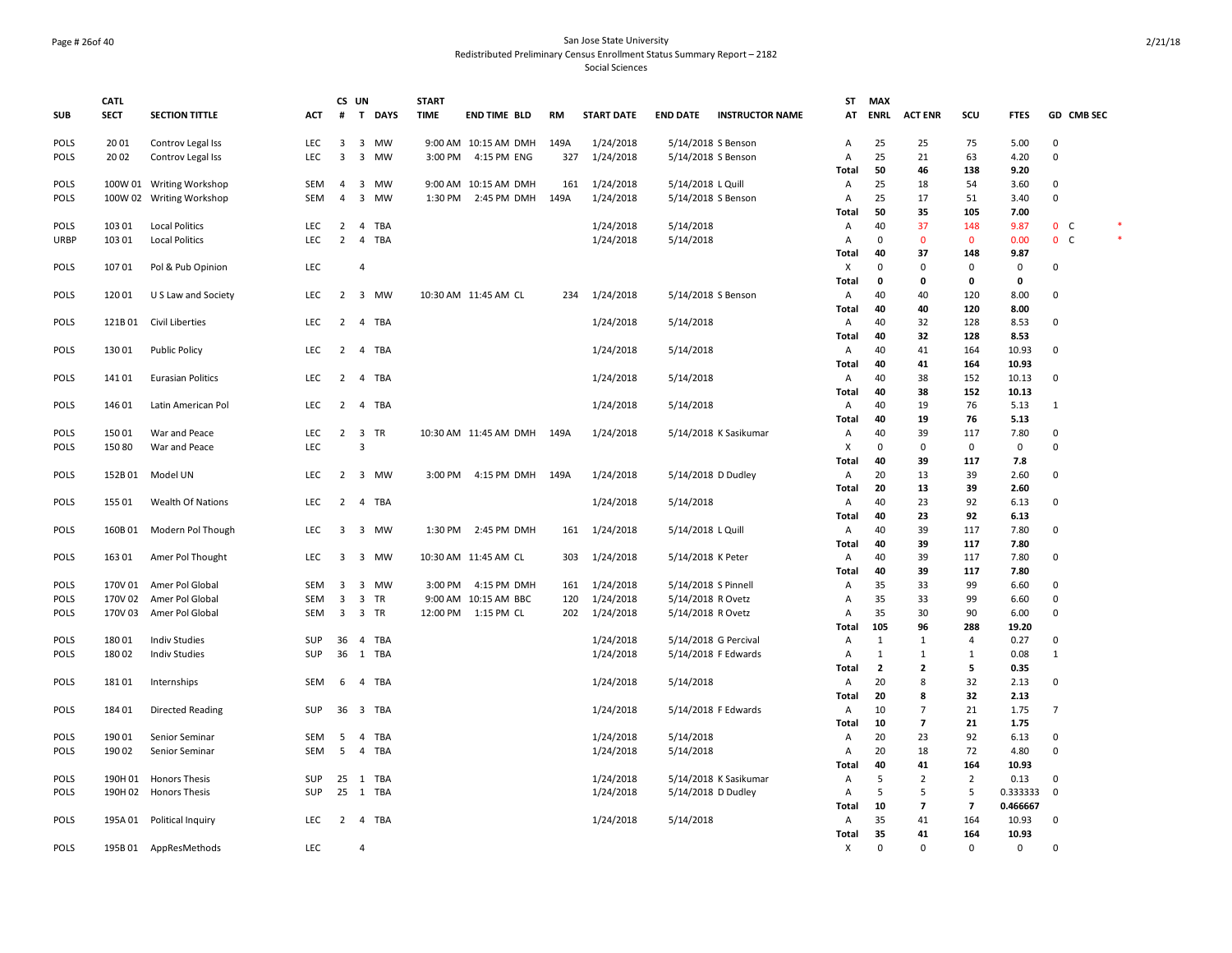#### Page # 26of 40 San Jose State University Redistributed Preliminary Census Enrollment Status Summary Report – 2182 Social Sciences

|             | <b>CATL</b> |                           |                          | CS UN                   |                         |            | <b>START</b> |                         |           |                   |                     |                        | <b>ST</b>    | <b>MAX</b>        |                         |                         |                     |                |        |
|-------------|-------------|---------------------------|--------------------------|-------------------------|-------------------------|------------|--------------|-------------------------|-----------|-------------------|---------------------|------------------------|--------------|-------------------|-------------------------|-------------------------|---------------------|----------------|--------|
| <b>SUB</b>  | <b>SECT</b> | <b>SECTION TITTLE</b>     | ACT                      | #                       |                         | T DAYS     | <b>TIME</b>  | <b>END TIME BLD</b>     | <b>RM</b> | <b>START DATE</b> | <b>END DATE</b>     | <b>INSTRUCTOR NAME</b> | AT           | <b>ENRL</b>       | <b>ACT ENR</b>          | scu                     | <b>FTES</b>         | GD CMB SEC     |        |
| POLS        | 2001        | Controv Legal Iss         | LEC                      | 3                       |                         | 3 MW       |              | 9:00 AM 10:15 AM DMH    | 149A      | 1/24/2018         |                     | 5/14/2018 S Benson     | Α            | 25                | 25                      | 75                      | 5.00                | $\pmb{0}$      |        |
| POLS        | 2002        | Controv Legal Iss         | LEC                      | 3                       | $\overline{\mathbf{3}}$ | <b>MW</b>  | 3:00 PM      | 4:15 PM ENG             | 327       | 1/24/2018         |                     | 5/14/2018 S Benson     | A            | 25                | 21                      | 63                      | 4.20                | $\mathbf 0$    |        |
|             |             |                           |                          |                         |                         |            |              |                         |           |                   |                     |                        | Total        | 50                | 46                      | 138                     | 9.20                |                |        |
| POLS        |             | 100W 01 Writing Workshop  | SEM                      | $\overline{4}$          | $\overline{\mathbf{3}}$ | MW         |              | 9:00 AM 10:15 AM DMH    | 161       | 1/24/2018         | 5/14/2018 L Quill   |                        | Α            | 25                | 18                      | 54                      | 3.60                | 0              |        |
| <b>POLS</b> | 100W 02     | <b>Writing Workshop</b>   | <b>SEM</b>               | $\overline{4}$          | $\overline{\mathbf{3}}$ | <b>MW</b>  | 1:30 PM      | 2:45 PM DMH             | 149A      | 1/24/2018         |                     | 5/14/2018 S Benson     | Α            | 25<br>50          | 17                      | 51                      | 3.40                | 0              |        |
|             |             |                           |                          |                         |                         |            |              |                         |           |                   |                     |                        | Total        |                   | 35                      | 105                     | 7.00                | 0 <sub>c</sub> |        |
| POLS        | 103 01      | <b>Local Politics</b>     | <b>LEC</b><br><b>LEC</b> | $\overline{2}$<br>2     | $\overline{4}$          | TBA        |              |                         |           | 1/24/2018         | 5/14/2018           |                        | Α            | 40<br>$\mathbf 0$ | 37<br>$\mathbf{0}$      | 148<br>$\mathbf{0}$     | 9.87                | 0 <sub>c</sub> | $\ast$ |
| <b>URBP</b> | 103 01      | <b>Local Politics</b>     |                          |                         | $\overline{4}$          | <b>TBA</b> |              |                         |           | 1/24/2018         | 5/14/2018           |                        | Α<br>Total   | 40                | 37                      | 148                     | 0.00<br>9.87        |                |        |
| <b>POLS</b> | 107 01      | Pol & Pub Opinion         | <b>LEC</b>               |                         | $\overline{4}$          |            |              |                         |           |                   |                     |                        | X            | $\Omega$          | $\mathbf 0$             | $\mathbf{0}$            | $\mathbf 0$         | $\mathbf 0$    |        |
|             |             |                           |                          |                         |                         |            |              |                         |           |                   |                     |                        | <b>Total</b> | 0                 | 0                       | $\pmb{\mathsf{o}}$      | 0                   |                |        |
| <b>POLS</b> | 120 01      | U S Law and Society       | <b>LEC</b>               | $\overline{2}$          |                         | 3 MW       |              | 10:30 AM 11:45 AM CL    | 234       | 1/24/2018         |                     | 5/14/2018 S Benson     | Α            | 40                | 40                      | 120                     | 8.00                | 0              |        |
|             |             |                           |                          |                         |                         |            |              |                         |           |                   |                     |                        | Total        | 40                | 40                      | 120                     | 8.00                |                |        |
| POLS        | 121B01      | Civil Liberties           | LEC                      | 2                       | $\overline{4}$          | TBA        |              |                         |           | 1/24/2018         | 5/14/2018           |                        | Α            | 40                | 32                      | 128                     | 8.53                | 0              |        |
|             |             |                           |                          |                         |                         |            |              |                         |           |                   |                     |                        | Total        | 40                | 32                      | 128                     | 8.53                |                |        |
| POLS        | 130 01      | <b>Public Policy</b>      | LEC                      |                         |                         | 2 4 TBA    |              |                         |           | 1/24/2018         | 5/14/2018           |                        | Α            | 40                | 41                      | 164                     | 10.93               | 0              |        |
|             |             |                           |                          |                         |                         |            |              |                         |           |                   |                     |                        | Total        | 40                | 41                      | 164                     | 10.93               |                |        |
| POLS        | 14101       | <b>Eurasian Politics</b>  | <b>LEC</b>               | $2^{\circ}$             |                         | 4 TBA      |              |                         |           | 1/24/2018         | 5/14/2018           |                        | Α            | 40                | 38                      | 152                     | 10.13               | 0              |        |
|             |             |                           |                          |                         |                         |            |              |                         |           |                   |                     |                        | Total        | 40                | 38                      | 152                     | 10.13               |                |        |
| POLS        | 146 01      | Latin American Pol        | <b>LEC</b>               | $\overline{2}$          | $\overline{4}$          | TBA        |              |                         |           | 1/24/2018         | 5/14/2018           |                        | A            | 40                | 19                      | 76                      | 5.13                | $\mathbf{1}$   |        |
|             |             |                           |                          |                         |                         |            |              |                         |           |                   |                     |                        | <b>Total</b> | 40                | 19                      | 76                      | 5.13                |                |        |
| <b>POLS</b> | 150 01      | War and Peace             | LEC                      |                         | 2 3 TR                  |            |              | 10:30 AM 11:45 AM DMH   | 149A      | 1/24/2018         |                     | 5/14/2018 K Sasikumar  | Α            | 40                | 39                      | 117                     | 7.80                | $\mathbf 0$    |        |
| <b>POLS</b> | 150 80      | War and Peace             | LEC                      |                         | $\overline{3}$          |            |              |                         |           |                   |                     |                        | Х            | $\mathbf 0$       | $\mathbf 0$             | $\mathbf 0$             | 0                   | 0              |        |
|             |             |                           |                          |                         |                         |            |              |                         |           |                   |                     |                        | Total        | 40                | 39                      | 117                     | 7.8                 |                |        |
| POLS        | 152B01      | Model UN                  | <b>LEC</b>               |                         |                         | 2 3 MW     | 3:00 PM      | 4:15 PM DMH             | 149A      | 1/24/2018         |                     | 5/14/2018 D Dudley     | Α            | 20                | 13                      | 39                      | 2.60                | 0              |        |
|             |             |                           |                          |                         |                         |            |              |                         |           |                   |                     |                        | Total        | 20                | 13                      | 39                      | 2.60                |                |        |
| <b>POLS</b> | 155 01      | Wealth Of Nations         | LEC                      | $\overline{2}$          |                         | 4 TBA      |              |                         |           | 1/24/2018         | 5/14/2018           |                        | Α            | 40                | 23                      | 92                      | 6.13                | 0              |        |
|             |             |                           |                          |                         |                         |            |              |                         |           |                   |                     |                        | <b>Total</b> | 40                | 23                      | 92                      | 6.13                |                |        |
| POLS        | 160B01      | Modern Pol Though         | <b>LEC</b>               | $\overline{3}$          |                         | 3 MW       |              | 1:30 PM 2:45 PM DMH     | 161       | 1/24/2018         | 5/14/2018 L Quill   |                        | Α            | 40                | 39                      | 117                     | 7.80                | $\mathbf 0$    |        |
|             |             |                           |                          |                         |                         |            |              |                         |           |                   |                     |                        | Total        | 40                | 39                      | 117                     | 7.80                |                |        |
| POLS        | 163 01      | Amer Pol Thought          | LEC                      | 3                       |                         | 3 MW       |              | 10:30 AM 11:45 AM CL    | 303       | 1/24/2018         | 5/14/2018 K Peter   |                        | Α            | 40                | 39                      | 117                     | 7.80                | $\pmb{0}$      |        |
|             |             |                           |                          |                         |                         |            |              |                         |           |                   |                     |                        | Total        | 40                | 39                      | 117                     | 7.80                |                |        |
| <b>POLS</b> | 170V 01     | Amer Pol Global           | SEM                      | $\overline{\mathbf{3}}$ |                         | 3 MW       | 3:00 PM      | 4:15 PM DMH             | 161       | 1/24/2018         | 5/14/2018 S Pinnell |                        | Α            | 35                | 33                      | 99                      | 6.60                | 0              |        |
| <b>POLS</b> | 170V 02     | Amer Pol Global           | SEM                      | 3                       | $\overline{\mathbf{3}}$ | TR         |              | 9:00 AM 10:15 AM BBC    | 120       | 1/24/2018         | 5/14/2018 R Ovetz   |                        | Α            | 35                | 33                      | 99                      | 6.60                | 0              |        |
| POLS        | 170V 03     | Amer Pol Global           | SEM                      | $\overline{\mathbf{3}}$ | 3 TR                    |            |              | 12:00 PM   1:15 PM   CL | 202       | 1/24/2018         | 5/14/2018 R Ovetz   |                        | A            | 35                | 30                      | 90                      | 6.00                | 0              |        |
|             |             |                           |                          |                         |                         |            |              |                         |           |                   |                     |                        | Total        | 105               | 96                      | 288                     | 19.20               |                |        |
| POLS        | 18001       | <b>Indiv Studies</b>      | SUP                      | 36                      | $\overline{4}$          | TBA        |              |                         |           | 1/24/2018         |                     | 5/14/2018 G Percival   | A            | $\mathbf{1}$      | $\mathbf{1}$            | $\overline{4}$          | 0.27                | 0              |        |
| <b>POLS</b> | 180 02      | <b>Indiv Studies</b>      | SUP                      |                         |                         | 36 1 TBA   |              |                         |           | 1/24/2018         |                     | 5/14/2018 F Edwards    | A            | $\mathbf{1}$      | $\mathbf{1}$            | $\mathbf{1}$            | 0.08                | $\mathbf{1}$   |        |
|             |             |                           |                          |                         |                         |            |              |                         |           |                   |                     |                        | <b>Total</b> | $\overline{2}$    | $\mathbf{2}$            | 5                       | 0.35                |                |        |
| POLS        | 18101       | Internships               | SEM                      | 6                       | $\overline{4}$          | TBA        |              |                         |           | 1/24/2018         | 5/14/2018           |                        | Α            | 20                | 8                       | 32                      | 2.13                | 0              |        |
|             |             |                           |                          |                         |                         |            |              |                         |           |                   |                     |                        | Total        | 20                | 8                       | 32                      | 2.13                |                |        |
| POLS        | 184 01      | Directed Reading          | <b>SUP</b>               |                         |                         | 36 3 TBA   |              |                         |           | 1/24/2018         |                     | 5/14/2018 F Edwards    | Α            | 10                | $\overline{7}$          | 21                      | 1.75                | $\overline{7}$ |        |
|             |             |                           |                          |                         |                         |            |              |                         |           |                   |                     |                        | Total        | 10                | $\overline{\mathbf{z}}$ | 21                      | 1.75                |                |        |
| POLS        | 190 01      | Senior Seminar            | SEM                      | 5                       | $\overline{4}$          | TBA        |              |                         |           | 1/24/2018         | 5/14/2018           |                        | Α            | 20                | 23                      | 92                      | 6.13                | 0              |        |
| <b>POLS</b> | 190 02      | Senior Seminar            | SEM                      | 5                       | $\overline{4}$          | TBA        |              |                         |           | 1/24/2018         | 5/14/2018           |                        | Α            | 20                | 18                      | 72                      | 4.80                | 0              |        |
|             |             |                           |                          |                         |                         |            |              |                         |           |                   |                     |                        | <b>Total</b> | 40                | 41                      | 164                     | 10.93               |                |        |
| <b>POLS</b> | 190H 01     | <b>Honors Thesis</b>      | SUP                      |                         |                         | 25 1 TBA   |              |                         |           | 1/24/2018         |                     | 5/14/2018 K Sasikumar  | Α            | 5                 | $\overline{2}$          | $\overline{2}$          | 0.13                | 0              |        |
| <b>POLS</b> | 190H 02     | <b>Honors Thesis</b>      | <b>SUP</b>               |                         |                         | 25 1 TBA   |              |                         |           | 1/24/2018         |                     | 5/14/2018 D Dudley     | A            | 5                 | 5                       | 5                       | 0.333333            | $\mathbf 0$    |        |
|             |             |                           |                          |                         |                         |            |              |                         |           |                   |                     |                        | <b>Total</b> | 10                | $\overline{\mathbf{z}}$ | $\overline{\mathbf{z}}$ | 0.466667            |                |        |
| POLS        |             | 195A 01 Political Inquiry | LEC                      |                         |                         | 2 4 TBA    |              |                         |           | 1/24/2018         | 5/14/2018           |                        | Α            | 35                | 41                      | 164                     | 10.93               | 0              |        |
|             |             |                           |                          |                         |                         |            |              |                         |           |                   |                     |                        | Total        | 35                | 41                      | 164                     | 10.93               |                |        |
| <b>POLS</b> |             | 195B01 AppResMethods      | LEC                      |                         | $\overline{4}$          |            |              |                         |           |                   |                     |                        | Χ            | $\mathbf 0$       | $\mathbf 0$             | $\mathbf 0$             | $\mathsf{O}\xspace$ | 0              |        |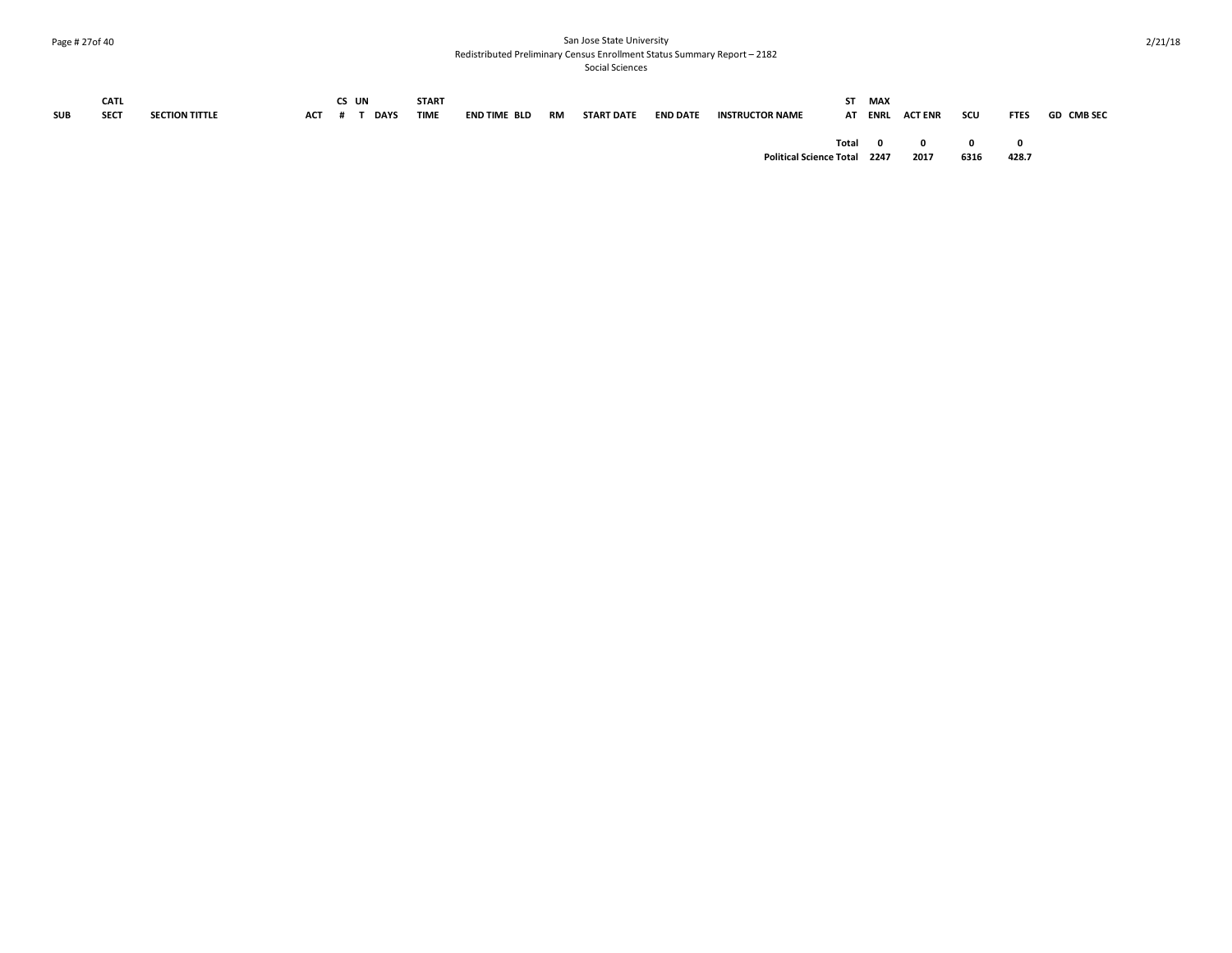#### Page # 27of 40 San Jose State University Redistributed Preliminary Census Enrollment Status Summary Report – 2182

| <b>SUB</b> | CATL<br>SECT | <b>SECTION TITTLE</b> | <b>ACT</b> | CS UN | <b>DAYS</b> | <b>START</b><br><b>TIME</b> | END TIME BLD | RM | START DATE | <b>END DATE</b> | <b>INSTRUCTOR NAME</b>         | ST. | MAX             | AT ENRL ACTENR       | scu                  | <b>FTES</b> | <b>GD CMB SEC</b> |
|------------|--------------|-----------------------|------------|-------|-------------|-----------------------------|--------------|----|------------|-----------------|--------------------------------|-----|-----------------|----------------------|----------------------|-------------|-------------------|
|            |              |                       |            |       |             |                             |              |    |            |                 | <b>Political Science Total</b> |     | Total 0<br>2247 | $\mathbf{0}$<br>2017 | $\mathbf{0}$<br>6316 | 428.7       |                   |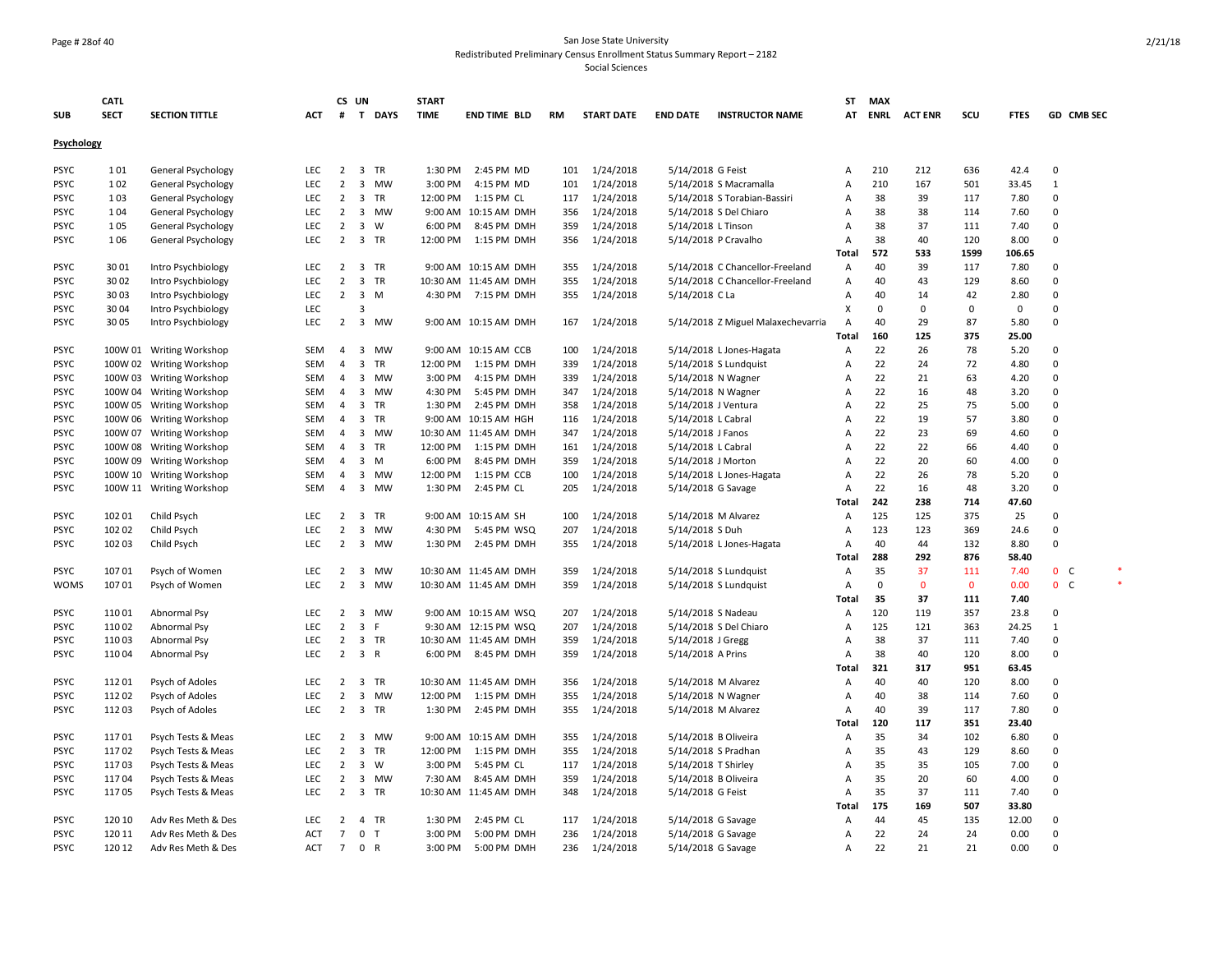#### Page # 28of 40 San Jose State University Redistributed Preliminary Census Enrollment Status Summary Report – 2182

|             | <b>CATL</b> |                          |            |                | CS UN                   |              | <b>START</b> |                       |           |                   |                     |                                    | ST                        | <b>MAX</b>  |                |              |             |                |   |
|-------------|-------------|--------------------------|------------|----------------|-------------------------|--------------|--------------|-----------------------|-----------|-------------------|---------------------|------------------------------------|---------------------------|-------------|----------------|--------------|-------------|----------------|---|
| <b>SUB</b>  | <b>SECT</b> | <b>SECTION TITTLE</b>    | ACT        | #              |                         | T DAYS       | <b>TIME</b>  | <b>END TIME BLD</b>   | <b>RM</b> | <b>START DATE</b> | <b>END DATE</b>     | <b>INSTRUCTOR NAME</b>             | AT                        | <b>ENRL</b> | <b>ACT ENR</b> | scu          | <b>FTES</b> | GD CMB SEC     |   |
|             |             |                          |            |                |                         |              |              |                       |           |                   |                     |                                    |                           |             |                |              |             |                |   |
| Psychology  |             |                          |            |                |                         |              |              |                       |           |                   |                     |                                    |                           |             |                |              |             |                |   |
| <b>PSYC</b> | 101         | General Psychology       | <b>LEC</b> | $\overline{2}$ | 3 TR                    |              | 1:30 PM      | 2:45 PM MD            | 101       | 1/24/2018         | 5/14/2018 G Feist   |                                    | A                         | 210         | 212            | 636          | 42.4        | $\mathbf 0$    |   |
| <b>PSYC</b> | 102         | General Psychology       | LEC        | $\overline{2}$ | 3                       | <b>MW</b>    | 3:00 PM      | 4:15 PM MD            | 101       | 1/24/2018         |                     | 5/14/2018 S Macramalla             | Α                         | 210         | 167            | 501          | 33.45       | $\mathbf{1}$   |   |
| <b>PSYC</b> | 103         | General Psychology       | <b>LEC</b> | $\overline{2}$ | $\overline{3}$          | TR           | 12:00 PM     | 1:15 PM CL            | 117       | 1/24/2018         |                     | 5/14/2018 S Torabian-Bassiri       | Α                         | 38          | 39             | 117          | 7.80        | 0              |   |
| <b>PSYC</b> | 104         | General Psychology       | LEC        | $\overline{2}$ | 3                       | <b>MW</b>    |              | 9:00 AM 10:15 AM DMH  | 356       | 1/24/2018         |                     | 5/14/2018 S Del Chiaro             | Α                         | 38          | 38             | 114          | 7.60        | $\pmb{0}$      |   |
| <b>PSYC</b> | 105         | General Psychology       | LEC        | $\overline{2}$ | 3                       | W            | 6:00 PM      | 8:45 PM DMH           | 359       | 1/24/2018         | 5/14/2018 L Tinson  |                                    | Α                         | 38          | 37             | 111          | 7.40        | 0              |   |
| <b>PSYC</b> | 106         | General Psychology       | <b>LEC</b> | $\overline{2}$ |                         | 3 TR         | 12:00 PM     | 1:15 PM DMH           | 356       | 1/24/2018         |                     | 5/14/2018 P Cravalho               | Α                         | 38          | 40             | 120          | 8.00        | $\mathbf 0$    |   |
|             |             |                          |            |                |                         |              |              |                       |           |                   |                     |                                    | Total                     | 572         | 533            | 1599         | 106.65      |                |   |
| <b>PSYC</b> | 3001        | Intro Psychbiology       | <b>LEC</b> | 2              | $\overline{\mathbf{3}}$ | TR           |              | 9:00 AM 10:15 AM DMH  | 355       | 1/24/2018         |                     | 5/14/2018 C Chancellor-Freeland    | A                         | 40          | 39             | 117          | 7.80        | $\Omega$       |   |
| <b>PSYC</b> | 3002        | Intro Psychbiology       | LEC        | $\overline{2}$ | $\overline{\mathbf{3}}$ | <b>TR</b>    |              | 10:30 AM 11:45 AM DMH | 355       | 1/24/2018         |                     | 5/14/2018 C Chancellor-Freeland    | A                         | 40          | 43             | 129          | 8.60        | $\mathbf 0$    |   |
| <b>PSYC</b> | 3003        | Intro Psychbiology       | LEC        | $\overline{2}$ | $\overline{3}$          | M            | 4:30 PM      | 7:15 PM DMH           | 355       | 1/24/2018         | 5/14/2018 C La      |                                    | Α                         | 40          | 14             | 42           | 2.80        | 0              |   |
| <b>PSYC</b> | 3004        | Intro Psychbiology       | LEC        |                | 3                       |              |              |                       |           |                   |                     |                                    | $\boldsymbol{\mathsf{x}}$ | 0           | 0              | $\mathbf 0$  | $\mathbf 0$ | $\mathbf 0$    |   |
| <b>PSYC</b> | 3005        | Intro Psychbiology       | <b>LEC</b> | $\overline{2}$ | $\overline{\mathbf{3}}$ | MW           |              | 9:00 AM 10:15 AM DMH  | 167       | 1/24/2018         |                     | 5/14/2018 Z Miguel Malaxechevarria | A                         | 40          | 29             | 87           | 5.80        | 0              |   |
|             |             |                          |            |                |                         |              |              |                       |           |                   |                     |                                    | <b>Total</b>              | 160         | 125            | 375          | 25.00       |                |   |
| <b>PSYC</b> |             | 100W 01 Writing Workshop | SEM        | $\overline{4}$ | $\overline{\mathbf{3}}$ | <b>MW</b>    |              | 9:00 AM 10:15 AM CCB  | 100       | 1/24/2018         |                     | 5/14/2018 L Jones-Hagata           | Α                         | 22          | 26             | 78           | 5.20        | 0              |   |
| <b>PSYC</b> |             | 100W 02 Writing Workshop | <b>SEM</b> | $\overline{4}$ | 3                       | <b>TR</b>    | 12:00 PM     | 1:15 PM DMH           | 339       | 1/24/2018         |                     | 5/14/2018 S Lundquist              | Α                         | 22          | 24             | 72           | 4.80        | $\pmb{0}$      |   |
| <b>PSYC</b> |             | 100W 03 Writing Workshop | <b>SEM</b> | $\overline{4}$ | 3                       | <b>MW</b>    | 3:00 PM      | 4:15 PM DMH           | 339       | 1/24/2018         |                     | 5/14/2018 N Wagner                 | A                         | 22          | 21             | 63           | 4.20        | $\Omega$       |   |
| <b>PSYC</b> |             | 100W 04 Writing Workshop | SEM        | $\overline{4}$ | 3                       | <b>MW</b>    | 4:30 PM      | 5:45 PM DMH           | 347       | 1/24/2018         |                     | 5/14/2018 N Wagner                 | Α                         | 22          | 16             | 48           | 3.20        | $\mathbf 0$    |   |
| <b>PSYC</b> |             | 100W 05 Writing Workshop | <b>SEM</b> | 4              | 3                       | <b>TR</b>    | 1:30 PM      | 2:45 PM DMH           | 358       | 1/24/2018         |                     | 5/14/2018 J Ventura                | A                         | 22          | 25             | 75           | 5.00        | $\Omega$       |   |
| <b>PSYC</b> |             | 100W 06 Writing Workshop | SEM        | 4              | 3                       | <b>TR</b>    |              | 9:00 AM 10:15 AM HGH  | 116       | 1/24/2018         | 5/14/2018 L Cabral  |                                    | Α                         | 22          | 19             | 57           | 3.80        | $\mathbf 0$    |   |
| <b>PSYC</b> |             | 100W 07 Writing Workshop | SEM        | 4              | $\overline{3}$          | MW           |              | 10:30 AM 11:45 AM DMH | 347       | 1/24/2018         | 5/14/2018 J Fanos   |                                    | Α                         | 22          | 23             | 69           | 4.60        | $\mathsf 0$    |   |
| <b>PSYC</b> |             | 100W 08 Writing Workshop | SEM        | 4              | 3                       | TR           | 12:00 PM     | 1:15 PM DMH           | 161       | 1/24/2018         | 5/14/2018 L Cabral  |                                    | Α                         | 22          | 22             | 66           | 4.40        | 0              |   |
| <b>PSYC</b> |             | 100W 09 Writing Workshop | SEM        | 4              | 3                       | M            | 6:00 PM      | 8:45 PM DMH           | 359       | 1/24/2018         |                     | 5/14/2018 J Morton                 | Α                         | 22          | 20             | 60           | 4.00        | $\mathbf 0$    |   |
| <b>PSYC</b> |             | 100W 10 Writing Workshop | <b>SEM</b> | $\overline{4}$ | 3                       | <b>MW</b>    | 12:00 PM     | 1:15 PM CCB           | 100       | 1/24/2018         |                     | 5/14/2018 L Jones-Hagata           | A                         | 22          | 26             | 78           | 5.20        | $\Omega$       |   |
| <b>PSYC</b> |             | 100W 11 Writing Workshop | <b>SEM</b> | $\overline{4}$ | 3                       | <b>MW</b>    | 1:30 PM      | 2:45 PM CL            | 205       | 1/24/2018         |                     | 5/14/2018 G Savage                 | Α                         | 22          | 16             | 48           | 3.20        | $\mathbf 0$    |   |
|             |             |                          |            |                |                         |              |              |                       |           |                   |                     |                                    | Total                     | 242         | 238            | 714          | 47.60       |                |   |
| <b>PSYC</b> | 102 01      | Child Psych              | <b>LEC</b> | $2 \quad 3$    |                         | <b>TR</b>    |              | 9:00 AM 10:15 AM SH   | 100       | 1/24/2018         |                     | 5/14/2018 M Alvarez                | A                         | 125         | 125            | 375          | 25          | $\Omega$       |   |
| <b>PSYC</b> | 102 02      | Child Psych              | LEC        | $\overline{2}$ | 3                       | <b>MW</b>    | 4:30 PM      | 5:45 PM WSQ           | 207       | 1/24/2018         | 5/14/2018 S Duh     |                                    | Α                         | 123         | 123            | 369          | 24.6        | $\pmb{0}$      |   |
| <b>PSYC</b> | 102 03      | Child Psych              | <b>LEC</b> | $\overline{2}$ | $\overline{\mathbf{3}}$ | MW           | 1:30 PM      | 2:45 PM DMH           | 355       | 1/24/2018         |                     | 5/14/2018 L Jones-Hagata           | Α                         | 40          | 44             | 132          | 8.80        | $\mathbf 0$    |   |
|             |             |                          |            |                |                         |              |              |                       |           |                   |                     |                                    | Total                     | 288         | 292            | 876          | 58.40       |                |   |
| <b>PSYC</b> | 107 01      | Psych of Women           | LEC        | $\overline{2}$ | 3                       | MW           |              | 10:30 AM 11:45 AM DMH | 359       | 1/24/2018         |                     | 5/14/2018 S Lundquist              | Α                         | 35          | 37             | 111          | 7.40        | 0 <sub>c</sub> | × |
| <b>WOMS</b> | 107 01      | Psych of Women           | <b>LEC</b> | $\overline{2}$ | 3                       | <b>MW</b>    |              | 10:30 AM 11:45 AM DMH | 359       | 1/24/2018         |                     | 5/14/2018 S Lundquist              | A                         | $\mathbf 0$ | $\mathbf{0}$   | $\mathbf{0}$ | 0.00        | 0 <sup>o</sup> |   |
|             |             |                          |            |                |                         |              |              |                       |           |                   |                     |                                    | Total                     | 35          | 37             | 111          | 7.40        |                |   |
| <b>PSYC</b> | 110 01      | Abnormal Psy             | LEC        | 2              | 3                       | <b>MW</b>    |              | 9:00 AM 10:15 AM WSQ  | 207       | 1/24/2018         |                     | 5/14/2018 S Nadeau                 | Α                         | 120         | 119            | 357          | 23.8        | $\mathbf 0$    |   |
| <b>PSYC</b> | 110 02      | Abnormal Psy             | LEC        | $\overline{2}$ | $\overline{3}$          | F            |              | 9:30 AM 12:15 PM WSQ  | 207       | 1/24/2018         |                     | 5/14/2018 S Del Chiaro             | A                         | 125         | 121            | 363          | 24.25       | 1              |   |
| <b>PSYC</b> | 110 03      | Abnormal Psy             | LEC        | $\overline{2}$ |                         | 3 TR         |              | 10:30 AM 11:45 AM DMH | 359       | 1/24/2018         | 5/14/2018 J Gregg   |                                    | Α                         | 38          | 37             | 111          | 7.40        | $\Omega$       |   |
| <b>PSYC</b> | 110 04      | Abnormal Psy             | LEC        | $\overline{2}$ | $\overline{3}$          | $\mathsf{R}$ | 6:00 PM      | 8:45 PM DMH           | 359       | 1/24/2018         | 5/14/2018 A Prins   |                                    | Α                         | 38          | 40             | 120          | 8.00        | 0              |   |
|             |             |                          |            |                |                         |              |              |                       |           |                   |                     |                                    | Total                     | 321         | 317            | 951          | 63.45       |                |   |
| <b>PSYC</b> | 11201       | Psych of Adoles          | <b>LEC</b> | $\overline{2}$ | $\overline{\mathbf{3}}$ | <b>TR</b>    |              | 10:30 AM 11:45 AM DMH | 356       | 1/24/2018         |                     | 5/14/2018 M Alvarez                | Α                         | 40          | 40             | 120          | 8.00        | 0              |   |
| <b>PSYC</b> | 112 02      | Psych of Adoles          | <b>LEC</b> | $\overline{2}$ | 3                       | <b>MW</b>    | 12:00 PM     | 1:15 PM DMH           | 355       | 1/24/2018         |                     | 5/14/2018 N Wagner                 | Α                         | 40          | 38             | 114          | 7.60        | $\mathbf 0$    |   |
| <b>PSYC</b> | 112 03      | Psych of Adoles          | LEC        | $\overline{2}$ |                         | 3 TR         | 1:30 PM      | 2:45 PM DMH           | 355       | 1/24/2018         |                     | 5/14/2018 M Alvarez                | Α                         | 40          | 39             | 117          | 7.80        | $\pmb{0}$      |   |
|             |             |                          |            |                |                         |              |              |                       |           |                   |                     |                                    | <b>Total</b>              | 120         | 117            | 351          | 23.40       |                |   |
| <b>PSYC</b> | 11701       | Psych Tests & Meas       | LEC        | 2              | $\overline{\mathbf{3}}$ | <b>MW</b>    |              | 9:00 AM 10:15 AM DMH  | 355       | 1/24/2018         |                     | 5/14/2018 B Oliveira               | Α                         | 35          | 34             | 102          | 6.80        | $\mathbf 0$    |   |
| <b>PSYC</b> | 11702       | Psych Tests & Meas       | <b>LEC</b> | $\overline{2}$ | $\overline{\mathbf{3}}$ | <b>TR</b>    | 12:00 PM     | 1:15 PM DMH           | 355       | 1/24/2018         |                     | 5/14/2018 S Pradhan                | A                         | 35          | 43             | 129          | 8.60        | $\mathbf 0$    |   |
| <b>PSYC</b> | 11703       | Psych Tests & Meas       | LEC        | $\overline{2}$ | $\overline{\mathbf{3}}$ | W            | 3:00 PM      | 5:45 PM CL            | 117       | 1/24/2018         | 5/14/2018 T Shirley |                                    | Α                         | 35          | 35             | 105          | 7.00        | $\pmb{0}$      |   |
| <b>PSYC</b> | 11704       | Psych Tests & Meas       | LEC        | 2              | $\overline{\mathbf{3}}$ | MW           | 7:30 AM      | 8:45 AM DMH           | 359       | 1/24/2018         |                     | 5/14/2018 B Oliveira               | Α                         | 35          | 20             | 60           | 4.00        | 0              |   |
| <b>PSYC</b> | 11705       | Psych Tests & Meas       | <b>LEC</b> | 2              | $\overline{\mathbf{3}}$ | TR           |              | 10:30 AM 11:45 AM DMH | 348       | 1/24/2018         | 5/14/2018 G Feist   |                                    | Α                         | 35          | 37             | 111          | 7.40        | 0              |   |
|             |             |                          |            |                |                         |              |              |                       |           |                   |                     |                                    | Total                     | 175         | 169            | 507          | 33.80       |                |   |
| <b>PSYC</b> | 120 10      | Adv Res Meth & Des       | <b>LEC</b> | $\overline{2}$ | $\overline{4}$          | TR           | 1:30 PM      | 2:45 PM CL            | 117       | 1/24/2018         |                     | 5/14/2018 G Savage                 | Α                         | 44          | 45             | 135          | 12.00       | 0              |   |
| <b>PSYC</b> | 120 11      | Adv Res Meth & Des       | <b>ACT</b> | $\overline{7}$ | $\mathbf{0}$            | $\mathsf{T}$ | 3:00 PM      | 5:00 PM DMH           | 236       | 1/24/2018         |                     | 5/14/2018 G Savage                 | $\overline{A}$            | 22          | 24             | 24           | 0.00        | $\Omega$       |   |
| <b>PSYC</b> | 120 12      | Adv Res Meth & Des       | <b>ACT</b> | $\overline{7}$ | $\mathbf{0}$            | $\mathsf{R}$ | 3:00 PM      | 5:00 PM DMH           | 236       | 1/24/2018         |                     | 5/14/2018 G Savage                 | Α                         | 22          | 21             | 21           | 0.00        | $\Omega$       |   |
|             |             |                          |            |                |                         |              |              |                       |           |                   |                     |                                    |                           |             |                |              |             |                |   |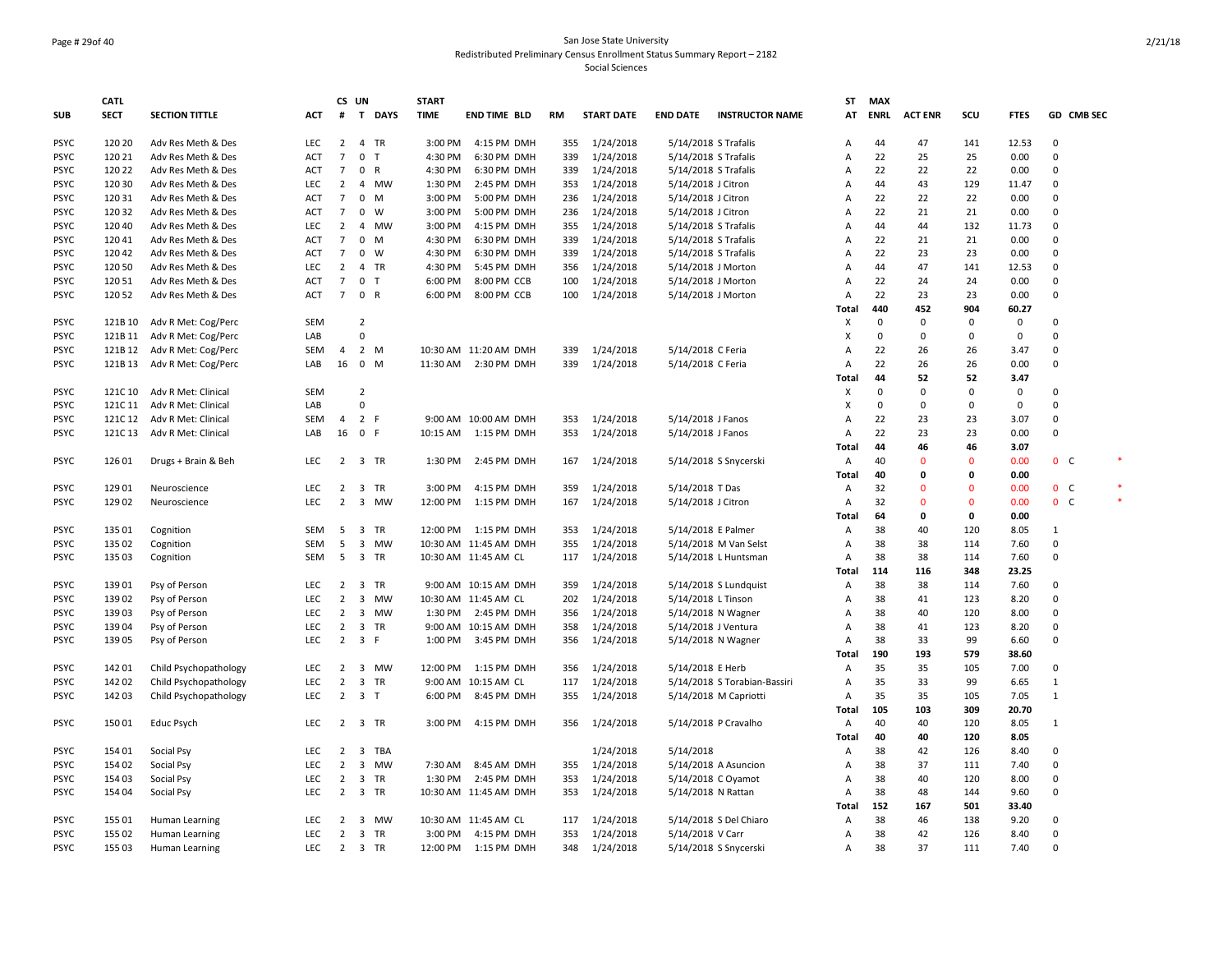#### Page # 29of 40 San Jose State University Redistributed Preliminary Census Enrollment Status Summary Report – 2182 Social Sciences

|             | <b>CATL</b> |                       |            | CS UN           |                         |           | <b>START</b> |                        |           |                   |                    |                              | <b>ST</b>                 | <b>MAX</b>  |                |              |               |                |            |
|-------------|-------------|-----------------------|------------|-----------------|-------------------------|-----------|--------------|------------------------|-----------|-------------------|--------------------|------------------------------|---------------------------|-------------|----------------|--------------|---------------|----------------|------------|
| <b>SUB</b>  | <b>SECT</b> | <b>SECTION TITTLE</b> | <b>ACT</b> | #               |                         | T DAYS    | <b>TIME</b>  | <b>END TIME BLD</b>    | <b>RM</b> | <b>START DATE</b> | <b>END DATE</b>    | <b>INSTRUCTOR NAME</b>       | AT                        | <b>ENRL</b> | <b>ACT ENR</b> | scu          | <b>FTES</b>   |                | GD CMB SEC |
| <b>PSYC</b> | 120 20      | Adv Res Meth & Des    | LEC        | $\overline{2}$  | 4 TR                    |           | 3:00 PM      | 4:15 PM DMH            | 355       | 1/24/2018         |                    | 5/14/2018 S Trafalis         | A                         | 44          | 47             | 141          | 12.53         | $\mathbf 0$    |            |
| <b>PSYC</b> | 120 21      | Adv Res Meth & Des    | <b>ACT</b> | $\overline{7}$  | $\mathsf 0$             | T         | 4:30 PM      | 6:30 PM DMH            | 339       | 1/24/2018         |                    | 5/14/2018 S Trafalis         | Α                         | 22          | 25             | 25           | 0.00          | $\mathsf 0$    |            |
| <b>PSYC</b> | 120 22      | Adv Res Meth & Des    | <b>ACT</b> | 7               | 0                       | R         | 4:30 PM      | 6:30 PM DMH            | 339       | 1/24/2018         |                    | 5/14/2018 S Trafalis         | Α                         | 22          | 22             | 22           | 0.00          | $\mathbf 0$    |            |
| <b>PSYC</b> | 120 30      | Adv Res Meth & Des    | LEC        | $\overline{2}$  |                         | 4 MW      | 1:30 PM      | 2:45 PM DMH            | 353       | 1/24/2018         | 5/14/2018 J Citron |                              | $\overline{A}$            | 44          | 43             | 129          | 11.47         | $\mathbf 0$    |            |
| <b>PSYC</b> | 120 31      | Adv Res Meth & Des    | ACT        | $7\overline{ }$ | 0                       | M         | 3:00 PM      | 5:00 PM DMH            | 236       | 1/24/2018         | 5/14/2018 J Citron |                              | $\overline{A}$            | 22          | 22             | 22           | 0.00          | $\mathbf 0$    |            |
| <b>PSYC</b> | 120 32      | Adv Res Meth & Des    | <b>ACT</b> | $7\overline{ }$ | 0                       | W         | 3:00 PM      | 5:00 PM DMH            | 236       | 1/24/2018         | 5/14/2018 J Citron |                              | $\overline{A}$            | 22          | 21             | 21           | 0.00          | $\mathbf 0$    |            |
| <b>PSYC</b> | 120 40      | Adv Res Meth & Des    | LEC        | $\overline{2}$  | $\overline{4}$          | <b>MW</b> | 3:00 PM      | 4:15 PM DMH            | 355       | 1/24/2018         |                    | 5/14/2018 S Trafalis         | $\overline{A}$            | 44          | 44             | 132          | 11.73         | $\mathsf 0$    |            |
| <b>PSYC</b> | 120 41      | Adv Res Meth & Des    | <b>ACT</b> | $7\overline{ }$ | $\mathbf 0$             | M         | 4:30 PM      | 6:30 PM DMH            | 339       | 1/24/2018         |                    | 5/14/2018 S Trafalis         | $\overline{A}$            | 22          | 21             | 21           | 0.00          | $\Omega$       |            |
| <b>PSYC</b> | 120 42      | Adv Res Meth & Des    | ACT        | $\overline{7}$  | 0                       | W         | 4:30 PM      | 6:30 PM DMH            | 339       | 1/24/2018         |                    | 5/14/2018 S Trafalis         | A                         | 22          | 23             | 23           | 0.00          | $\Omega$       |            |
| <b>PSYC</b> | 120 50      | Adv Res Meth & Des    | LEC        | 2               | 4                       | TR        | 4:30 PM      | 5:45 PM DMH            | 356       | 1/24/2018         |                    | 5/14/2018 J Morton           | $\overline{A}$            | 44          | 47             | 141          | 12.53         | $\mathsf 0$    |            |
| <b>PSYC</b> | 120 51      | Adv Res Meth & Des    | <b>ACT</b> | $\overline{7}$  | 0                       | T         | 6:00 PM      | 8:00 PM CCB            | 100       | 1/24/2018         |                    | 5/14/2018 J Morton           | A                         | 22          | 24             | 24           | 0.00          | 0              |            |
| <b>PSYC</b> | 120 52      | Adv Res Meth & Des    | ACT        | $\overline{7}$  | 0 R                     |           | 6:00 PM      | 8:00 PM CCB            | 100       | 1/24/2018         |                    | 5/14/2018 J Morton           | $\overline{A}$<br>Total   | 22<br>440   | 23<br>452      | 23<br>904    | 0.00<br>60.27 | $\mathbf 0$    |            |
| <b>PSYC</b> | 121B 10     | Adv R Met: Cog/Perc   | <b>SEM</b> |                 | $\overline{2}$          |           |              |                        |           |                   |                    |                              | X                         | $\mathbf 0$ | $\mathbf 0$    | $\mathbf 0$  | $\mathbf 0$   | $\Omega$       |            |
| <b>PSYC</b> | 121B 11     | Adv R Met: Cog/Perc   | LAB        |                 | $\mathbf 0$             |           |              |                        |           |                   |                    |                              | $\boldsymbol{\mathsf{x}}$ | $\mathbf 0$ | $\mathbf 0$    | $\Omega$     | $\mathbf 0$   | $\mathbf 0$    |            |
| <b>PSYC</b> | 121B 12     | Adv R Met: Cog/Perc   | SEM        | $\overline{4}$  | 2 M                     |           |              | 10:30 AM 11:20 AM DMH  | 339       | 1/24/2018         | 5/14/2018 C Feria  |                              | A                         | 22          | 26             | 26           | 3.47          | 0              |            |
| <b>PSYC</b> | 121B 13     | Adv R Met: Cog/Perc   | LAB        | 16 0            |                         | M         | 11:30 AM     | 2:30 PM DMH            | 339       | 1/24/2018         | 5/14/2018 C Feria  |                              | A                         | 22          | 26             | 26           | 0.00          | $\mathbf 0$    |            |
|             |             |                       |            |                 |                         |           |              |                        |           |                   |                    |                              | Total                     | 44          | 52             | 52           | 3.47          |                |            |
| <b>PSYC</b> | 121C 10     | Adv R Met: Clinical   | <b>SEM</b> |                 | $\overline{2}$          |           |              |                        |           |                   |                    |                              | Х                         | $\Omega$    | $\Omega$       | $\Omega$     | $\Omega$      | $\Omega$       |            |
| <b>PSYC</b> | 121C 11     | Adv R Met: Clinical   | LAB        |                 | $\mathbf 0$             |           |              |                        |           |                   |                    |                              | $\boldsymbol{\mathsf{x}}$ | 0           | 0              | $\mathbf 0$  | $\mathbf 0$   | $\mathbf 0$    |            |
| <b>PSYC</b> | 121C 12     | Adv R Met: Clinical   | <b>SEM</b> | $\overline{4}$  | 2 F                     |           |              | 9:00 AM 10:00 AM DMH   | 353       | 1/24/2018         | 5/14/2018 J Fanos  |                              | $\overline{A}$            | 22          | 23             | 23           | 3.07          | $\Omega$       |            |
| <b>PSYC</b> | 121C 13     | Adv R Met: Clinical   | LAB        | 16 0 F          |                         |           |              | 10:15 AM   1:15 PM DMH | 353       | 1/24/2018         | 5/14/2018 J Fanos  |                              | $\overline{A}$            | 22          | 23             | 23           | 0.00          | $\Omega$       |            |
|             |             |                       |            |                 |                         |           |              |                        |           |                   |                    |                              | Total                     | 44          | 46             | 46           | 3.07          |                |            |
| <b>PSYC</b> | 126 01      | Drugs + Brain & Beh   | <b>LEC</b> | $\overline{2}$  | 3 TR                    |           | 1:30 PM      | 2:45 PM DMH            | 167       | 1/24/2018         |                    | 5/14/2018 S Snycerski        | Α                         | 40          | $\Omega$       | $\mathbf{0}$ | 0.00          | 0 <sub>c</sub> |            |
|             |             |                       |            |                 |                         |           |              |                        |           |                   |                    |                              | Total                     | 40          | $\mathbf 0$    | 0            | 0.00          |                |            |
| <b>PSYC</b> | 129 01      | Neuroscience          | <b>LEC</b> | 2               | $\overline{\mathbf{3}}$ | TR        | 3:00 PM      | 4:15 PM DMH            | 359       | 1/24/2018         | 5/14/2018 T Das    |                              | Α                         | 32          | $\Omega$       | $\Omega$     | 0.00          | 0 <sub>c</sub> |            |
| <b>PSYC</b> | 129 02      | Neuroscience          | LEC        | $\overline{2}$  |                         | 3 MW      | 12:00 PM     | 1:15 PM DMH            | 167       | 1/24/2018         | 5/14/2018 J Citron |                              | A                         | 32          | $\Omega$       | $\mathbf{0}$ | 0.00          | 0 <sup>o</sup> |            |
|             |             |                       |            |                 |                         |           |              |                        |           |                   |                    |                              | Total                     | 64          | 0              | 0            | 0.00          |                |            |
| <b>PSYC</b> | 135 01      | Cognition             | <b>SEM</b> | 5               | $\overline{\mathbf{3}}$ | <b>TR</b> | 12:00 PM     | 1:15 PM DMH            | 353       | 1/24/2018         | 5/14/2018 E Palmer |                              | $\overline{A}$            | 38          | 40             | 120          | 8.05          | 1              |            |
| <b>PSYC</b> | 135 02      | Cognition             | SEM        | 5               | $\overline{\mathbf{3}}$ | <b>MW</b> |              | 10:30 AM 11:45 AM DMH  | 355       | 1/24/2018         |                    | 5/14/2018 M Van Selst        | $\overline{A}$            | 38          | 38             | 114          | 7.60          | $\mathsf 0$    |            |
| <b>PSYC</b> | 135 03      | Cognition             | <b>SEM</b> | 5               | $\overline{\mathbf{3}}$ | <b>TR</b> |              | 10:30 AM 11:45 AM CL   | 117       | 1/24/2018         |                    | 5/14/2018 L Huntsman         | A<br><b>Total</b>         | 38<br>114   | 38<br>116      | 114<br>348   | 7.60<br>23.25 | $\mathbf 0$    |            |
| <b>PSYC</b> | 13901       | Psy of Person         | LEC        | $\overline{2}$  | $\overline{\mathbf{3}}$ | TR        |              | 9:00 AM 10:15 AM DMH   | 359       | 1/24/2018         |                    | 5/14/2018 S Lundquist        | A                         | 38          | 38             | 114          | 7.60          | $\mathbf 0$    |            |
| <b>PSYC</b> | 139 02      | Psy of Person         | <b>LEC</b> | $\overline{2}$  | $\overline{\mathbf{3}}$ | <b>MW</b> |              | 10:30 AM 11:45 AM CL   | 202       | 1/24/2018         | 5/14/2018 L Tinson |                              | A                         | 38          | 41             | 123          | 8.20          | $\mathbf 0$    |            |
| <b>PSYC</b> | 13903       | Psy of Person         | <b>LEC</b> | $\overline{2}$  | $\overline{\mathbf{3}}$ | <b>MW</b> |              | 1:30 PM 2:45 PM DMH    | 356       | 1/24/2018         |                    | 5/14/2018 N Wagner           | A                         | 38          | 40             | 120          | 8.00          | $\mathbf 0$    |            |
| <b>PSYC</b> | 139 04      | Psy of Person         | LEC        | $\overline{2}$  | $\overline{\mathbf{3}}$ | TR        |              | 9:00 AM 10:15 AM DMH   | 358       | 1/24/2018         |                    | 5/14/2018 J Ventura          | $\overline{A}$            | 38          | 41             | 123          | 8.20          | $\mathbf 0$    |            |
| <b>PSYC</b> | 139 05      | Psy of Person         | <b>LEC</b> | 2               | 3 F                     |           | 1:00 PM      | 3:45 PM DMH            | 356       | 1/24/2018         |                    | 5/14/2018 N Wagner           | $\overline{A}$            | 38          | 33             | 99           | 6.60          | $\mathbf 0$    |            |
|             |             |                       |            |                 |                         |           |              |                        |           |                   |                    |                              | Total                     | 190         | 193            | 579          | 38.60         |                |            |
| <b>PSYC</b> | 142 01      | Child Psychopathology | <b>LEC</b> | $\overline{2}$  | $\overline{\mathbf{3}}$ | MW        | 12:00 PM     | 1:15 PM DMH            | 356       | 1/24/2018         | 5/14/2018 E Herb   |                              | Α                         | 35          | 35             | 105          | 7.00          | 0              |            |
| <b>PSYC</b> | 142 02      | Child Psychopathology | LEC        | $\overline{2}$  | $\overline{\mathbf{3}}$ | TR        |              | 9:00 AM 10:15 AM CL    | 117       | 1/24/2018         |                    | 5/14/2018 S Torabian-Bassiri | A                         | 35          | 33             | 99           | 6.65          | $\mathbf{1}$   |            |
| <b>PSYC</b> | 142 03      | Child Psychopathology | LEC        | $\overline{2}$  | 3 <sub>T</sub>          |           | 6:00 PM      | 8:45 PM DMH            | 355       | 1/24/2018         |                    | 5/14/2018 M Capriotti        | A                         | 35          | 35             | 105          | 7.05          | 1              |            |
|             |             |                       |            |                 |                         |           |              |                        |           |                   |                    |                              | <b>Total</b>              | 105         | 103            | 309          | 20.70         |                |            |
| <b>PSYC</b> | 15001       | Educ Psych            | LEC        | $\overline{2}$  | $\overline{\mathbf{3}}$ | TR        | 3:00 PM      | 4:15 PM DMH            | 356       | 1/24/2018         |                    | 5/14/2018 P Cravalho         | A                         | 40          | 40             | 120          | 8.05          | 1              |            |
|             |             |                       |            |                 |                         |           |              |                        |           |                   |                    |                              | <b>Total</b>              | 40          | 40             | 120          | 8.05          |                |            |
| <b>PSYC</b> | 154 01      | Social Psy            | LEC        | $\overline{2}$  | $\overline{\mathbf{3}}$ | TBA       |              |                        |           | 1/24/2018         | 5/14/2018          |                              | Α                         | 38          | 42             | 126          | 8.40          | 0              |            |
| <b>PSYC</b> | 154 02      | Social Psy            | <b>LEC</b> | $\overline{2}$  | $\overline{\mathbf{3}}$ | MW        | 7:30 AM      | 8:45 AM DMH            | 355       | 1/24/2018         |                    | 5/14/2018 A Asuncion         | Α                         | 38          | 37             | 111          | 7.40          | $\mathsf 0$    |            |
| <b>PSYC</b> | 154 03      | Social Psy            | <b>LEC</b> | $\overline{2}$  | $\overline{\mathbf{3}}$ | TR        | 1:30 PM      | 2:45 PM DMH            | 353       | 1/24/2018         |                    | 5/14/2018 C Oyamot           | A                         | 38          | 40             | 120          | 8.00          | $\mathbf 0$    |            |
| <b>PSYC</b> | 154 04      | Social Psy            | LEC        | $\overline{2}$  | 3 TR                    |           |              | 10:30 AM 11:45 AM DMH  | 353       | 1/24/2018         | 5/14/2018 N Rattan |                              | A                         | 38          | 48             | 144          | 9.60          | $\mathbf{0}$   |            |
|             |             |                       |            |                 |                         |           |              |                        |           |                   |                    |                              | Total                     | 152         | 167            | 501          | 33.40         |                |            |
| <b>PSYC</b> | 155 01      | Human Learning        | <b>LEC</b> | $\overline{2}$  | $\overline{\mathbf{3}}$ | <b>MW</b> |              | 10:30 AM 11:45 AM CL   | 117       | 1/24/2018         |                    | 5/14/2018 S Del Chiaro       | A                         | 38          | 46             | 138          | 9.20          | $\Omega$       |            |
| <b>PSYC</b> | 155 02      | Human Learning        | <b>LEC</b> | $\overline{2}$  | $\overline{\mathbf{3}}$ | <b>TR</b> | 3:00 PM      | 4:15 PM DMH            | 353       | 1/24/2018         | 5/14/2018 V Carr   |                              | A                         | 38          | 42             | 126          | 8.40          | $\Omega$       |            |
| <b>PSYC</b> | 155 03      | Human Learning        | LEC        |                 | 2 3 TR                  |           | 12:00 PM     | 1:15 PM DMH            | 348       | 1/24/2018         |                    | 5/14/2018 S Snycerski        | $\mathsf{A}$              | 38          | 37             | 111          | 7.40          | $\Omega$       |            |
|             |             |                       |            |                 |                         |           |              |                        |           |                   |                    |                              |                           |             |                |              |               |                |            |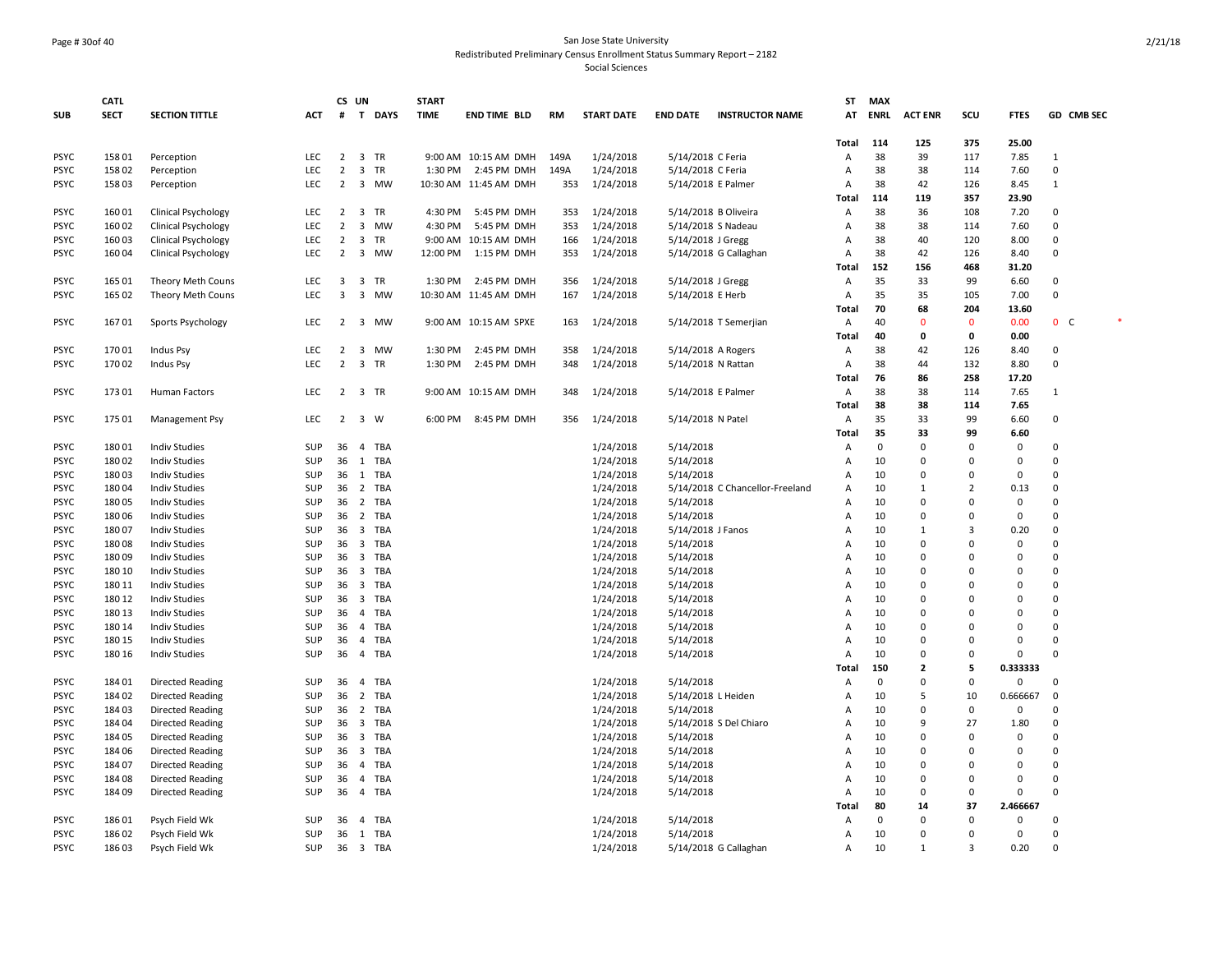### Page # 30of 40 San Jose State University Redistributed Preliminary Census Enrollment Status Summary Report – 2182

|             | CATL        |                            |            | CS UN                   |                         |            | <b>START</b> |                       |      |                   |                   |                                 | ST           | <b>MAX</b>  |                |                |             |                   |  |
|-------------|-------------|----------------------------|------------|-------------------------|-------------------------|------------|--------------|-----------------------|------|-------------------|-------------------|---------------------------------|--------------|-------------|----------------|----------------|-------------|-------------------|--|
| <b>SUB</b>  | <b>SECT</b> | <b>SECTION TITTLE</b>      | <b>ACT</b> | #                       |                         | T DAYS     | <b>TIME</b>  | <b>END TIME BLD</b>   | RM   | <b>START DATE</b> | <b>END DATE</b>   | <b>INSTRUCTOR NAME</b>          | AT           | <b>ENRL</b> | <b>ACT ENR</b> | SCU            | <b>FTES</b> | <b>GD CMB SEC</b> |  |
|             |             |                            |            |                         |                         |            |              |                       |      |                   |                   |                                 |              |             |                |                |             |                   |  |
|             |             |                            |            |                         |                         |            |              |                       |      |                   |                   |                                 | <b>Total</b> | 114         | 125            | 375            | 25.00       |                   |  |
| <b>PSYC</b> | 158 01      | Perception                 | LEC        | $\overline{2}$          |                         | 3 TR       |              | 9:00 AM 10:15 AM DMH  | 149A | 1/24/2018         | 5/14/2018 C Feria |                                 | Α            | 38          | 39             | 117            | 7.85        | 1                 |  |
| <b>PSYC</b> | 158 02      | Perception                 | <b>LEC</b> | $\overline{2}$          | $\overline{\mathbf{3}}$ | <b>TR</b>  | 1:30 PM      | 2:45 PM DMH           | 149A | 1/24/2018         | 5/14/2018 C Feria |                                 | Α            | 38          | 38             | 114            | 7.60        | $\Omega$          |  |
| <b>PSYC</b> | 158 03      | Perception                 | <b>LEC</b> | $\overline{2}$          | $\overline{\mathbf{3}}$ | MW         |              | 10:30 AM 11:45 AM DMH | 353  | 1/24/2018         |                   | 5/14/2018 E Palmer              | Α            | 38          | 42             | 126            | 8.45        | 1                 |  |
|             |             |                            |            |                         |                         |            |              |                       |      |                   |                   |                                 | Total        | 114         | 119            | 357            | 23.90       |                   |  |
| <b>PSYC</b> | 160 01      | <b>Clinical Psychology</b> | LEC        | $\overline{2}$          | $\overline{\mathbf{3}}$ | <b>TR</b>  | 4:30 PM      | 5:45 PM DMH           | 353  | 1/24/2018         |                   | 5/14/2018 B Oliveira            | Α            | 38          | 36             | 108            | 7.20        | $\mathbf 0$       |  |
| <b>PSYC</b> | 160 02      | <b>Clinical Psychology</b> | LEC        | $\overline{2}$          | $\overline{\mathbf{3}}$ | <b>MW</b>  | 4:30 PM      | 5:45 PM DMH           | 353  | 1/24/2018         |                   | 5/14/2018 S Nadeau              | Α            | 38          | 38             | 114            | 7.60        | $\mathbf 0$       |  |
| <b>PSYC</b> | 160 03      | <b>Clinical Psychology</b> | <b>LEC</b> | $\overline{2}$          | $\overline{\mathbf{3}}$ | <b>TR</b>  |              | 9:00 AM 10:15 AM DMH  | 166  | 1/24/2018         | 5/14/2018 J Gregg |                                 | A            | 38          | 40             | 120            | 8.00        | $\Omega$          |  |
| <b>PSYC</b> | 160 04      | <b>Clinical Psychology</b> | <b>LEC</b> | 2                       | $\overline{\mathbf{3}}$ | <b>MW</b>  | 12:00 PM     | 1:15 PM DMH           | 353  | 1/24/2018         |                   | 5/14/2018 G Callaghan           | Α            | 38          | 42             | 126            | 8.40        | 0                 |  |
|             |             |                            |            |                         |                         |            |              |                       |      |                   |                   |                                 | Total        | 152         | 156            | 468            | 31.20       |                   |  |
| <b>PSYC</b> | 165 01      | Theory Meth Couns          | <b>LEC</b> | $\overline{\mathbf{3}}$ | $\overline{\mathbf{3}}$ | <b>TR</b>  |              | 1:30 PM 2:45 PM DMH   | 356  | 1/24/2018         | 5/14/2018 J Gregg |                                 | Α            | 35          | 33             | 99             | 6.60        | $\mathbf 0$       |  |
| <b>PSYC</b> | 165 02      | Theory Meth Couns          | LEC        | $\overline{3}$          | $\overline{\mathbf{3}}$ | MW         |              | 10:30 AM 11:45 AM DMH | 167  | 1/24/2018         | 5/14/2018 E Herb  |                                 | Α            | 35          | 35             | 105            | 7.00        | 0                 |  |
|             |             |                            |            |                         |                         |            |              |                       |      |                   |                   |                                 | <b>Total</b> | 70          | 68             | 204            | 13.60       |                   |  |
| <b>PSYC</b> | 16701       | Sports Psychology          | LEC        |                         |                         | 2 3 MW     |              | 9:00 AM 10:15 AM SPXE | 163  | 1/24/2018         |                   | 5/14/2018 T Semerjian           | Α            | 40          | $\mathbf{0}$   | $\mathbf{0}$   | 0.00        | 0 <sup>o</sup>    |  |
|             |             |                            |            |                         |                         |            |              |                       |      |                   |                   |                                 | <b>Total</b> | 40          | 0              | $\mathbf 0$    | 0.00        |                   |  |
| <b>PSYC</b> | 170 01      | Indus Psy                  | LEC        | $\overline{2}$          | $\overline{\mathbf{3}}$ | MW         | 1:30 PM      | 2:45 PM DMH           | 358  | 1/24/2018         |                   | 5/14/2018 A Rogers              | Α            | 38          | 42             | 126            | 8.40        | $\mathbf 0$       |  |
| <b>PSYC</b> | 170 02      | Indus Psy                  | <b>LEC</b> | $\overline{2}$          | $\overline{\mathbf{3}}$ | <b>TR</b>  | 1:30 PM      | 2:45 PM DMH           | 348  | 1/24/2018         |                   | 5/14/2018 N Rattan              | Α            | 38          | 44             | 132            | 8.80        | 0                 |  |
|             |             |                            |            |                         |                         |            |              |                       |      |                   |                   |                                 | <b>Total</b> | 76          | 86             | 258            | 17.20       |                   |  |
| <b>PSYC</b> | 173 01      | Human Factors              | LEC        |                         |                         | 2 3 TR     |              | 9:00 AM 10:15 AM DMH  | 348  | 1/24/2018         |                   | 5/14/2018 E Palmer              | Α            | 38          | 38             | 114            | 7.65        | 1                 |  |
|             |             |                            |            |                         |                         |            |              |                       |      |                   |                   |                                 | <b>Total</b> | 38          | 38             | 114            | 7.65        |                   |  |
| <b>PSYC</b> | 175 01      | Management Psy             | LEC        | $\overline{2}$          | $\overline{\mathbf{3}}$ | W          | 6:00 PM      | 8:45 PM DMH           | 356  | 1/24/2018         | 5/14/2018 N Patel |                                 | Α            | 35          | 33             | 99             | 6.60        | $\mathbf 0$       |  |
|             |             |                            |            |                         |                         |            |              |                       |      |                   |                   |                                 | Total        | 35          | 33             | 99             | 6.60        |                   |  |
| <b>PSYC</b> | 180 01      | <b>Indiv Studies</b>       | SUP        | 36 4                    |                         | TBA        |              |                       |      | 1/24/2018         | 5/14/2018         |                                 | Α            | $\Omega$    | $\mathbf 0$    | $\Omega$       | $\mathbf 0$ | 0                 |  |
| <b>PSYC</b> | 180 02      | <b>Indiv Studies</b>       | SUP        | 36 1                    |                         | <b>TBA</b> |              |                       |      | 1/24/2018         | 5/14/2018         |                                 | Α            | 10          | $\Omega$       | $\Omega$       | 0           | $\Omega$          |  |
| <b>PSYC</b> | 18003       | <b>Indiv Studies</b>       | SUP        | 36 1                    |                         | <b>TBA</b> |              |                       |      | 1/24/2018         | 5/14/2018         |                                 | A            | 10          | $\mathbf 0$    | $\Omega$       | $\Omega$    | $\mathbf 0$       |  |
| <b>PSYC</b> | 180 04      | <b>Indiv Studies</b>       | SUP        | 36                      | $\overline{2}$          | <b>TBA</b> |              |                       |      | 1/24/2018         |                   | 5/14/2018 C Chancellor-Freeland | A            | 10          | $\mathbf{1}$   | $\overline{2}$ | 0.13        | $\mathbf 0$       |  |
| <b>PSYC</b> | 180 05      | <b>Indiv Studies</b>       | SUP        | 36 <sub>2</sub>         |                         | <b>TBA</b> |              |                       |      | 1/24/2018         | 5/14/2018         |                                 | A            | 10          | $\Omega$       | $\Omega$       | 0           | $\Omega$          |  |
| <b>PSYC</b> | 180 06      | <b>Indiv Studies</b>       | SUP        |                         |                         | 36 2 TBA   |              |                       |      | 1/24/2018         | 5/14/2018         |                                 | A            | 10          | $\mathbf 0$    | $\Omega$       | 0           | $\Omega$          |  |
| <b>PSYC</b> | 180 07      | <b>Indiv Studies</b>       | <b>SUP</b> | 36                      | $\overline{\mathbf{3}}$ | <b>TBA</b> |              |                       |      | 1/24/2018         | 5/14/2018 J Fanos |                                 | Α            | 10          | $\mathbf{1}$   | $\overline{3}$ | 0.20        | 0                 |  |
| <b>PSYC</b> | 18008       | <b>Indiv Studies</b>       | SUP        | 36 <sub>3</sub>         |                         | <b>TBA</b> |              |                       |      | 1/24/2018         | 5/14/2018         |                                 | A            | 10          | $\mathbf 0$    | $\Omega$       | 0           | 0                 |  |
| <b>PSYC</b> | 18009       | <b>Indiv Studies</b>       | SUP        | 36                      | $\overline{\mathbf{3}}$ | <b>TBA</b> |              |                       |      | 1/24/2018         | 5/14/2018         |                                 | A            | 10          | $\Omega$       | $\Omega$       | $\Omega$    | $\Omega$          |  |
| <b>PSYC</b> | 180 10      | <b>Indiv Studies</b>       | SUP        | 36 <sub>3</sub>         |                         | <b>TBA</b> |              |                       |      | 1/24/2018         | 5/14/2018         |                                 | A            | 10          | $\Omega$       | $\Omega$       | $\Omega$    | $\Omega$          |  |
| <b>PSYC</b> | 180 11      | <b>Indiv Studies</b>       | SUP        | 36                      | $\overline{\mathbf{3}}$ | <b>TBA</b> |              |                       |      | 1/24/2018         | 5/14/2018         |                                 | A            | 10          | 0              | $\Omega$       | 0           | 0                 |  |
| <b>PSYC</b> | 180 12      | <b>Indiv Studies</b>       | SUP        | 36 <sub>3</sub>         |                         | <b>TBA</b> |              |                       |      | 1/24/2018         | 5/14/2018         |                                 | A            | 10          | $\Omega$       | $\Omega$       | 0           | $\Omega$          |  |
| <b>PSYC</b> | 180 13      | <b>Indiv Studies</b>       | SUP        | 36                      | $\overline{4}$          | <b>TBA</b> |              |                       |      | 1/24/2018         | 5/14/2018         |                                 | Α            | 10          | $\Omega$       | $\Omega$       | $\Omega$    | $\mathbf 0$       |  |
| <b>PSYC</b> | 180 14      | <b>Indiv Studies</b>       | SUP        | 36                      | $\overline{4}$          | <b>TBA</b> |              |                       |      | 1/24/2018         | 5/14/2018         |                                 | A            | 10          | 0              | $\Omega$       | 0           | $\mathbf 0$       |  |
| <b>PSYC</b> | 180 15      | <b>Indiv Studies</b>       | SUP        | 36                      | $\overline{4}$          | <b>TBA</b> |              |                       |      | 1/24/2018         | 5/14/2018         |                                 | Α            | 10          | $\Omega$       | $\Omega$       | 0           | 0                 |  |
| <b>PSYC</b> | 180 16      | <b>Indiv Studies</b>       | SUP        | 36                      | $\overline{4}$          | <b>TBA</b> |              |                       |      | 1/24/2018         | 5/14/2018         |                                 | Α            | 10          | 0              | $\Omega$       | $\mathbf 0$ | $\Omega$          |  |
|             |             |                            |            |                         |                         |            |              |                       |      |                   |                   |                                 | Total        | 150         | $\mathbf{2}$   | 5              | 0.333333    |                   |  |
| <b>PSYC</b> | 184 01      | <b>Directed Reading</b>    | SUP        | 36                      | $\overline{4}$          | <b>TBA</b> |              |                       |      | 1/24/2018         | 5/14/2018         |                                 | Α            | 0           | 0              | $\mathbf 0$    | 0           | 0                 |  |
| <b>PSYC</b> | 184 02      | <b>Directed Reading</b>    | SUP        | 36 <sub>2</sub>         |                         | <b>TBA</b> |              |                       |      | 1/24/2018         |                   | 5/14/2018 L Heiden              | Α            | 10          | 5              | 10             | 0.666667    | $\mathbf{0}$      |  |
| <b>PSYC</b> | 184 03      | <b>Directed Reading</b>    | SUP        | 36                      | $\overline{2}$          | <b>TBA</b> |              |                       |      | 1/24/2018         | 5/14/2018         |                                 | Α            | 10          | $\mathbf 0$    | $\mathbf 0$    | 0           | $\mathbf 0$       |  |
| <b>PSYC</b> | 184 04      | <b>Directed Reading</b>    | <b>SUP</b> | 36                      | $\overline{\mathbf{3}}$ | <b>TBA</b> |              |                       |      | 1/24/2018         |                   | 5/14/2018 S Del Chiaro          | Α            | 10          | 9              | 27             | 1.80        | 0                 |  |
| <b>PSYC</b> | 184 05      | <b>Directed Reading</b>    | SUP        | 36                      | $\overline{\mathbf{3}}$ | <b>TBA</b> |              |                       |      | 1/24/2018         | 5/14/2018         |                                 | Α            | 10          | $\Omega$       | $\Omega$       | 0           | 0                 |  |
| <b>PSYC</b> | 184 06      | <b>Directed Reading</b>    | SUP        | 36                      | $\overline{\mathbf{3}}$ | <b>TBA</b> |              |                       |      | 1/24/2018         | 5/14/2018         |                                 | A            | 10          | $\Omega$       | $\Omega$       | 0           | $\Omega$          |  |
| <b>PSYC</b> | 184 07      | <b>Directed Reading</b>    | SUP        | 36                      | $\overline{4}$          | <b>TBA</b> |              |                       |      | 1/24/2018         | 5/14/2018         |                                 | A            | 10          | $\Omega$       | $\Omega$       | $\Omega$    | $\Omega$          |  |
| <b>PSYC</b> | 184 08      | <b>Directed Reading</b>    | SUP        | 36                      | $\overline{4}$          | <b>TBA</b> |              |                       |      | 1/24/2018         | 5/14/2018         |                                 | A            | 10          | 0              | $\Omega$       | 0           | $\mathbf 0$       |  |
| <b>PSYC</b> | 184 09      | Directed Reading           | <b>SUP</b> | 36                      | $\overline{4}$          | <b>TBA</b> |              |                       |      | 1/24/2018         | 5/14/2018         |                                 | Α            | 10          | $\Omega$       | $\mathbf 0$    | 0           | $\Omega$          |  |
|             |             |                            |            |                         |                         |            |              |                       |      |                   |                   |                                 | Total        | 80          | 14             | 37             | 2.466667    |                   |  |
| <b>PSYC</b> | 186 01      | Psych Field Wk             | <b>SUP</b> | 36                      | $\overline{4}$          | TBA        |              |                       |      | 1/24/2018         | 5/14/2018         |                                 | Α            | $\Omega$    | $\mathbf 0$    | $\Omega$       | 0           | $\Omega$          |  |
| <b>PSYC</b> | 186 02      | Psych Field Wk             | <b>SUP</b> | 36                      | 1                       | <b>TBA</b> |              |                       |      | 1/24/2018         | 5/14/2018         |                                 | Α            | 10          | $\Omega$       | $\Omega$       | 0           | $\Omega$          |  |
| <b>PSYC</b> | 18603       | Psych Field Wk             | SUP        |                         |                         | 36 3 TBA   |              |                       |      | 1/24/2018         |                   | 5/14/2018 G Callaghan           | Α            | 10          | $\mathbf{1}$   | 3              | 0.20        | $\mathbf 0$       |  |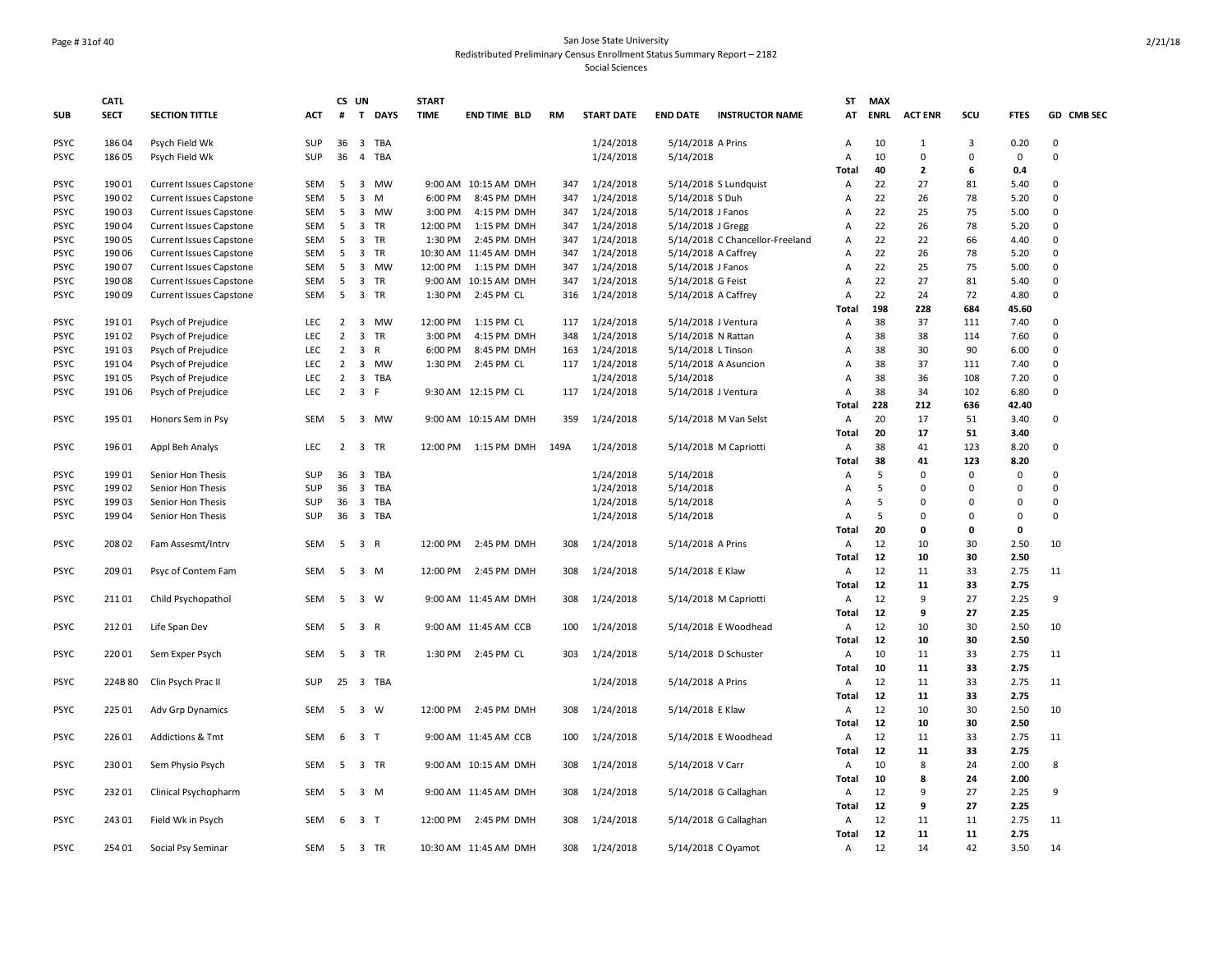#### Page # 31of 40 San Jose State University Redistributed Preliminary Census Enrollment Status Summary Report – 2182 Social Sciences

|             | <b>CATL</b> |                                |            |                | CS UN                                 | <b>START</b> |                       |           |                   |                     |                                 | <b>ST</b>    | <b>MAX</b>  |                |                |               |               |
|-------------|-------------|--------------------------------|------------|----------------|---------------------------------------|--------------|-----------------------|-----------|-------------------|---------------------|---------------------------------|--------------|-------------|----------------|----------------|---------------|---------------|
| <b>SUB</b>  | <b>SECT</b> | <b>SECTION TITTLE</b>          | <b>ACT</b> | #              | T<br><b>DAYS</b>                      | <b>TIME</b>  | <b>END TIME BLD</b>   | <b>RM</b> | <b>START DATE</b> | <b>END DATE</b>     | <b>INSTRUCTOR NAME</b>          | AT           | <b>ENRL</b> | <b>ACT ENR</b> | SCU            | <b>FTES</b>   | GD CMB SEC    |
| <b>PSYC</b> | 186 04      | Psych Field Wk                 | <b>SUP</b> | 36             | $\overline{\mathbf{3}}$<br>TBA        |              |                       |           | 1/24/2018         | 5/14/2018 A Prins   |                                 | А            | 10          | $\mathbf{1}$   | $\overline{3}$ | 0.20          | $\Omega$      |
| <b>PSYC</b> | 186 05      | Psych Field Wk                 | SUP        | 36             | <b>TBA</b><br>$\overline{4}$          |              |                       |           | 1/24/2018         | 5/14/2018           |                                 | Α            | 10          | $\mathsf 0$    | 0              | $\pmb{0}$     | $\Omega$      |
|             |             |                                |            |                |                                       |              |                       |           |                   |                     |                                 | Total        | 40          | $\overline{2}$ | 6              | 0.4           |               |
| <b>PSYC</b> | 190 01      | <b>Current Issues Capstone</b> | <b>SEM</b> | 5              | 3<br>MW                               |              | 9:00 AM 10:15 AM DMH  | 347       | 1/24/2018         |                     | 5/14/2018 S Lundquist           | Α            | 22          | 27             | 81             | 5.40          | $\mathbf 0$   |
| <b>PSYC</b> | 190 02      | <b>Current Issues Capstone</b> | <b>SEM</b> | 5              | $\overline{3}$<br>M                   | 6:00 PM      | 8:45 PM DMH           | 347       | 1/24/2018         | 5/14/2018 S Duh     |                                 | Α            | 22          | 26             | 78             | 5.20          | $\pmb{0}$     |
| <b>PSYC</b> | 190 03      | <b>Current Issues Capstone</b> | <b>SEM</b> | 5              | 3<br>MW                               | 3:00 PM      | 4:15 PM DMH           | 347       | 1/24/2018         | 5/14/2018 J Fanos   |                                 | А            | 22          | 25             | 75             | 5.00          | $\pmb{0}$     |
| <b>PSYC</b> | 190 04      | <b>Current Issues Capstone</b> | <b>SEM</b> | 5              | 3<br>TR                               | 12:00 PM     | 1:15 PM DMH           | 347       | 1/24/2018         | 5/14/2018 J Gregg   |                                 | Α            | 22          | 26             | 78             | 5.20          | $\mathbf 0$   |
| <b>PSYC</b> | 190 05      | <b>Current Issues Capstone</b> | <b>SEM</b> | 5              | $\overline{\mathbf{3}}$<br>TR         | 1:30 PM      | 2:45 PM DMH           | 347       | 1/24/2018         |                     | 5/14/2018 C Chancellor-Freeland | Α            | 22          | 22             | 66             | 4.40          | $\mathbf 0$   |
| <b>PSYC</b> | 190 06      | <b>Current Issues Capstone</b> | <b>SEM</b> | 5              | $\overline{\mathbf{3}}$<br>TR         |              | 10:30 AM 11:45 AM DMH | 347       | 1/24/2018         | 5/14/2018 A Caffrey |                                 | Α            | 22          | 26             | 78             | 5.20          | $\mathbf 0$   |
| <b>PSYC</b> | 190 07      | <b>Current Issues Capstone</b> | <b>SEM</b> | 5              | 3<br>MW                               | 12:00 PM     | 1:15 PM DMH           | 347       | 1/24/2018         | 5/14/2018 J Fanos   |                                 | Α            | 22<br>22    | 25             | 75             | 5.00          | $\mathbf 0$   |
| <b>PSYC</b> | 190 08      | <b>Current Issues Capstone</b> | <b>SEM</b> | 5              | 3<br>TR                               |              | 9:00 AM 10:15 AM DMH  | 347       | 1/24/2018         | 5/14/2018 G Feist   |                                 | Α            | 22          | 27             | 81<br>72       | 5.40          | $\Omega$<br>0 |
| <b>PSYC</b> | 190 09      | <b>Current Issues Capstone</b> | <b>SEM</b> | 5              | $\overline{\mathbf{3}}$<br>TR         | 1:30 PM      | 2:45 PM CL            | 316       | 1/24/2018         | 5/14/2018 A Caffrey |                                 | Α<br>Total   | 198         | 24<br>228      | 684            | 4.80<br>45.60 |               |
| <b>PSYC</b> | 191 01      | Psych of Prejudice             | LEC        | $\overline{2}$ | $\overline{\mathbf{3}}$<br>MW         | 12:00 PM     | 1:15 PM CL            | 117       | 1/24/2018         | 5/14/2018 J Ventura |                                 | Α            | 38          | 37             | 111            | 7.40          | $\Omega$      |
| <b>PSYC</b> | 191 02      | Psych of Prejudice             | LEC        | $\overline{2}$ | 3<br>TR                               | 3:00 PM      | 4:15 PM DMH           | 348       | 1/24/2018         | 5/14/2018 N Rattan  |                                 | Α            | 38          | 38             | 114            | 7.60          | $\mathbf 0$   |
| <b>PSYC</b> | 19103       | Psych of Prejudice             | <b>LEC</b> | $\overline{2}$ | 3<br>$\mathsf{R}$                     | 6:00 PM      | 8:45 PM DMH           | 163       | 1/24/2018         | 5/14/2018 L Tinson  |                                 | Α            | 38          | 30             | 90             | 6.00          | $\mathbf 0$   |
| <b>PSYC</b> | 19104       | Psych of Prejudice             | LEC        | $\overline{2}$ | 3 MW                                  | 1:30 PM      | 2:45 PM CL            | 117       | 1/24/2018         |                     | 5/14/2018 A Asuncion            | Α            | 38          | 37             | 111            | 7.40          | $\mathbf 0$   |
| <b>PSYC</b> | 191 05      | Psych of Prejudice             | <b>LEC</b> | $\overline{2}$ | 3<br><b>TBA</b>                       |              |                       |           | 1/24/2018         | 5/14/2018           |                                 | Α            | 38          | 36             | 108            | 7.20          | $\Omega$      |
| <b>PSYC</b> | 191 06      | Psych of Prejudice             | LEC        | $\overline{2}$ | 3 F                                   |              | 9:30 AM 12:15 PM CL   | 117       | 1/24/2018         | 5/14/2018 J Ventura |                                 | Α            | 38          | 34             | 102            | 6.80          | $\Omega$      |
|             |             |                                |            |                |                                       |              |                       |           |                   |                     |                                 | Total        | 228         | 212            | 636            | 42.40         |               |
| <b>PSYC</b> | 195 01      | Honors Sem in Psy              | <b>SEM</b> | 5              | 3<br>MW                               |              | 9:00 AM 10:15 AM DMH  | 359       | 1/24/2018         |                     | 5/14/2018 M Van Selst           | Α            | 20          | 17             | 51             | 3.40          | 0             |
|             |             |                                |            |                |                                       |              |                       |           |                   |                     |                                 | Total        | 20          | 17             | 51             | 3.40          |               |
| <b>PSYC</b> | 196 01      | Appl Beh Analys                | LEC        | $\overline{2}$ | 3 TR                                  | 12:00 PM     | 1:15 PM DMH           | 149A      | 1/24/2018         |                     | 5/14/2018 M Capriotti           | Α            | 38          | 41             | 123            | 8.20          | $\mathbf 0$   |
|             |             |                                |            |                |                                       |              |                       |           |                   |                     |                                 | Total        | 38          | 41             | 123            | 8.20          |               |
| <b>PSYC</b> | 19901       | Senior Hon Thesis              | <b>SUP</b> | 36             | $\overline{\mathbf{3}}$<br><b>TBA</b> |              |                       |           | 1/24/2018         | 5/14/2018           |                                 | Α            | 5           | $\mathbf 0$    | $\Omega$       | 0             | $\mathbf 0$   |
| <b>PSYC</b> | 199 02      | Senior Hon Thesis              | <b>SUP</b> | 36             | $\overline{\mathbf{3}}$<br><b>TBA</b> |              |                       |           | 1/24/2018         | 5/14/2018           |                                 | Α            | 5           | $\mathbf 0$    | $\Omega$       | 0             | $\mathbf 0$   |
| <b>PSYC</b> | 199 03      | Senior Hon Thesis              | <b>SUP</b> | 36             | $\overline{\mathbf{3}}$<br>TBA        |              |                       |           | 1/24/2018         | 5/14/2018           |                                 | Α            | 5           | $\Omega$       | $\Omega$       | 0             | $\mathbf 0$   |
| <b>PSYC</b> | 199 04      | Senior Hon Thesis              | <b>SUP</b> | 36             | 3 TBA                                 |              |                       |           | 1/24/2018         | 5/14/2018           |                                 | Α            | 5           | $\mathbf 0$    | $\Omega$       | 0             | $\Omega$      |
|             |             |                                |            |                |                                       |              |                       |           |                   |                     |                                 | Total        | 20          | 0              | $\mathbf{0}$   | $\mathbf 0$   |               |
| <b>PSYC</b> | 208 02      | Fam Assesmt/Intrv              | <b>SEM</b> | 5              | 3 R                                   | 12:00 PM     | 2:45 PM DMH           | 308       | 1/24/2018         | 5/14/2018 A Prins   |                                 | Α            | 12          | 10             | 30             | 2.50          | 10            |
|             |             |                                |            |                |                                       |              |                       |           |                   |                     |                                 | <b>Total</b> | 12          | 10             | 30             | 2.50          |               |
| <b>PSYC</b> | 209 01      | Psyc of Contem Fam             | <b>SEM</b> | 5              | $\overline{\mathbf{3}}$<br>M          | 12:00 PM     | 2:45 PM DMH           | 308       | 1/24/2018         | 5/14/2018 E Klaw    |                                 | Α            | 12          | 11             | 33             | 2.75          | 11            |
|             |             |                                |            |                |                                       |              |                       |           |                   |                     |                                 | <b>Total</b> | 12          | 11             | 33             | 2.75          |               |
| <b>PSYC</b> | 21101       | Child Psychopathol             | <b>SEM</b> | 5              | 3 W                                   |              | 9:00 AM 11:45 AM DMH  | 308       | 1/24/2018         |                     | 5/14/2018 M Capriotti           | Α            | 12          | 9              | 27             | 2.25          | 9             |
|             |             |                                |            |                |                                       |              |                       |           |                   |                     |                                 | <b>Total</b> | 12          | 9              | 27             | 2.25          |               |
| <b>PSYC</b> | 212 01      | Life Span Dev                  | <b>SEM</b> | 5              | 3 R                                   |              | 9:00 AM 11:45 AM CCB  | 100       | 1/24/2018         |                     | 5/14/2018 E Woodhead            | Α            | 12          | 10             | 30             | 2.50          | 10            |
|             |             |                                |            |                |                                       |              |                       |           |                   |                     |                                 | <b>Total</b> | 12          | 10             | 30             | 2.50          |               |
| <b>PSYC</b> | 220 01      | Sem Exper Psych                | <b>SEM</b> | 5              | $\overline{\mathbf{3}}$<br>TR         |              | 1:30 PM 2:45 PM CL    | 303       | 1/24/2018         |                     | 5/14/2018 D Schuster            | Α            | 10          | 11             | 33             | 2.75          | 11            |
|             |             |                                |            |                |                                       |              |                       |           |                   |                     |                                 | Total        | 10          | 11             | 33             | 2.75          |               |
| <b>PSYC</b> | 224B 80     | Clin Psych Prac II             | <b>SUP</b> | 25             | 3 TBA                                 |              |                       |           | 1/24/2018         | 5/14/2018 A Prins   |                                 | Α            | 12          | 11             | 33             | 2.75          | 11            |
|             |             |                                |            |                |                                       |              |                       |           |                   |                     |                                 | <b>Total</b> | 12          | 11             | 33             | 2.75          |               |
| <b>PSYC</b> | 225 01      | Adv Grp Dynamics               | <b>SEM</b> | 5              | 3 W                                   |              | 12:00 PM 2:45 PM DMH  | 308       | 1/24/2018         | 5/14/2018 E Klaw    |                                 | Α            | 12          | 10             | 30             | 2.50          | 10            |
|             |             |                                |            |                |                                       |              |                       |           |                   |                     |                                 | Total        | 12          | 10             | 30             | 2.50          |               |
| <b>PSYC</b> | 226 01      | Addictions & Tmt               | <b>SEM</b> | 6              | 3 <sub>T</sub>                        |              | 9:00 AM 11:45 AM CCB  | 100       | 1/24/2018         |                     | 5/14/2018 E Woodhead            | Α            | 12          | 11             | 33             | 2.75          | 11            |
|             |             |                                |            |                |                                       |              |                       |           |                   |                     |                                 | Total        | 12          | 11             | 33             | 2.75          |               |
| <b>PSYC</b> | 230 01      | Sem Physio Psych               | <b>SEM</b> | 5              | $\overline{\mathbf{3}}$<br>TR         |              | 9:00 AM 10:15 AM DMH  | 308       | 1/24/2018         | 5/14/2018 V Carr    |                                 | Α            | 10<br>10    | 8              | 24<br>24       | 2.00<br>2.00  | 8             |
| <b>PSYC</b> | 232 01      |                                |            | 5              | $3 \, M$                              |              |                       |           | 1/24/2018         |                     |                                 | <b>Total</b> | 12          | 8<br>9         | 27             | 2.25          | 9             |
|             |             | Clinical Psychopharm           | <b>SEM</b> |                |                                       |              | 9:00 AM 11:45 AM DMH  | 308       |                   |                     | 5/14/2018 G Callaghan           | Α<br>Total   | 12          | 9              | 27             | 2.25          |               |
| <b>PSYC</b> | 243 01      | Field Wk in Psych              | <b>SEM</b> | 6              | 3 T                                   | 12:00 PM     | 2:45 PM DMH           | 308       | 1/24/2018         |                     | 5/14/2018 G Callaghan           | Α            | 12          | 11             | 11             | 2.75          | 11            |
|             |             |                                |            |                |                                       |              |                       |           |                   |                     |                                 | <b>Total</b> | 12          | 11             | 11             | 2.75          |               |
| <b>PSYC</b> | 254 01      | Social Psy Seminar             | <b>SEM</b> |                | 5 3 TR                                |              | 10:30 AM 11:45 AM DMH | 308       | 1/24/2018         | 5/14/2018 C Oyamot  |                                 | Α            | 12          | 14             | 42             | 3.50          | 14            |
|             |             |                                |            |                |                                       |              |                       |           |                   |                     |                                 |              |             |                |                |               |               |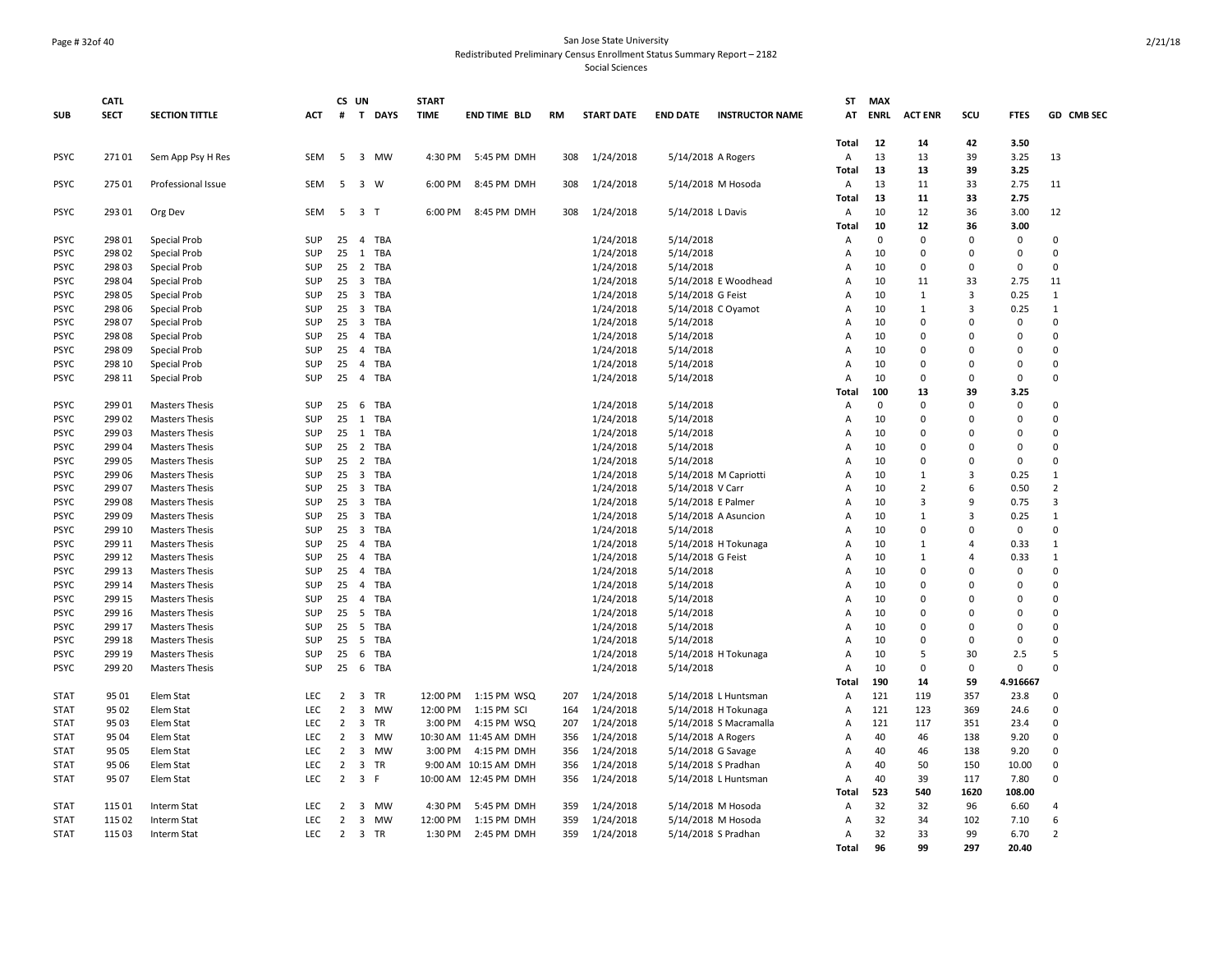#### Page # 32of 40 San Jose State University Redistributed Preliminary Census Enrollment Status Summary Report – 2182

|             | <b>CATL</b> |                       |            |                | CS UN                   |                | <b>START</b> |                        |           |                   |                    |                        | ST             | <b>MAX</b>  |                |                |             |                |
|-------------|-------------|-----------------------|------------|----------------|-------------------------|----------------|--------------|------------------------|-----------|-------------------|--------------------|------------------------|----------------|-------------|----------------|----------------|-------------|----------------|
| <b>SUB</b>  | <b>SECT</b> | <b>SECTION TITTLE</b> | <b>ACT</b> |                |                         | # T DAYS       | <b>TIME</b>  | <b>END TIME BLD</b>    | <b>RM</b> | <b>START DATE</b> | <b>END DATE</b>    | <b>INSTRUCTOR NAME</b> | AT             | <b>ENRL</b> | <b>ACT ENR</b> | scu            | <b>FTES</b> | GD CMB SEC     |
|             |             |                       |            |                |                         |                |              |                        |           |                   |                    |                        | <b>Total</b>   | 12          | 14             | 42             | 3.50        |                |
| <b>PSYC</b> | 27101       | Sem App Psy H Res     | SEM        | 5              |                         | 3 MW           | 4:30 PM      | 5:45 PM DMH            | 308       | 1/24/2018         | 5/14/2018 A Rogers |                        | Α              | 13          | 13             | 39             | 3.25        | 13             |
|             |             |                       |            |                |                         |                |              |                        |           |                   |                    |                        | <b>Total</b>   | 13          | 13             | 39             | 3.25        |                |
| <b>PSYC</b> | 275 01      | Professional Issue    | SEM        | 5              |                         | 3 W            | 6:00 PM      | 8:45 PM DMH            | 308       | 1/24/2018         |                    | 5/14/2018 M Hosoda     | Α              | 13          | 11             | 33             | 2.75        | 11             |
|             |             |                       |            |                |                         |                |              |                        |           |                   |                    |                        | <b>Total</b>   | 13          | 11             | 33             | 2.75        |                |
| <b>PSYC</b> | 293 01      | Org Dev               | <b>SEM</b> | 5              |                         | 3 <sub>1</sub> | 6:00 PM      | 8:45 PM DMH            | 308       | 1/24/2018         | 5/14/2018 L Davis  |                        | Α              | 10          | 12             | 36             | 3.00        | 12             |
|             |             |                       |            |                |                         |                |              |                        |           |                   |                    |                        | <b>Total</b>   | 10          | 12             | 36             | 3.00        |                |
| <b>PSYC</b> | 298 01      | <b>Special Prob</b>   | SUP        | 25             |                         | 4 TBA          |              |                        |           | 1/24/2018         | 5/14/2018          |                        | Α              | $\Omega$    | $\Omega$       | $\mathsf 0$    | $\Omega$    | $\Omega$       |
| <b>PSYC</b> | 298 02      | <b>Special Prob</b>   | SUP        | 25             | 1                       | <b>TBA</b>     |              |                        |           | 1/24/2018         | 5/14/2018          |                        | Α              | 10          | $\Omega$       | $\Omega$       | $\Omega$    | $\Omega$       |
| <b>PSYC</b> | 298 03      | Special Prob          | SUP        | 25             |                         | 2 TBA          |              |                        |           | 1/24/2018         | 5/14/2018          |                        | A              | 10          | $\mathbf{0}$   | $\mathbf 0$    | $\Omega$    | $\Omega$       |
| <b>PSYC</b> | 298 04      | Special Prob          | SUP        | 25             |                         | 3 TBA          |              |                        |           | 1/24/2018         |                    | 5/14/2018 E Woodhead   | А              | 10          | 11             | 33             | 2.75        | 11             |
| <b>PSYC</b> | 298 05      | <b>Special Prob</b>   | SUP        | 25             | $\overline{\mathbf{3}}$ | <b>TBA</b>     |              |                        |           | 1/24/2018         | 5/14/2018 G Feist  |                        | A              | 10          | 1              | $\overline{3}$ | 0.25        | $\mathbf{1}$   |
| <b>PSYC</b> | 298 06      | Special Prob          | SUP        | 25             | $\overline{\mathbf{3}}$ | <b>TBA</b>     |              |                        |           | 1/24/2018         |                    | 5/14/2018 C Oyamot     | A              | 10          | 1              | 3              | 0.25        | $\mathbf{1}$   |
| <b>PSYC</b> | 298 07      | <b>Special Prob</b>   | SUP        | 25             |                         | 3 TBA          |              |                        |           | 1/24/2018         | 5/14/2018          |                        | A              | 10          | $\Omega$       | $\Omega$       | $\Omega$    | $\Omega$       |
| <b>PSYC</b> | 298 08      | <b>Special Prob</b>   | SUP        | 25             | $\overline{4}$          | <b>TBA</b>     |              |                        |           | 1/24/2018         | 5/14/2018          |                        | Α              | 10          | $\Omega$       | $\Omega$       | $\Omega$    | $\Omega$       |
| <b>PSYC</b> | 298 09      | Special Prob          | SUP        | 25             | $\overline{4}$          | <b>TBA</b>     |              |                        |           | 1/24/2018         | 5/14/2018          |                        | A              | 10          | $\Omega$       | $\Omega$       | $\Omega$    | $\Omega$       |
| <b>PSYC</b> | 298 10      | Special Prob          | SUP        | 25             | $\overline{4}$          | <b>TBA</b>     |              |                        |           | 1/24/2018         | 5/14/2018          |                        | A              | 10          | $\Omega$       | $\Omega$       | $\Omega$    | $\Omega$       |
| <b>PSYC</b> | 298 11      | Special Prob          | SUP        | 25             | $\overline{4}$          | <b>TBA</b>     |              |                        |           | 1/24/2018         | 5/14/2018          |                        | Α              | 10          | $\Omega$       | $\mathbf 0$    | $\Omega$    | $\Omega$       |
|             |             |                       |            |                |                         |                |              |                        |           |                   |                    |                        | Total          | 100         | 13             | 39             | 3.25        |                |
| <b>PSYC</b> | 299 01      | <b>Masters Thesis</b> | SUP        | 25             | 6                       | <b>TBA</b>     |              |                        |           | 1/24/2018         | 5/14/2018          |                        | А              | $\mathbf 0$ | $\mathbf 0$    | $\Omega$       | $\mathbf 0$ | $\Omega$       |
| <b>PSYC</b> | 299 02      | <b>Masters Thesis</b> | SUP        | 25             | 1                       | <b>TBA</b>     |              |                        |           | 1/24/2018         | 5/14/2018          |                        | A              | 10          | $\Omega$       | $\Omega$       | $\Omega$    | $\Omega$       |
| <b>PSYC</b> | 299 03      | <b>Masters Thesis</b> | SUP        | 25             |                         | 1 TBA          |              |                        |           | 1/24/2018         | 5/14/2018          |                        | А              | 10          | $\Omega$       | $\Omega$       | $\Omega$    | $\Omega$       |
| <b>PSYC</b> | 299 04      | <b>Masters Thesis</b> | SUP        | 25             | $\overline{2}$          | <b>TBA</b>     |              |                        |           | 1/24/2018         | 5/14/2018          |                        | A              | 10          | $\Omega$       | $\Omega$       | $\Omega$    | $\Omega$       |
| <b>PSYC</b> | 299 05      | <b>Masters Thesis</b> | SUP        | 25             |                         | 2 TBA          |              |                        |           | 1/24/2018         | 5/14/2018          |                        | A              | 10          | $\Omega$       | $\Omega$       | $\Omega$    | $\Omega$       |
| <b>PSYC</b> | 299 06      | <b>Masters Thesis</b> | SUP        | 25             |                         | 3 TBA          |              |                        |           | 1/24/2018         |                    | 5/14/2018 M Capriotti  | Α              | 10          | $\mathbf{1}$   | $\overline{3}$ | 0.25        | $\mathbf{1}$   |
| <b>PSYC</b> | 299 07      | <b>Masters Thesis</b> | SUP        | 25             | $\overline{\mathbf{3}}$ | <b>TBA</b>     |              |                        |           | 1/24/2018         | 5/14/2018 V Carr   |                        | A              | 10          | $\overline{2}$ | 6              | 0.50        | $\overline{2}$ |
| <b>PSYC</b> | 299 08      | <b>Masters Thesis</b> | SUP        | 25             |                         | 3 TBA          |              |                        |           | 1/24/2018         | 5/14/2018 E Palmer |                        | A              | 10          | $\overline{3}$ | 9              | 0.75        | $\overline{3}$ |
| <b>PSYC</b> | 299 09      | <b>Masters Thesis</b> | SUP        | 25             | $\overline{\mathbf{3}}$ | <b>TBA</b>     |              |                        |           | 1/24/2018         |                    | 5/14/2018 A Asuncion   | A              | 10          | $\mathbf{1}$   | $\overline{3}$ | 0.25        | $\mathbf{1}$   |
| <b>PSYC</b> | 299 10      | <b>Masters Thesis</b> | SUP        | 25             | $\overline{\mathbf{3}}$ | TBA            |              |                        |           | 1/24/2018         | 5/14/2018          |                        | A              | 10          | $\Omega$       | $\Omega$       | $\mathbf 0$ | $\Omega$       |
| <b>PSYC</b> | 299 11      | <b>Masters Thesis</b> | SUP        | 25             | $\overline{4}$          | TBA            |              |                        |           | 1/24/2018         |                    | 5/14/2018 H Tokunaga   | A              | 10          | $\mathbf{1}$   | $\overline{4}$ | 0.33        | $\mathbf{1}$   |
| <b>PSYC</b> | 299 12      | <b>Masters Thesis</b> | SUP        | 25             | $\overline{4}$          | TBA            |              |                        |           | 1/24/2018         | 5/14/2018 G Feist  |                        | A              | 10          | $\mathbf{1}$   | $\overline{a}$ | 0.33        | $\mathbf{1}$   |
| <b>PSYC</b> | 299 13      | <b>Masters Thesis</b> | SUP        | 25             | $\overline{4}$          | TBA            |              |                        |           | 1/24/2018         | 5/14/2018          |                        | Α              | 10          | $\Omega$       | $\Omega$       | $\mathbf 0$ | $\Omega$       |
| <b>PSYC</b> | 299 14      | <b>Masters Thesis</b> | SUP        | 25             | $\overline{4}$          | <b>TBA</b>     |              |                        |           | 1/24/2018         | 5/14/2018          |                        | А              | 10          | $\Omega$       | $\Omega$       | $\Omega$    | $\Omega$       |
| <b>PSYC</b> | 299 15      | <b>Masters Thesis</b> | SUP        | 25             | $\overline{4}$          | TBA            |              |                        |           | 1/24/2018         | 5/14/2018          |                        | A              | 10          | $\Omega$       | $\Omega$       | $\mathbf 0$ | $\Omega$       |
| <b>PSYC</b> | 299 16      | <b>Masters Thesis</b> | SUP        | 25             | 5                       | TBA            |              |                        |           | 1/24/2018         | 5/14/2018          |                        | Α              | 10          | $\Omega$       | $\Omega$       | $\mathbf 0$ | $\Omega$       |
| <b>PSYC</b> | 299 17      | <b>Masters Thesis</b> | SUP        | 25             |                         | 5 TBA          |              |                        |           | 1/24/2018         | 5/14/2018          |                        | A              | 10          | $\Omega$       | $\Omega$       | $\Omega$    | $\Omega$       |
| <b>PSYC</b> | 299 18      | <b>Masters Thesis</b> | SUP        | 25             | 5                       | <b>TBA</b>     |              |                        |           | 1/24/2018         | 5/14/2018          |                        | Α              | 10          | $\Omega$       | $\Omega$       | $\Omega$    | $\Omega$       |
| <b>PSYC</b> | 299 19      | <b>Masters Thesis</b> | SUP        | 25             | 6                       | TBA            |              |                        |           | 1/24/2018         |                    | 5/14/2018 H Tokunaga   | $\overline{A}$ | 10          | 5              | 30             | 2.5         | 5              |
| <b>PSYC</b> | 299 20      | <b>Masters Thesis</b> | SUP        | 25             | 6                       | <b>TBA</b>     |              |                        |           | 1/24/2018         | 5/14/2018          |                        | Α              | 10          | $\mathbf 0$    | $\mathbf 0$    | $\mathbf 0$ | $\Omega$       |
|             |             |                       |            |                |                         |                |              |                        |           |                   |                    |                        | Total          | 190         | 14             | 59             | 4.916667    |                |
| <b>STAT</b> | 95 01       | Elem Stat             | LEC        | 2              | $\overline{\mathbf{3}}$ | TR             | 12:00 PM     | 1:15 PM WSQ            | 207       | 1/24/2018         |                    | 5/14/2018 L Huntsman   | Α              | 121         | 119            | 357            | 23.8        | $\mathbf 0$    |
| <b>STAT</b> | 95 02       | Elem Stat             | LEC        | $\overline{2}$ | 3                       | MW             | 12:00 PM     | 1:15 PM SCI            | 164       | 1/24/2018         |                    | 5/14/2018 H Tokunaga   | Α              | 121         | 123            | 369            | 24.6        | $\Omega$       |
| <b>STAT</b> | 95 03       | Elem Stat             | LEC        | $\overline{2}$ | 3                       | <b>TR</b>      | 3:00 PM      | 4:15 PM WSQ            | 207       | 1/24/2018         |                    | 5/14/2018 S Macramalla | Α              | 121         | 117            | 351            | 23.4        | $\Omega$       |
| <b>STAT</b> | 95 04       | Elem Stat             | LEC        | $\overline{2}$ | 3                       | <b>MW</b>      |              | 10:30 AM  11:45 AM DMH | 356       | 1/24/2018         | 5/14/2018 A Rogers |                        | Α              | 40          | 46             | 138            | 9.20        | $\Omega$       |
| <b>STAT</b> | 95 05       | Elem Stat             | <b>LEC</b> | $\overline{2}$ | $\overline{\mathbf{3}}$ | <b>MW</b>      | 3:00 PM      | 4:15 PM DMH            | 356       | 1/24/2018         | 5/14/2018 G Savage |                        | A              | 40          | 46             | 138            | 9.20        | $\Omega$       |
| <b>STAT</b> | 95 06       | Elem Stat             | LEC        | $\overline{2}$ | 3                       | TR             |              | 9:00 AM 10:15 AM DMH   | 356       | 1/24/2018         |                    | 5/14/2018 S Pradhan    | Α              | 40          | 50             | 150            | 10.00       | $\Omega$       |
| <b>STAT</b> | 95 07       | Elem Stat             | <b>LEC</b> | $\overline{2}$ |                         | 3 F            |              | 10:00 AM 12:45 PM DMH  | 356       | 1/24/2018         |                    | 5/14/2018 L Huntsman   | A              | 40          | 39             | 117            | 7.80        | $\Omega$       |
|             |             |                       |            |                |                         |                |              |                        |           |                   |                    |                        | Total          | 523         | 540            | 1620           | 108.00      |                |
| <b>STAT</b> | 115 01      | Interm Stat           | LEC        | 2              | 3                       | MW             | 4:30 PM      | 5:45 PM DMH            | 359       | 1/24/2018         |                    | 5/14/2018 M Hosoda     | Α              | 32          | 32             | 96             | 6.60        | $\overline{4}$ |
| <b>STAT</b> | 115 02      | Interm Stat           | LEC        | $\overline{2}$ | 3                       | MW             | 12:00 PM     | 1:15 PM DMH            | 359       | 1/24/2018         |                    | 5/14/2018 M Hosoda     | А              | 32          | 34             | 102            | 7.10        | 6              |
| <b>STAT</b> | 115 03      | Interm Stat           | LEC        | $\overline{2}$ |                         | 3 TR           | 1:30 PM      | 2:45 PM DMH            | 359       | 1/24/2018         |                    | 5/14/2018 S Pradhan    | Α              | 32          | 33             | 99             | 6.70        | $\overline{2}$ |
|             |             |                       |            |                |                         |                |              |                        |           |                   |                    |                        | <b>Total</b>   | 96          | 99             | 297            | 20.40       |                |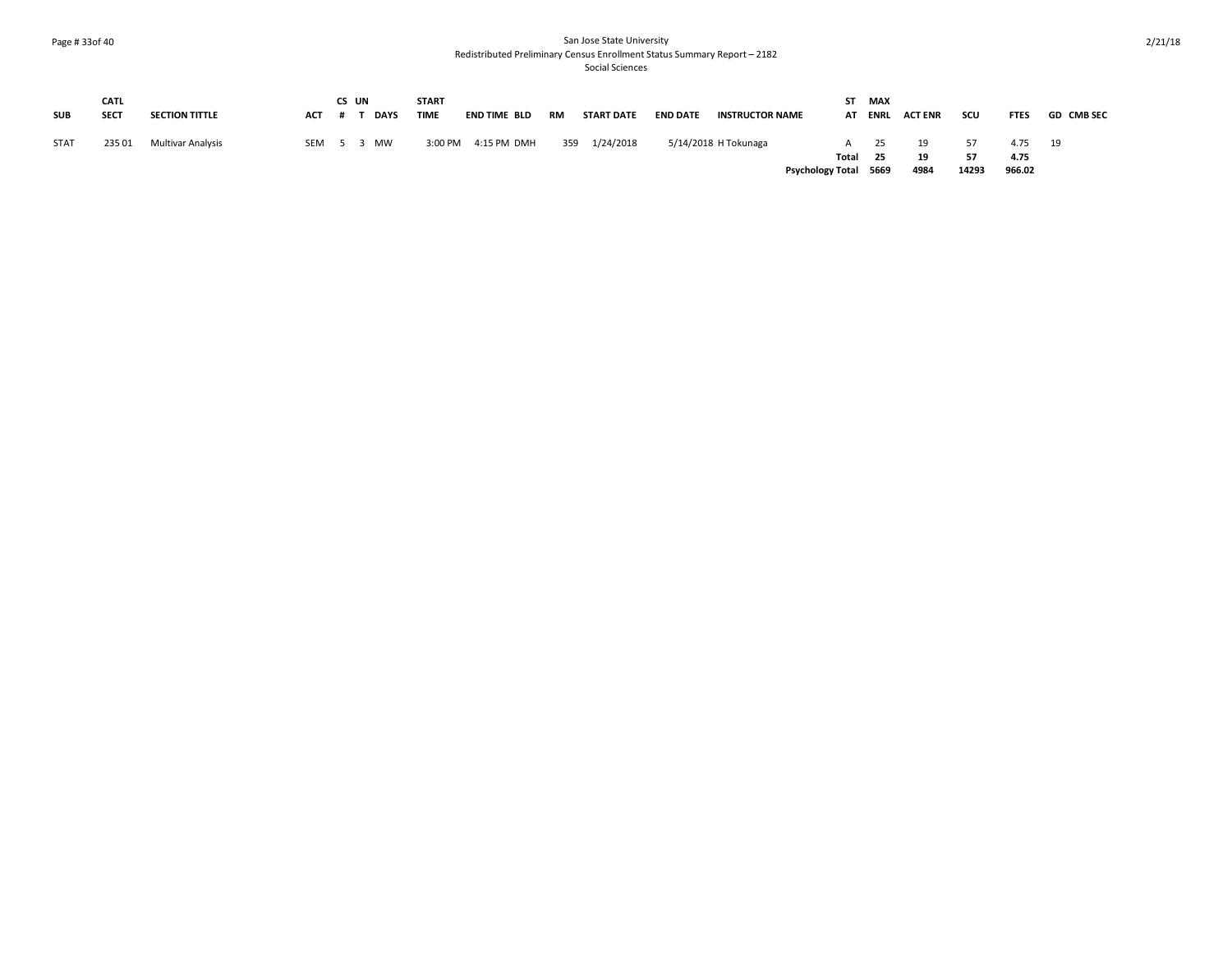## Page # 33of 40 San Jose State University Redistributed Preliminary Census Enrollment Status Summary Report – 2182

|             | <b>CATL</b> |                       |            | CS UN |             | <b>START</b> |              |     |                   |                 |                        | ST                      | MAX      |                |       |              |                   |
|-------------|-------------|-----------------------|------------|-------|-------------|--------------|--------------|-----|-------------------|-----------------|------------------------|-------------------------|----------|----------------|-------|--------------|-------------------|
| <b>SUB</b>  | <b>SECT</b> | <b>SECTION TITTLE</b> | <b>ACT</b> |       | <b>DAYS</b> | <b>TIME</b>  | END TIME BLD | RM  | <b>START DATE</b> | <b>END DATE</b> | <b>INSTRUCTOR NAME</b> | AT                      | ENRL     | <b>ACT ENR</b> | scu   | <b>FTES</b>  | <b>GD CMB SEC</b> |
| <b>STAT</b> | 235 01      | Multivar Analysis     | SEM 5 3    |       | <b>MW</b>   | 3:00 PM      | 4:15 PM DMH  | 359 | 1/24/2018         |                 | 5/14/2018 H Tokunaga   | Total                   | 25<br>25 | 19<br>19       | 57    | 4.75<br>4.75 | 19                |
|             |             |                       |            |       |             |              |              |     |                   |                 |                        | <b>Psychology Total</b> | 5669     | 4984           | 14293 | 966.02       |                   |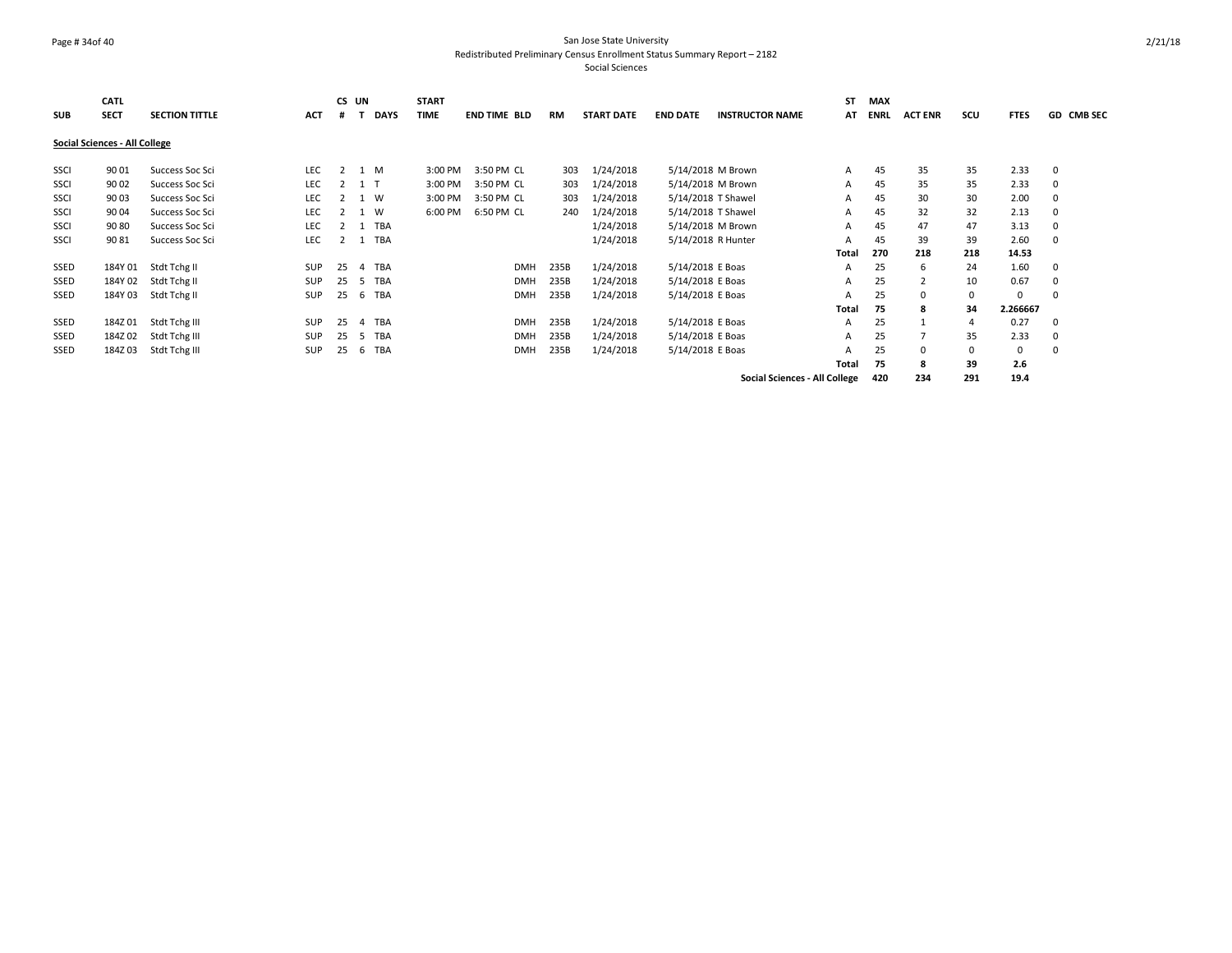### Page # 34of 40 San Jose State University Redistributed Preliminary Census Enrollment Status Summary Report – 2182

|            | <b>CATL</b>                   |                       |            |                | CS UN |             | <b>START</b> |                     |           |                   |                    |                                      | <b>ST</b>    | <b>MAX</b> |                |     |             |              |
|------------|-------------------------------|-----------------------|------------|----------------|-------|-------------|--------------|---------------------|-----------|-------------------|--------------------|--------------------------------------|--------------|------------|----------------|-----|-------------|--------------|
| <b>SUB</b> | <b>SECT</b>                   | <b>SECTION TITTLE</b> | <b>ACT</b> | #              |       | <b>DAYS</b> | <b>TIME</b>  | <b>END TIME BLD</b> | <b>RM</b> | <b>START DATE</b> | <b>END DATE</b>    | <b>INSTRUCTOR NAME</b>               | AT           | ENRL       | <b>ACT ENR</b> | scu | <b>FTES</b> | GD CMB SEC   |
|            | Social Sciences - All College |                       |            |                |       |             |              |                     |           |                   |                    |                                      |              |            |                |     |             |              |
| SSCI       | 9001                          | Success Soc Sci       | LEC        | $\overline{2}$ |       | 1 M         | 3:00 PM      | 3:50 PM CL          | 303       | 1/24/2018         | 5/14/2018 M Brown  |                                      | $\mathsf{A}$ | 45         | 35             | 35  | 2.33        | $\mathbf{0}$ |
| SSCI       | 9002                          | Success Soc Sci       | LEC        |                | 1 1   |             | 3:00 PM      | 3:50 PM CL          | 303       | 1/24/2018         | 5/14/2018 M Brown  |                                      | A            | 45         | 35             | 35  | 2.33        | 0            |
| SSCI       | 9003                          | Success Soc Sci       | <b>LEC</b> |                |       | 1 W         | 3:00 PM      | 3:50 PM CL          | 303       | 1/24/2018         | 5/14/2018 T Shawel |                                      | A            | 45         | 30             | 30  | 2.00        | 0            |
| SSCI       | 9004                          | Success Soc Sci       | LEC        |                | 1     | W           | 6:00 PM      | 6:50 PM CL          | 240       | 1/24/2018         | 5/14/2018 T Shawel |                                      | A            | 45         | 32             | 32  | 2.13        | 0            |
| SSCI       | 9080                          | Success Soc Sci       | LEC        |                |       | <b>TBA</b>  |              |                     |           | 1/24/2018         | 5/14/2018 M Brown  |                                      | A            | 45         | 47             | 47  | 3.13        | 0            |
| SSCI       | 9081                          | Success Soc Sci       | LEC        |                | 1     | <b>TBA</b>  |              |                     |           | 1/24/2018         | 5/14/2018 R Hunter |                                      | A            | 45         | 39             | 39  | 2.60        | $\Omega$     |
|            |                               |                       |            |                |       |             |              |                     |           |                   |                    |                                      | <b>Total</b> | 270        | 218            | 218 | 14.53       |              |
| SSED       | 184Y 01                       | Stdt Tchg II          | <b>SUP</b> | 25             | 4     | <b>TBA</b>  |              | <b>DMH</b>          | 235B      | 1/24/2018         | 5/14/2018 E Boas   |                                      | A            | 25         | 6              | 24  | 1.60        | 0            |
| SSED       | 184Y 02                       | Stdt Tchg II          | <b>SUP</b> | 25             | .5    | TBA         |              | <b>DMH</b>          | 235B      | 1/24/2018         | 5/14/2018 E Boas   |                                      | A            | 25         | $\overline{2}$ | 10  | 0.67        | 0            |
| SSED       | 184Y 03                       | Stdt Tchg II          | <b>SUP</b> | 25             | 6     | TBA         |              | <b>DMH</b>          | 235B      | 1/24/2018         | 5/14/2018 E Boas   |                                      | A            | 25         | 0              |     | 0           | $\Omega$     |
|            |                               |                       |            |                |       |             |              |                     |           |                   |                    |                                      | <b>Total</b> | 75         | 8              | 34  | 2.266667    |              |
| SSED       | 184Z01                        | Stdt Tchg III         | <b>SUP</b> | 25             | 4     | TBA         |              | <b>DMH</b>          | 235B      | 1/24/2018         | 5/14/2018 E Boas   |                                      | A            | 25         |                | 4   | 0.27        | $\Omega$     |
| SSED       | 184Z02                        | Stdt Tchg III         | <b>SUP</b> | 25             | -5    | <b>TBA</b>  |              | <b>DMH</b>          | 235B      | 1/24/2018         | 5/14/2018 E Boas   |                                      | A            | 25         |                | 35  | 2.33        | 0            |
| SSED       | 184Z03                        | Stdt Tchg III         | SUP        | 25             | 6     | <b>TBA</b>  |              | <b>DMH</b>          | 235B      | 1/24/2018         | 5/14/2018 E Boas   |                                      | A            | 25         | 0              |     | 0           | $\Omega$     |
|            |                               |                       |            |                |       |             |              |                     |           |                   |                    |                                      | <b>Total</b> | 75         | 8              | 39  | 2.6         |              |
|            |                               |                       |            |                |       |             |              |                     |           |                   |                    | <b>Social Sciences - All College</b> |              | 420        | 234            | 291 | 19.4        |              |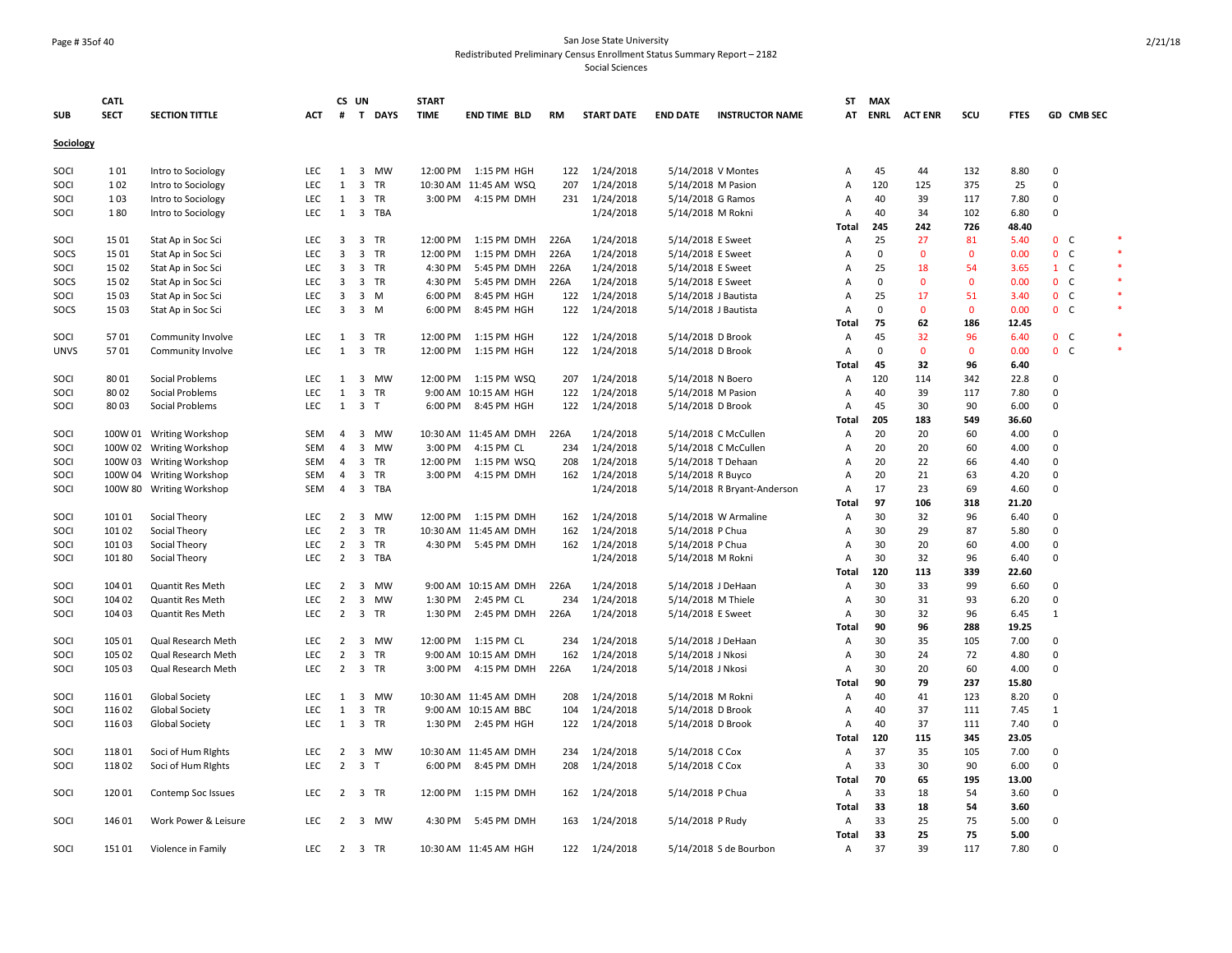### Page # 35of 40 San Jose State University Redistributed Preliminary Census Enrollment Status Summary Report – 2182

|             | <b>CATL</b> |                          |            |                         | CS UN                   |            | <b>START</b> |                        |      |                   |                      |                             | ST             | <b>MAX</b>  |                |              |             |                |            |        |
|-------------|-------------|--------------------------|------------|-------------------------|-------------------------|------------|--------------|------------------------|------|-------------------|----------------------|-----------------------------|----------------|-------------|----------------|--------------|-------------|----------------|------------|--------|
| <b>SUB</b>  | <b>SECT</b> | <b>SECTION TITTLE</b>    | ACT        | #                       |                         | T DAYS     | <b>TIME</b>  | <b>END TIME BLD</b>    | RM   | <b>START DATE</b> | <b>END DATE</b>      | <b>INSTRUCTOR NAME</b>      | AT             | <b>ENRL</b> | <b>ACT ENR</b> | scu          | <b>FTES</b> |                | GD CMB SEC |        |
| Sociology   |             |                          |            |                         |                         |            |              |                        |      |                   |                      |                             |                |             |                |              |             |                |            |        |
| <b>SOCI</b> | 101         | Intro to Sociology       | <b>LEC</b> | 1                       |                         | 3 MW       | 12:00 PM     | 1:15 PM HGH            | 122  | 1/24/2018         |                      | 5/14/2018 V Montes          | A              | 45          | 44             | 132          | 8.80        | $\mathbf 0$    |            |        |
| SOCI        | 102         | Intro to Sociology       | LEC        | $\mathbf{1}$            | $\overline{\mathbf{3}}$ | <b>TR</b>  |              | 10:30 AM 11:45 AM WSQ  | 207  | 1/24/2018         | 5/14/2018 M Pasion   |                             | Α              | 120         | 125            | 375          | 25          | $\mathbf 0$    |            |        |
| SOCI        | 103         | Intro to Sociology       | LEC        | 1                       | $\overline{\mathbf{3}}$ | TR         |              | 3:00 PM 4:15 PM DMH    | 231  | 1/24/2018         | 5/14/2018 G Ramos    |                             | Α              | 40          | 39             | 117          | 7.80        | $\mathbf 0$    |            |        |
| SOCI        | 180         | Intro to Sociology       | <b>LEC</b> | $\mathbf{1}$            | $\overline{\mathbf{3}}$ | <b>TBA</b> |              |                        |      | 1/24/2018         | 5/14/2018 M Rokni    |                             | Α              | 40          | 34             | 102          | 6.80        | $\mathbf 0$    |            |        |
|             |             |                          |            |                         |                         |            |              |                        |      |                   |                      |                             | Total          | 245         | 242            | 726          | 48.40       |                |            |        |
| SOCI        | 1501        | Stat Ap in Soc Sci       | LEC        | 3                       | $\overline{\mathbf{3}}$ | TR         | 12:00 PM     | 1:15 PM DMH            | 226A | 1/24/2018         | 5/14/2018 E Sweet    |                             | Α              | 25          | 27             | 81           | 5.40        | 0 <sup>o</sup> |            | $\ast$ |
| SOCS        | 1501        | Stat Ap in Soc Sci       | LEC        | 3                       | $\overline{\mathbf{3}}$ | TR         | 12:00 PM     | 1:15 PM DMH            | 226A | 1/24/2018         | 5/14/2018 E Sweet    |                             | Α              | $\mathbf 0$ | $\mathbf 0$    | $\mathbf 0$  | 0.00        | 0 <sub>c</sub> |            | $\ast$ |
| SOCI        | 1502        | Stat Ap in Soc Sci       | LEC        | 3                       |                         | 3 TR       | 4:30 PM      | 5:45 PM DMH            | 226A | 1/24/2018         | 5/14/2018 E Sweet    |                             | A              | 25          | 18             | 54           | 3.65        | $1 \quad C$    |            |        |
| SOCS        | 1502        | Stat Ap in Soc Sci       | LEC        | $\overline{\mathbf{3}}$ |                         | 3 TR       | 4:30 PM      | 5:45 PM DMH            | 226A | 1/24/2018         | 5/14/2018 E Sweet    |                             | $\overline{A}$ | $\mathbf 0$ | $\mathbf{0}$   | $\mathbf 0$  | 0.00        | 0 <sub>c</sub> |            | $\ast$ |
| SOCI        | 1503        | Stat Ap in Soc Sci       | LEC        | 3                       | $\overline{\mathbf{3}}$ | M          | 6:00 PM      | 8:45 PM HGH            | 122  | 1/24/2018         | 5/14/2018 J Bautista |                             | Α              | 25          | 17             | 51           | 3.40        | $0-$           |            | $\ast$ |
| SOCS        | 1503        | Stat Ap in Soc Sci       | <b>LEC</b> | 3                       | 3 M                     |            | 6:00 PM      | 8:45 PM HGH            | 122  | 1/24/2018         | 5/14/2018 J Bautista |                             | $\overline{A}$ | $\mathbf 0$ | $\Omega$       | $\mathbf{0}$ | 0.00        | 0 <sup>o</sup> |            | $\ast$ |
|             |             |                          |            |                         |                         |            |              |                        |      |                   |                      |                             | Total          | 75          | 62             | 186          | 12.45       |                |            |        |
| SOCI        | 5701        | Community Involve        | LEC        | 1                       | $\overline{\mathbf{3}}$ | TR         | 12:00 PM     | 1:15 PM HGH            | 122  | 1/24/2018         | 5/14/2018 D Brook    |                             | Α              | 45          | 32             | 96           | 6.40        | 0 <sup>o</sup> |            | $\ast$ |
| <b>UNVS</b> | 5701        | Community Involve        | <b>LEC</b> | 1                       |                         | 3 TR       | 12:00 PM     | 1:15 PM HGH            | 122  | 1/24/2018         | 5/14/2018 D Brook    |                             | Α              | $\mathbf 0$ | $\mathbf{0}$   | $\mathbf 0$  | 0.00        | 0 <sup>o</sup> |            |        |
|             |             |                          |            |                         |                         |            |              |                        |      |                   |                      |                             | Total          | 45          | 32             | 96           | 6.40        |                |            |        |
| SOCI        | 8001        | Social Problems          | <b>LEC</b> | 1                       | $\overline{3}$          | <b>MW</b>  | 12:00 PM     | 1:15 PM WSQ            | 207  | 1/24/2018         | 5/14/2018 N Boero    |                             | A              | 120         | 114            | 342          | 22.8        | $\Omega$       |            |        |
| SOCI        | 8002        | Social Problems          | LEC        | $\mathbf{1}$            | $\overline{\mathbf{3}}$ | TR         |              | 9:00 AM 10:15 AM HGH   | 122  | 1/24/2018         | 5/14/2018 M Pasion   |                             | Α              | 40          | 39             | 117          | 7.80        | $\mathbf 0$    |            |        |
| SOCI        | 8003        | Social Problems          | LEC        | 1                       | 3 <sub>T</sub>          |            | 6:00 PM      | 8:45 PM HGH            | 122  | 1/24/2018         | 5/14/2018 D Brook    |                             | Α              | 45          | 30             | 90           | 6.00        | 0              |            |        |
|             |             |                          |            |                         |                         |            |              |                        |      |                   |                      |                             | Total          | 205         | 183            | 549          | 36.60       |                |            |        |
| SOCI        |             | 100W 01 Writing Workshop | SEM        | 4                       | $\overline{\mathbf{3}}$ | MW         |              | 10:30 AM 11:45 AM DMH  | 226A | 1/24/2018         |                      | 5/14/2018 C McCullen        | Α              | 20          | 20             | 60           | 4.00        | 0              |            |        |
| SOCI        |             | 100W 02 Writing Workshop | <b>SEM</b> | 4                       | 3                       | MW         | 3:00 PM      | 4:15 PM CL             | 234  | 1/24/2018         |                      | 5/14/2018 C McCullen        | Α              | 20          | 20             | 60           | 4.00        | $\Omega$       |            |        |
| SOCI        | 100W 03     | <b>Writing Workshop</b>  | SEM        | 4                       | $\overline{\mathbf{3}}$ | <b>TR</b>  | 12:00 PM     | 1:15 PM WSQ            | 208  | 1/24/2018         | 5/14/2018 T Dehaan   |                             | Α              | 20          | 22             | 66           | 4.40        | $\mathbf 0$    |            |        |
| SOCI        |             | 100W 04 Writing Workshop | SEM        | 4                       | $\overline{\mathbf{3}}$ | TR         | 3:00 PM      | 4:15 PM DMH            | 162  | 1/24/2018         | 5/14/2018 R Buyco    |                             | $\overline{A}$ | 20          | 21             | 63           | 4.20        | 0              |            |        |
| SOCI        |             | 100W 80 Writing Workshop | <b>SEM</b> | $\overline{4}$          | $\overline{\mathbf{3}}$ | <b>TBA</b> |              |                        |      | 1/24/2018         |                      | 5/14/2018 R Bryant-Anderson | $\overline{A}$ | 17          | 23             | 69           | 4.60        | $\Omega$       |            |        |
|             |             |                          |            |                         |                         |            |              |                        |      |                   |                      |                             | Total          | 97          | 106            | 318          | 21.20       |                |            |        |
| SOCI        | 101 01      | Social Theory            | <b>LEC</b> |                         |                         | 2 3 MW     |              | 12:00 PM   1:15 PM DMH | 162  | 1/24/2018         |                      | 5/14/2018 W Armaline        | $\overline{A}$ | 30          | 32             | 96           | 6.40        | $\Omega$       |            |        |
| SOCI        | 101 02      | Social Theory            | LEC        | $\overline{2}$          | $\overline{\mathbf{3}}$ | <b>TR</b>  |              | 10:30 AM 11:45 AM DMH  | 162  | 1/24/2018         | 5/14/2018 P Chua     |                             | Α              | 30          | 29             | 87           | 5.80        | $\mathbf 0$    |            |        |
| SOCI        | 101 03      | Social Theory            | <b>LEC</b> | $\overline{2}$          | $\overline{\mathbf{3}}$ | <b>TR</b>  | 4:30 PM      | 5:45 PM DMH            | 162  | 1/24/2018         | 5/14/2018 P Chua     |                             | Α              | 30          | 20             | 60           | 4.00        | $\mathbf 0$    |            |        |
| SOCI        | 101 80      | Social Theory            | LEC        | $\overline{2}$          |                         | 3 TBA      |              |                        |      | 1/24/2018         | 5/14/2018 M Rokni    |                             | Α              | 30          | 32             | 96           | 6.40        | $\Omega$       |            |        |
|             |             |                          |            |                         |                         |            |              |                        |      |                   |                      |                             | Total          | 120         | 113            | 339          | 22.60       |                |            |        |
| SOCI        | 104 01      | Quantit Res Meth         | LEC        | 2                       | $\overline{\mathbf{3}}$ | <b>MW</b>  |              | 9:00 AM 10:15 AM DMH   | 226A | 1/24/2018         | 5/14/2018 J DeHaan   |                             | Α              | 30          | 33             | 99           | 6.60        | 0              |            |        |
| SOCI        | 104 02      | Quantit Res Meth         | LEC        | $\overline{2}$          | $\overline{\mathbf{3}}$ | <b>MW</b>  | 1:30 PM      | 2:45 PM CL             | 234  | 1/24/2018         | 5/14/2018 M Thiele   |                             | Α              | 30          | 31             | 93           | 6.20        | 0              |            |        |
| SOCI        | 104 03      | Quantit Res Meth         | LEC        | 2                       | $\overline{\mathbf{3}}$ | TR         | 1:30 PM      | 2:45 PM DMH            | 226A | 1/24/2018         | 5/14/2018 E Sweet    |                             | Α              | 30          | 32             | 96           | 6.45        | $\mathbf{1}$   |            |        |
|             |             |                          |            |                         |                         |            |              |                        |      |                   |                      |                             | Total          | 90          | 96             | 288          | 19.25       |                |            |        |
| SOCI        | 105 01      | Qual Research Meth       | LEC        | $\overline{2}$          |                         | 3 MW       |              | 12:00 PM 1:15 PM CL    | 234  | 1/24/2018         | 5/14/2018 J DeHaan   |                             | Α              | 30          | 35             | 105          | 7.00        | 0              |            |        |
| SOCI        | 105 02      | Qual Research Meth       | <b>LEC</b> | $\overline{2}$          | $\overline{3}$          | <b>TR</b>  |              | 9:00 AM 10:15 AM DMH   | 162  | 1/24/2018         | 5/14/2018 J Nkosi    |                             | $\overline{A}$ | 30          | 24             | 72           | 4.80        | $\mathbf 0$    |            |        |
| SOCI        | 105 03      | Qual Research Meth       | LEC        | $\overline{2}$          | 3 TR                    |            | 3:00 PM      | 4:15 PM DMH            | 226A | 1/24/2018         | 5/14/2018 J Nkosi    |                             | A              | 30          | 20             | 60           | 4.00        | $\mathbf 0$    |            |        |
|             |             |                          |            |                         |                         |            |              |                        |      |                   |                      |                             | Total          | 90          | 79             | 237          | 15.80       |                |            |        |
| SOCI        | 116 01      | Global Society           | <b>LEC</b> | 1                       | $\overline{\mathbf{3}}$ | <b>MW</b>  |              | 10:30 AM 11:45 AM DMH  | 208  | 1/24/2018         | 5/14/2018 M Rokni    |                             | A              | 40          | 41             | 123          | 8.20        | $\mathbf 0$    |            |        |
| SOCI        | 116 02      | Global Society           | LEC        | 1                       | $\overline{\mathbf{3}}$ | TR         |              | 9:00 AM 10:15 AM BBC   | 104  | 1/24/2018         | 5/14/2018 D Brook    |                             | Α              | 40          | 37             | 111          | 7.45        | $\mathbf{1}$   |            |        |
| SOCI        | 116 03      | <b>Global Society</b>    | LEC        | 1                       |                         | 3 TR       | 1:30 PM      | 2:45 PM HGH            | 122  | 1/24/2018         | 5/14/2018 D Brook    |                             | A              | 40          | 37             | 111          | 7.40        | $\Omega$       |            |        |
|             |             |                          |            |                         |                         |            |              |                        |      |                   |                      |                             | Total          | 120         | 115            | 345          | 23.05       |                |            |        |
| SOCI        | 11801       | Soci of Hum Rights       | LEC        | $\overline{2}$          | $\overline{\mathbf{3}}$ | MW         |              | 10:30 AM 11:45 AM DMH  | 234  | 1/24/2018         | 5/14/2018 C Cox      |                             | Α              | 37          | 35             | 105          | 7.00        | 0              |            |        |
| SOCI        | 11802       | Soci of Hum Rights       | LEC        | $\overline{2}$          | 3 <sub>T</sub>          |            | 6:00 PM      | 8:45 PM DMH            | 208  | 1/24/2018         | 5/14/2018 C Cox      |                             | A              | 33          | 30             | 90           | 6.00        | $\Omega$       |            |        |
|             |             |                          |            |                         |                         |            |              |                        |      |                   |                      |                             | Total          | 70          | 65             | 195          | 13.00       |                |            |        |
| SOCI        | 120 01      | Contemp Soc Issues       | LEC        |                         |                         | 2 3 TR     | 12:00 PM     | 1:15 PM DMH            | 162  | 1/24/2018         | 5/14/2018 P Chua     |                             | A              | 33          | 18             | 54           | 3.60        | $\Omega$       |            |        |
|             |             |                          |            |                         |                         |            |              |                        |      |                   |                      |                             | <b>Total</b>   | 33          | 18             | 54           | 3.60        |                |            |        |
| SOCI        | 146 01      | Work Power & Leisure     | <b>LEC</b> | 2                       | $\overline{\mathbf{3}}$ | MW         | 4:30 PM      | 5:45 PM DMH            | 163  | 1/24/2018         | 5/14/2018 P Rudy     |                             | Α              | 33          | 25             | 75           | 5.00        | 0              |            |        |
|             |             |                          |            |                         |                         |            |              |                        |      |                   |                      |                             | <b>Total</b>   | 33          | 25             | 75           | 5.00        |                |            |        |
| SOCI        | 15101       | Violence in Family       | <b>LEC</b> |                         | 2 3 TR                  |            |              | 10:30 AM 11:45 AM HGH  |      | 122 1/24/2018     |                      | 5/14/2018 S de Bourbon      | Α              | 37          | 39             | 117          | 7.80        | $\mathbf 0$    |            |        |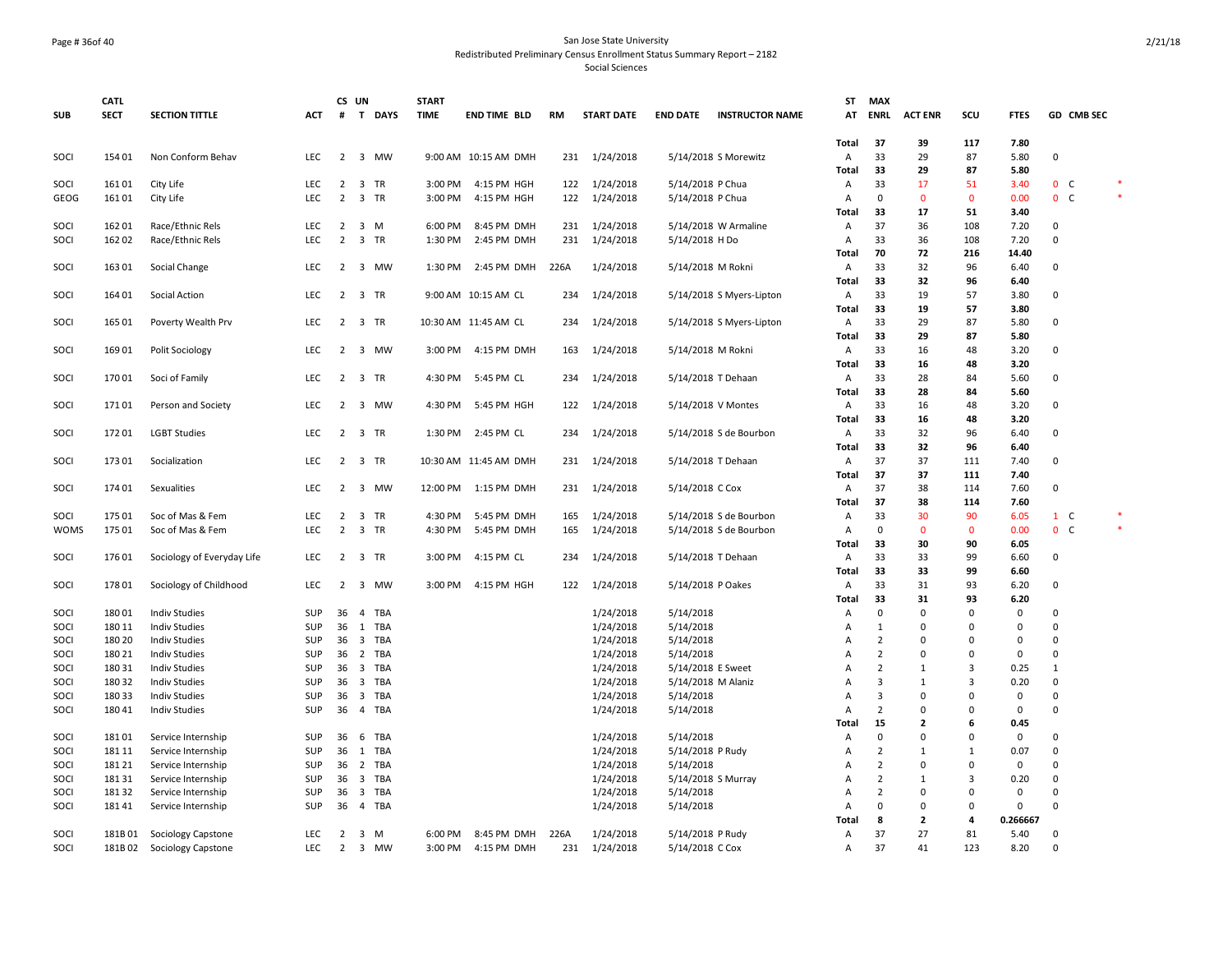#### Page # 36of 40 San Jose State University Redistributed Preliminary Census Enrollment Status Summary Report – 2182

|              | <b>CATL</b>      |                                          |            |                | CS UN                   |            | <b>START</b> |                       |      |                        |                               |                          | ST             | <b>MAX</b>                    |                             |                                     |              |                         |        |
|--------------|------------------|------------------------------------------|------------|----------------|-------------------------|------------|--------------|-----------------------|------|------------------------|-------------------------------|--------------------------|----------------|-------------------------------|-----------------------------|-------------------------------------|--------------|-------------------------|--------|
| <b>SUB</b>   | <b>SECT</b>      | <b>SECTION TITTLE</b>                    | <b>ACT</b> | #              |                         | T DAYS     | <b>TIME</b>  | <b>END TIME BLD</b>   | RM   | <b>START DATE</b>      | <b>END DATE</b>               | <b>INSTRUCTOR NAME</b>   | AT             | <b>ENRL</b>                   | <b>ACT ENR</b>              | scu                                 | <b>FTES</b>  | GD CMB SEC              |        |
|              |                  |                                          |            |                |                         |            |              |                       |      |                        |                               |                          | <b>Total</b>   | 37                            | 39                          | 117                                 | 7.80         |                         |        |
| SOCI         | 154 01           | Non Conform Behav                        | LEC        |                |                         | 2 3 MW     |              | 9:00 AM 10:15 AM DMH  |      | 231 1/24/2018          |                               | 5/14/2018 S Morewitz     | Α              | 33                            | 29                          | 87                                  | 5.80         | $\Omega$                |        |
|              |                  |                                          |            |                |                         |            |              |                       |      |                        |                               |                          | Total          | 33                            | 29                          | 87                                  | 5.80         |                         |        |
| SOCI         | 161 01           | City Life                                | LEC        | $\overline{2}$ |                         | 3 TR       | 3:00 PM      | 4:15 PM HGH           | 122  | 1/24/2018              | 5/14/2018 P Chua              |                          | A              | 33                            | 17                          | 51                                  | 3.40         | 0 <sup>o</sup>          |        |
| GEOG         | 16101            | City Life                                | LEC        | $\overline{2}$ |                         | 3 TR       | 3:00 PM      | 4:15 PM HGH           | 122  | 1/24/2018              | 5/14/2018 P Chua              |                          | Α              | $\mathbf{0}$                  | $\mathbf 0$                 | $\mathbf 0$                         | 0.00         | $0\quad C$              |        |
|              |                  |                                          |            |                |                         |            |              |                       |      |                        |                               |                          | Total          | 33                            | 17                          | 51                                  | 3.40         |                         |        |
| SOCI         | 162 01           | Race/Ethnic Rels                         | LEC        | $\overline{2}$ |                         | 3 M        | 6:00 PM      | 8:45 PM DMH           | 231  | 1/24/2018              |                               | 5/14/2018 W Armaline     | Α              | 37                            | 36                          | 108                                 | 7.20         | 0                       |        |
| SOCI         | 162 02           | Race/Ethnic Rels                         | <b>LEC</b> | $\overline{2}$ | $\overline{\mathbf{3}}$ | TR         | 1:30 PM      | 2:45 PM DMH           | 231  | 1/24/2018              | 5/14/2018 H Do                |                          | A              | 33                            | 36                          | 108                                 | 7.20         | $\Omega$                |        |
|              |                  |                                          |            |                |                         |            |              |                       |      |                        |                               |                          | <b>Total</b>   | 70                            | 72                          | 216                                 | 14.40        |                         |        |
| SOCI         | 163 01           | Social Change                            | LEC        |                |                         | 2 3 MW     | 1:30 PM      | 2:45 PM DMH           | 226A | 1/24/2018              | 5/14/2018 M Rokni             |                          | Α              | 33                            | 32                          | 96                                  | 6.40         | $\Omega$                |        |
|              |                  |                                          |            |                |                         |            |              |                       |      |                        |                               |                          | <b>Total</b>   | 33                            | 32                          | 96                                  | 6.40         |                         |        |
| SOCI         | 164 01           | Social Action                            | <b>LEC</b> | $\overline{2}$ |                         | 3 TR       |              | 9:00 AM 10:15 AM CL   | 234  | 1/24/2018              |                               | 5/14/2018 S Myers-Lipton | Α              | 33<br>33                      | 19<br>19                    | 57<br>57                            | 3.80         | $\mathbf 0$             |        |
|              | 165 01           |                                          | LEC        | $\overline{2}$ |                         | 3 TR       |              | 10:30 AM 11:45 AM CL  | 234  | 1/24/2018              |                               |                          | Total<br>A     | 33                            | 29                          | 87                                  | 3.80<br>5.80 | $\Omega$                |        |
| SOCI         |                  | Poverty Wealth Prv                       |            |                |                         |            |              |                       |      |                        |                               | 5/14/2018 S Myers-Lipton | Total          | 33                            | 29                          | 87                                  | 5.80         |                         |        |
| SOCI         | 169 01           | Polit Sociology                          | LEC        |                |                         | 2 3 MW     | 3:00 PM      | 4:15 PM DMH           | 163  | 1/24/2018              | 5/14/2018 M Rokni             |                          | A              | 33                            | 16                          | 48                                  | 3.20         | $\Omega$                |        |
|              |                  |                                          |            |                |                         |            |              |                       |      |                        |                               |                          | <b>Total</b>   | 33                            | 16                          | 48                                  | 3.20         |                         |        |
| SOCI         | 170 01           | Soci of Family                           | LEC        | $\overline{2}$ |                         | 3 TR       | 4:30 PM      | 5:45 PM CL            | 234  | 1/24/2018              | 5/14/2018 T Dehaan            |                          | Α              | 33                            | 28                          | 84                                  | 5.60         | 0                       |        |
|              |                  |                                          |            |                |                         |            |              |                       |      |                        |                               |                          | <b>Total</b>   | 33                            | 28                          | 84                                  | 5.60         |                         |        |
| SOCI         | 17101            | Person and Society                       | LEC        | $\overline{2}$ | $\overline{\mathbf{3}}$ | MW         | 4:30 PM      | 5:45 PM HGH           | 122  | 1/24/2018              |                               | 5/14/2018 V Montes       | Α              | 33                            | 16                          | 48                                  | 3.20         | $\mathbf 0$             |        |
|              |                  |                                          |            |                |                         |            |              |                       |      |                        |                               |                          | Total          | 33                            | 16                          | 48                                  | 3.20         |                         |        |
| SOCI         | 17201            | <b>LGBT Studies</b>                      | <b>LEC</b> |                |                         | 2 3 TR     |              | 1:30 PM 2:45 PM CL    | 234  | 1/24/2018              |                               | 5/14/2018 S de Bourbon   | A              | 33                            | 32                          | 96                                  | 6.40         | $\Omega$                |        |
|              |                  |                                          |            |                |                         |            |              |                       |      |                        |                               |                          | Total          | 33                            | 32                          | 96                                  | 6.40         |                         |        |
| SOCI         | 173 01           | Socialization                            | <b>LEC</b> | $\overline{2}$ |                         | 3 TR       |              | 10:30 AM 11:45 AM DMH | 231  | 1/24/2018              |                               | 5/14/2018 T Dehaan       | A              | 37                            | 37                          | 111                                 | 7.40         | $\Omega$                |        |
|              |                  |                                          |            |                |                         |            |              |                       |      |                        |                               |                          | <b>Total</b>   | 37                            | 37                          | 111                                 | 7.40         |                         |        |
| SOCI         | 174 01           | Sexualities                              | LEC        | 2              | $\overline{\mathbf{3}}$ | MW         | 12:00 PM     | 1:15 PM DMH           | 231  | 1/24/2018              | 5/14/2018 C Cox               |                          | Α              | 37                            | 38                          | 114                                 | 7.60         | 0                       |        |
|              |                  |                                          |            |                |                         |            |              |                       |      |                        |                               |                          | <b>Total</b>   | 37                            | 38                          | 114                                 | 7.60         |                         |        |
| SOCI         | 175 01           | Soc of Mas & Fem                         | LEC        | $\overline{2}$ |                         | 3 TR       | 4:30 PM      | 5:45 PM DMH           | 165  | 1/24/2018              |                               | 5/14/2018 S de Bourbon   | Α              | 33                            | 30                          | 90                                  | 6.05         | $1 \quad C$             |        |
| <b>WOMS</b>  | 175 01           | Soc of Mas & Fem                         | <b>LEC</b> | $\overline{2}$ |                         | 3 TR       | 4:30 PM      | 5:45 PM DMH           | 165  | 1/24/2018              |                               | 5/14/2018 S de Bourbon   | A              | 0                             | $\mathbf 0$                 | 0                                   | 0.00         | 0 <sub>c</sub>          | $\ast$ |
|              |                  |                                          |            |                |                         |            |              |                       |      |                        |                               |                          | Total          | 33                            | 30                          | 90                                  | 6.05         |                         |        |
| SOCI         | 176 01           | Sociology of Everyday Life               | <b>LEC</b> | $\overline{2}$ |                         | 3 TR       | 3:00 PM      | 4:15 PM CL            | 234  | 1/24/2018              | 5/14/2018 T Dehaan            |                          | A              | 33                            | 33                          | 99                                  | 6.60         | $\Omega$                |        |
|              |                  |                                          |            |                |                         |            |              |                       |      |                        |                               |                          | <b>Total</b>   | 33                            | 33                          | 99                                  | 6.60         |                         |        |
| SOCI         | 178 01           | Sociology of Childhood                   | LEC        | $\overline{2}$ |                         | 3 MW       | 3:00 PM      | 4:15 PM HGH           | 122  | 1/24/2018              | 5/14/2018 P Oakes             |                          | Α              | 33                            | 31                          | 93                                  | 6.20         | $\Omega$                |        |
|              |                  |                                          |            |                |                         |            |              |                       |      |                        |                               |                          | <b>Total</b>   | 33                            | 31                          | 93                                  | 6.20         |                         |        |
| SOCI         | 18001            | <b>Indiv Studies</b>                     | <b>SUP</b> |                | 36 4                    | <b>TBA</b> |              |                       |      | 1/24/2018              | 5/14/2018                     |                          | Α              | $\Omega$                      | $\Omega$                    | $\mathbf 0$                         | $\mathbf 0$  | $\Omega$                |        |
| SOCI         | 180 11           | <b>Indiv Studies</b>                     | SUP        |                | 36 1                    | <b>TBA</b> |              |                       |      | 1/24/2018              | 5/14/2018                     |                          | А              | 1                             | $\mathsf 0$                 | $\mathsf{O}\xspace$                 | $\mathbf 0$  | $\mathbf 0$             |        |
| SOCI         | 180 20           | <b>Indiv Studies</b>                     | SUP        | 36             | $\overline{\mathbf{3}}$ | <b>TBA</b> |              |                       |      | 1/24/2018              | 5/14/2018                     |                          | Α              | $\overline{2}$                | $\mathsf 0$                 | 0                                   | $\mathbf 0$  | $\Omega$                |        |
| SOCI         | 180 21           | <b>Indiv Studies</b>                     | SUP        | 36             | $\overline{2}$          | TBA        |              |                       |      | 1/24/2018              | 5/14/2018                     |                          | Α              | $\overline{2}$                | $\mathbf 0$                 | $\mathbf 0$                         | $\mathbf 0$  | $\mathbf 0$             |        |
| SOCI         | 180 31           | <b>Indiv Studies</b>                     | <b>SUP</b> |                | 36 <sub>3</sub>         | TBA        |              |                       |      | 1/24/2018              | 5/14/2018 E Sweet             |                          | A              | $\overline{2}$                | $\mathbf{1}$                | 3                                   | 0.25         | $\mathbf{1}$            |        |
| SOCI         | 180 32           | <b>Indiv Studies</b>                     | SUP        | 36             | $\overline{\mathbf{3}}$ | TBA        |              |                       |      | 1/24/2018              | 5/14/2018 M Alaniz            |                          | Α              | 3                             | $\mathbf{1}$                | 3                                   | 0.20         | 0                       |        |
| SOCI         | 180 33           | <b>Indiv Studies</b>                     | SUP        | 36             | $\overline{\mathbf{3}}$ | TBA        |              |                       |      | 1/24/2018              | 5/14/2018                     |                          | A              | $\overline{\mathbf{3}}$       | $\mathbf 0$                 | $\mathbf 0$                         | $\mathbf 0$  | $\Omega$                |        |
| SOCI         | 180 41           | <b>Indiv Studies</b>                     | SUP        |                |                         | 36 4 TBA   |              |                       |      | 1/24/2018              | 5/14/2018                     |                          | $\overline{A}$ | $\overline{2}$                | $\mathbf 0$                 | $\mathbf 0$                         | $\mathbf{0}$ | $\Omega$                |        |
|              |                  |                                          |            |                |                         |            |              |                       |      |                        |                               |                          | Total          | 15                            | $\overline{2}$              | 6                                   | 0.45         |                         |        |
| SOCI         | 18101            | Service Internship                       | SUP        | 36             | 6                       | TBA        |              |                       |      | 1/24/2018              | 5/14/2018                     |                          | Α              | $\mathbf 0$<br>$\overline{2}$ | $\mathsf 0$                 | $\mathsf{O}\xspace$<br>$\mathbf{1}$ | 0            | $\mathbf 0$<br>$\Omega$ |        |
| SOCI         | 181 11           | Service Internship                       | SUP<br>SUP | 36             | 36 1<br>$\overline{2}$  | TBA<br>TBA |              |                       |      | 1/24/2018<br>1/24/2018 | 5/14/2018 P Rudy<br>5/14/2018 |                          | Α<br>Α         | $\overline{2}$                | $\mathbf{1}$<br>$\mathbf 0$ | 0                                   | 0.07<br>0    | $\mathbf 0$             |        |
| SOCI<br>SOCI | 181 21<br>181 31 | Service Internship                       | SUP        | 36             | $\overline{\mathbf{3}}$ | TBA        |              |                       |      | 1/24/2018              | 5/14/2018 S Murray            |                          | A              | $\overline{2}$                | $\mathbf{1}$                | 3                                   | 0.20         | $\Omega$                |        |
| SOCI         | 181 32           | Service Internship<br>Service Internship | SUP        | 36             | $\overline{\mathbf{3}}$ | TBA        |              |                       |      | 1/24/2018              | 5/14/2018                     |                          | Α              | $\overline{2}$                | $\mathbf 0$                 | $\mathbf 0$                         | $\mathbf{0}$ | $\mathbf 0$             |        |
| SOCI         | 181 41           | Service Internship                       | SUP        | 36             |                         | 4 TBA      |              |                       |      | 1/24/2018              | 5/14/2018                     |                          | Α              | $\mathbf{0}$                  | $\mathbf 0$                 | $\mathsf{O}\xspace$                 | 0            | $\Omega$                |        |
|              |                  |                                          |            |                |                         |            |              |                       |      |                        |                               |                          | Total          | 8                             | $\overline{2}$              | 4                                   | 0.266667     |                         |        |
| SOCI         | 181B01           | Sociology Capstone                       | LEC        | $\overline{2}$ | $\overline{\mathbf{3}}$ | M          | 6:00 PM      | 8:45 PM DMH           | 226A | 1/24/2018              | 5/14/2018 P Rudy              |                          | Α              | 37                            | 27                          | 81                                  | 5.40         | $\Omega$                |        |
| SOCI         | 181B02           | Sociology Capstone                       | LEC        |                |                         | 2 3 MW     | 3:00 PM      | 4:15 PM DMH           | 231  | 1/24/2018              | 5/14/2018 C Cox               |                          | Α              | 37                            | 41                          | 123                                 | 8.20         | $\Omega$                |        |
|              |                  |                                          |            |                |                         |            |              |                       |      |                        |                               |                          |                |                               |                             |                                     |              |                         |        |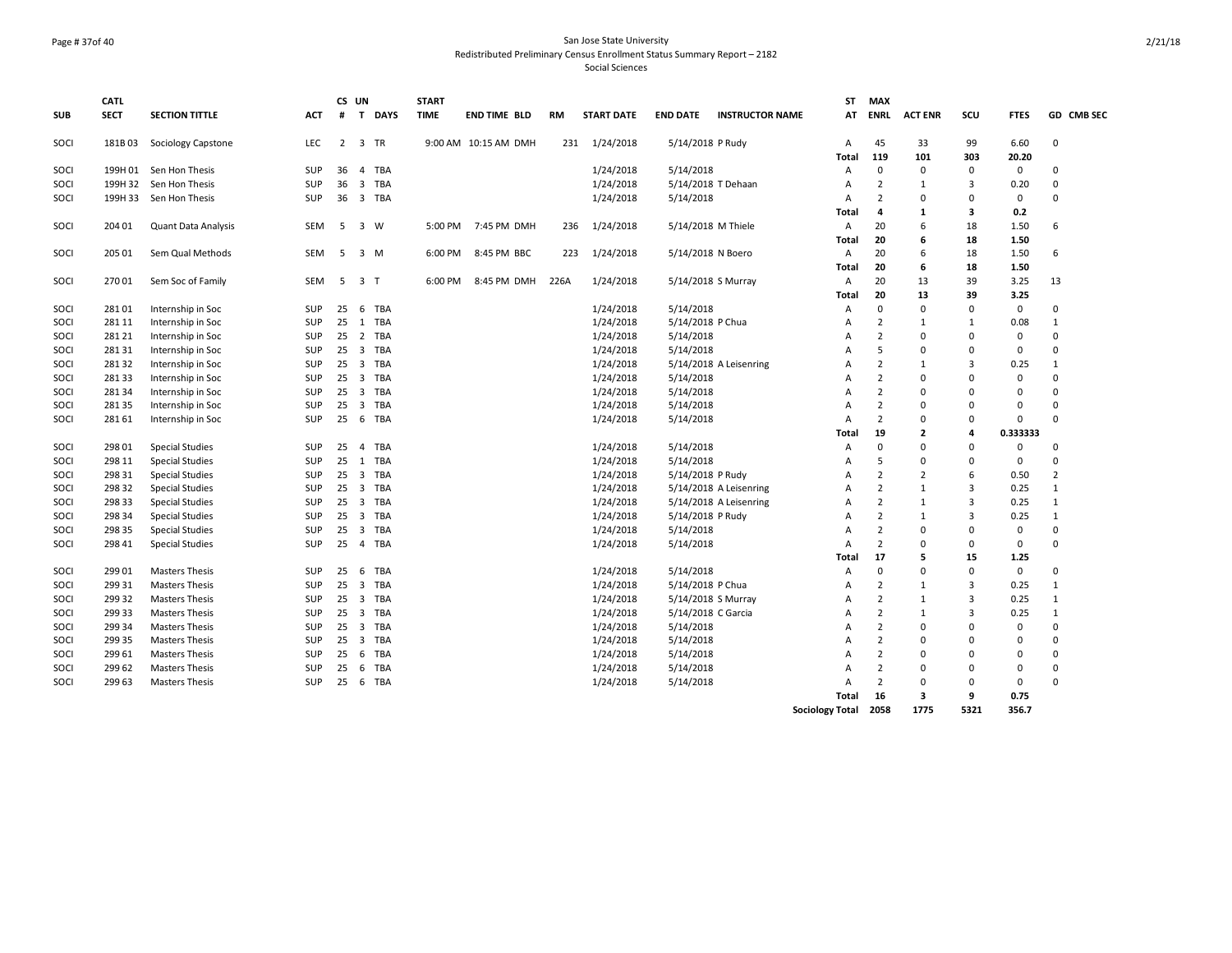# Page # 37of 40 San Jose State University Redistributed Preliminary Census Enrollment Status Summary Report – 2182

|            | <b>CATL</b> |                        |            | CS UN          |                       | <b>START</b> |                      |      |                   |                    |                        | <b>ST</b>              | <b>MAX</b>     |                |                |              |                |
|------------|-------------|------------------------|------------|----------------|-----------------------|--------------|----------------------|------|-------------------|--------------------|------------------------|------------------------|----------------|----------------|----------------|--------------|----------------|
| <b>SUB</b> | <b>SECT</b> | <b>SECTION TITTLE</b>  | <b>ACT</b> | #              | T<br><b>DAYS</b>      | <b>TIME</b>  | <b>END TIME BLD</b>  | RM   | <b>START DATE</b> | <b>END DATE</b>    | <b>INSTRUCTOR NAME</b> | AT                     | <b>ENRL</b>    | <b>ACT ENR</b> | SCU            | <b>FTES</b>  | GD CMB SEC     |
| SOCI       | 181B03      | Sociology Capstone     | LEC        | $\overline{2}$ | 3 TR                  |              | 9:00 AM 10:15 AM DMH | 231  | 1/24/2018         | 5/14/2018 P Rudy   |                        | A                      | 45             | 33             | 99             | 6.60         | $\mathbf 0$    |
|            |             |                        |            |                |                       |              |                      |      |                   |                    |                        | Total                  | 119            | 101            | 303            | 20.20        |                |
| SOCI       | 199H 01     | Sen Hon Thesis         | SUP        | 36             | TBA<br>$\overline{4}$ |              |                      |      | 1/24/2018         | 5/14/2018          |                        | A                      | $\mathbf 0$    | $\mathbf 0$    | 0              | $\mathbf 0$  | $\mathbf{0}$   |
| SOCI       | 199H 32     | Sen Hon Thesis         | <b>SUP</b> | 36             | 3 TBA                 |              |                      |      | 1/24/2018         |                    | 5/14/2018 T Dehaan     | A                      | $\overline{2}$ | $\mathbf{1}$   | $\overline{3}$ | 0.20         | $\mathbf 0$    |
| SOCI       | 199H 33     | Sen Hon Thesis         | <b>SUP</b> | 36             | 3 TBA                 |              |                      |      | 1/24/2018         | 5/14/2018          |                        | A                      | $\overline{2}$ | $\mathbf 0$    | $\Omega$       | $\mathbf{0}$ | $\mathbf 0$    |
|            |             |                        |            |                |                       |              |                      |      |                   |                    |                        | Total                  | $\overline{a}$ | $\mathbf{1}$   | 3              | 0.2          |                |
| SOCI       | 204 01      | Quant Data Analysis    | <b>SEM</b> | 5              | $\overline{3}$<br>W   |              | 5:00 PM 7:45 PM DMH  | 236  | 1/24/2018         |                    | 5/14/2018 M Thiele     | A                      | 20             | 6              | 18             | 1.50         | 6              |
|            |             |                        |            |                |                       |              |                      |      |                   |                    |                        | Total                  | 20             | 6              | 18             | 1.50         |                |
| SOCI       | 205 01      | Sem Qual Methods       | SEM        | 5              | $3 \, M$              | 6:00 PM      | 8:45 PM BBC          | 223  | 1/24/2018         | 5/14/2018 N Boero  |                        | Α                      | 20             | 6              | 18             | 1.50         | 6              |
|            |             |                        |            |                |                       |              |                      |      |                   |                    |                        | Total                  | 20             | 6              | 18             | 1.50         |                |
| SOCI       | 270 01      | Sem Soc of Family      | SEM        |                | 5 3 T                 | 6:00 PM      | 8:45 PM DMH          | 226A | 1/24/2018         |                    | 5/14/2018 S Murray     | Α                      | 20             | 13             | 39             | 3.25         | 13             |
|            |             |                        |            |                |                       |              |                      |      |                   |                    |                        | Total                  | 20             | 13             | 39             | 3.25         |                |
| SOCI       | 28101       | Internship in Soc      | SUP        | 25             | 6 TBA                 |              |                      |      | 1/24/2018         | 5/14/2018          |                        | Α                      | $\mathbf 0$    | $\mathbf 0$    | $\mathbf 0$    | $\mathbf 0$  | $\mathbf 0$    |
| SOCI       | 281 11      | Internship in Soc      | SUP        | 25             | 1 TBA                 |              |                      |      | 1/24/2018         | 5/14/2018 P Chua   |                        | А                      | $\overline{2}$ | $\mathbf{1}$   | $\mathbf{1}$   | 0.08         | $\mathbf{1}$   |
| SOCI       | 281 21      | Internship in Soc      | SUP        | 25             | 2 TBA                 |              |                      |      | 1/24/2018         | 5/14/2018          |                        | Α                      | $\overline{2}$ | $\mathbf 0$    | $\mathbf 0$    | $\mathbf 0$  | $\mathbf 0$    |
| SOCI       | 28131       | Internship in Soc      | <b>SUP</b> | 25             | 3 TBA                 |              |                      |      | 1/24/2018         | 5/14/2018          |                        | А                      | 5              | $\Omega$       | $\Omega$       | $\mathbf 0$  | $\mathbf 0$    |
| SOCI       | 28132       | Internship in Soc      | SUP        | 25             | 3 TBA                 |              |                      |      | 1/24/2018         |                    | 5/14/2018 A Leisenring | Α                      | $\overline{2}$ | $\mathbf{1}$   | $\overline{3}$ | 0.25         | $\mathbf{1}$   |
| SOCI       | 281 33      | Internship in Soc      | SUP        | 25             | 3 TBA                 |              |                      |      | 1/24/2018         | 5/14/2018          |                        | Α                      | $\overline{2}$ | $\mathbf 0$    | $\Omega$       | $\mathbf 0$  | $\mathbf 0$    |
| SOCI       | 281 34      | Internship in Soc      | SUP        | 25             | 3 TBA                 |              |                      |      | 1/24/2018         | 5/14/2018          |                        | Α                      | $\overline{2}$ | $\Omega$       | $\Omega$       | $\mathbf 0$  | $\mathbf 0$    |
| SOCI       | 28135       | Internship in Soc      | SUP        | 25             | 3 TBA                 |              |                      |      | 1/24/2018         | 5/14/2018          |                        | A                      | $\overline{2}$ | $\Omega$       | $\Omega$       | $\Omega$     | $\mathbf 0$    |
| SOCI       | 281 61      | Internship in Soc      | <b>SUP</b> | 25             | 6 TBA                 |              |                      |      | 1/24/2018         | 5/14/2018          |                        | A                      | $\overline{2}$ | $\Omega$       | $\mathbf 0$    | $\mathbf{0}$ | $\Omega$       |
|            |             |                        |            |                |                       |              |                      |      |                   |                    |                        | Total                  | 19             | $\overline{2}$ | $\overline{a}$ | 0.333333     |                |
| SOCI       | 298 01      | <b>Special Studies</b> | SUP        | 25             | 4 TBA                 |              |                      |      | 1/24/2018         | 5/14/2018          |                        | Α                      | $\mathbf 0$    | $\Omega$       | $\Omega$       | $\mathbf{0}$ | $\mathbf{0}$   |
| SOCI       | 298 11      | <b>Special Studies</b> | SUP        | 25             | 1 TBA                 |              |                      |      | 1/24/2018         | 5/14/2018          |                        | A                      | 5              | $\mathbf 0$    | $\Omega$       | $\mathbf 0$  | $\mathbf 0$    |
| SOCI       | 298 31      | <b>Special Studies</b> | SUP        | 25             | 3 TBA                 |              |                      |      | 1/24/2018         | 5/14/2018 P Rudy   |                        | A                      | $\overline{2}$ | $\overline{2}$ | 6              | 0.50         | $\overline{2}$ |
| SOCI       | 298 32      | <b>Special Studies</b> | SUP        |                | 25 3 TBA              |              |                      |      | 1/24/2018         |                    | 5/14/2018 A Leisenring | A                      | $\overline{2}$ | $\mathbf{1}$   | $\overline{3}$ | 0.25         | $\mathbf{1}$   |
| SOCI       | 298 33      | <b>Special Studies</b> | SUP        | 25             | 3 TBA                 |              |                      |      | 1/24/2018         |                    | 5/14/2018 A Leisenring | A                      | $\overline{2}$ | $\mathbf{1}$   | $\overline{3}$ | 0.25         | $\mathbf{1}$   |
| SOCI       | 298 34      | <b>Special Studies</b> | SUP        | 25             | 3 TBA                 |              |                      |      | 1/24/2018         | 5/14/2018 P Rudy   |                        | A                      | $\overline{2}$ | $\mathbf{1}$   | $\overline{3}$ | 0.25         | $\mathbf{1}$   |
| SOCI       | 298 35      | <b>Special Studies</b> | SUP        | 25             | 3 TBA                 |              |                      |      | 1/24/2018         | 5/14/2018          |                        | A                      | $\overline{2}$ | $\Omega$       | $\Omega$       | $\mathbf 0$  | $\mathbf 0$    |
| SOCI       | 298 41      | <b>Special Studies</b> | SUP        | 25             | 4 TBA                 |              |                      |      | 1/24/2018         | 5/14/2018          |                        | Α                      | $\overline{2}$ | $\mathbf 0$    | $\mathbf 0$    | $\mathbf 0$  | $\mathbf 0$    |
|            |             |                        |            |                |                       |              |                      |      |                   |                    |                        | Total                  | 17             | 5              | 15             | 1.25         |                |
| SOCI       | 299 01      | <b>Masters Thesis</b>  | SUP        | 25             | 6 TBA                 |              |                      |      | 1/24/2018         | 5/14/2018          |                        | А                      | $\mathbf 0$    | $\Omega$       | $\mathbf 0$    | $\mathbf 0$  | $\mathbf 0$    |
| SOCI       | 299 31      | <b>Masters Thesis</b>  | SUP        | 25             | 3 TBA                 |              |                      |      | 1/24/2018         | 5/14/2018 P Chua   |                        | Α                      | $\overline{2}$ | $\mathbf{1}$   | $\overline{3}$ | 0.25         | $\mathbf{1}$   |
| SOCI       | 299 32      | <b>Masters Thesis</b>  | SUP        | 25             | 3 TBA                 |              |                      |      | 1/24/2018         |                    | 5/14/2018 S Murray     | Α                      | $\overline{2}$ | $\mathbf{1}$   | $\overline{3}$ | 0.25         | $\mathbf{1}$   |
| SOCI       | 299 33      | <b>Masters Thesis</b>  | SUP        | 25             | 3 TBA                 |              |                      |      | 1/24/2018         | 5/14/2018 C Garcia |                        | A                      | $\overline{2}$ | $\mathbf{1}$   | $\overline{3}$ | 0.25         | $\mathbf{1}$   |
| SOCI       | 299 34      | <b>Masters Thesis</b>  | SUP        | 25             | 3 TBA                 |              |                      |      | 1/24/2018         | 5/14/2018          |                        | A                      | $\overline{2}$ | $\mathbf 0$    | $\Omega$       | $\mathbf 0$  | $\mathbf{0}$   |
| SOCI       | 299 35      | <b>Masters Thesis</b>  | SUP        | 25             | 3 TBA                 |              |                      |      | 1/24/2018         | 5/14/2018          |                        | Α                      | $\overline{2}$ | $\Omega$       | $\Omega$       | $\mathbf 0$  | $\mathbf 0$    |
| SOCI       | 299 61      | <b>Masters Thesis</b>  | SUP        | 25             | 6 TBA                 |              |                      |      | 1/24/2018         | 5/14/2018          |                        | A                      | $\overline{2}$ | $\Omega$       | $\Omega$       | $\mathbf 0$  | $\mathbf 0$    |
| SOCI       | 299 62      | <b>Masters Thesis</b>  | SUP        | 25             | 6<br><b>TBA</b>       |              |                      |      | 1/24/2018         | 5/14/2018          |                        | Α                      | $\overline{2}$ | $\mathbf 0$    | $\Omega$       | $\mathbf 0$  | $\mathbf 0$    |
| SOCI       | 299 63      | <b>Masters Thesis</b>  | <b>SUP</b> | 25             | 6 TBA                 |              |                      |      | 1/24/2018         | 5/14/2018          |                        | A                      | $\overline{2}$ | $\Omega$       | $\Omega$       | $\mathbf{0}$ | $\Omega$       |
|            |             |                        |            |                |                       |              |                      |      |                   |                    |                        | Total                  | 16             | 3              | 9              | 0.75         |                |
|            |             |                        |            |                |                       |              |                      |      |                   |                    |                        | <b>Sociology Total</b> | 2058           | 1775           | 5321           | 356.7        |                |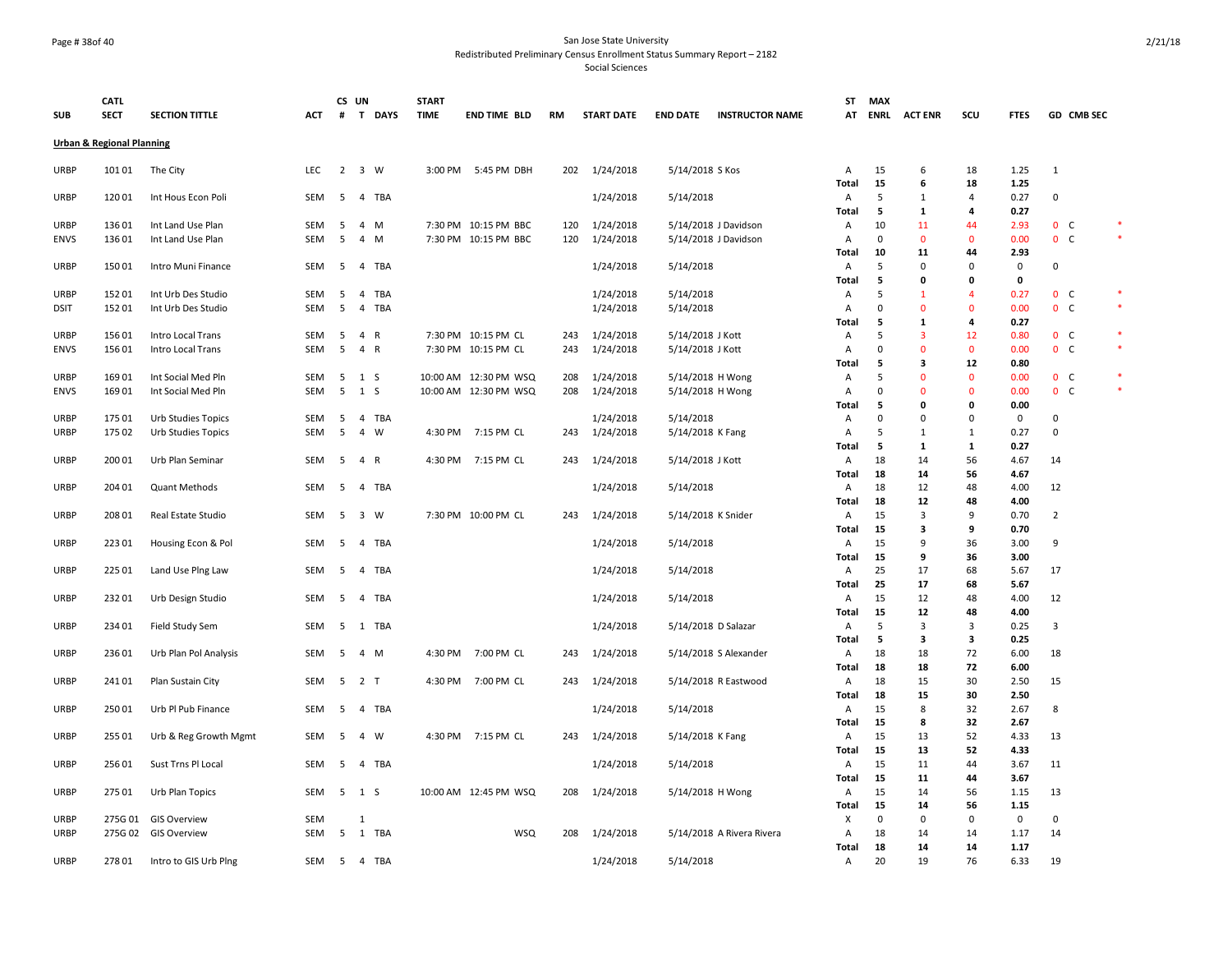#### Page # 38of 40 San Jose State University Redistributed Preliminary Census Enrollment Status Summary Report – 2182

|                                      |                            | CS UN                 |            |     | <b>START</b>   |            |             |                       |           |                   | ST                        | <b>MAX</b> |                        |                |             |                |                |             |                |        |
|--------------------------------------|----------------------------|-----------------------|------------|-----|----------------|------------|-------------|-----------------------|-----------|-------------------|---------------------------|------------|------------------------|----------------|-------------|----------------|----------------|-------------|----------------|--------|
| <b>SUB</b>                           | <b>CATL</b><br><b>SECT</b> | <b>SECTION TITTLE</b> | ACT        | #   |                | T DAYS     | <b>TIME</b> | <b>END TIME BLD</b>   | <b>RM</b> | <b>START DATE</b> | <b>END DATE</b>           |            | <b>INSTRUCTOR NAME</b> | AT             | <b>ENRL</b> | <b>ACT ENR</b> | SCU            | <b>FTES</b> | GD CMB SEC     |        |
| <b>Urban &amp; Regional Planning</b> |                            |                       |            |     |                |            |             |                       |           |                   |                           |            |                        |                |             |                |                |             |                |        |
| <b>URBP</b>                          | 101 01                     | The City              | LEC        |     | 2 3 W          |            | 3:00 PM     | 5:45 PM DBH           | 202       | 1/24/2018         | 5/14/2018 S Kos           |            |                        | A              | 15          | 6              | 18             | 1.25        | 1              |        |
|                                      |                            |                       |            |     |                |            |             |                       |           |                   |                           |            |                        | <b>Total</b>   | 15          | 6              | 18             | 1.25        |                |        |
| <b>URBP</b>                          | 120 01                     | Int Hous Econ Poli    | SEM        | 5   |                | 4 TBA      |             |                       |           | 1/24/2018         | 5/14/2018                 |            |                        | $\overline{A}$ | 5           | $\mathbf{1}$   | $\overline{4}$ | 0.27        | $\mathbf 0$    |        |
|                                      |                            |                       |            |     |                |            |             |                       |           |                   |                           |            |                        | Total          | 5           | 1              | 4              | 0.27        |                |        |
| URBP                                 | 136 01                     | Int Land Use Plan     | <b>SEM</b> | -5  | 4 M            |            |             | 7:30 PM 10:15 PM BBC  | 120       | 1/24/2018         | 5/14/2018 J Davidson      |            |                        | $\overline{A}$ | 10          | 11             | 44             | 2.93        | 0 <sup>o</sup> |        |
| <b>ENVS</b>                          | 136 01                     | Int Land Use Plan     | SEM        | 5   | 4 M            |            |             | 7:30 PM 10:15 PM BBC  | 120       | 1/24/2018         | 5/14/2018 J Davidson      |            |                        | $\mathsf A$    | $\mathbf 0$ | $\mathbf 0$    | $\mathbf 0$    | 0.00        | 0 <sub>c</sub> | $\ast$ |
|                                      |                            |                       |            |     |                |            |             |                       |           |                   |                           |            |                        | Total          | 10          | 11             | 44             | 2.93        |                |        |
| <b>URBP</b>                          | 150 01                     | Intro Muni Finance    | SEM        | 5   | $\overline{4}$ | TBA        |             |                       |           | 1/24/2018         | 5/14/2018                 |            |                        | A              | 5           | $\mathbf 0$    | $\Omega$       | $\mathbf 0$ | $\Omega$       |        |
|                                      |                            |                       |            |     |                |            |             |                       |           |                   |                           |            |                        | Total          | 5           | $\mathbf 0$    | 0              | $\mathbf 0$ |                |        |
| <b>URBP</b>                          | 152 01                     | Int Urb Des Studio    | SEM        | 5   | 4              | <b>TBA</b> |             |                       |           | 1/24/2018         | 5/14/2018                 |            |                        | A              | 5           | $\mathbf{1}$   | $\overline{4}$ | 0.27        | 0 <sub>c</sub> |        |
| <b>DSIT</b>                          | 152 01                     | Int Urb Des Studio    | SEM        | 5   | $\overline{4}$ | <b>TBA</b> |             |                       |           | 1/24/2018         | 5/14/2018                 |            |                        | A              | $\mathbf 0$ | $\mathbf{0}$   | $\mathbf 0$    | 0.00        | 0 <sub>c</sub> | $\ast$ |
|                                      |                            |                       |            |     |                |            |             |                       |           |                   |                           |            |                        | Total          | 5           | $\mathbf{1}$   | 4              | 0.27        |                |        |
| <b>URBP</b>                          | 156 01                     | Intro Local Trans     | SEM        | 5   | 4 R            |            |             | 7:30 PM 10:15 PM CL   | 243       | 1/24/2018         | 5/14/2018 J Kott          |            |                        | Α              | 5           | 3              | 12             | 0.80        | 0 <sub>c</sub> |        |
| <b>ENVS</b>                          | 156 01                     | Intro Local Trans     | <b>SEM</b> | 5   | 4 R            |            |             | 7:30 PM 10:15 PM CL   | 243       | 1/24/2018         | 5/14/2018 J Kott          |            |                        | A              | $\mathbf 0$ | $\mathbf{0}$   | $\mathbf{0}$   | 0.00        | 0 <sub>c</sub> |        |
|                                      |                            |                       |            |     |                |            |             |                       |           |                   |                           |            |                        | Total          | 5           | 3              | 12             | 0.80        |                |        |
| <b>URBP</b>                          | 169 01                     | Int Social Med Pln    | SEM        | 5   | 1 <sub>5</sub> |            |             | 10:00 AM 12:30 PM WSQ | 208       | 1/24/2018         | 5/14/2018 H Wong          |            |                        | Α              | 5           | $\mathbf 0$    | $\mathbf 0$    | 0.00        | 0 <sub>c</sub> |        |
| <b>ENVS</b>                          | 16901                      | Int Social Med Pln    | SEM        | 5   | 1 S            |            |             | 10:00 AM 12:30 PM WSQ | 208       | 1/24/2018         | 5/14/2018 H Wong          |            |                        | A              | $\mathbf 0$ | $\Omega$       | $\Omega$       | 0.00        | 0 <sub>c</sub> |        |
|                                      |                            |                       |            |     |                |            |             |                       |           |                   |                           |            |                        | Total          | 5           | $\mathbf 0$    | $\mathbf{0}$   | 0.00        |                |        |
| URBP                                 | 175 01                     | Urb Studies Topics    | SEM        | 5   |                | 4 TBA      |             |                       |           | 1/24/2018         | 5/14/2018                 |            |                        | Α              | $\Omega$    | $\mathbf 0$    | $\mathbf 0$    | $\mathsf 0$ | $\mathbf 0$    |        |
| <b>URBP</b>                          | 175 02                     | Urb Studies Topics    | SEM        | 5   | 4              | W          | 4:30 PM     | 7:15 PM CL            | 243       | 1/24/2018         | 5/14/2018 K Fang          |            |                        | A              | 5           | 1              | 1              | 0.27        | 0              |        |
|                                      |                            |                       |            |     |                |            |             |                       |           |                   |                           |            |                        | <b>Total</b>   | 5           | $\mathbf{1}$   | $\mathbf{1}$   | 0.27        |                |        |
| <b>URBP</b>                          | 200 01                     | Urb Plan Seminar      | SEM        | 5   | 4 R            |            | 4:30 PM     | 7:15 PM CL            | 243       | 1/24/2018         | 5/14/2018 J Kott          |            |                        | A              | 18          | 14             | 56             | 4.67        | 14             |        |
|                                      |                            |                       |            |     |                |            |             |                       |           |                   |                           |            |                        | Total          | 18          | 14             | 56             | 4.67        |                |        |
| <b>URBP</b>                          | 204 01                     | Quant Methods         | SEM        | 5   |                | 4 TBA      |             |                       |           | 1/24/2018         | 5/14/2018                 |            |                        | $\mathsf{A}$   | 18          | 12             | 48             | 4.00        | 12             |        |
|                                      |                            |                       |            |     |                |            |             |                       |           |                   |                           |            |                        | Total          | 18          | 12             | 48             | 4.00        |                |        |
| <b>URBP</b>                          | 208 01                     | Real Estate Studio    | SEM        | -5  | 3 W            |            |             | 7:30 PM 10:00 PM CL   | 243       | 1/24/2018         | 5/14/2018 K Snider        |            |                        | A              | 15          | 3              | 9              | 0.70        | $\overline{2}$ |        |
|                                      |                            |                       |            |     |                |            |             |                       |           |                   |                           |            |                        | <b>Total</b>   | 15          | 3              | 9              | 0.70        |                |        |
| <b>URBP</b>                          | 223 01                     | Housing Econ & Pol    | SEM        | 5   |                | 4 TBA      |             |                       |           | 1/24/2018         | 5/14/2018                 |            |                        | A              | 15          | 9              | 36             | 3.00        | 9              |        |
|                                      |                            |                       |            |     |                |            |             |                       |           |                   |                           |            |                        | Total          | 15          | 9              | 36             | 3.00        |                |        |
| <b>URBP</b>                          | 225 01                     | Land Use Plng Law     | SEM        | - 5 |                | 4 TBA      |             |                       |           | 1/24/2018         | 5/14/2018                 |            |                        | $\mathsf{A}$   | 25          | 17             | 68             | 5.67        | 17             |        |
|                                      |                            |                       |            |     |                |            |             |                       |           |                   |                           |            |                        | Total          | 25          | 17             | 68             | 5.67        |                |        |
| <b>URBP</b>                          | 232 01                     | Urb Design Studio     | SEM        | -5  | 4              | TBA        |             |                       |           | 1/24/2018         | 5/14/2018                 |            |                        | Α              | 15          | 12             | 48             | 4.00        | 12             |        |
|                                      |                            |                       |            |     |                |            |             |                       |           |                   |                           |            |                        | <b>Total</b>   | 15          | 12             | 48             | 4.00        |                |        |
| <b>URBP</b>                          | 234 01                     | Field Study Sem       | SEM        | -5  |                | 1 TBA      |             |                       |           | 1/24/2018         | 5/14/2018 D Salazar       |            |                        | Α              | 5           | 3              | $\overline{3}$ | 0.25        | 3              |        |
|                                      |                            |                       |            |     |                |            |             |                       |           |                   |                           |            |                        | Total          | 5           | 3              | 3              | 0.25        |                |        |
| <b>URBP</b>                          | 236 01                     | Urb Plan Pol Analysis | SEM        | 5   | 4 M            |            | 4:30 PM     | 7:00 PM CL            | 243       | 1/24/2018         | 5/14/2018 S Alexander     |            |                        | A              | 18          | 18             | 72             | 6.00        | 18             |        |
|                                      |                            |                       |            |     |                |            |             |                       |           |                   |                           |            |                        | Total          | 18          | 18             | 72             | 6.00        |                |        |
| <b>URBP</b>                          | 24101                      | Plan Sustain City     | SEM        | 5   | 2 T            |            | 4:30 PM     | 7:00 PM CL            | 243       | 1/24/2018         | 5/14/2018 R Eastwood      |            |                        | A              | 18          | 15             | 30             | 2.50        | 15             |        |
|                                      |                            |                       |            |     |                |            |             |                       |           |                   |                           |            |                        | <b>Total</b>   | 18          | 15             | 30             | 2.50        |                |        |
| <b>URBP</b>                          | 250 01                     | Urb Pl Pub Finance    | SEM        | 5   |                | 4 TBA      |             |                       |           | 1/24/2018         | 5/14/2018                 |            |                        | Α              | 15          | 8              | 32             | 2.67        | 8              |        |
|                                      |                            |                       |            |     |                |            |             |                       |           |                   |                           |            |                        | Total          | 15          | 8              | 32             | 2.67        |                |        |
| <b>URBP</b>                          | 255 01                     | Urb & Reg Growth Mgmt | <b>SEM</b> | 5   | 4 W            |            | 4:30 PM     | 7:15 PM CL            | 243       | 1/24/2018         | 5/14/2018 K Fang          |            |                        | $\mathsf{A}$   | 15          | 13             | 52             | 4.33        | 13             |        |
|                                      |                            |                       |            |     |                |            |             |                       |           |                   |                           |            |                        | Total          | 15          | 13             | 52             | 4.33        |                |        |
| <b>URBP</b>                          | 256 01                     | Sust Trns Pl Local    | SEM        | 5   | 4              | TBA        |             |                       |           | 1/24/2018         | 5/14/2018                 |            |                        | A              | 15          | 11             | 44             | 3.67        | 11             |        |
|                                      |                            |                       |            |     |                |            |             |                       |           |                   |                           |            |                        | <b>Total</b>   | 15          | 11             | 44             | 3.67        |                |        |
| <b>URBP</b>                          | 275 01                     | Urb Plan Topics       | SEM        |     | 5 1 S          |            |             | 10:00 AM 12:45 PM WSQ | 208       | 1/24/2018         | 5/14/2018 H Wong          |            |                        | Α              | 15          | 14             | 56             | 1.15        | 13             |        |
|                                      |                            |                       |            |     |                |            |             |                       |           |                   |                           |            |                        | Total          | 15          | 14             | 56             | 1.15        |                |        |
| <b>URBP</b>                          | 275G01                     | <b>GIS Overview</b>   | SEM        |     | $\mathbf{1}$   |            |             |                       |           |                   |                           |            |                        | X              | 0           | 0              | 0              | $\mathbf 0$ | $\mathbf 0$    |        |
| <b>URBP</b>                          |                            | 275G 02 GIS Overview  | SEM        |     |                | 5 1 TBA    |             | WSQ                   | 208       | 1/24/2018         | 5/14/2018 A Rivera Rivera |            |                        | Α              | 18          | 14             | 14             | 1.17        | 14             |        |
|                                      |                            |                       |            |     |                |            |             |                       |           |                   |                           |            |                        | <b>Total</b>   | 18          | 14             | 14             | 1.17        |                |        |
| <b>URBP</b>                          | 27801                      | Intro to GIS Urb Plng | SEM        | - 5 |                | 4 TBA      |             |                       |           | 1/24/2018         | 5/14/2018                 |            |                        | $\overline{A}$ | 20          | 19             | 76             | 6.33        | 19             |        |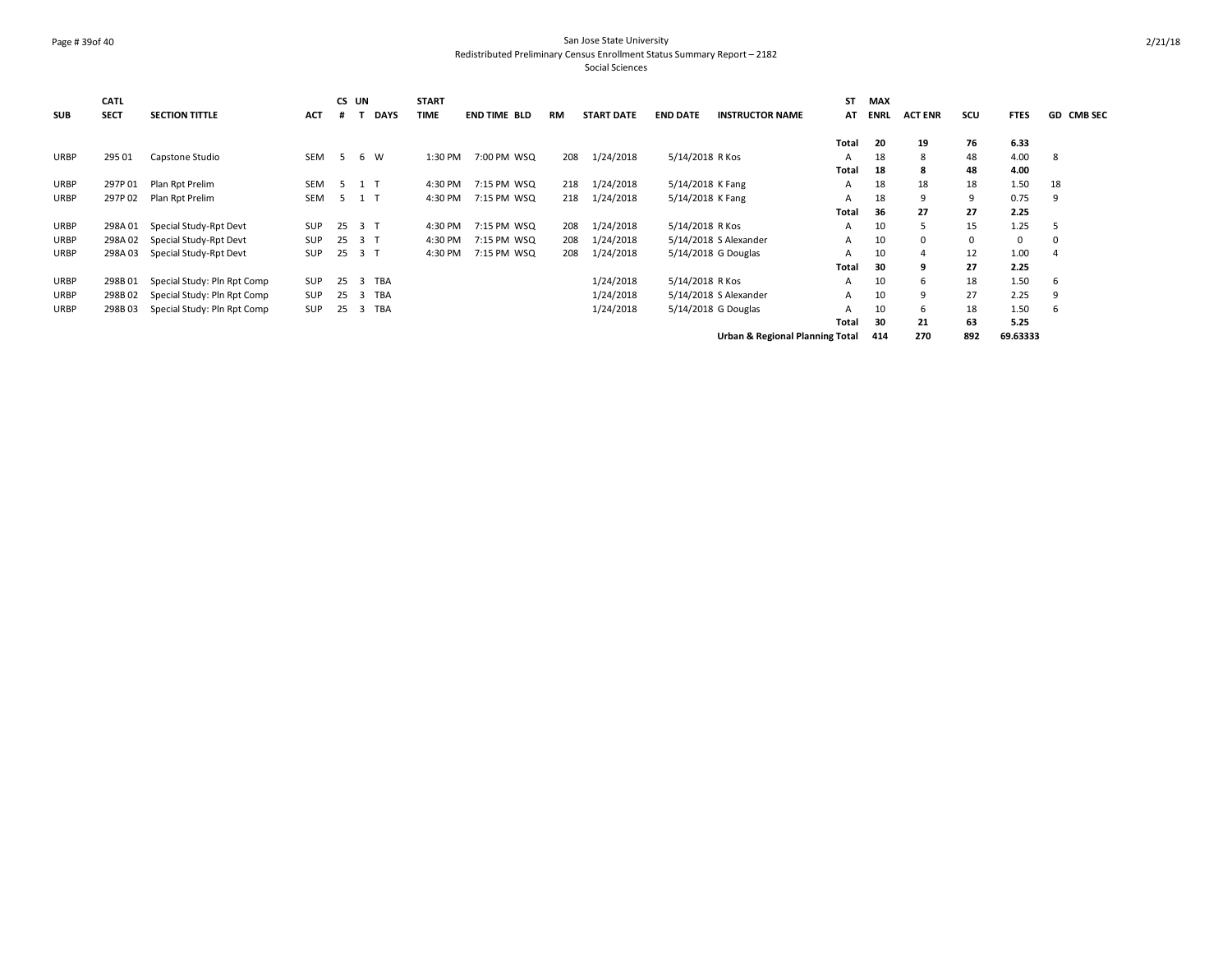# Page # 39of 40 San Jose State University Redistributed Preliminary Census Enrollment Status Summary Report – 2182

|             | CATL        |                             |            |    | CS UN           | <b>START</b> |                     |     |                   |                  |                                            | <b>ST</b>    | <b>MAX</b>  |                |     |             |            |
|-------------|-------------|-----------------------------|------------|----|-----------------|--------------|---------------------|-----|-------------------|------------------|--------------------------------------------|--------------|-------------|----------------|-----|-------------|------------|
| <b>SUB</b>  | <b>SECT</b> | <b>SECTION TITTLE</b>       | <b>ACT</b> |    | <b>DAYS</b>     | <b>TIME</b>  | <b>END TIME BLD</b> | RM  | <b>START DATE</b> | <b>END DATE</b>  | <b>INSTRUCTOR NAME</b>                     | AT           | <b>ENRL</b> | <b>ACT ENR</b> | scu | <b>FTES</b> | GD CMB SEC |
|             |             |                             |            |    |                 |              |                     |     |                   |                  |                                            |              |             |                |     |             |            |
|             |             |                             |            |    |                 |              |                     |     |                   |                  |                                            | <b>Total</b> | 20          | 19             | 76  | 6.33        |            |
| <b>URBP</b> | 295 01      | Capstone Studio             | <b>SEM</b> | -5 | W<br>6          | 1:30 PM      | 7:00 PM WSQ         | 208 | 1/24/2018         | 5/14/2018 R Kos  |                                            | A            | 18          | 8              | 48  | 4.00        | -8         |
|             |             |                             |            |    |                 |              |                     |     |                   |                  |                                            | <b>Total</b> | 18          | 8              | 48  | 4.00        |            |
| URBP        | 297P01      | Plan Rpt Prelim             | <b>SEM</b> |    | 5 1 T           | 4:30 PM      | 7:15 PM WSQ         | 218 | 1/24/2018         | 5/14/2018 K Fang |                                            | A            | 18          | 18             | 18  | 1.50        | 18         |
| URBP        | 297P02      | Plan Rpt Prelim             | SEM        |    | 5 1 T           | 4:30 PM      | 7:15 PM WSQ         | 218 | 1/24/2018         | 5/14/2018 K Fang |                                            | A            | 18          | 9              | 9   | 0.75        | 9          |
|             |             |                             |            |    |                 |              |                     |     |                   |                  |                                            | Total        | 36          | 27             | 27  | 2.25        |            |
| URBP        | 298A01      | Special Study-Rpt Devt      | <b>SUP</b> | 25 | 3 <sub>1</sub>  | 4:30 PM      | 7:15 PM WSQ         | 208 | 1/24/2018         | 5/14/2018 R Kos  |                                            | A            | 10          | ь              | 15  | 1.25        | ь          |
| <b>URBP</b> | 298A 02     | Special Study-Rpt Devt      | <b>SUP</b> | 25 | 3 T             | 4:30 PM      | 7:15 PM WSQ         | 208 | 1/24/2018         |                  | 5/14/2018 S Alexander                      | A            | 10          | 0              |     | 0           | 0          |
| URBP        | 298A03      | Special Study-Rpt Devt      | SUP        | 25 | 3 <sub>1</sub>  | 4:30 PM      | 7:15 PM WSQ         | 208 | 1/24/2018         |                  | 5/14/2018 G Douglas                        | A            | 10          | $\overline{a}$ | 12  | 1.00        | 4          |
|             |             |                             |            |    |                 |              |                     |     |                   |                  |                                            | <b>Total</b> | 30          | 9              | 27  | 2.25        |            |
| URBP        | 298B01      | Special Study: Pln Rpt Comp | <b>SUP</b> | 25 | TBA<br>3        |              |                     |     | 1/24/2018         | 5/14/2018 R Kos  |                                            | A            | 10          | 6              | 18  | 1.50        | 6          |
| <b>URBP</b> | 298B02      | Special Study: Pln Rpt Comp | <b>SUP</b> | 25 | <b>TBA</b><br>3 |              |                     |     | 1/24/2018         |                  | 5/14/2018 S Alexander                      | A            | 10          | 9              | 27  | 2.25        | 9          |
| <b>URBP</b> | 298B03      | Special Study: Pln Rpt Comp | <b>SUP</b> | 25 | TBA<br>3        |              |                     |     | 1/24/2018         |                  | 5/14/2018 G Douglas                        | A            | 10          | 6              | 18  | 1.50        | 6          |
|             |             |                             |            |    |                 |              |                     |     |                   |                  |                                            | <b>Total</b> | 30          | 21             | 63  | 5.25        |            |
|             |             |                             |            |    |                 |              |                     |     |                   |                  | <b>Urban &amp; Regional Planning Total</b> |              | 414         | 270            | 892 | 69.63333    |            |